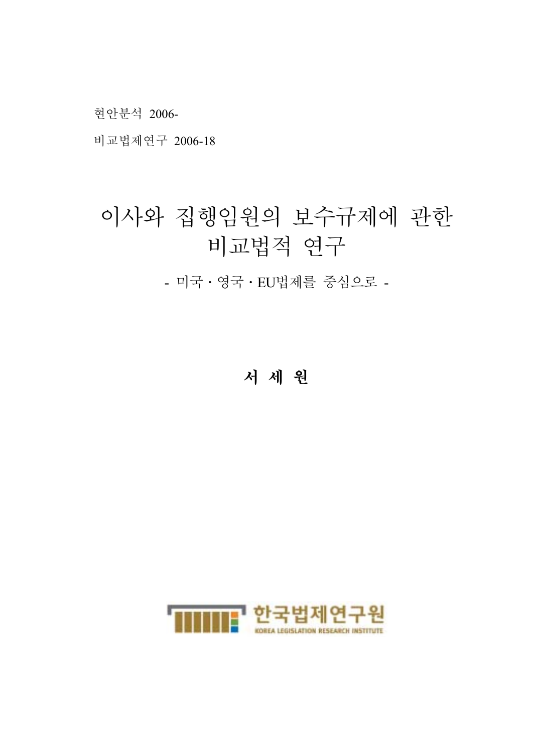현안분석 2006-

비교법제연구 2006-18

# 이사와 집행임원의 보수규제에 관한 비교법적 연구

- 미국․영국․EU법제를 중심으로 -

서 세 원

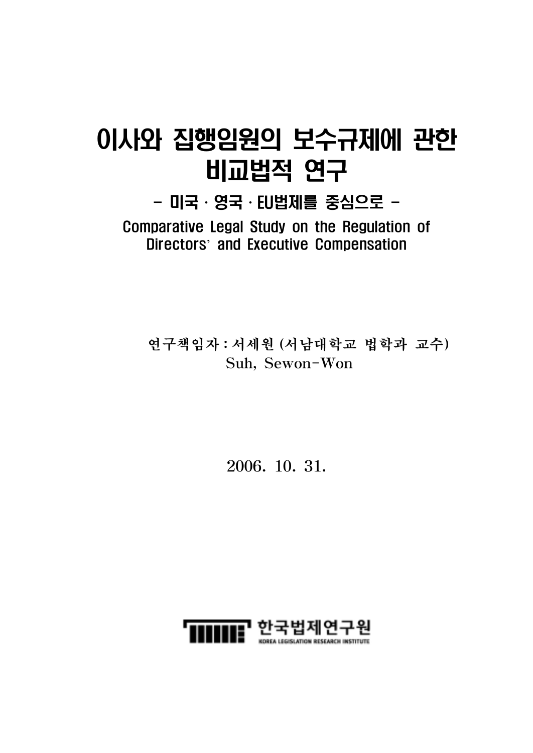# 이사와 집행임원의 보수규제에 관한 비교법적 연구

 $-$  미국·영국·EU법제를 중심으로 -Comparative Legal Study on the Regulation of Directors' and Executive Compensation

연구책임자 : 서세원 (서남대학교 법학과 교수) Suh, Sewon-Won

2006. 10. 31.

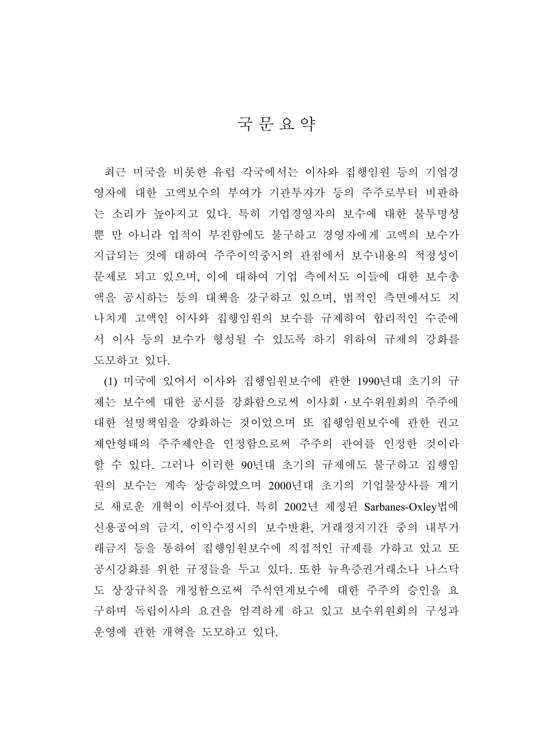### 국문요약

최근 미국을 비롯한 유럽 각국에서는 이사와 집행임원 등의 기업경 영자에 대한 고액보수의 부여가 기관투자가 등의 주주로부터 비판하 는 소리가 높아지고 있다. 특히 기업경영자의 보수에 대한 불투명성 뿐 만 아니라 업적이 부진함에도 불구하고 경영자에게 고액의 보수가 지급되는 것에 대하여 주주이익중시의 관점에서 보수내용의 적정성이 문제로 되고 있으며, 이에 대하여 기업 측에서도 이들에 대한 보수총 액을 공시하는 등의 대책을 강구하고 있으며, 법적인 측면에서도 지 나치게 고액인 이사와 집행임원의 보수를 규제하여 합리적인 수준에 서 이사 등의 보수가 형성될 수 있도록 하기 위하여 규제의 강화를 도모하고 있다.

(1) 미국에 있어서 이사와 집행임원보수에 관한 1990년대 초기의 규 제는 보수에 대한 공시를 강화함으로써 이사회․보수위원회의 주주에 대한 설명책임을 강화하는 것이었으며 또 집행임원보수에 관한 권고 제안형태의 주주제안을 인정함으로써 주주의 관여를 인정한 것이라 할 수 있다. 그러나 이러한 90년대 초기의 규제에도 불구하고 집행임 원의 보수는 계속 상승하였으며 2000년대 초기의 기업불상사를 계기 로 새로운 개혁이 이루어졌다. 특히 2002년 제정된 Sarbanes-Oxley법에 신용공여의 금지, 이익수정시의 보수반환, 거래정지기간 중의 내부거 래금지 등을 통하여 집행임원보수에 직접적인 규제를 가하고 있고 또 공시강화를 위한 규정들을 두고 있다. 또한 뉴욕증권거래소나 나스닥 도 상장규칙을 개정함으로써 주식연계보수에 대한 주주의 승인을 요 구하며 독립이사의 요건을 엄격하게 하고 있고 보수위원회의 구성과 운영에 관한 개혁을 도모하고 있다.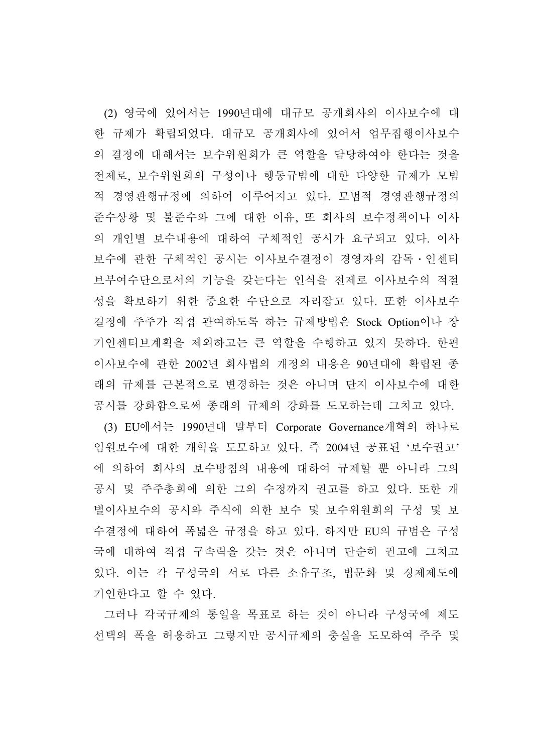(2) 영국에 있어서는 1990년대에 대규모 공개회사의 이사보수에 대 한 규제가 확립되었다. 대규모 공개회사에 있어서 업무집행이사보수 의 결정에 대해서는 보수위원회가 큰 역할을 담당하여야 한다는 것을 전제로, 보수위원회의 구성이나 행동규범에 대한 다양한 규제가 모범 적 경영관행규정에 의하여 이루어지고 있다. 모범적 경영관행규정의 준수상황 및 불준수와 그에 대한 이유, 또 회사의 보수정책이나 이사 의 개인별 보수내용에 대하여 구체적인 공시가 요구되고 있다. 이사 보수에 관한 구체적인 공시는 이사보수결정이 경영자의 감독․인센티 브부여수단으로서의 기능을 갖는다는 인식을 전제로 이사보수의 적절 성을 확보하기 위한 중요한 수단으로 자리잡고 있다. 또한 이사보수 결정에 주주가 직접 관여하도록 하는 규제방법은 Stock Option이나 장 기인센티브계획을 제외하고는 큰 역할을 수행하고 있지 못하다. 한편 이사보수에 관한 2002년 회사법의 개정의 내용은 90년대에 확립된 종 래의 규제를 근본적으로 변경하는 것은 아니며 단지 이사보수에 대한 공시를 강화함으로써 종래의 규제의 강화를 도모하는데 그치고 있다. (3) EU에서는 1990년대 말부터 Corporate Governance개혁의 하나로 임원보수에 대한 개혁을 도모하고 있다. 즉 2004년 공표된 '보수권고' 에 의하여 회사의 보수방침의 내용에 대하여 규제할 뿐 아니라 그의 공시 및 주주총회에 의한 그의 수정까지 권고를 하고 있다. 또한 개 별이사보수의 공시와 주식에 의한 보수 및 보수위원회의 구성 및 보 수결정에 대하여 폭넓은 규정을 하고 있다. 하지만 EU의 규범은 구성 국에 대하여 직접 구속력을 갖는 것은 아니며 단순히 권고에 그치고 있다. 이는 각 구성국의 서로 다른 소유구조, 법문화 및 경제제도에 기인한다고 할 수 있다.

그러나 각국규제의 통일을 목표로 하는 것이 아니라 구성국에 제도 선택의 폭을 허용하고 그렇지만 공시규제의 충실을 도모하여 주주 및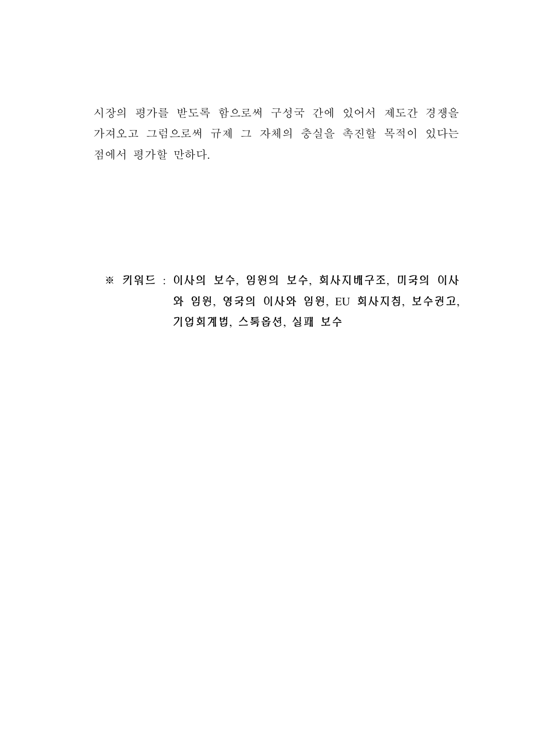시장의 평가를 받도록 함으로써 구성국 간에 있어서 제도간 경쟁을 가져오고 그럼으로써 규제 그 자체의 충실을 촉진할 목적이 있다는 점에서 평가할 만하다.

※ 키워드 : 이사의 보수, 임원의 보수, 회사지배구조, 미국의 이사 와 임원, 영국의 이사와 임원, EU 회사지침, 보수권고, 기업회계법, 스톡옵션, 실패 보수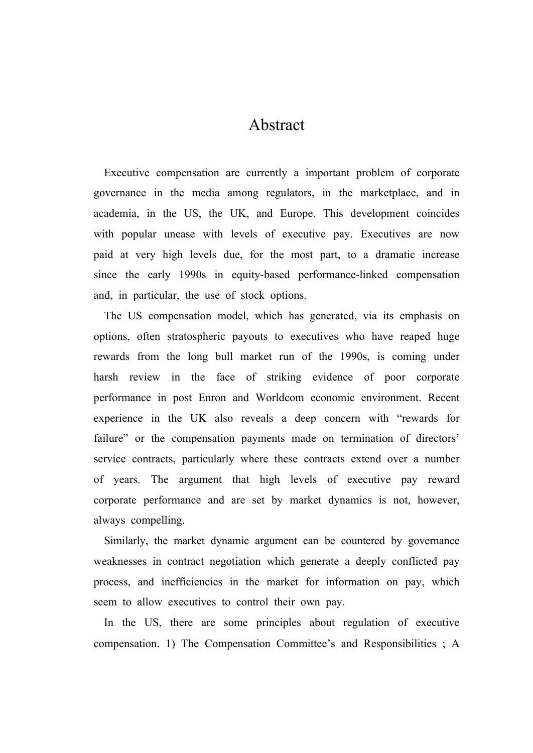### Abstract

Executive compensation are currently a important problem of corporate governance in the media among regulators, in the marketplace, and in academia, in the US, the UK, and Europe. This development coincides with popular unease with levels of executive pay. Executives are now paid at very high levels due, for the most part, to a dramatic increase since the early 1990s in equity-based performance-linked compensation and, in particular, the use of stock options.

The US compensation model, which has generated, via its emphasis on options, often stratospheric payouts to executives who have reaped huge rewards from the long bull market run of the 1990s, is coming under harsh review in the face of striking evidence of poor corporate performance in post Enron and Worldcom economic environment. Recent experience in the UK also reveals a deep concern with "rewards for failure" or the compensation payments made on termination of directors' service contracts, particularly where these contracts extend over a number of years. The argument that high levels of executive pay reward corporate performance and are set by market dynamics is not, however, always compelling.

Similarly, the market dynamic argument can be countered by governance weaknesses in contract negotiation which generate a deeply conflicted pay process, and inefficiencies in the market for information on pay, which seem to allow executives to control their own pay.

In the US, there are some principles about regulation of executive compensation. 1) The Compensation Committee's and Responsibilities ; A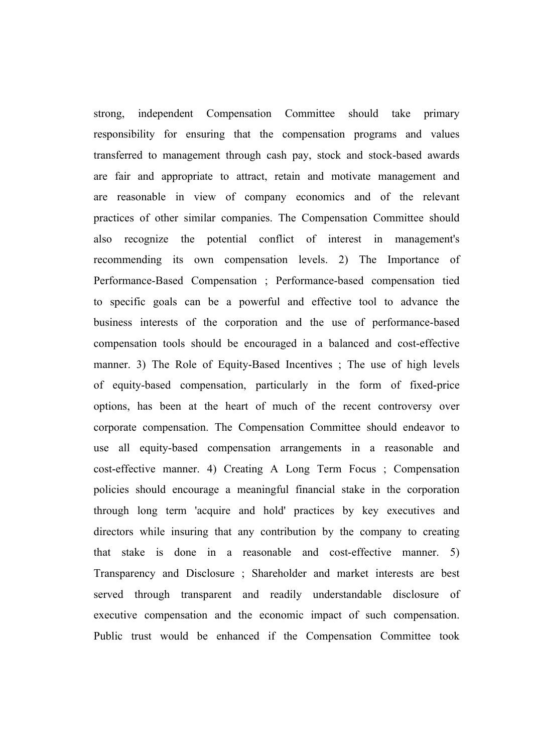strong, independent Compensation Committee should take primary responsibility for ensuring that the compensation programs and values transferred to management through cash pay, stock and stock-based awards are fair and appropriate to attract, retain and motivate management and are reasonable in view of company economics and of the relevant practices of other similar companies. The Compensation Committee should also recognize the potential conflict of interest in management's recommending its own compensation levels. 2) The Importance of Performance-Based Compensation ; Performance-based compensation tied to specific goals can be a powerful and effective tool to advance the business interests of the corporation and the use of performance-based compensation tools should be encouraged in a balanced and cost-effective manner. 3) The Role of Equity-Based Incentives ; The use of high levels of equity-based compensation, particularly in the form of fixed-price options, has been at the heart of much of the recent controversy over corporate compensation. The Compensation Committee should endeavor to use all equity-based compensation arrangements in a reasonable and cost-effective manner. 4) Creating A Long Term Focus ; Compensation policies should encourage a meaningful financial stake in the corporation through long term 'acquire and hold' practices by key executives and directors while insuring that any contribution by the company to creating that stake is done in a reasonable and cost-effective manner. 5) Transparency and Disclosure ; Shareholder and market interests are best served through transparent and readily understandable disclosure of executive compensation and the economic impact of such compensation. Public trust would be enhanced if the Compensation Committee took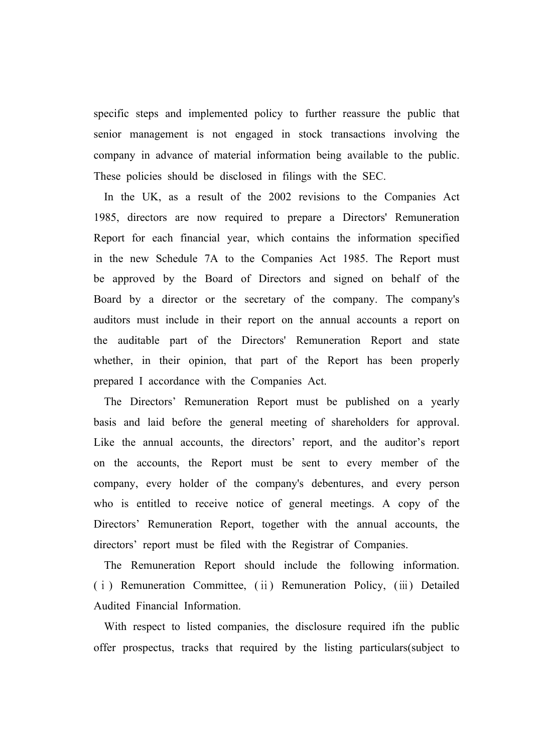specific steps and implemented policy to further reassure the public that senior management is not engaged in stock transactions involving the company in advance of material information being available to the public. These policies should be disclosed in filings with the SEC.

In the UK, as a result of the 2002 revisions to the Companies Act 1985, directors are now required to prepare a Directors' Remuneration Report for each financial year, which contains the information specified in the new Schedule 7A to the Companies Act 1985. The Report must be approved by the Board of Directors and signed on behalf of the Board by a director or the secretary of the company. The company's auditors must include in their report on the annual accounts a report on the auditable part of the Directors' Remuneration Report and state whether, in their opinion, that part of the Report has been properly prepared I accordance with the Companies Act.

The Directors' Remuneration Report must be published on a yearly basis and laid before the general meeting of shareholders for approval. Like the annual accounts, the directors' report, and the auditor's report on the accounts, the Report must be sent to every member of the company, every holder of the company's debentures, and every person who is entitled to receive notice of general meetings. A copy of the Directors' Remuneration Report, together with the annual accounts, the directors' report must be filed with the Registrar of Companies.

The Remuneration Report should include the following information. (ⅰ) Remuneration Committee, (ⅱ) Remuneration Policy, (ⅲ) Detailed Audited Financial Information.

With respect to listed companies, the disclosure required ifn the public offer prospectus, tracks that required by the listing particulars(subject to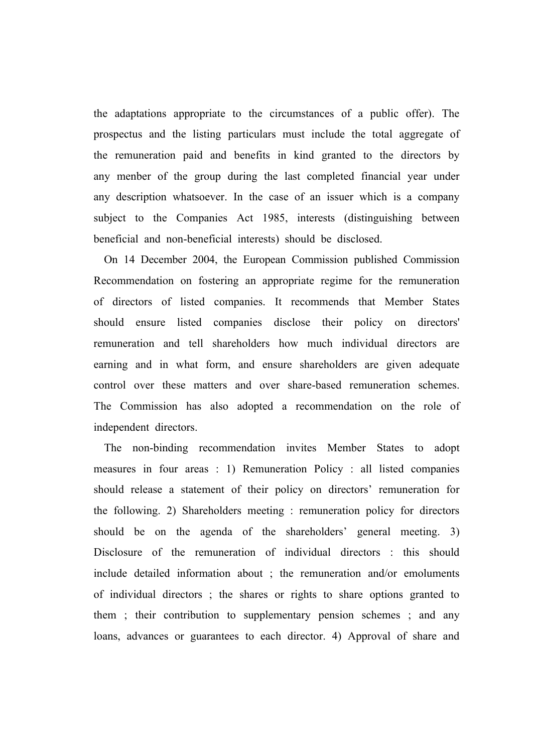the adaptations appropriate to the circumstances of a public offer). The prospectus and the listing particulars must include the total aggregate of the remuneration paid and benefits in kind granted to the directors by any menber of the group during the last completed financial year under any description whatsoever. In the case of an issuer which is a company subject to the Companies Act 1985, interests (distinguishing between beneficial and non-beneficial interests) should be disclosed.

On 14 December 2004, the European Commission published Commission Recommendation on fostering an appropriate regime for the remuneration of directors of listed companies. It recommends that Member States should ensure listed companies disclose their policy on directors' remuneration and tell shareholders how much individual directors are earning and in what form, and ensure shareholders are given adequate control over these matters and over share-based remuneration schemes. The Commission has also adopted a recommendation on the role of independent directors.

The non-binding recommendation invites Member States to adopt measures in four areas : 1) Remuneration Policy : all listed companies should release a statement of their policy on directors' remuneration for the following. 2) Shareholders meeting : remuneration policy for directors should be on the agenda of the shareholders' general meeting. 3) Disclosure of the remuneration of individual directors : this should include detailed information about ; the remuneration and/or emoluments of individual directors ; the shares or rights to share options granted to them ; their contribution to supplementary pension schemes ; and any loans, advances or guarantees to each director. 4) Approval of share and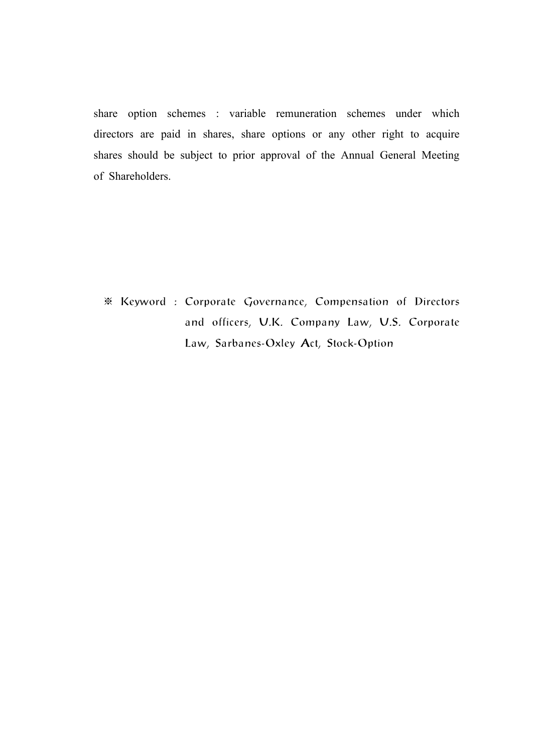share option schemes : variable remuneration schemes under which directors are paid in shares, share options or any other right to acquire shares should be subject to prior approval of the Annual General Meeting of Shareholders.

※ Keyword : Corporate Governance, Compensation of Directors and officers, U.K. Company Law, U.S. Corporate Law, Sarbanes-Oxley Act, Stock-Option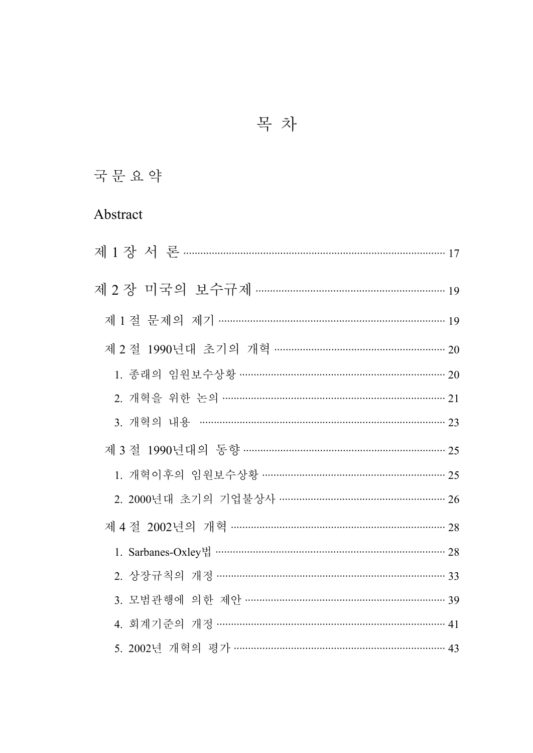# 목 차

# 국문요약

## Abstract

| 제 1 절 문제의 제기 …………………………………………………………………… 19  |
|---------------------------------------------|
| 제 2 절 1990년대 초기의 개혁 …………………………………………………… 20 |
| 1. 종래의 임원보수상황 ……………………………………………………………… 20   |
| 2. 개혁을 위한 논의 …………………………………………………………………… 21  |
| 3. 개혁의 내용 ……………………………………………………………………… 23    |
| 제 3 절 1990년대의 동향 ………………………………………………………… 25  |
| 1. 개혁이후의 임원보수상황 ……………………………………………………… 25    |
| 2. 2000년대 초기의 기업불상사 ………………………………………………… 26  |
| 제 4 절 2002년의 개혁 ……………………………………………………………… 28 |
|                                             |
| 2. 상장규칙의 개정 ………………………………………………………………… 33    |
| 3. 모범관행에 의한 제안 …………………………………………………………… 39   |
| 4. 회계기준의 개정 ……………………………………………………………………… 41  |
| 5. 2002년 개혁의 평가 ……………………………………………………………… 43 |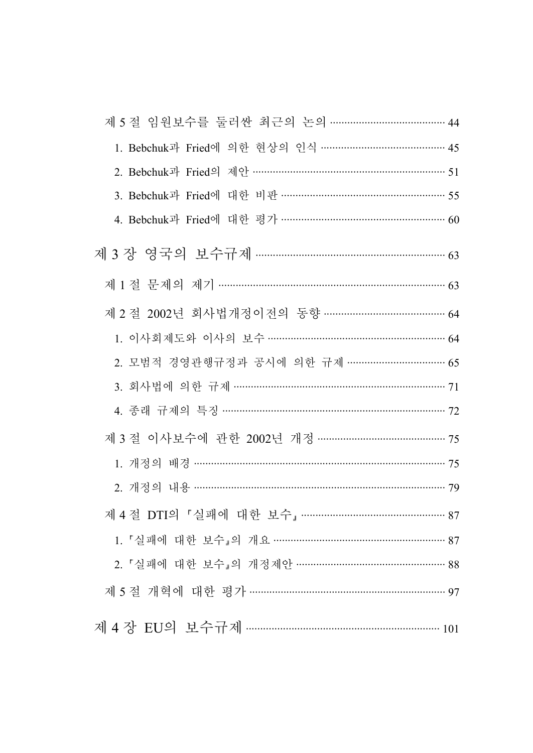| 1. Bebchuk과 Fried에 의한 현상의 인식 ……………………………………… 45  |
|--------------------------------------------------|
|                                                  |
| 3. Bebchuk과 Fried에 대한 비판 ………………………………………………… 55  |
| 4. Bebchuk과 Fried에 대한 평가 …………………………………………………… 60 |
|                                                  |
| 제 1 절 문제의 제기 ………………………………………………………………… 63        |
| 제 2 절 2002년 회사법개정이전의 동향 …………………………………… 64        |
| 1. 이사회제도와 이사의 보수 …………………………………………………… 64         |
| 2. 모범적 경영관행규정과 공시에 의한 규제 …………………………… 65          |
| 3. 회사법에 의한 규제 ……………………………………………………………… 71        |
| 4. 종래 규제의 특징 ………………………………………………………………… 72        |
| 제 3 절 이사보수에 관한 2002년 개정 ……………………………………… 75       |
| 1. 개정의 배경 ………………………………………………………………………… 75        |
| 2. 개정의 내용 …………………………………………………………………………… 79       |
| 제 4 절 DTI의 「실패에 대한 보수」………………………………………… 87        |
| 1. 「실패에 대한 보수」의 개요 ………………………………………………… 87        |
| 2. 「실패에 대한 보수」의 개정제안 …………………………………………… 88        |
| 제 5 절 개혁에 대한 평가 …………………………………………………………… 97       |
|                                                  |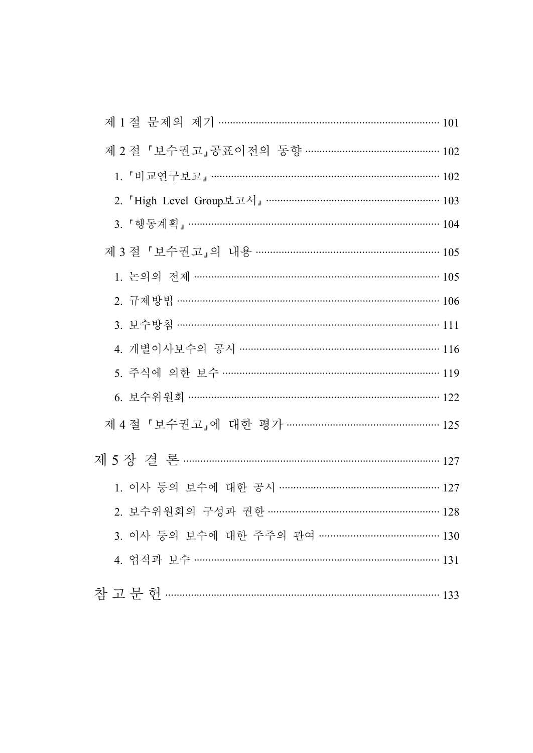| 제 1 절 문제의 제기 ………………………………………………………………… 101        |  |
|---------------------------------------------------|--|
| 제 2 절 『보수권고』공표이전의 동향 ………………………………………… 102         |  |
| 1. 「비교연구보고」………………………………………………………………… 102          |  |
| 2. 「High Level Group보고서」……………………………………………………… 103 |  |
| 3. 「행동계획」………………………………………………………………………… 104         |  |
| 제3절 「보수권고」의 내용 ……………………………………………………… 105          |  |
| 1. 논의의 전제 ……………………………………………………………………… 105         |  |
| 2. 규제방법 …………………………………………………………………………… 106         |  |
| 3. 보수방침 ……………………………………………………………………………… 111        |  |
| 4. 개별이사보수의 공시 …………………………………………………………… 116         |  |
| 5. 주식에 의한 보수 ……………………………………………………………… 119         |  |
| 6. 보수위원회 ……………………………………………………………………… 122          |  |
| 제 4 절 「보수권고」에 대한 평가 …………………………………………… 125         |  |
|                                                   |  |
| 1. 이사 등의 보수에 대한 공시 ……………………………………………… 127         |  |
| 2. 보수위원회의 구성과 권한 ………………………………………………… 128          |  |
| 3. 이사 등의 보수에 대한 주주의 관여 …………………………………… 130         |  |
|                                                   |  |
| 참고문헌 …………………………………………………………………………… 133            |  |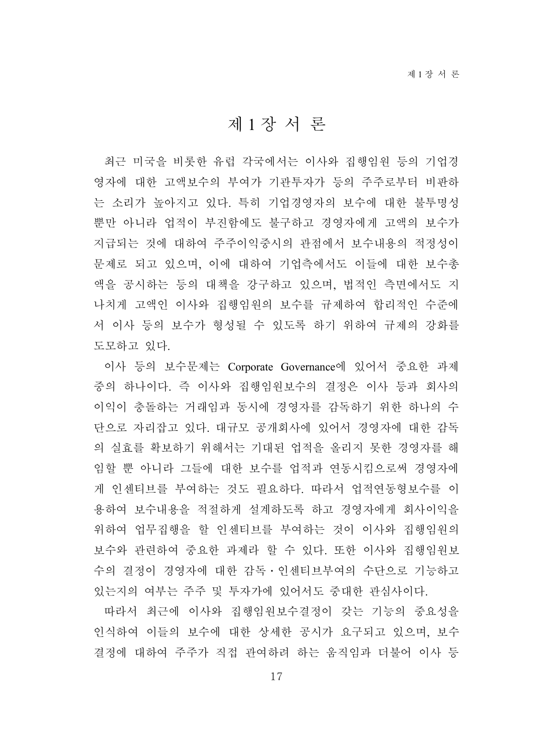### 제 1 장 서 론

최근 미국을 비롯한 유럽 각국에서는 이사와 집행임원 등의 기업경 영자에 대한 고액보수의 부여가 기관투자가 등의 주주로부터 비판하 는 소리가 높아지고 있다. 특히 기업경영자의 보수에 대한 불투명성 뿐만 아니라 업적이 부진함에도 불구하고 경영자에게 고액의 보수가 지급되는 것에 대하여 주주이익중시의 관점에서 보수내용의 적정성이 문제로 되고 있으며, 이에 대하여 기업측에서도 이들에 대한 보수총 액을 공시하는 등의 대책을 강구하고 있으며, 법적인 측면에서도 지 나치게 고액인 이사와 집행임원의 보수를 규제하여 합리적인 수준에 서 이사 등의 보수가 형성될 수 있도록 하기 위하여 규제의 강화를 도모하고 있다.

이사 등의 보수문제는 Corporate Governance에 있어서 중요한 과제 중의 하나이다. 즉 이사와 집행임원보수의 결정은 이사 등과 회사의 이익이 충돌하는 거래임과 동시에 경영자를 감독하기 위한 하나의 수 단으로 자리잡고 있다. 대규모 공개회사에 있어서 경영자에 대한 감독 의 실효를 확보하기 위해서는 기대된 업적을 올리지 못한 경영자를 해 임할 뿐 아니라 그들에 대한 보수를 업적과 연동시킴으로써 경영자에 게 인센티브를 부여하는 것도 필요하다. 따라서 업적연동형보수를 이 용하여 보수내용을 적절하게 설계하도록 하고 경영자에게 회사이익을 위하여 업무집행을 할 인센티브를 부여하는 것이 이사와 집행임원의 보수와 관련하여 중요한 과제라 할 수 있다. 또한 이사와 집행임원보 수의 결정이 경영자에 대한 감독․인센티브부여의 수단으로 기능하고 있는지의 여부는 주주 및 투자가에 있어서도 중대한 관심사이다.

따라서 최근에 이사와 집행임원보수결정이 갖는 기능의 중요성을 인식하여 이들의 보수에 대한 상세한 공시가 요구되고 있으며, 보수 결정에 대하여 주주가 직접 관여하려 하는 움직임과 더불어 이사 등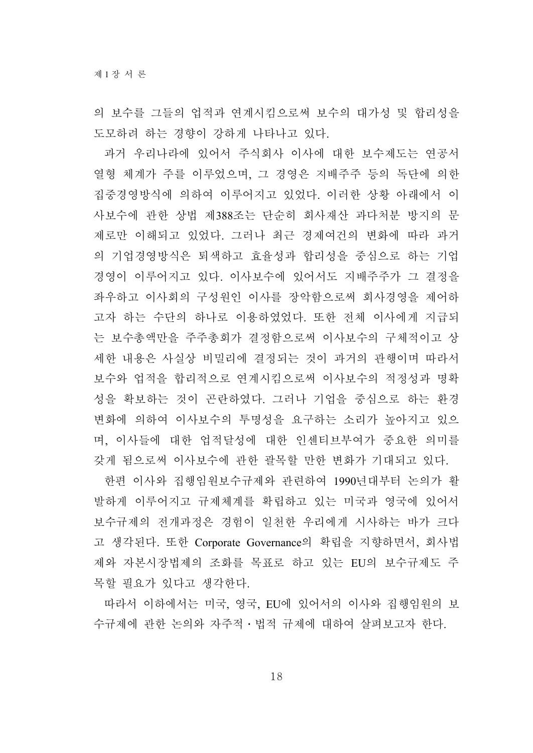의 보수를 그들의 업적과 연계시킴으로써 보수의 대가성 및 합리성을 도모하려 하는 경향이 강하게 나타나고 있다.

과거 우리나라에 있어서 주식회사 이사에 대한 보수제도는 연공서 열형 체계가 주를 이루었으며, 그 경영은 지배주주 등의 독단에 의한 집중경영방식에 의하여 이루어지고 있었다. 이러한 상황 아래에서 이 사보수에 관한 상법 제388조는 단순히 회사재산 과다처분 방지의 문 제로만 이해되고 있었다. 그러나 최근 경제여건의 변화에 따라 과거 의 기업경영방식은 퇴색하고 효율성과 합리성을 중심으로 하는 기업 경영이 이루어지고 있다. 이사보수에 있어서도 지배주주가 그 결정을 좌우하고 이사회의 구성원인 이사를 장악함으로써 회사경영을 제어하 고자 하는 수단의 하나로 이용하였었다. 또한 전체 이사에게 지급되 는 보수총액만을 주주총회가 결정함으로써 이사보수의 구체적이고 상 세한 내용은 사실상 비밀리에 결정되는 것이 과거의 관행이며 따라서 보수와 업적을 합리적으로 연계시킴으로써 이사보수의 적정성과 명확 성을 확보하는 것이 곤란하였다. 그러나 기업을 중심으로 하는 환경 변화에 의하여 이사보수의 투명성을 요구하는 소리가 높아지고 있으 며, 이사들에 대한 업적달성에 대한 인센티브부여가 중요한 의미를 갖게 됨으로써 이사보수에 관한 괄목할 만한 변화가 기대되고 있다.

한편 이사와 집행임원보수규제와 관련하여 1990년대부터 논의가 활 발하게 이루어지고 규제체계를 확립하고 있는 미국과 영국에 있어서 보수규제의 전개과정은 경험이 일천한 우리에게 시사하는 바가 크다 고 생각된다. 또한 Corporate Governance의 확립을 지향하면서, 회사법 제와 자본시장법제의 조화를 목표로 하고 있는 EU의 보수규제도 주 목할 필요가 있다고 생각한다.

따라서 이하에서는 미국, 영국, EU에 있어서의 이사와 집행임원의 보 수규제에 관한 논의와 자주적․법적 규제에 대하여 살펴보고자 한다.

18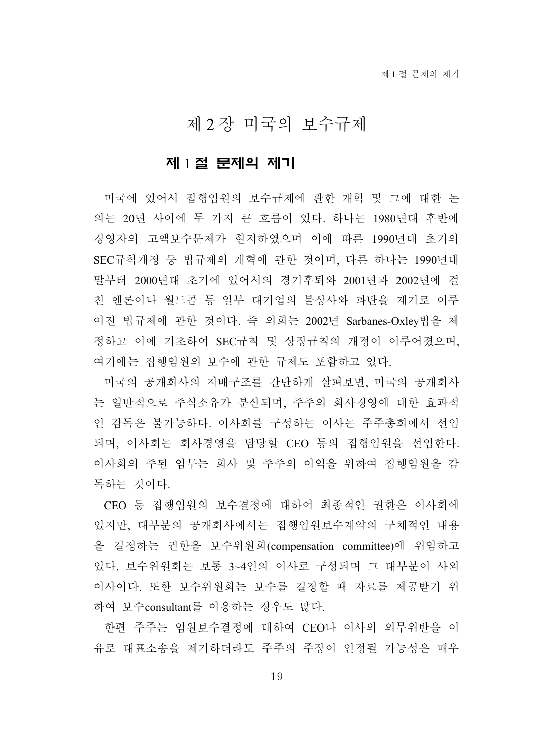## 제 2 장 미국의 보수규제

#### 제 1 절 문제의 제기

미국에 있어서 집행임원의 보수규제에 관한 개혁 및 그에 대한 논 의는 20년 사이에 두 가지 큰 흐름이 있다. 하나는 1980년대 후반에 경영자의 고액보수문제가 현저하였으며 이에 따른 1990년대 초기의 SEC규칙개정 등 법규제의 개혁에 관한 것이며, 다른 하나는 1990년대 말부터 2000년대 초기에 있어서의 경기후퇴와 2001년과 2002년에 걸 친 엔론이나 월드콤 등 일부 대기업의 불상사와 파탄을 계기로 이루 어진 법규제에 관한 것이다. 즉 의회는 2002년 Sarbanes-Oxley법을 제 정하고 이에 기초하여 SEC규칙 및 상장규칙의 개정이 이루어졌으며, 여기에는 집행임원의 보수에 관한 규제도 포함하고 있다.

미국의 공개회사의 지배구조를 간단하게 살펴보면, 미국의 공개회사 는 일반적으로 주식소유가 분산되며, 주주의 회사경영에 대한 효과적 인 감독은 불가능하다. 이사회를 구성하는 이사는 주주총회에서 선임 되며, 이사회는 회사경영을 담당할 CEO 등의 집행임원을 선임한다. 이사회의 주된 임무는 회사 및 주주의 이익을 위하여 집행임원을 감 독하는 것이다.

CEO 등 집행임원의 보수결정에 대하여 최종적인 권한은 이사회에 있지만, 대부분의 공개회사에서는 집행임원보수계약의 구체적인 내용 을 결정하는 권한을 보수위원회(compensation committee)에 위임하고 있다. 보수위원회는 보통 3~4인의 이사로 구성되며 그 대부분이 사외 이사이다. 또한 보수위원회는 보수를 결정할 때 자료를 제공받기 위 하여 보수consultant를 이용하는 경우도 많다.

한편 주주는 임원보수결정에 대하여 CEO나 이사의 의무위반을 이 유로 대표소송을 제기하더라도 주주의 주장이 인정될 가능성은 매우

19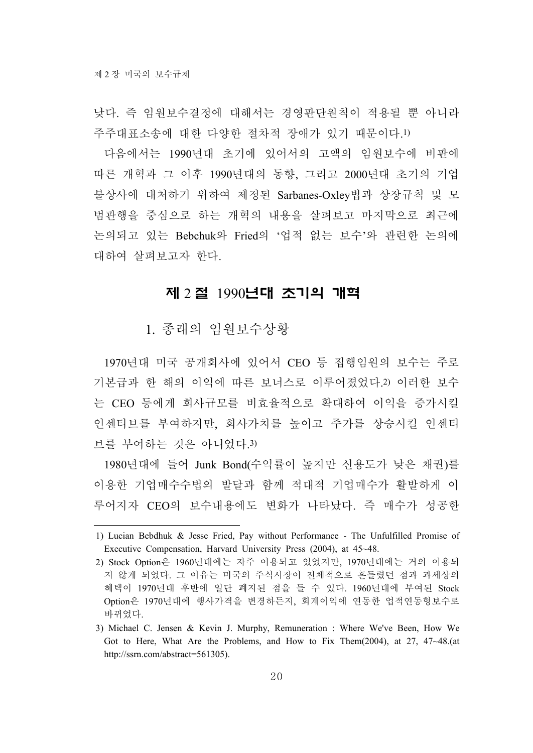낮다. 즉 임원보수결정에 대해서는 경영판단원칙이 적용될 뿐 아니라 주주대표소송에 대한 다양한 절차적 장애가 있기 때문이다.1)

다음에서는 1990년대 초기에 있어서의 고액의 임원보수에 비판에 따른 개혁과 그 이후 1990년대의 동향, 그리고 2000년대 초기의 기업 불상사에 대처하기 위하여 제정된 Sarbanes-Oxley법과 상장규칙 및 모 범관행을 중심으로 하는 개혁의 내용을 살펴보고 마지막으로 최근에 논의되고 있는 Bebchuk와 Fried의 '업적 없는 보수'와 관련한 논의에 대하여 살펴보고자 한다.

#### 제 2 절 1990년대 초기의 개혁

1. 종래의 임원보수상황

1970년대 미국 공개회사에 있어서 CEO 등 집행임원의 보수는 주로 기본급과 한 해의 이익에 따른 보너스로 이루어졌었다.2) 이러한 보수 는 CEO 등에게 회사규모를 비효율적으로 확대하여 이익을 증가시킬 인센티브를 부여하지만, 회사가치를 높이고 주가를 상승시킬 인센티 브를 부여하는 것은 아니었다.3)

1980년대에 들어 Junk Bond(수익률이 높지만 신용도가 낮은 채권)를 이용한 기업매수수법의 발달과 함께 적대적 기업매수가 활발하게 이 루어지자 CEO의 보수내용에도 변화가 나타났다. 즉 매수가 성공한

<sup>1)</sup> Lucian Bebdhuk & Jesse Fried, Pay without Performance - The Unfulfilled Promise of Executive Compensation, Harvard University Press (2004), at 45~48.

<sup>2)</sup> Stock Option은 1960년대에는 자주 이용되고 있었지만, 1970년대에는 거의 이용되 지 않게 되었다. 그 이유는 미국의 주식시장이 전체적으로 흔들렸던 점과 과세상의 혜택이 1970년대 후반에 일단 폐지된 점을 들 수 있다. 1960년대에 부여된 Stock Option은 1970년대에 행사가격을 변경하든지, 회계이익에 연동한 업적연동형보수로 바뀌었다.

<sup>3)</sup> Michael C. Jensen & Kevin J. Murphy, Remuneration : Where We've Been, How We Got to Here, What Are the Problems, and How to Fix Them(2004), at 27, 47~48.(at http://ssrn.com/abstract=561305).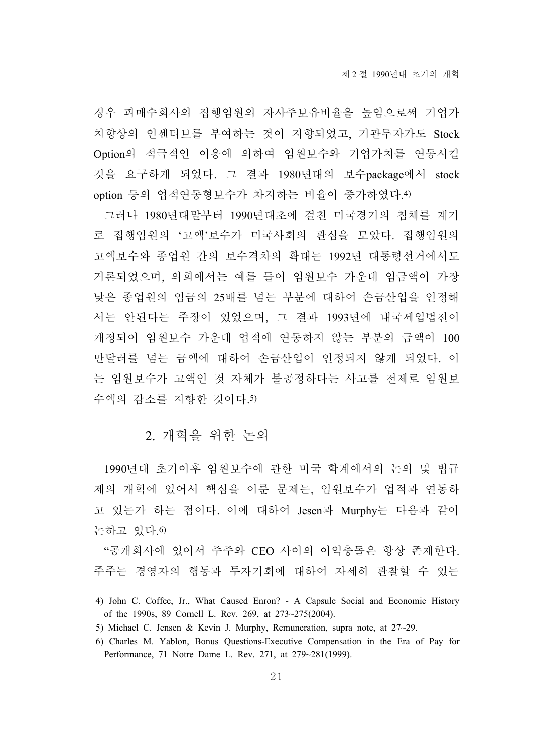경우 피매수회사의 집행임원의 자사주보유비율을 높임으로써 기업가 치향상의 인센티브를 부여하는 것이 지향되었고, 기관투자가도 Stock Option의 적극적인 이용에 의하여 임원보수와 기업가치를 연동시킬 것을 요구하게 되었다. 그 결과 1980년대의 보수package에서 stock option 등의 업적연동형보수가 차지하는 비율이 증가하였다.4)

그러나 1980년대말부터 1990년대초에 걸친 미국경기의 침체를 계기 로 집행임원의 '고액'보수가 미국사회의 관심을 모았다. 집행임원의 고액보수와 종업원 간의 보수격차의 확대는 1992년 대통령선거에서도 거론되었으며, 의회에서는 예를 들어 임원보수 가운데 임금액이 가장 낮은 종업원의 임금의 25배를 넘는 부분에 대하여 손금산입을 인정해 서는 안된다는 주장이 있었으며, 그 결과 1993년에 내국세입법전이 개정되어 임원보수 가운데 업적에 연동하지 않는 부분의 금액이 100 만달러를 넘는 금액에 대하여 손금산입이 인정되지 않게 되었다. 이 는 임원보수가 고액인 것 자체가 불공정하다는 사고를 전제로 임원보 수액의 감소를 지향한 것이다.5)

#### 2. 개혁을 위한 논의

1990년대 초기이후 임원보수에 관한 미국 학계에서의 논의 및 법규 제의 개혁에 있어서 핵심을 이룬 문제는, 임원보수가 업적과 연동하 고 있는가 하는 점이다. 이에 대하여 Jesen과 Murphy는 다음과 같이 논하고 있다.6)

"공개회사에 있어서 주주와 CEO 사이의 이익충돌은 항상 존재한다. 주주는 경영자의 행동과 투자기회에 대하여 자세히 관찰할 수 있는

<sup>4)</sup> John C. Coffee, Jr., What Caused Enron? - A Capsule Social and Economic History of the 1990s, 89 Cornell L. Rev. 269, at 273~275(2004).

<sup>5)</sup> Michael C. Jensen & Kevin J. Murphy, Remuneration, supra note, at  $27{\sim}29$ .

<sup>6)</sup> Charles M. Yablon, Bonus Questions-Executive Compensation in the Era of Pay for Performance, 71 Notre Dame L. Rev. 271, at 279~281(1999).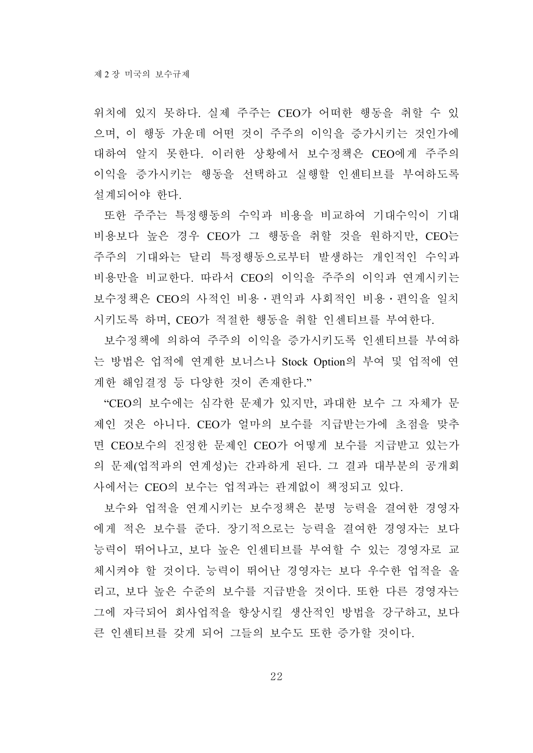위치에 있지 못하다. 실제 주주는 CEO가 어떠한 행동을 취할 수 있 으며, 이 행동 가운데 어떤 것이 주주의 이익을 증가시키는 것인가에 대하여 알지 못한다. 이러한 상황에서 보수정책은 CEO에게 주주의 이익을 증가시키는 행동을 선택하고 실행할 인센티브를 부여하도록 설계되어야 한다.

또한 주주는 특정행동의 수익과 비용을 비교하여 기대수익이 기대 비용보다 높은 경우 CEO가 그 행동을 취할 것을 원하지만, CEO는 주주의 기대와는 달리 특정행동으로부터 발생하는 개인적인 수익과 비용만을 비교한다. 따라서 CEO의 이익을 주주의 이익과 연계시키는 보수정책은 CEO의 사적인 비용․편익과 사회적인 비용․편익을 일치 시키도록 하며, CEO가 적절한 행동을 취할 인센티브를 부여한다.

보수정책에 의하여 주주의 이익을 증가시키도록 인센티브를 부여하 는 방법은 업적에 연계한 보너스나 Stock Option의 부여 및 업적에 연 계한 해임결정 등 다양한 것이 존재한다."

"CEO의 보수에는 심각한 문제가 있지만, 과대한 보수 그 자체가 문 제인 것은 아니다. CEO가 얼마의 보수를 지급받는가에 초점을 맞추 면 CEO보수의 진정한 문제인 CEO가 어떻게 보수를 지급받고 있는가 의 문제(업적과의 연계성)는 간과하게 된다. 그 결과 대부분의 공개회 사에서는 CEO의 보수는 업적과는 관계없이 책정되고 있다.

보수와 업적을 연계시키는 보수정책은 분명 능력을 결여한 경영자 에게 적은 보수를 준다. 장기적으로는 능력을 결여한 경영자는 보다 능력이 뛰어나고, 보다 높은 인센티브를 부여할 수 있는 경영자로 교 체시켜야 할 것이다. 능력이 뛰어난 경영자는 보다 우수한 업적을 올 리고, 보다 높은 수준의 보수를 지급받을 것이다. 또한 다른 경영자는 그에 자극되어 회사업적을 향상시킬 생산적인 방법을 강구하고, 보다 큰 인센티브를 갖게 되어 그들의 보수도 또한 증가할 것이다.

22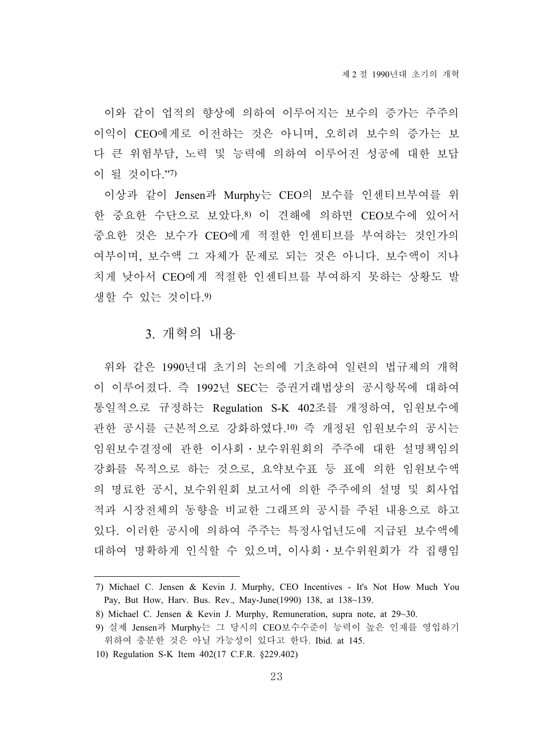이와 같이 업적의 향상에 의하여 이루어지는 보수의 증가는 주주의 이익이 CEO에게로 이전하는 것은 아니며, 오히려 보수의 증가는 보 다 큰 위험부담, 노력 및 능력에 의하여 이루어진 성공에 대한 보답 이 될 것이다."7)

이상과 같이 Jensen과 Murphy는 CEO의 보수를 인센티브부여를 위 한 중요한 수단으로 보았다.8) 이 견해에 의하면 CEO보수에 있어서 중요한 것은 보수가 CEO에게 적절한 인센티브를 부여하는 것인가의 여부이며, 보수액 그 자체가 문제로 되는 것은 아니다. 보수액이 지나 치게 낮아서 CEO에게 적절한 인센티브를 부여하지 못하는 상황도 발 생할 수 있는 것이다.9)

#### 3. 개혁의 내용

위와 같은 1990년대 초기의 논의에 기초하여 일련의 법규제의 개혁 이 이루어졌다. 즉 1992년 SEC는 증권거래법상의 공시항목에 대하여 통일적으로 규정하는 Regulation S-K 402조를 개정하여, 임원보수에 관한 공시를 근본적으로 강화하였다.10) 즉 개정된 임원보수의 공시는 임원보수결정에 관한 이사회․보수위원회의 주주에 대한 설명책임의 강화를 목적으로 하는 것으로, 요약보수표 등 표에 의한 임원보수액 의 명료한 공시, 보수위원회 보고서에 의한 주주에의 설명 및 회사업 적과 시장전체의 동향을 비교한 그래프의 공시를 주된 내용으로 하고 있다. 이러한 공시에 의하여 주주는 특정사업년도에 지급된 보수액에 대하여 명확하게 인식할 수 있으며, 이사회․보수위원회가 각 집행임

<sup>7)</sup> Michael C. Jensen & Kevin J. Murphy, CEO Incentives - It's Not How Much You Pay, But How, Harv. Bus. Rev., May-June(1990) 138, at 138~139.

<sup>8)</sup> Michael C. Jensen & Kevin J. Murphy, Remuneration, supra note, at 29~30.

<sup>9)</sup> 실제 Jensen과 Murphy는 그 당시의 CEO보수수준이 능력이 높은 인재를 영입하기 위하여 충분한 것은 아닐 가능성이 있다고 한다. Ibid. at 145.

<sup>10)</sup> Regulation S-K Item 402(17 C.F.R. §229.402)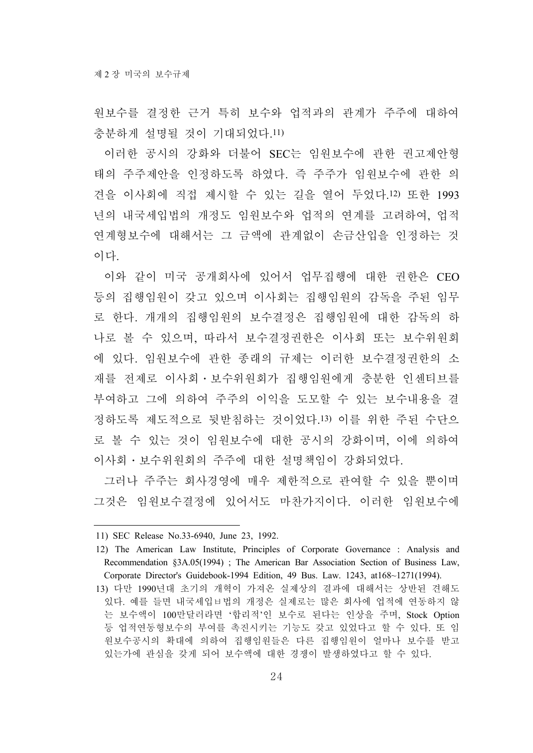원보수를 결정한 근거 특히 보수와 업적과의 관계가 주주에 대하여 충분하게 설명될 것이 기대되었다.11)

이러한 공시의 강화와 더불어 SEC는 임원보수에 관한 권고제안형 태의 주주제안을 인정하도록 하였다. 즉 주주가 임원보수에 관한 의 견을 이사회에 직접 제시할 수 있는 길을 열어 두었다.12) 또한 1993 년의 내국세입법의 개정도 임원보수와 업적의 연계를 고려하여, 업적 연계형보수에 대해서는 그 금액에 관계없이 손금산입을 인정하는 것 이다.

이와 같이 미국 공개회사에 있어서 업무집행에 대한 권한은 CEO 등의 집행임원이 갖고 있으며 이사회는 집행임원의 감독을 주된 임무 로 한다. 개개의 집행임원의 보수결정은 집행임원에 대한 감독의 하 나로 볼 수 있으며, 따라서 보수결정권한은 이사회 또는 보수위원회 에 있다. 임원보수에 관한 종래의 규제는 이러한 보수결정권한의 소 재를 전제로 이사회․보수위원회가 집행임원에게 충분한 인센티브를 부여하고 그에 의하여 주주의 이익을 도모할 수 있는 보수내용을 결 정하도록 제도적으로 뒷받침하는 것이었다.13) 이를 위한 주된 수단으 로 볼 수 있는 것이 임원보수에 대한 공시의 강화이며, 이에 의하여 이사회․보수위원회의 주주에 대한 설명책임이 강화되었다.

그러나 주주는 회사경영에 매우 제한적으로 관여할 수 있을 뿐이며 그것은 임원보수결정에 있어서도 마찬가지이다. 이러한 임원보수에

<sup>11)</sup> SEC Release No.33-6940, June 23, 1992.

<sup>12)</sup> The American Law Institute, Principles of Corporate Governance : Analysis and Recommendation §3A.05(1994) ; The American Bar Association Section of Business Law, Corporate Director's Guidebook-1994 Edition, 49 Bus. Law. 1243, at168~1271(1994).

<sup>13)</sup> 다만 1990년대 초기의 개혁이 가져온 실제상의 결과에 대해서는 상반된 견해도 있다. 예를 들면 내국세입ㅂ법의 개정은 실제로는 많은 회사에 업적에 연동하지 않 는 보수액이 100만달러라면 '합리적'인 보수로 된다는 인상을 주며, Stock Option 등 업적연동형보수의 부여를 촉진시키는 기능도 갖고 있었다고 할 수 있다. 또 임 원보수공시의 확대에 의하여 집행임원들은 다른 집행임원이 얼마나 보수를 받고 있는가에 관심을 갖게 되어 보수액에 대한 경쟁이 발생하였다고 할 수 있다.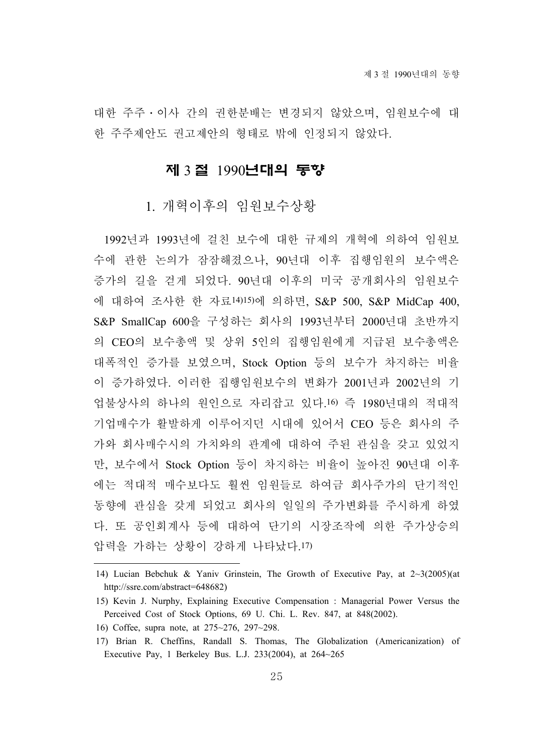대한 주주․이사 간의 권한분배는 변경되지 않았으며, 임원보수에 대 한 주주제안도 권고제안의 형태로 밖에 인정되지 않았다.

#### 제 3 절 1990년대의 동향

#### 1. 개혁이후의 임원보수상황

1992년과 1993년에 걸친 보수에 대한 규제의 개혁에 의하여 임원보 수에 관한 논의가 잠잠해졌으나, 90년대 이후 집행임원의 보수액은 증가의 길을 걷게 되었다. 90년대 이후의 미국 공개회사의 임원보수 에 대하여 조사한 한 자료14)15)에 의하면, S&P 500, S&P MidCap 400, S&P SmallCap 600을 구성하는 회사의 1993년부터 2000년대 초반까지 의 CEO의 보수총액 및 상위 5인의 집행임원에게 지급된 보수총액은 대폭적인 증가를 보였으며, Stock Option 등의 보수가 차지하는 비율 이 증가하였다. 이러한 집행임원보수의 변화가 2001년과 2002년의 기 업불상사의 하나의 원인으로 자리잡고 있다.16) 즉 1980년대의 적대적 기업매수가 활발하게 이루어지던 시대에 있어서 CEO 등은 회사의 주 가와 회사매수시의 가치와의 관계에 대하여 주된 관심을 갖고 있었지 만, 보수에서 Stock Option 등이 차지하는 비율이 높아진 90년대 이후 에는 적대적 매수보다도 훨씬 임원들로 하여금 회사주가의 단기적인 동향에 관심을 갖게 되었고 회사의 일일의 주가변화를 주시하게 하였 다. 또 공인회계사 등에 대하여 단기의 시장조작에 의한 주가상승의 압력을 가하는 상황이 강하게 나타났다.17)

<sup>14)</sup> Lucian Bebchuk & Yaniv Grinstein, The Growth of Executive Pay, at 2~3(2005)(at http://ssre.com/abstract=648682)

<sup>15)</sup> Kevin J. Nurphy, Explaining Executive Compensation : Managerial Power Versus the Perceived Cost of Stock Options, 69 U. Chi. L. Rev. 847, at 848(2002).

<sup>16)</sup> Coffee, supra note, at 275~276, 297~298.

<sup>17)</sup> Brian R. Cheffins, Randall S. Thomas, The Globalization (Americanization) of Executive Pay, 1 Berkeley Bus. L.J. 233(2004), at 264~265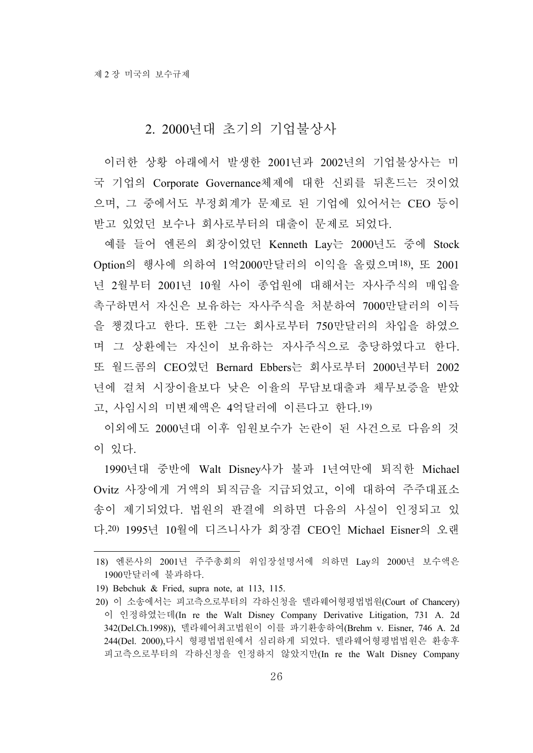#### 2. 2000년대 초기의 기업불상사

이러한 상황 아래에서 발생한 2001년과 2002년의 기업불상사는 미 국 기업의 Corporate Governance체제에 대한 신뢰를 뒤흔드는 것이었 으며, 그 중에서도 부정회계가 문제로 된 기업에 있어서는 CEO 등이 받고 있었던 보수나 회사로부터의 대출이 문제로 되었다.

예를 들어 엔론의 회장이었던 Kenneth Lay는 2000년도 중에 Stock Option의 행사에 의하여 1억2000만달러의 이익을 올렸으며18), 또 2001 년 2월부터 2001년 10월 사이 종업원에 대해서는 자사주식의 매입을 촉구하면서 자신은 보유하는 자사주식을 처분하여 7000만달러의 이득 을 챙겼다고 한다. 또한 그는 회사로부터 750만달러의 차입을 하였으 며 그 상환에는 자신이 보유하는 자사주식으로 충당하였다고 한다. 또 월드콤의 CEO였던 Bernard Ebbers는 회사로부터 2000년부터 2002 년에 걸쳐 시장이율보다 낮은 이율의 무담보대출과 채무보증을 받았 고, 사임시의 미변제액은 4억달러에 이른다고 한다.19)

이외에도 2000년대 이후 임원보수가 논란이 된 사건으로 다음의 것 이 있다.

1990년대 중반에 Walt Disney사가 불과 1년여만에 퇴직한 Michael Ovitz 사장에게 거액의 퇴직금을 지급되었고, 이에 대하여 주주대표소 송이 제기되었다. 법원의 판결에 의하면 다음의 사실이 인정되고 있 다.20) 1995년 10월에 디즈니사가 회장겸 CEO인 Michael Eisner의 오랜

<sup>18)</sup> 엔론사의 2001년 주주총회의 위임장설명서에 의하면 Lay의 2000년 보수액은 1900만달러에 불과하다.

<sup>19)</sup> Bebchuk & Fried, supra note, at 113, 115.

<sup>20)</sup> 이 소송에서는 피고측으로부터의 각하신청을 델라웨어형평법법원(Court of Chancery) 이 인정하였는데(In re the Walt Disney Company Derivative Litigation, 731 A. 2d 342(Del.Ch.1998)), 델라웨어최고법원이 이를 파기환송하여(Brehm v. Eisner, 746 A. 2d 244(Del. 2000),다시 형평법법원에서 심리하게 되었다. 델라웨어형평법법원은 환송후 피고측으로부터의 각하신청을 인정하지 않았지만(In re the Walt Disney Company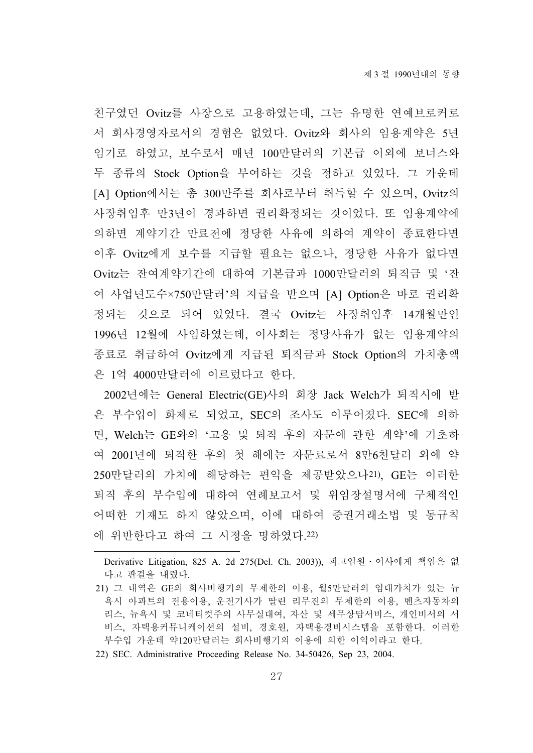친구였던 Ovitz를 사장으로 고용하였는데, 그는 유명한 연예브로커로 서 회사경영자로서의 경험은 없었다. Ovitz와 회사의 임용계약은 5년 임기로 하였고, 보수로서 매년 100만달러의 기본급 이외에 보너스와 두 종류의 Stock Option을 부여하는 것을 정하고 있었다. 그 가운데 [A] Option에서는 총 300만주를 회사로부터 취득할 수 있으며, Ovitz의 사장취임후 만3년이 경과하면 권리확정되는 것이었다. 또 임용계약에 의하면 계약기간 만료전에 정당한 사유에 의하여 계약이 종료한다면 이후 Ovitz에게 보수를 지급할 필요는 없으나, 정당한 사유가 없다면 Ovitz는 잔여계약기간에 대하여 기본급과 1000만달러의 퇴직금 및 '잔 여 사업년도수×750만달러'의 지급을 받으며 [A] Option은 바로 권리확 정되는 것으로 되어 있었다. 결국 Ovitz는 사장취임후 14개월만인 1996년 12월에 사임하였는데, 이사회는 정당사유가 없는 임용계약의 종료로 취급하여 Ovitz에게 지급된 퇴직금과 Stock Option의 가치총액 은 1억 4000만달러에 이르렀다고 한다.

2002년에는 General Electric(GE)사의 회장 Jack Welch가 퇴직시에 받 은 부수입이 화제로 되었고, SEC의 조사도 이루어졌다. SEC에 의하 면, Welch는 GE와의 '고용 및 퇴직 후의 자문에 관한 계약'에 기초하 여 2001년에 퇴직한 후의 첫 해에는 자문료로서 8만6천달러 외에 약 250만달러의 가치에 해당하는 편익을 제공받았으나21), GE는 이러한 퇴직 후의 부수입에 대하여 연례보고서 및 위임장설명서에 구체적인 어떠한 기재도 하지 않았으며, 이에 대하여 증권거래소법 및 동규칙 에 위반한다고 하여 그 시정을 명하였다.22)

22) SEC. Administrative Proceeding Release No. 34-50426, Sep 23, 2004.

Derivative Litigation, 825 A. 2d 275(Del. Ch. 2003)), 피고임원․이사에게 책임은 없 다고 판결을 내렸다.

<sup>21)</sup> 그 내역은 GE의 회사비행기의 무제한의 이용, 월5만달러의 임대가치가 있는 뉴 욕시 아파트의 전용이용, 운전기사가 딸린 리무진의 무제한의 이용, 벤츠자동차의 리스, 뉴욕시 및 코네티컷주의 사무실대여, 자산 및 세무상담서비스, 개인비서의 서 비스, 자택용커뮤니케이션의 설비, 경호원, 자택용경비시스템을 포함한다. 이러한 부수입 가운데 약120만달러는 회사비행기의 이용에 의한 이익이라고 한다.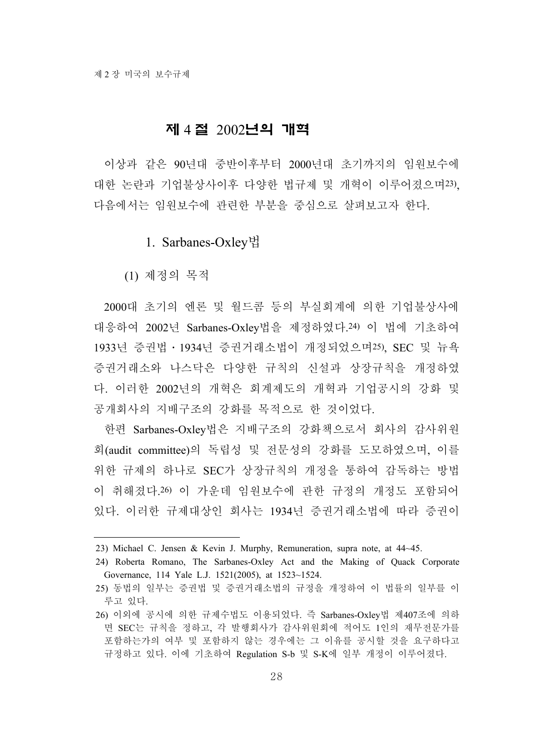#### 제 4 절 2002년의 개혁

이상과 같은 90년대 중반이후부터 2000년대 초기까지의 임원보수에 대한 논란과 기업불상사이후 다양한 법규제 및 개혁이 이루어졌으며23), 다음에서는 임원보수에 관련한 부분을 중심으로 살펴보고자 한다.

#### 1. Sarbanes-Oxley법

(1) 제정의 목적

2000대 초기의 엔론 및 월드콤 등의 부실회계에 의한 기업불상사에 대응하여 2002년 Sarbanes-Oxley법을 제정하였다.24) 이 법에 기초하여 1933년 증권법․1934년 증권거래소법이 개정되었으며25), SEC 및 뉴욕 증권거래소와 나스닥은 다양한 규칙의 신설과 상장규칙을 개정하였 다. 이러한 2002년의 개혁은 회계제도의 개혁과 기업공시의 강화 및 공개회사의 지배구조의 강화를 목적으로 한 것이었다.

한편 Sarbanes-Oxley법은 지배구조의 강화책으로서 회사의 감사위원 회(audit committee)의 독립성 및 전문성의 강화를 도모하였으며, 이를 위한 규제의 하나로 SEC가 상장규칙의 개정을 통하여 감독하는 방법 이 취해졌다.26) 이 가운데 임원보수에 관한 규정의 개정도 포함되어 있다. 이러한 규제대상인 회사는 1934년 증권거래소법에 따라 증권이

<sup>23)</sup> Michael C. Jensen & Kevin J. Murphy, Remuneration, supra note, at 44~45.

<sup>24)</sup> Roberta Romano, The Sarbanes-Oxley Act and the Making of Quack Corporate Governance, 114 Yale L.J. 1521(2005), at 1523~1524.

<sup>25)</sup> 동법의 일부는 증권법 및 증권거래소법의 규정을 개정하여 이 법률의 일부를 이 루고 있다.

<sup>26)</sup> 이외에 공시에 의한 규제수법도 이용되었다. 즉 Sarbanes-Oxley법 제407조에 의하 면 SEC는 규칙을 정하고, 각 발행회사가 감사위원회에 적어도 1인의 재무전문가를 포함하는가의 여부 및 포함하지 않는 경우에는 그 이유를 공시할 것을 요구하다고 규정하고 있다. 이에 기초하여 Regulation S-b 및 S-K에 일부 개정이 이루어졌다.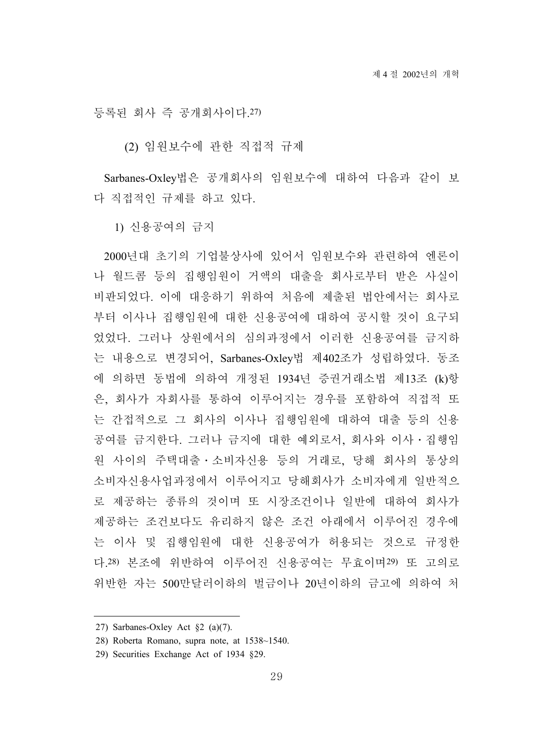등록된 회사 즉 공개회사이다.27)

(2) 임원보수에 관한 직접적 규제

Sarbanes-Oxley법은 공개회사의 임원보수에 대하여 다음과 같이 보 다 직접적인 규제를 하고 있다.

1) 신용공여의 금지

2000년대 초기의 기업불상사에 있어서 임원보수와 관련하여 엔론이 나 월드콤 등의 집행임원이 거액의 대출을 회사로부터 받은 사실이 비판되었다. 이에 대응하기 위하여 처음에 제출된 법안에서는 회사로 부터 이사나 집행임원에 대한 신용공여에 대하여 공시할 것이 요구되 었었다. 그러나 상원에서의 심의과정에서 이러한 신용공여를 금지하 는 내용으로 변경되어, Sarbanes-Oxley법 제402조가 성립하였다. 동조 에 의하면 동법에 의하여 개정된 1934년 증권거래소법 제13조 (k)항 은, 회사가 자회사를 통하여 이루어지는 경우를 포함하여 직접적 또 는 간접적으로 그 회사의 이사나 집행임원에 대하여 대출 등의 신용 공여를 금지한다. 그러나 금지에 대한 예외로서, 회사와 이사․집행임 원 사이의 주택대출․소비자신용 등의 거래로, 당해 회사의 통상의 소비자신용사업과정에서 이루어지고 당해회사가 소비자에게 일반적으 로 제공하는 종류의 것이며 또 시장조건이나 일반에 대하여 회사가 제공하는 조건보다도 유리하지 않은 조건 아래에서 이루어진 경우에 는 이사 및 집행임원에 대한 신용공여가 허용되는 것으로 규정한 다.28) 본조에 위반하여 이루어진 신용공여는 무효이며29) 또 고의로 위반한 자는 500만달러이하의 벌금이나 20년이하의 금고에 의하여 처

<sup>27)</sup> Sarbanes-Oxley Act §2 (a)(7).

<sup>28)</sup> Roberta Romano, supra note, at 1538~1540.

<sup>29)</sup> Securities Exchange Act of 1934 §29.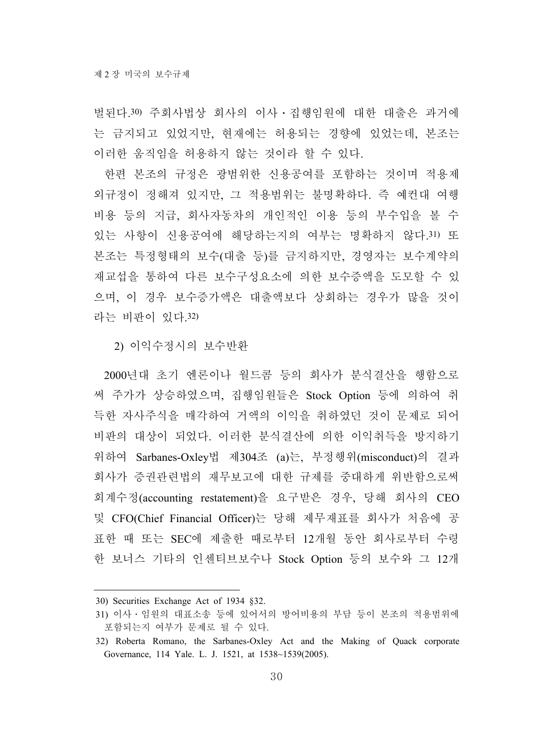벌된다.30) 주회사법상 회사의 이사․집행임원에 대한 대출은 과거에 는 금지되고 있었지만, 현재에는 허용되는 경향에 있었는데, 본조는 이러한 움직임을 허용하지 않는 것이라 할 수 있다.

한편 본조의 규정은 광범위한 신용공여를 포함하는 것이며 적용제 외규정이 정해져 있지만, 그 적용범위는 불명확하다. 즉 예컨대 여행 비용 등의 지급, 회사자동차의 개인적인 이용 등의 부수입을 볼 수 있는 사항이 신용공여에 해당하는지의 여부는 명확하지 않다.31) 또 본조는 특정형태의 보수(대출 등)를 금지하지만, 경영자는 보수계약의 재교섭을 통하여 다른 보수구성요소에 의한 보수증액을 도모할 수 있 으며, 이 경우 보수증가액은 대출액보다 상회하는 경우가 많을 것이 라는 비판이 있다.32)

2) 이익수정시의 보수반환

2000년대 초기 엔론이나 월드콤 등의 회사가 분식결산을 행함으로 써 주가가 상승하였으며, 집행임원들은 Stock Option 등에 의하여 취 득한 자사주식을 매각하여 거액의 이익을 취하였던 것이 문제로 되어 비판의 대상이 되었다. 이러한 분식결산에 의한 이익취득을 방지하기 위하여 Sarbanes-Oxley법 제304조 (a)는, 부정행위(misconduct)의 결과 회사가 증권관련법의 재무보고에 대한 규제를 중대하게 위반함으로써 회계수정(accounting restatement)을 요구받은 경우, 당해 회사의 CEO 및 CFO(Chief Financial Officer)는 당해 제무재표를 회사가 처음에 공 표한 때 또는 SEC에 제출한 때로부터 12개월 동안 회사로부터 수령 한 보너스 기타의 인센티브보수나 Stock Option 등의 보수와 그 12개

<sup>30)</sup> Securities Exchange Act of 1934 §32.

<sup>31)</sup> 이사․임원의 대표소송 등에 있어서의 방어비용의 부담 등이 본조의 적용범위에 포함되는지 여부가 문제로 될 수 있다.

<sup>32)</sup> Roberta Romano, the Sarbanes-Oxley Act and the Making of Quack corporate Governance, 114 Yale. L. J. 1521, at 1538~1539(2005).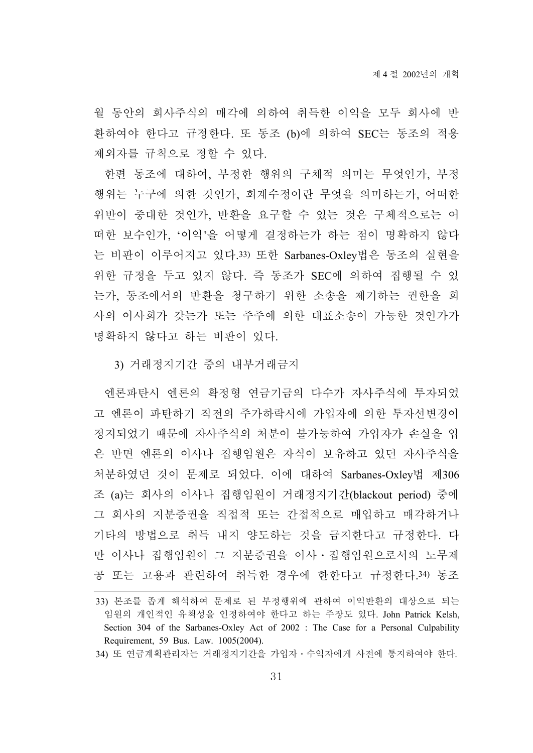월 동안의 회사주식의 매각에 의하여 취득한 이익을 모두 회사에 반 환하여야 한다고 규정한다. 또 동조 (b)에 의하여 SEC는 동조의 적용 제외자를 규칙으로 정할 수 있다.

한편 동조에 대하여, 부정한 행위의 구체적 의미는 무엇인가, 부정 행위는 누구에 의한 것인가, 회계수정이란 무엇을 의미하는가, 어떠한 위반이 중대한 것인가, 반환을 요구할 수 있는 것은 구체적으로는 어 떠한 보수인가, '이익'을 어떻게 결정하는가 하는 점이 명확하지 않다 는 비판이 이루어지고 있다.33) 또한 Sarbanes-Oxley법은 동조의 실현을 위한 규정을 두고 있지 않다. 즉 동조가 SEC에 의하여 집행될 수 있 는가, 동조에서의 반환을 청구하기 위한 소송을 제기하는 권한을 회 사의 이사회가 갖는가 또는 주주에 의한 대표소송이 가능한 것인가가 명확하지 않다고 하는 비판이 있다.

3) 거래정지기간 중의 내부거래금지

엔론파탄시 엔론의 확정형 연금기금의 다수가 자사주식에 투자되었 고 엔론이 파탄하기 직전의 주가하락시에 가입자에 의한 투자선변경이 정지되었기 때문에 자사주식의 처분이 불가능하여 가입자가 손실을 입 은 반면 엔론의 이사나 집행임원은 자식이 보유하고 있던 자사주식을 처분하였던 것이 문제로 되었다. 이에 대하여 Sarbanes-Oxley법 제306 조 (a)는 회사의 이사나 집행임원이 거래정지기간(blackout period) 중에 그 회사의 지분증권을 직접적 또는 간접적으로 매입하고 매각하거나 기타의 방법으로 취득 내지 양도하는 것을 금지한다고 규정한다. 다 만 이사나 집행임원이 그 지분증권을 이사․집행임원으로서의 노무제 공 또는 고용과 관련하여 취득한 경우에 한한다고 규정한다.34) 동조

<sup>33)</sup> 본조를 좁게 해석하여 문제로 된 부정행위에 관하여 이익반환의 대상으로 되는 임원의 개인적인 유책성을 인정하여야 한다고 하는 주장도 있다. John Patrick Kelsh, Section 304 of the Sarbanes-Oxley Act of 2002 : The Case for a Personal Culpability Requirement, 59 Bus. Law. 1005(2004).

<sup>34)</sup> 또 연금계획관리자는 거래정지기간을 가입자․수익자에게 사전에 통지하여야 한다.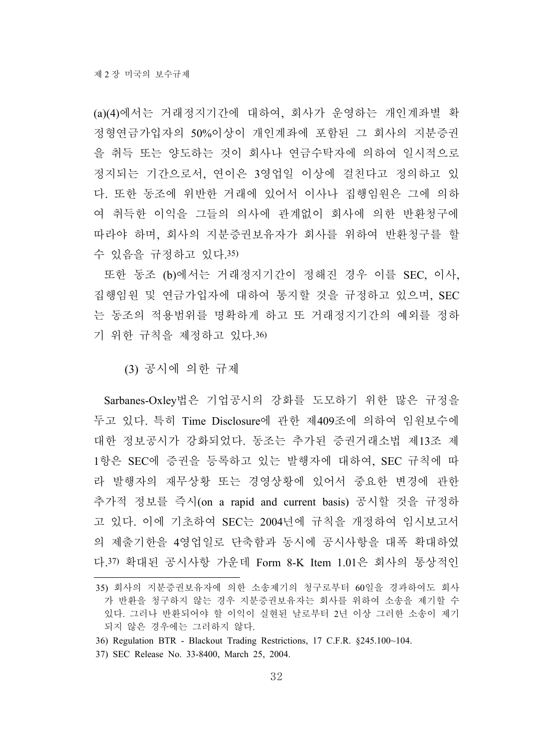(a)(4)에서는 거래정지기간에 대하여, 회사가 운영하는 개인계좌별 확 정형연금가입자의 50%이상이 개인계좌에 포함된 그 회사의 지분증권 을 취득 또는 양도하는 것이 회사나 연금수탁자에 의하여 일시적으로 정지되는 기간으로서, 연이은 3영업일 이상에 걸친다고 정의하고 있 다. 또한 동조에 위반한 거래에 있어서 이사나 집행임원은 그에 의하 여 취득한 이익을 그들의 의사에 관계없이 회사에 의한 반환청구에 따라야 하며, 회사의 지분증권보유자가 회사를 위하여 반환청구를 할 수 있음을 규정하고 있다.35)

또한 동조 (b)에서는 거래정지기간이 정해진 경우 이를 SEC, 이사, 집행임원 및 연금가입자에 대하여 통지할 것을 규정하고 있으며, SEC 는 동조의 적용범위를 명확하게 하고 또 거래정지기간의 예외를 정하 기 위한 규칙을 제정하고 있다.36)

(3) 공시에 의한 규제

Sarbanes-Oxley법은 기업공시의 강화를 도모하기 위한 많은 규정을 두고 있다. 특히 Time Disclosure에 관한 제409조에 의하여 임원보수에 대한 정보공시가 강화되었다. 동조는 추가된 증권거래소법 제13조 제 1항은 SEC에 증권을 등록하고 있는 발행자에 대하여, SEC 규칙에 따 라 발행자의 재무상황 또는 경영상황에 있어서 중요한 변경에 관한 추가적 정보를 즉시(on a rapid and current basis) 공시할 것을 규정하 고 있다. 이에 기초하여 SEC는 2004년에 규칙을 개정하여 임시보고서 의 제출기한을 4영업일로 단축함과 동시에 공시사항을 대폭 확대하였 다.37) 확대된 공시사항 가운데 Form 8-K Item 1.01은 회사의 통상적인

<sup>35)</sup> 회사의 지분증권보유자에 의한 소송제기의 청구로부터 60일을 경과하여도 회사 가 반환을 청구하지 않는 경우 지분증권보유자는 회사를 위하여 소송을 제기할 수 있다. 그러나 반환되어야 할 이익이 실현된 날로부터 2년 이상 그러한 소송이 제기 되지 않은 경우에는 그러하지 않다.

<sup>36)</sup> Regulation BTR - Blackout Trading Restrictions, 17 C.F.R. §245.100~104.

<sup>37)</sup> SEC Release No. 33-8400, March 25, 2004.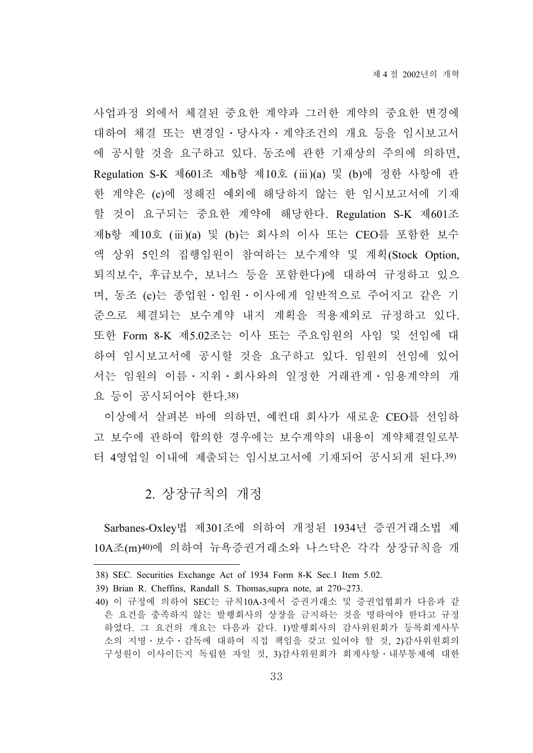사업과정 외에서 체결된 중요한 계약과 그러한 계약의 중요한 변경에 대하여 체결 또는 변경일․당사자․계약조건의 개요 등을 임시보고서 에 공시할 것을 요구하고 있다. 동조에 관한 기재상의 주의에 의하면, Regulation S-K 제601조 제b항 제10호 (ⅲ)(a) 및 (b)에 정한 사항에 관 한 계약은 (c)에 정해진 예외에 해당하지 않는 한 임시보고서에 기재 할 것이 요구되는 중요한 계약에 해당한다. Regulation S-K 제601조 제b항 제10호 (ⅲ)(a) 및 (b)는 회사의 이사 또는 CEO를 포함한 보수 액 상위 5인의 집행임원이 참여하는 보수계약 및 계획(Stock Option, 퇴직보수, 후급보수, 보너스 등을 포함한다)에 대하여 규정하고 있으 며, 동조 (c)는 종업원․임원․이사에게 일반적으로 주어지고 같은 기 준으로 체결되는 보수계약 내지 계획을 적용제외로 규정하고 있다. 또한 Form 8-K 제5.02조는 이사 또는 주요임원의 사임 및 선임에 대 하여 임시보고서에 공시할 것을 요구하고 있다. 임원의 선임에 있어 서는 임원의 이름․지위․회사와의 일정한 거래관계․임용계약의 개 요 등이 공시되어야 한다.38)

이상에서 살펴본 바에 의하면, 예컨대 회사가 새로운 CEO를 선임하 고 보수에 관하여 합의한 경우에는 보수계약의 내용이 계약체결일로부 터 4영업일 이내에 제출되는 임시보고서에 기재되어 공시되게 된다.39)

#### 2. 상장규칙의 개정

Sarbanes-Oxley법 제301조에 의하여 개정된 1934년 증권거래소법 제 10A조(m)40)에 의하여 뉴욕증권거래소와 나스닥은 각각 상장규칙을 개

<sup>38)</sup> SEC. Securities Exchange Act of 1934 Form 8-K Sec.1 Item 5.02.

<sup>39)</sup> Brian R. Cheffins, Randall S. Thomas,supra note, at 270~273.

<sup>40)</sup> 이 규정에 의하여 SEC는 규칙10A-3에서 증권거래소 및 증권업협회가 다음과 같 은 요건을 충족하지 않는 발행회사의 상장을 금지하는 것을 명하여야 한다고 규정 하였다. 그 요건의 개요는 다음과 같다. 1)발행회사의 감사위원회가 등록회계사무 소의 지명․보수․감독에 대하여 직접 책임을 갖고 있어야 할 것, 2)감사위원회의 구성원이 이사이든지 독립한 자일 것, 3)감사위원회가 회계사항․내부통제에 대한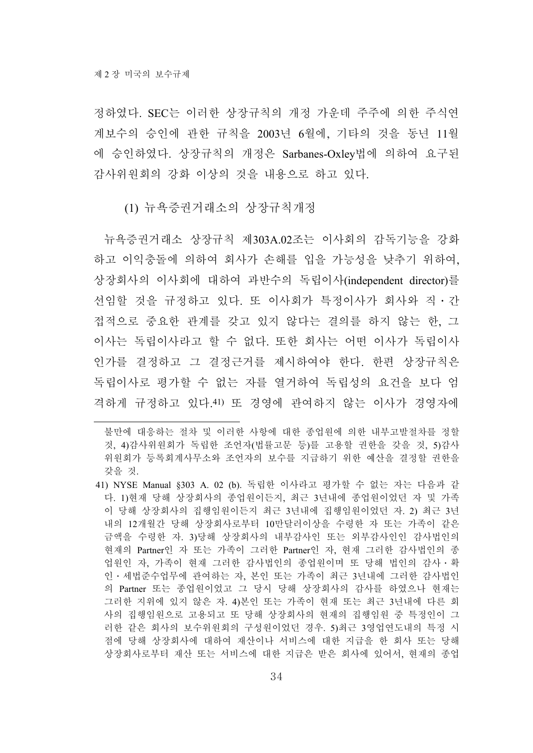정하였다. SEC는 이러한 상장규칙의 개정 가운데 주주에 의한 주식연 계보수의 승인에 관한 규칙을 2003년 6월에, 기타의 것을 동년 11월 에 승인하였다. 상장규칙의 개정은 Sarbanes-Oxley법에 의하여 요구된 감사위원회의 강화 이상의 것을 내용으로 하고 있다.

(1) 뉴욕증권거래소의 상장규칙개정

뉴욕증권거래소 상장규칙 제303A.02조는 이사회의 감독기능을 강화 하고 이익충돌에 의하여 회사가 손해를 입을 가능성을 낮추기 위하여, 상장회사의 이사회에 대하여 과반수의 독립이사(independent director)를 선임할 것을 규정하고 있다. 또 이사회가 특정이사가 회사와 직․간 접적으로 중요한 관계를 갖고 있지 않다는 결의를 하지 않는 한, 그 이사는 독립이사라고 할 수 없다. 또한 회사는 어떤 이사가 독립이사 인가를 결정하고 그 결정근거를 제시하여야 한다. 한편 상장규칙은 독립이사로 평가할 수 없는 자를 열거하여 독립성의 요건을 보다 엄 격하게 규정하고 있다.41) 또 경영에 관여하지 않는 이사가 경영자에

불만에 대응하는 절차 및 이러한 사항에 대한 종업원에 의한 내부고발절차를 정할 것, 4)감사위원회가 독립한 조언자(법률고문 등)를 고용할 권한을 갖을 것, 5)감사 위원회가 등록회계사무소와 조언자의 보수를 지급하기 위한 예산을 결정할 권한을 갖을 것.

<sup>41)</sup> NYSE Manual §303 A. 02 (b). 독립한 이사라고 평가할 수 없는 자는 다음과 같 다. 1)현재 당해 상장회사의 종업원이든지, 최근 3년내에 종업원이었던 자 및 가족 이 당해 상장회사의 집행임원이든지 최근 3년내에 집행임원이었던 자. 2) 최근 3년 내의 12개월간 당해 상장회사로부터 10만달러이상을 수령한 자 또는 가족이 같은 금액을 수령한 자. 3)당해 상장회사의 내부감사인 또는 외부감사인인 감사법인의 현재의 Partner인 자 또는 가족이 그러한 Partner인 자, 현재 그러한 감사법인의 종 업원인 자, 가족이 현재 그러한 감사법인의 종업원이며 또 당해 법인의 감사․확 인․세법준수업무에 관여하는 자, 본인 또는 가족이 최근 3년내에 그러한 감사법인 의 Partner 또는 종업원이었고 그 당시 당해 상장회사의 감사를 하였으나 현재는 그러한 지위에 있지 않은 자. 4)본인 또는 가족이 현재 또는 최근 3년내에 다른 회 사의 집행임원으로 고용되고 또 당해 상장회사의 현재의 집행임원 중 특정인이 그 러한 같은 회사의 보수위원회의 구성원이었던 경우. 5)최근 3영업연도내의 특정 시 점에 당해 상장회사에 대하여 재산이나 서비스에 대한 지급을 한 회사 또는 당해 상장회사로부터 재산 또는 서비스에 대한 지급은 받은 회사에 있어서, 현재의 종업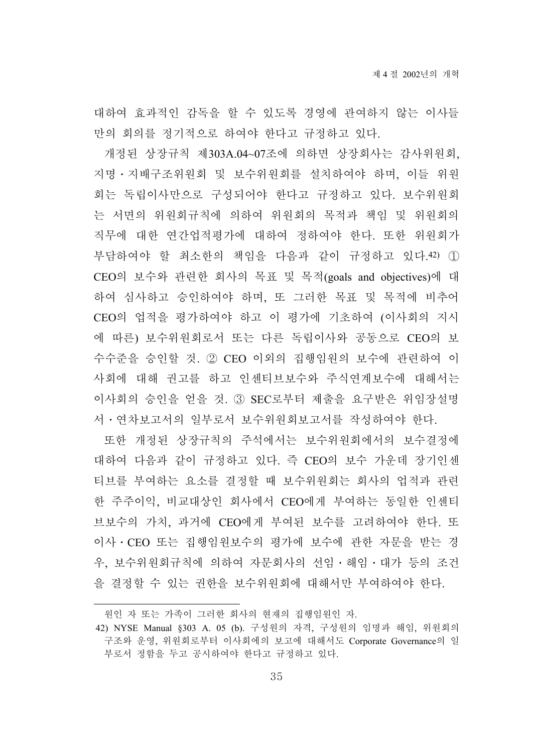대하여 효과적인 감독을 할 수 있도록 경영에 관여하지 않는 이사들 만의 회의를 정기적으로 하여야 한다고 규정하고 있다.

개정된 상장규칙 제303A.04~07조에 의하면 상장회사는 감사위원회, 지명․지배구조위원회 및 보수위원회를 설치하여야 하며, 이들 위원 회는 독립이사만으로 구성되어야 한다고 규정하고 있다. 보수위원회 는 서면의 위원회규칙에 의하여 위원회의 목적과 책임 및 위원회의 직무에 대한 연간업적평가에 대하여 정하여야 한다. 또한 위원회가 부담하여야 할 최소한의 책임을 다음과 같이 규정하고 있다.42) ① CEO의 보수와 관련한 회사의 목표 및 목적(goals and objectives)에 대 하여 심사하고 승인하여야 하며, 또 그러한 목표 및 목적에 비추어 CEO의 업적을 평가하여야 하고 이 평가에 기초하여 (이사회의 지시 에 따른) 보수위원회로서 또는 다른 독립이사와 공동으로 CEO의 보 수수준을 승인할 것. ② CEO 이외의 집행임원의 보수에 관련하여 이 사회에 대해 권고를 하고 인센티브보수와 주식연계보수에 대해서는 이사회의 승인을 얻을 것. ③ SEC로부터 제출을 요구받은 위임장설명 서․연차보고서의 일부로서 보수위원회보고서를 작성하여야 한다.

또한 개정된 상장규칙의 주석에서는 보수위원회에서의 보수결정에 대하여 다음과 같이 규정하고 있다. 즉 CEO의 보수 가운데 장기인센 티브를 부여하는 요소를 결정할 때 보수위원회는 회사의 업적과 관련 한 주주이익, 비교대상인 회사에서 CEO에게 부여하는 동일한 인센티 브보수의 가치, 과거에 CEO에게 부여된 보수를 고려하여야 한다. 또 이사․CEO 또는 집행임원보수의 평가에 보수에 관한 자문을 받는 경 우, 보수위원회규칙에 의하여 자문회사의 선임․해임․대가 등의 조건 을 결정할 수 있는 권한을 보수위원회에 대해서만 부여하여야 한다.

원인 자 또는 가족이 그러한 회사의 현재의 집행임원인 자.

<sup>42)</sup> NYSE Manual §303 A. 05 (b). 구성원의 자격, 구성원의 임명과 해임, 위원회의 구조와 운영, 위원회로부터 이사회에의 보고에 대해서도 Corporate Governance의 일 부로서 정함을 두고 공시하여야 한다고 규정하고 있다.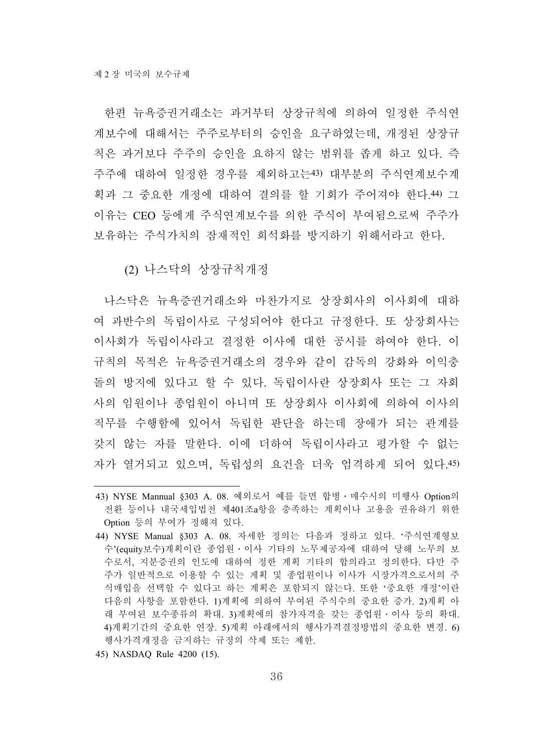한편 뉴욕증권거래소는 과거부터 상장규칙에 의하여 일정한 주식연 계보수에 대해서는 주주로부터의 승인을 요구하였는데, 개정된 상장규 칙은 과거보다 주주의 승인을 요하지 않는 범위를 좁게 하고 있다. 즉 주주에 대하여 일정한 경우를 제외하고는43) 대부분의 주식연계보수계 획과 그 중요한 개정에 대하여 결의를 할 기회가 주어져야 한다.44) 그 이유는 CEO 등에게 주식연계보수를 의한 주식이 부여됨으로써 주주가 보유하는 주식가치의 잠재적인 희석화를 방지하기 위해서라고 한다.

(2) 나스닥의 상장규칙개정

나스닥은 뉴욕증권거래소와 마찬가지로 상장회사의 이사회에 대하 여 과반수의 독립이사로 구성되어야 한다고 규정한다. 또 상장회사는 이사회가 독립이사라고 결정한 이사에 대한 공시를 하여야 한다. 이 규칙의 목적은 뉴욕증권거래소의 경우와 같이 감독의 강화와 이익충 돌의 방지에 있다고 할 수 있다. 독립이사란 상장회사 또는 그 자회 사의 임원이나 종업원이 아니며 또 상장회사 이사회에 의하여 이사의 직무를 수행함에 있어서 독립한 판단을 하는데 장애가 되는 관계를 갖지 않는 자를 말한다. 이에 더하여 독립이사라고 평가할 수 없는 자가 열거되고 있으며, 독립성의 요건을 더욱 엄격하게 되어 있다.45)

45) NASDAQ Rule 4200 (15).

<sup>43)</sup> NYSE Mannual §303 A. 08. 예외로서 예를 들면 합병․매수시의 미행사 Option의 전환 등이나 내국세입법전 제401조a항을 충족하는 계획이나 고용을 권유하기 위한 Option 등의 부여가 정해져 있다.

<sup>44)</sup> NYSE Manual §303 A. 08. 자세한 정의는 다음과 정하고 있다. '주식연계형보 수'(equity보수)계획이란 종업원․이사 기타의 노무제공자에 대하여 당해 노무의 보 수로서, 지분증권의 인도에 대하여 정한 계획 기타의 합의라고 정의한다. 다만 주 주가 일반적으로 이용할 수 있는 게획 및 종업원이나 이사가 시장가격으로서의 주 식매입을 선택할 수 있다고 하는 계획은 포함되지 않는다. 또한 '중요한 개정'이란 다음의 사항을 포함한다. 1)계획에 의하여 부여된 주식수의 중요한 증가. 2)계획 아 래 부여된 보수종류의 확대. 3)계획에의 참가자격을 갖는 종업원․이사 등의 확대. 4)계획기간의 중요한 연장. 5)계획 아래에서의 행사가격결정방법의 중요한 변경. 6) 행사가격개정을 금지하는 규정의 삭제 또는 제한.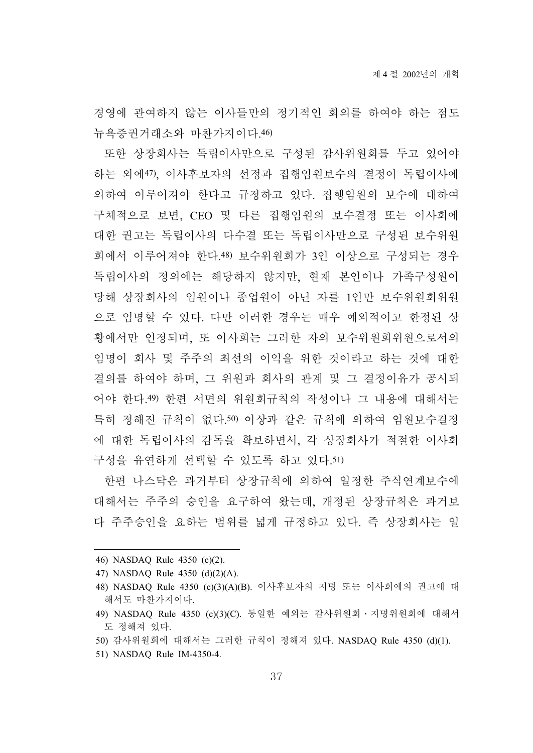경영에 관여하지 않는 이사들만의 정기적인 회의를 하여야 하는 점도 뉴욕증권거래소와 마찬가지이다.46)

또한 상장회사는 독립이사만으로 구성된 감사위원회를 두고 있어야 하는 외에47), 이사후보자의 선정과 집행임원보수의 결정이 독립이사에 의하여 이루어져야 한다고 규정하고 있다. 집행임원의 보수에 대하여 구체적으로 보면, CEO 및 다른 집행임원의 보수결정 또는 이사회에 대한 권고는 독립이사의 다수결 또는 독립이사만으로 구성된 보수위원 회에서 이루어져야 한다.48) 보수위원회가 3인 이상으로 구성되는 경우 독립이사의 정의에는 해당하지 않지만, 현재 본인이나 가족구성원이 당해 상장회사의 임원이나 종업원이 아닌 자를 1인만 보수위원회위원 으로 임명할 수 있다. 다만 이러한 경우는 매우 예외적이고 한정된 상 황에서만 인정되며, 또 이사회는 그러한 자의 보수위원회위원으로서의 임명이 회사 및 주주의 최선의 이익을 위한 것이라고 하는 것에 대한 결의를 하여야 하며, 그 위원과 회사의 관계 및 그 결정이유가 공시되 어야 한다.49) 한편 서면의 위원회규칙의 작성이나 그 내용에 대해서는 특히 정해진 규칙이 없다.50) 이상과 같은 규칙에 의하여 임원보수결정 에 대한 독립이사의 감독을 확보하면서, 각 상장회사가 적절한 이사회 구성을 유연하게 선택할 수 있도록 하고 있다.51)

한편 나스닥은 과거부터 상장규칙에 의하여 일정한 주식연계보수에 대해서는 주주의 승인을 요구하여 왔는데, 개정된 상장규칙은 과거보 다 주주승인을 요하는 범위를 넓게 규정하고 있다. 즉 상장회사는 일

51) NASDAQ Rule IM-4350-4.

<sup>46)</sup> NASDAQ Rule 4350 (c)(2).

<sup>47)</sup> NASDAQ Rule 4350 (d)(2)(A).

<sup>48)</sup> NASDAQ Rule 4350 (c)(3)(A)(B). 이사후보자의 지명 또는 이사회에의 권고에 대 해서도 마찬가지이다.

<sup>49)</sup> NASDAQ Rule 4350 (c)(3)(C). 동일한 예외는 감사위원회․지명위원회에 대해서 도 정해져 있다.

<sup>50)</sup> 감사위원회에 대해서는 그러한 규칙이 정해져 있다. NASDAQ Rule 4350 (d)(1).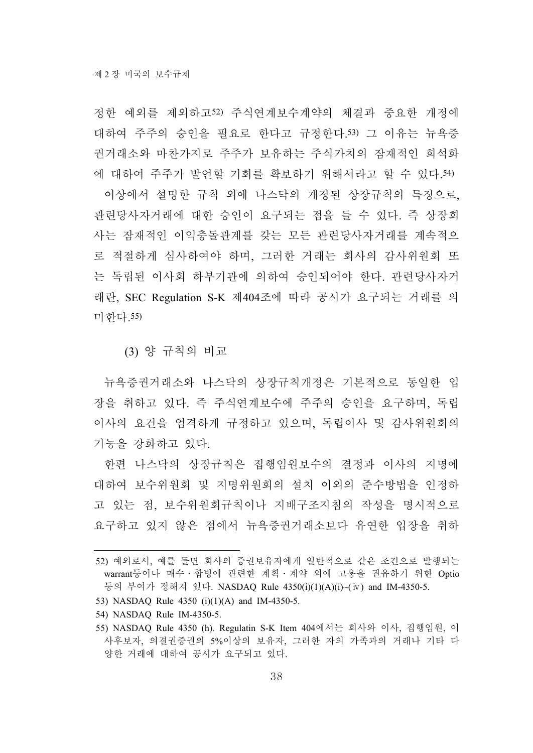정한 예외를 제외하고52) 주식연계보수계약의 체결과 중요한 개정에 대하여 주주의 승인을 필요로 한다고 규정한다.53) 그 이유는 뉴욕증 권거래소와 마찬가지로 주주가 보유하는 주식가치의 잠재적인 희석화 에 대하여 주주가 발언할 기회를 확보하기 위해서라고 할 수 있다.54) 이상에서 설명한 규칙 외에 나스닥의 개정된 상장규칙의 특징으로, 관련당사자거래에 대한 승인이 요구되는 점을 들 수 있다. 즉 상장회 사는 잠재적인 이익충돌관계를 갖는 모든 관련당사자거래를 계속적으 로 적절하게 심사하여야 하며, 그러한 거래는 회사의 감사위원회 또 는 독립된 이사회 하부기관에 의하여 승인되어야 한다. 관련당사자거 래란, SEC Regulation S-K 제404조에 따라 공시가 요구되는 거래를 의 미한다.55)

(3) 양 규칙의 비교

뉴욕증권거래소와 나스닥의 상장규칙개정은 기본적으로 동일한 입 장을 취하고 있다. 즉 주식연계보수에 주주의 승인을 요구하며, 독립 이사의 요건을 엄격하게 규정하고 있으며, 독립이사 및 감사위원회의 기능을 강화하고 있다.

한편 나스닥의 상장규칙은 집행임원보수의 결정과 이사의 지명에 대하여 보수위원회 및 지명위원회의 설치 이외의 준수방법을 인정하 고 있는 점, 보수위원회규칙이나 지배구조지침의 작성을 명시적으로 요구하고 있지 않은 점에서 뉴욕증권거래소보다 유연한 입장을 취하

- 53) NASDAQ Rule 4350 (i)(1)(A) and IM-4350-5.
- 54) NASDAQ Rule IM-4350-5.

<sup>52)</sup> 예외로서, 예를 들면 회사의 증권보유자에게 일반적으로 같은 조건으로 발행되는 warrant등이나 매수 · 합병에 관련한 계획 · 계약 외에 고용을 권유하기 위한 Optio 등의 부여가 정해져 있다. NASDAQ Rule 4350(i)(1)(A)(i)~(ⅳ) and IM-4350-5.

<sup>55)</sup> NASDAQ Rule 4350 (h). Regulatin S-K Item 404에서는 회사와 이사, 집행임원, 이 사후보자, 의결권증권의 5%이상의 보유자, 그러한 자의 가족과의 거래나 기타 다 양한 거래에 대하여 공시가 요구되고 있다.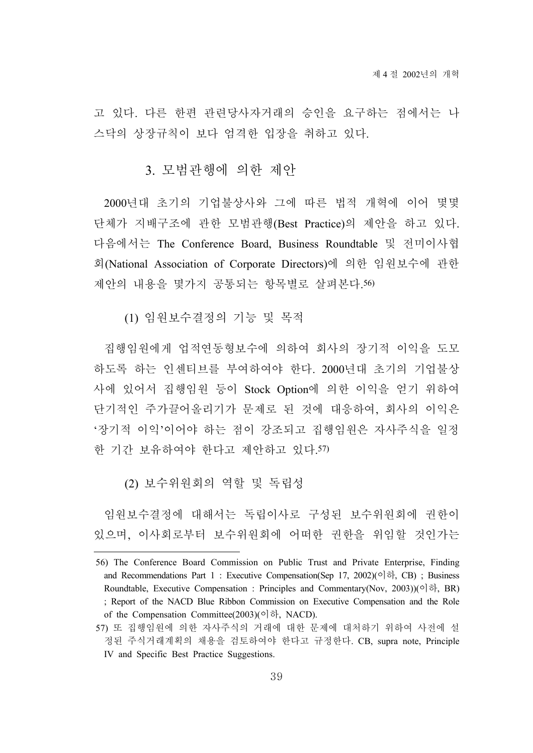고 있다. 다른 한편 관련당사자거래의 승인을 요구하는 점에서는 나 스닥의 상장규칙이 보다 엄격한 입장을 취하고 있다.

#### 3. 모범관행에 의한 제안

2000년대 초기의 기업불상사와 그에 따른 법적 개혁에 이어 몇몇 단체가 지배구조에 관한 모범관행(Best Practice)의 제안을 하고 있다. 다음에서는 The Conference Board, Business Roundtable 및 전미이사협 회(National Association of Corporate Directors)에 의한 임원보수에 관한 제안의 내용을 몇가지 공통되는 항목별로 살펴본다.56)

(1) 임원보수결정의 기능 및 목적

집행임원에게 업적연동형보수에 의하여 회사의 장기적 이익을 도모 하도록 하는 인센티브를 부여하여야 한다. 2000년대 초기의 기업불상 사에 있어서 집행임원 등이 Stock Option에 의한 이익을 얻기 위하여 단기적인 주가끌어올리기가 문제로 된 것에 대응하여, 회사의 이익은 '장기적 이익'이어야 하는 점이 강조되고 집행임원은 자사주식을 일정 한 기간 보유하여야 한다고 제안하고 있다.57)

(2) 보수위원회의 역할 및 독립성

임원보수결정에 대해서는 독립이사로 구성된 보수위원회에 권한이 있으며, 이사회로부터 보수위원회에 어떠한 권한을 위임할 것인가는

<sup>56)</sup> The Conference Board Commission on Public Trust and Private Enterprise, Finding and Recommendations Part 1 : Executive Compensation(Sep 17, 2002)(이하, CB) ; Business Roundtable, Executive Compensation : Principles and Commentary(Nov, 2003))(이하, BR) ; Report of the NACD Blue Ribbon Commission on Executive Compensation and the Role of the Compensation Committee(2003)(이하, NACD).

<sup>57)</sup> 또 집행임원에 의한 자사주식의 거래에 대한 문제에 대처하기 위하여 사전에 설 정된 주식거래계획의 채용을 검토하여야 한다고 규정한다. CB, supra note, Principle IV and Specific Best Practice Suggestions.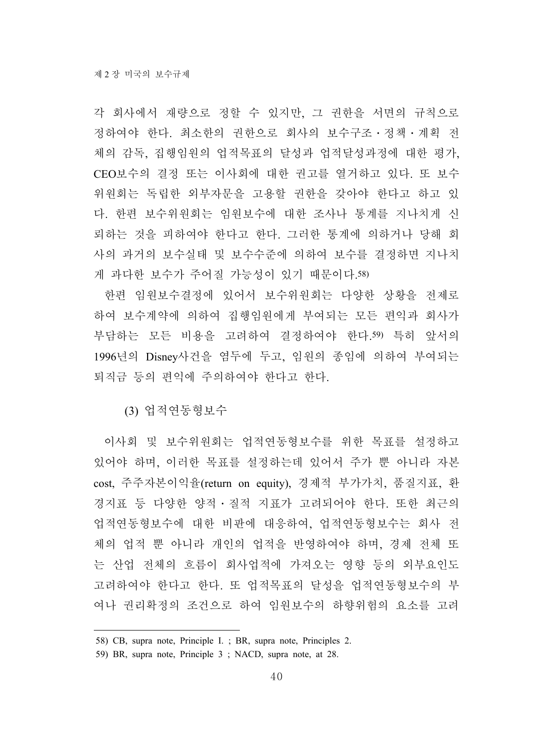각 회사에서 재량으로 정할 수 있지만, 그 권한을 서면의 규칙으로 정하여야 한다. 최소한의 권한으로 회사의 보수구조․정책․계획 전 체의 감독, 집행임원의 업적목표의 달성과 업적달성과정에 대한 평가, CEO보수의 결정 또는 이사회에 대한 권고를 열거하고 있다. 또 보수 위원회는 독립한 외부자문을 고용할 권한을 갖아야 한다고 하고 있 다. 한편 보수위원회는 임원보수에 대한 조사나 통계를 지나치게 신 뢰하는 것을 피하여야 한다고 한다. 그러한 통계에 의하거나 당해 회 사의 과거의 보수실태 및 보수수준에 의하여 보수를 결정하면 지나치 게 과다한 보수가 주어질 가능성이 있기 때문이다.58)

한편 임원보수결정에 있어서 보수위원회는 다양한 상황을 전제로 하여 보수계약에 의하여 집행임원에게 부여되는 모든 편익과 회사가 부담하는 모든 비용을 고려하여 결정하여야 한다.59) 특히 앞서의 1996년의 Disney사건을 염두에 두고, 임원의 종임에 의하여 부여되는 퇴직금 등의 편익에 주의하여야 한다고 한다.

(3) 업적연동형보수

이사회 및 보수위원회는 업적연동형보수를 위한 목표를 설정하고 있어야 하며, 이러한 목표를 설정하는데 있어서 주가 뿐 아니라 자본 cost, 주주자본이익율(return on equity), 경제적 부가가치, 품질지표, 환 경지표 등 다양한 양적․질적 지표가 고려되어야 한다. 또한 최근의 업적연동형보수에 대한 비판에 대응하여, 업적연동형보수는 회사 전 체의 업적 뿐 아니라 개인의 업적을 반영하여야 하며, 경제 전체 또 는 산업 전체의 흐름이 회사업적에 가져오는 영향 등의 외부요인도 고려하여야 한다고 한다. 또 업적목표의 달성을 업적연동형보수의 부 여나 권리확정의 조건으로 하여 임원보수의 하향위험의 요소를 고려

<sup>58)</sup> CB, supra note, Principle I. ; BR, supra note, Principles 2.

<sup>59)</sup> BR, supra note, Principle 3 ; NACD, supra note, at 28.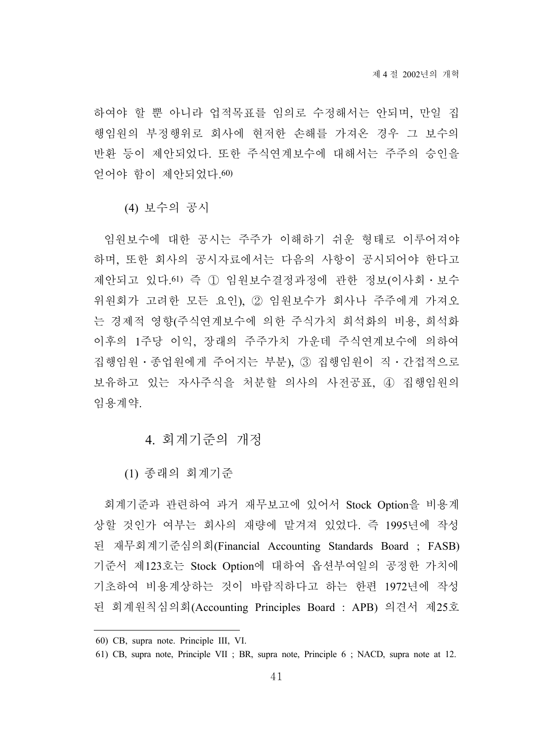하여야 할 뿐 아니라 업적목표를 임의로 수정해서는 안되며, 만일 집 행임원의 부정행위로 회사에 현저한 손해를 가져온 경우 그 보수의 반환 등이 제안되었다. 또한 주식연계보수에 대해서는 주주의 승인을 얻어야 함이 제안되었다.60)

(4) 보수의 공시

임원보수에 대한 공시는 주주가 이해하기 쉬운 형태로 이루어져야 하며, 또한 회사의 공시자료에서는 다음의 사항이 공시되어야 한다고 제안되고 있다.61) 즉 ① 임원보수결정과정에 관한 정보(이사회․보수 위원회가 고려한 모든 요인), ② 임원보수가 회사나 주주에게 가져오 는 경제적 영향(주식연계보수에 의한 주식가치 희석화의 비용, 희석화 이후의 1주당 이익, 장래의 주주가치 가운데 주식연계보수에 의하여 집행임원․종업원에게 주어지는 부분), ③ 집행임원이 직․간접적으로 보유하고 있는 자사주식을 처분할 의사의 사전공표, ④ 집행임원의 임용계약.

4. 회계기준의 개정

(1) 종래의 회계기준

회계기준과 관련하여 과거 재무보고에 있어서 Stock Option을 비용계 상할 것인가 여부는 회사의 재량에 맡겨져 있었다. 즉 1995년에 작성 된 재무회계기준심의회(Financial Accounting Standards Board ; FASB) 기준서 제123호는 Stock Option에 대하여 옵션부여일의 공정한 가치에 기초하여 비용계상하는 것이 바람직하다고 하는 한편 1972년에 작성 된 회계원칙심의회(Accounting Principles Board : APB) 의견서 제25호

<sup>60)</sup> CB, supra note. Principle III, VI.

<sup>61)</sup> CB, supra note, Principle VII ; BR, supra note, Principle 6 ; NACD, supra note at 12.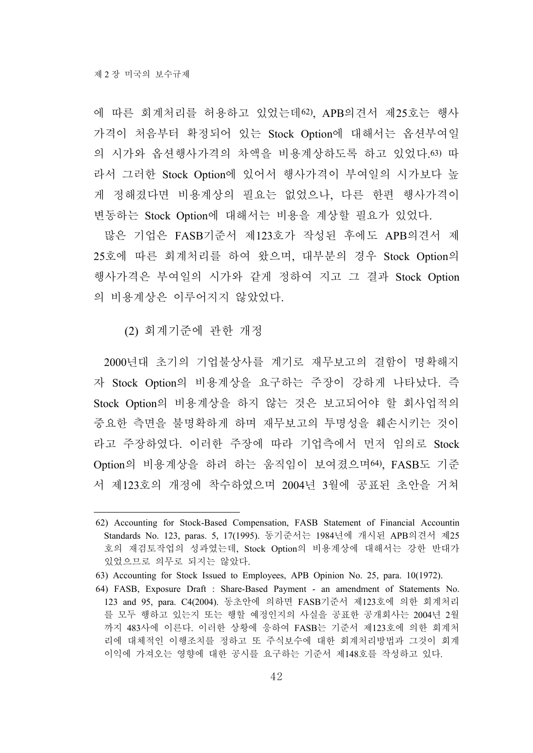에 따른 회계처리를 허용하고 있었는데62), APB의견서 제25호는 행사 가격이 처음부터 확정되어 있는 Stock Option에 대해서는 옵션부여일 의 시가와 옵션행사가격의 차액을 비용계상하도록 하고 있었다.63) 따 라서 그러한 Stock Option에 있어서 행사가격이 부여일의 시가보다 높 게 정해졌다면 비용계상의 필요는 없었으나, 다른 한편 행사가격이 변동하는 Stock Option에 대해서는 비용을 계상할 필요가 있었다.

많은 기업은 FASB기준서 제123호가 작성된 후에도 APB의견서 제 25호에 따른 회계처리를 하여 왔으며, 대부분의 경우 Stock Option의 행사가격은 부여일의 시가와 같게 정하여 지고 그 결과 Stock Option 의 비용계상은 이루어지지 않았었다.

(2) 회계기준에 관한 개정

2000년대 초기의 기업불상사를 계기로 재무보고의 결함이 명확해지 자 Stock Option의 비용계상을 요구하는 주장이 강하게 나타났다. 즉 Stock Option의 비용계상을 하지 않는 것은 보고되어야 할 회사업적의 중요한 측면을 불명확하게 하며 재무보고의 투명성을 훼손시키는 것이 라고 주장하였다. 이러한 주장에 따라 기업측에서 먼저 임의로 Stock Option의 비용계상을 하려 하는 움직임이 보여졌으며64), FASB도 기준 서 제123호의 개정에 착수하였으며 2004년 3월에 공표된 초안을 거쳐

<sup>62)</sup> Accounting for Stock-Based Compensation, FASB Statement of Financial Accountin Standards No. 123, paras. 5, 17(1995). 동기준서는 1984년에 개시된 APB의견서 제25 호의 재검토작업의 성과였는데, Stock Option의 비용계상에 대해서는 강한 반대가 있었으므로 의무로 되지는 않았다.

<sup>63)</sup> Accounting for Stock Issued to Employees, APB Opinion No. 25, para. 10(1972).

<sup>64)</sup> FASB, Exposure Draft : Share-Based Payment - an amendment of Statements No. 123 and 95, para. C4(2004). 동초안에 의하면 FASB기준서 제123호에 의한 회계처리 를 모두 행하고 있는지 또는 행할 예정인지의 사실을 공표한 공개회사는 2004년 2월 까지 483사에 이른다. 이러한 상황에 응하여 FASB는 기준서 제123호에 의한 회계처 리에 대체적인 이행조치를 정하고 또 주식보수에 대한 회계처리방법과 그것이 회계 이익에 가져오는 영향에 대한 공시를 요구하는 기준서 제148호를 작성하고 있다.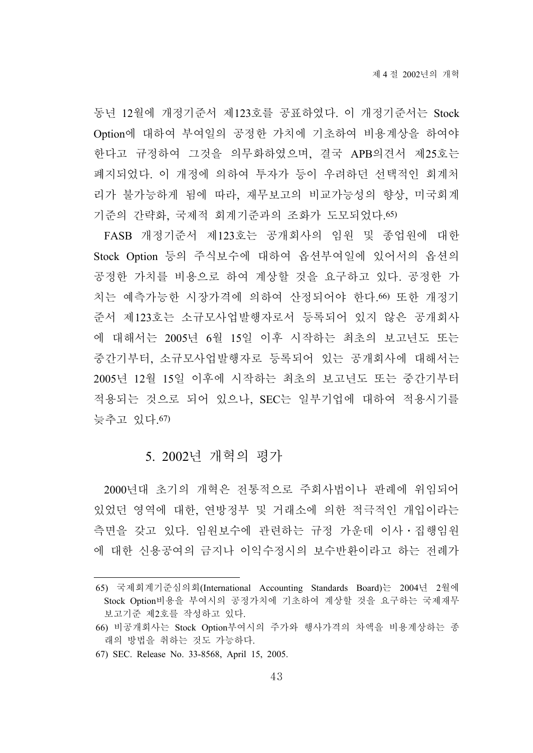동년 12월에 개정기준서 제123호를 공표하였다. 이 개정기준서는 Stock Option에 대하여 부여일의 공정한 가치에 기초하여 비용계상을 하여야 한다고 규정하여 그것을 의무화하였으며, 결국 APB의견서 제25호는 폐지되었다. 이 개정에 의하여 투자가 등이 우려하던 선택적인 회계처 리가 불가능하게 됨에 따라, 재무보고의 비교가능성의 향상, 미국회계 기준의 간략화, 국제적 회계기준과의 조화가 도모되었다.65)

FASB 개정기준서 제123호는 공개회사의 임원 및 종업원에 대한 Stock Option 등의 주식보수에 대하여 옵션부여일에 있어서의 옵션의 공정한 가치를 비용으로 하여 계상할 것을 요구하고 있다. 공정한 가 치는 예측가능한 시장가격에 의하여 산정되어야 한다.66) 또한 개정기 준서 제123호는 소규모사업발행자로서 등록되어 있지 않은 공개회사 에 대해서는 2005년 6월 15일 이후 시작하는 최초의 보고년도 또는 중간기부터, 소규모사업발행자로 등록되어 있는 공개회사에 대해서는 2005년 12월 15일 이후에 시작하는 최초의 보고년도 또는 중간기부터 적용되는 것으로 되어 있으나, SEC는 일부기업에 대하여 적용시기를 늦추고 있다.67)

### 5. 2002년 개혁의 평가

2000년대 초기의 개혁은 전통적으로 주회사법이나 판례에 위임되어 있었던 영역에 대한, 연방정부 및 거래소에 의한 적극적인 개입이라는 측면을 갖고 있다. 임원보수에 관련하는 규정 가운데 이사․집행임원 에 대한 신용공여의 금지나 이익수정시의 보수반환이라고 하는 전례가

<sup>65)</sup> 국제회계기준심의회(International Accounting Standards Board)는 2004년 2월에 Stock Option비용을 부여시의 공정가치에 기초하여 계상할 것을 요구하는 국제재무 보고기준 제2호를 작성하고 있다.

<sup>66)</sup> 비공개회사는 Stock Option부여시의 주가와 행사가격의 차액을 비용계상하는 종 래의 방법을 취하는 것도 가능하다.

<sup>67)</sup> SEC. Release No. 33-8568, April 15, 2005.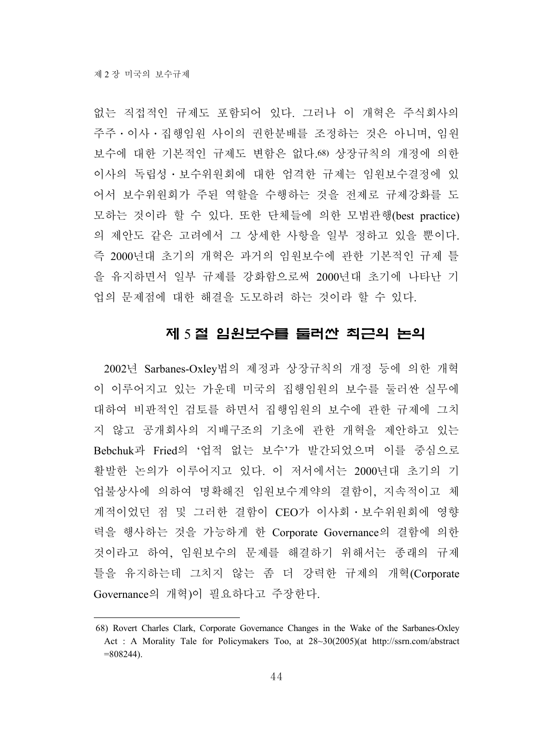없는 직접적인 규제도 포함되어 있다. 그러나 이 개혁은 주식회사의 주주․이사․집행임원 사이의 권한분배를 조정하는 것은 아니며, 임원 보수에 대한 기본적인 규제도 변함은 없다.68) 상장규칙의 개정에 의한 이사의 독립성․보수위원회에 대한 엄격한 규제는 임원보수결정에 있 어서 보수위원회가 주된 역할을 수행하는 것을 전제로 규제강화를 도 모하는 것이라 할 수 있다. 또한 단체들에 의한 모범관행(best practice) 의 제안도 같은 고려에서 그 상세한 사항을 일부 정하고 있을 뿐이다. 즉 2000년대 초기의 개혁은 과거의 임원보수에 관한 기본적인 규제 틀 을 유지하면서 일부 규제를 강화함으로써 2000년대 초기에 나타난 기 업의 문제점에 대한 해결을 도모하려 하는 것이라 할 수 있다.

# 제 5 절 임원보수를 둘러싼 최근의 논의

2002년 Sarbanes-Oxley법의 제정과 상장규칙의 개정 등에 의한 개혁 이 이루어지고 있는 가운데 미국의 집행임원의 보수를 둘러싼 실무에 대하여 비판적인 검토를 하면서 집행임원의 보수에 관한 규제에 그치 지 않고 공개회사의 지배구조의 기초에 관한 개혁을 제안하고 있는 Bebchuk과 Fried의 '업적 없는 보수'가 발간되었으며 이를 중심으로 활발한 논의가 이루어지고 있다. 이 저서에서는 2000년대 초기의 기 업불상사에 의하여 명확해진 임원보수계약의 결함이, 지속적이고 체 계적이었던 점 및 그러한 결함이 CEO가 이사회․보수위원회에 영향 력을 행사하는 것을 가능하게 한 Corporate Governance의 결함에 의한 것이라고 하여, 임원보수의 문제를 해결하기 위해서는 종래의 규제 틀을 유지하는데 그치지 않는 좀 더 강력한 규제의 개혁(Corporate Governance의 개혁)이 필요하다고 주장한다.

<sup>68)</sup> Rovert Charles Clark, Corporate Governance Changes in the Wake of the Sarbanes-Oxley Act : A Morality Tale for Policymakers Too, at 28~30(2005)(at http://ssrn.com/abstract  $=808244$ ).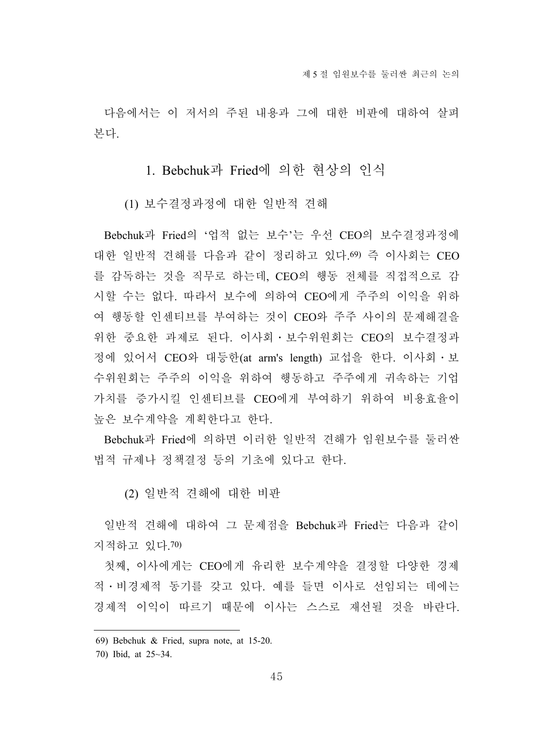다음에서는 이 저서의 주된 내용과 그에 대한 비판에 대하여 살펴 본다.

# 1. Bebchuk과 Fried에 의한 현상의 인식

(1) 보수결정과정에 대한 일반적 견해

Bebchuk과 Fried의 '업적 없는 보수'는 우선 CEO의 보수결정과정에 대한 일반적 견해를 다음과 같이 정리하고 있다.69) 즉 이사회는 CEO 를 감독하는 것을 직무로 하는데, CEO의 행동 전체를 직접적으로 감 시할 수는 없다. 따라서 보수에 의하여 CEO에게 주주의 이익을 위하 여 행동할 인센티브를 부여하는 것이 CEO와 주주 사이의 문제해결을 위한 중요한 과제로 된다. 이사회․보수위원회는 CEO의 보수결정과 정에 있어서 CEO와 대등한(at arm's length) 교섭을 한다. 이사회․보 수위원회는 주주의 이익을 위하여 행동하고 주주에게 귀속하는 기업 가치를 증가시킬 인센티브를 CEO에게 부여하기 위하여 비용효율이 높은 보수계약을 계획한다고 한다.

Bebchuk과 Fried에 의하면 이러한 일반적 견해가 임원보수를 둘러싼 법적 규제나 정책결정 등의 기초에 있다고 한다.

(2) 일반적 견해에 대한 비판

일반적 견해에 대하여 그 문제점을 Bebchuk과 Fried는 다음과 같이 지적하고 있다.70)

첫째, 이사에게는 CEO에게 유리한 보수계약을 결정할 다양한 경제 적․비경제적 동기를 갖고 있다. 예를 들면 이사로 선임되는 데에는 경제적 이익이 따르기 때문에 이사는 스스로 재선될 것을 바란다.

<sup>69)</sup> Bebchuk & Fried, supra note, at 15-20.

<sup>70)</sup> Ibid, at 25~34.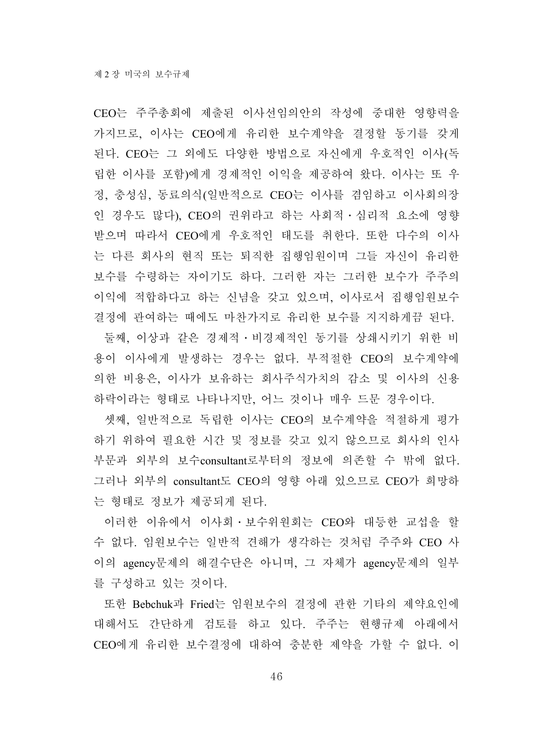CEO는 주주총회에 제출된 이사선임의안의 작성에 중대한 영향력을 가지므로, 이사는 CEO에게 유리한 보수계약을 결정할 동기를 갖게 된다. CEO는 그 외에도 다양한 방법으로 자신에게 우호적인 이사(독 립한 이사를 포함)에게 경제적인 이익을 제공하여 왔다. 이사는 또 우 정, 충성심, 동료의식(일반적으로 CEO는 이사를 겸임하고 이사회의장 인 경우도 많다), CEO의 권위라고 하는 사회적․심리적 요소에 영향 받으며 따라서 CEO에게 우호적인 태도를 취한다. 또한 다수의 이사 는 다른 회사의 현직 또는 퇴직한 집행임원이며 그들 자신이 유리한 보수를 수령하는 자이기도 하다. 그러한 자는 그러한 보수가 주주의 이익에 적합하다고 하는 신념을 갖고 있으며, 이사로서 집행임원보수 결정에 관여하는 때에도 마찬가지로 유리한 보수를 지지하게끔 된다.

둘째, 이상과 같은 경제적․비경제적인 동기를 상쇄시키기 위한 비 용이 이사에게 발생하는 경우는 없다. 부적절한 CEO의 보수계약에 의한 비용은, 이사가 보유하는 회사주식가치의 감소 및 이사의 신용 하락이라는 형태로 나타나지만, 어느 것이나 매우 드문 경우이다.

셋째, 일반적으로 독립한 이사는 CEO의 보수계약을 적절하게 평가 하기 위하여 필요한 시간 및 정보를 갖고 있지 않으므로 회사의 인사 부문과 외부의 보수consultant로부터의 정보에 의존할 수 밖에 없다. 그러나 외부의 consultant도 CEO의 영향 아래 있으므로 CEO가 희망하 는 형태로 정보가 제공되게 된다.

이러한 이유에서 이사회․보수위원회는 CEO와 대등한 교섭을 할 수 없다. 임원보수는 일반적 견해가 생각하는 것처럼 주주와 CEO 사 이의 agency문제의 해결수단은 아니며, 그 자체가 agency문제의 일부 를 구성하고 있는 것이다.

또한 Bebchuk과 Fried는 임원보수의 결정에 관한 기타의 제약요인에 대해서도 간단하게 검토를 하고 있다. 주주는 현행규제 아래에서 CEO에게 유리한 보수결정에 대하여 충분한 제약을 가할 수 없다. 이

46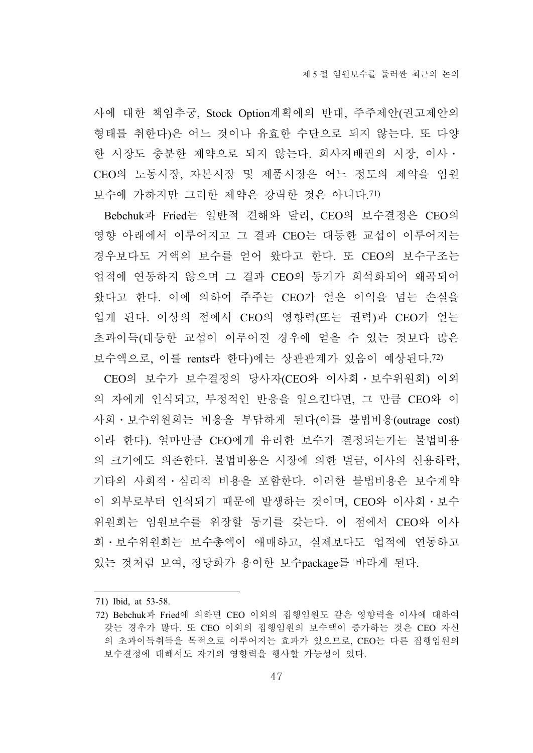사에 대한 책임추궁, Stock Option계획에의 반대, 주주제안(권고제안의 형태를 취한다)은 어느 것이나 유효한 수단으로 되지 않는다. 또 다양 한 시장도 충분한 제약으로 되지 않는다. 회사지배권의 시장, 이사․ CEO의 노동시장, 자본시장 및 제품시장은 어느 정도의 제약을 임원 보수에 가하지만 그러한 제약은 강력한 것은 아니다.71)

Bebchuk과 Fried는 일반적 견해와 달리, CEO의 보수결정은 CEO의 영향 아래에서 이루어지고 그 결과 CEO는 대등한 교섭이 이루어지는 경우보다도 거액의 보수를 얻어 왔다고 한다. 또 CEO의 보수구조는 업적에 연동하지 않으며 그 결과 CEO의 동기가 희석화되어 왜곡되어 왔다고 한다. 이에 의하여 주주는 CEO가 얻은 이익을 넘는 손실을 입게 된다. 이상의 점에서 CEO의 영향력(또는 권력)과 CEO가 얻는 초과이득(대등한 교섭이 이루어진 경우에 얻을 수 있는 것보다 많은 보수액으로, 이를 rents라 한다)에는 상관관계가 있음이 예상된다.72)

CEO의 보수가 보수결정의 당사자(CEO와 이사회․보수위원회) 이외 의 자에게 인식되고, 부정적인 반응을 일으킨다면, 그 만큼 CEO와 이 사회․보수위원회는 비용을 부담하게 된다(이를 불법비용(outrage cost) 이라 한다). 얼마만큼 CEO에게 유리한 보수가 결정되는가는 불법비용 의 크기에도 의존한다. 불법비용은 시장에 의한 벌금, 이사의 신용하락, 기타의 사회적․심리적 비용을 포함한다. 이러한 불법비용은 보수계약 이 외부로부터 인식되기 때문에 발생하는 것이며, CEO와 이사회․보수 위원회는 임원보수를 위장할 동기를 갖는다. 이 점에서 CEO와 이사 회․보수위원회는 보수총액이 애매하고, 실제보다도 업적에 연동하고 있는 것처럼 보여, 정당화가 용이한 보수package를 바라게 된다.

<sup>71)</sup> Ibid, at 53-58.

<sup>72)</sup> Bebchuk과 Fried에 의하면 CEO 이외의 집행임원도 같은 영향력을 이사에 대하여 갖는 경우가 많다. 또 CEO 이외의 집행임원의 보수액이 증가하는 것은 CEO 자신 의 초과이득취득을 목적으로 이루어지는 효과가 있으므로, CEO는 다른 집행임원의 보수결정에 대해서도 자기의 영향력을 행사할 가능성이 있다.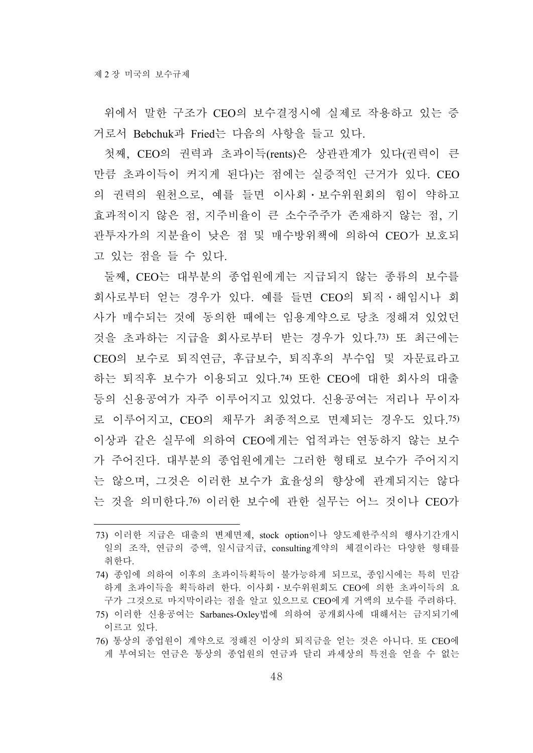위에서 말한 구조가 CEO의 보수결정시에 실제로 작용하고 있는 증 거로서 Bebchuk과 Fried는 다음의 사항을 들고 있다.

첫째, CEO의 권력과 초과이득(rents)은 상관관계가 있다(권력이 큰 만큼 초과이득이 커지게 된다)는 점에는 실증적인 근거가 있다. CEO 의 권력의 원천으로, 예를 들면 이사회․보수위원회의 힘이 약하고 효과적이지 않은 점, 지주비율이 큰 소수주주가 존재하지 않는 점, 기 관투자가의 지분율이 낮은 점 및 매수방위책에 의하여 CEO가 보호되 고 있는 점을 들 수 있다.

둘째, CEO는 대부분의 종업원에게는 지급되지 않는 종류의 보수를 회사로부터 얻는 경우가 있다. 예를 들면 CEO의 퇴직․해임시나 회 사가 매수되는 것에 동의한 때에는 임용계약으로 당초 정해져 있었던 것을 초과하는 지급을 회사로부터 받는 경우가 있다.73) 또 최근에는 CEO의 보수로 퇴직연금, 후급보수, 퇴직후의 부수입 및 자문료라고 하는 퇴직후 보수가 이용되고 있다.74) 또한 CEO에 대한 회사의 대출 등의 신용공여가 자주 이루어지고 있었다. 신용공여는 저리나 무이자 로 이루어지고, CEO의 채무가 최종적으로 면제되는 경우도 있다.75) 이상과 같은 실무에 의하여 CEO에게는 업적과는 연동하지 않는 보수 가 주어진다. 대부분의 종업원에게는 그러한 형태로 보수가 주어지지 는 않으며, 그것은 이러한 보수가 효율성의 향상에 관계되지는 않다 는 것을 의미한다.76) 이러한 보수에 관한 실무는 어느 것이나 CEO가

76) 통상의 종업원이 계약으로 정해진 이상의 퇴직금을 얻는 것은 아니다. 또 CEO에 게 부여되는 연금은 통상의 종업원의 연금과 달리 과세상의 특전을 얻을 수 없는

<sup>73)</sup> 이러한 지급은 대출의 변제면제, stock option이나 양도제한주식의 행사기간개시 일의 조작, 연금의 증액, 일시급지급, consulting계약의 체결이라는 다양한 형태를 취한다.

<sup>74)</sup> 종임에 의하여 이후의 초과이득획득이 불가능하게 되므로, 종임시에는 특히 민감 하게 초과이득을 획득하려 한다. 이사회․보수위원회도 CEO에 의한 초과이득의 요 구가 그것으로 마지막이라는 점을 알고 있으므로 CEO에게 거액의 보수를 주려하다.

<sup>75)</sup> 이러한 신용공여는 Sarbanes-Oxley법에 의하여 공개회사에 대해서는 금지되기에 이르고 있다.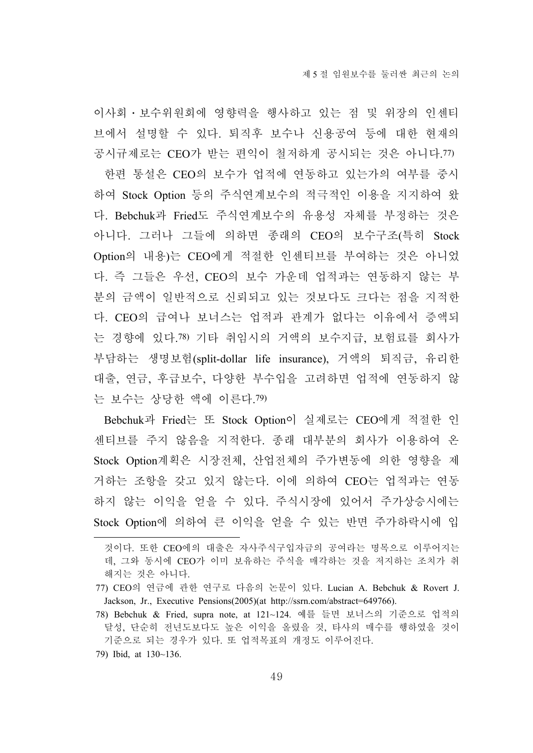이사회․보수위원회에 영향력을 행사하고 있는 점 및 위장의 인센티 브에서 설명할 수 있다. 퇴직후 보수나 신용공여 등에 대한 현재의 공시규제로는 CEO가 받는 편익이 철저하게 공시되는 것은 아니다.77) 한편 통설은 CEO의 보수가 업적에 연동하고 있는가의 여부를 중시 하여 Stock Option 등의 주식연계보수의 적극적인 이용을 지지하여 왔 다. Bebchuk과 Fried도 주식연계보수의 유용성 자체를 부정하는 것은 아니다. 그러나 그들에 의하면 종래의 CEO의 보수구조(특히 Stock Option의 내용)는 CEO에게 적절한 인센티브를 부여하는 것은 아니었 다. 즉 그들은 우선, CEO의 보수 가운데 업적과는 연동하지 않는 부 분의 금액이 일반적으로 신뢰되고 있는 것보다도 크다는 점을 지적한 다. CEO의 급여나 보너스는 업적과 관계가 없다는 이유에서 증액되 는 경향에 있다.78) 기타 취임시의 거액의 보수지급, 보험료를 회사가 부담하는 생명보험(split-dollar life insurance), 거액의 퇴직금, 유리한 대출, 연금, 후급보수, 다양한 부수입을 고려하면 업적에 연동하지 않 는 보수는 상당한 액에 이른다.79)

Bebchuk과 Fried는 또 Stock Option이 실제로는 CEO에게 적절한 인 센티브를 주지 않음을 지적한다. 종래 대부분의 회사가 이용하여 온 Stock Option계획은 시장전체, 산업전체의 주가변동에 의한 영향을 제 거하는 조항을 갖고 있지 않는다. 이에 의하여 CEO는 업적과는 연동 하지 않는 이익을 얻을 수 있다. 주식시장에 있어서 주가상승시에는 Stock Option에 의하여 큰 이익을 얻을 수 있는 반면 주가하락시에 입

79) Ibid, at 130~136.

것이다. 또한 CEO에의 대출은 자사주식구입자금의 공여라는 명목으로 이루어지는 데, 그와 동시에 CEO가 이미 보유하는 주식을 매각하는 것을 저지하는 조치가 취 해지는 것은 아니다.

<sup>77)</sup> CEO의 연금에 관한 연구로 다음의 논문이 있다. Lucian A. Bebchuk & Rovert J. Jackson, Jr., Executive Pensions(2005)(at http://ssrn.com/abstract=649766).

<sup>78)</sup> Bebchuk & Fried, supra note, at 121~124. 예를 들면 보너스의 기준으로 업적의 달성, 단순히 전년도보다도 높은 이익을 올렸을 것, 타사의 매수를 행하였을 것이 기준으로 되는 경우가 있다. 또 업적목표의 개정도 이루어진다.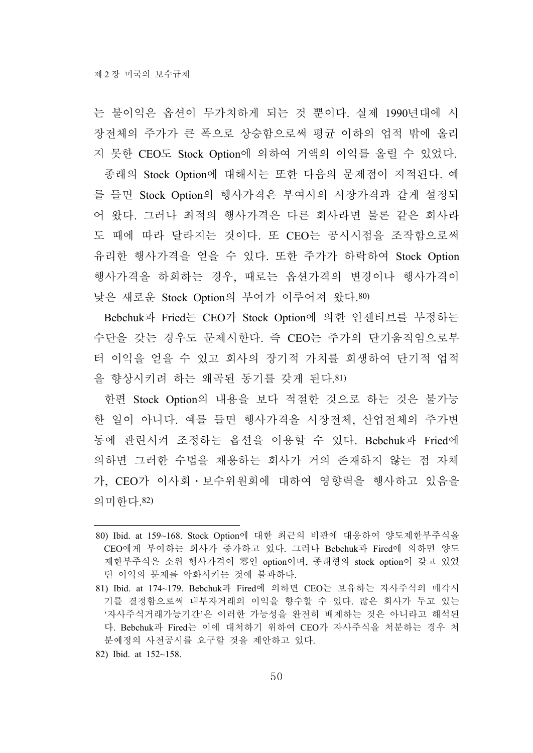는 불이익은 옵션이 무가치하게 되는 것 뿐이다. 실제 1990년대에 시 장전체의 주가가 큰 폭으로 상승함으로써 평균 이하의 업적 밖에 올리 지 못한 CEO도 Stock Option에 의하여 거액의 이익를 올릴 수 있었다.

종래의 Stock Option에 대해서는 또한 다음의 문제점이 지적된다. 예 를 들면 Stock Option의 행사가격은 부여시의 시장가격과 같게 설정되 어 왔다. 그러나 최적의 행사가격은 다른 회사라면 물론 같은 회사라 도 때에 따라 달라지는 것이다. 또 CEO는 공시시점을 조작함으로써 유리한 행사가격을 얻을 수 있다. 또한 주가가 하락하여 Stock Option 행사가격을 하회하는 경우, 때로는 옵션가격의 변경이나 행사가격이 낮은 새로운 Stock Option의 부여가 이루어져 왔다.80)

Bebchuk과 Fried는 CEO가 Stock Option에 의한 인센티브를 부정하는 수단을 갖는 경우도 문제시한다. 즉 CEO는 주가의 단기움직임으로부 터 이익을 얻을 수 있고 회사의 장기적 가치를 희생하여 단기적 업적 을 향상시키려 하는 왜곡된 동기를 갖게 된다.81)

한편 Stock Option의 내용을 보다 적절한 것으로 하는 것은 불가능 한 일이 아니다. 예를 들면 행사가격을 시장전체, 산업전체의 주가변 동에 관련시켜 조정하는 옵션을 이용할 수 있다. Bebchuk과 Fried에 의하면 그러한 수법을 채용하는 회사가 거의 존재하지 않는 점 자체 가, CEO가 이사회․보수위원회에 대하여 영향력을 행사하고 있음을 의미한다.82)

82) Ibid. at 152~158.

<sup>80)</sup> Ibid. at 159~168. Stock Option에 대한 최근의 비판에 대응하여 양도제한부주식을 CEO에게 부여하는 회사가 증가하고 있다. 그러나 Bebchuk과 Fired에 의하면 양도 제한부주식은 소위 행사가격이 零인 option이며, 종래형의 stock option이 갖고 있었 던 이익의 문제를 악화시키는 것에 불과하다.

<sup>81)</sup> Ibid. at 174~179. Bebchuk과 Fired에 의하면 CEO는 보유하는 자사주식의 매각시 기를 결정함으로써 내부자거래의 이익을 향수할 수 있다. 많은 회사가 두고 있는 '자사주식거래가능기간'은 이러한 가능성을 완전히 배제하는 것은 아니라고 해석된 다. Bebchuk과 Fired는 이에 대처하기 위하여 CEO가 자사주식을 처분하는 경우 처 분예정의 사전공시를 요구할 것을 제안하고 있다.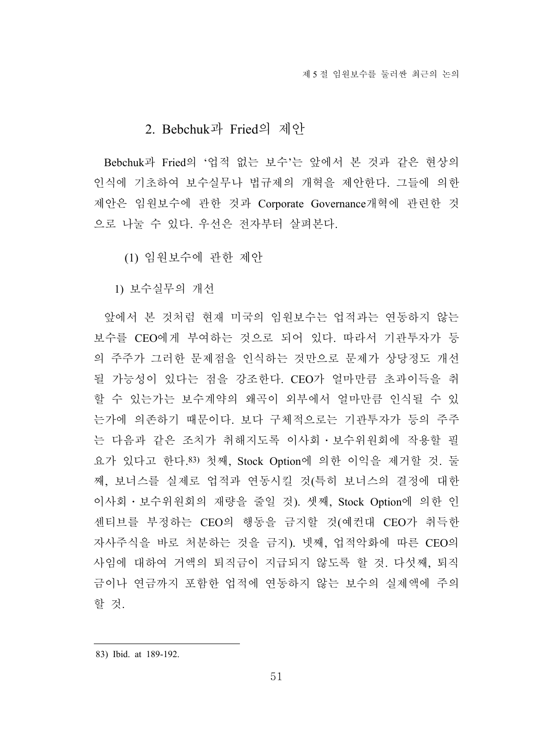## 2. Bebchuk과 Fried의 제안

Bebchuk과 Fried의 '업적 없는 보수'는 앞에서 본 것과 같은 현상의 인식에 기초하여 보수실무나 법규제의 개혁을 제안한다. 그들에 의한 제안은 임원보수에 관한 것과 Corporate Governance개혁에 관련한 것 으로 나눌 수 있다. 우선은 전자부터 살펴본다.

(1) 임원보수에 관한 제안

1) 보수실무의 개선

앞에서 본 것처럼 현재 미국의 임원보수는 업적과는 연동하지 않는 보수를 CEO에게 부여하는 것으로 되어 있다. 따라서 기관투자가 등 의 주주가 그러한 문제점을 인식하는 것만으로 문제가 상당정도 개선 될 가능성이 있다는 점을 강조한다. CEO가 얼마만큼 초과이득을 취 할 수 있는가는 보수계약의 왜곡이 외부에서 얼마만큼 인식될 수 있 는가에 의존하기 때문이다. 보다 구체적으로는 기관투자가 등의 주주 는 다음과 같은 조치가 취해지도록 이사회․보수위원회에 작용할 필 요가 있다고 한다.83) 첫째, Stock Option에 의한 이익을 제거할 것. 둘 째, 보너스를 실제로 업적과 연동시킬 것(특히 보너스의 결정에 대한 이사회․보수위원회의 재량을 줄일 것). 셋째, Stock Option에 의한 인 센티브를 부정하는 CEO의 행동을 금지할 것(예컨대 CEO가 취득한 자사주식을 바로 처분하는 것을 금지). 넷째, 업적악화에 따른 CEO의 사임에 대하여 거액의 퇴직금이 지급되지 않도록 할 것. 다섯째, 퇴직 금이나 연금까지 포함한 업적에 연동하지 않는 보수의 실제액에 주의 할 것.

<sup>83)</sup> Ibid. at 189-192.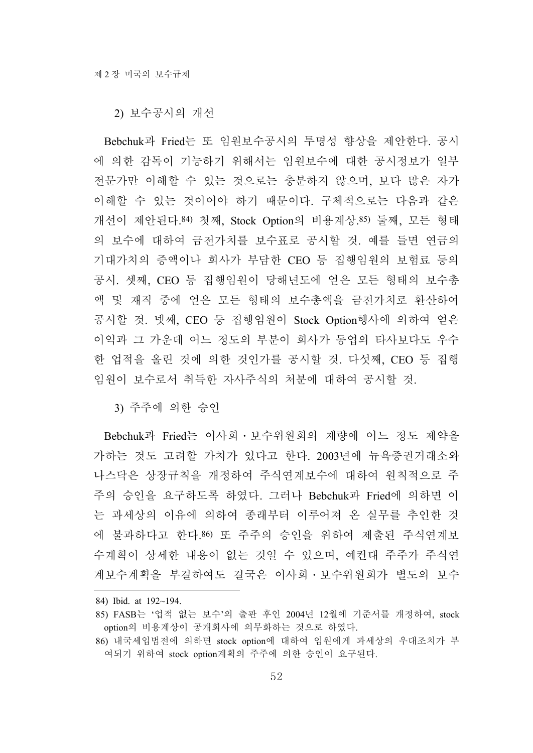2) 보수공시의 개선

Bebchuk과 Fried는 또 임원보수공시의 투명성 향상을 제안한다. 공시 에 의한 감독이 기능하기 위해서는 임원보수에 대한 공시정보가 일부 전문가만 이해할 수 있는 것으로는 충분하지 않으며, 보다 많은 자가 이해할 수 있는 것이어야 하기 때문이다. 구체적으로는 다음과 같은 개선이 제안된다.84) 첫째, Stock Option의 비용계상.85) 둘째, 모든 형태 의 보수에 대하여 금전가치를 보수표로 공시할 것. 예를 들면 연금의 기대가치의 증액이나 회사가 부담한 CEO 등 집행임원의 보험료 등의 공시. 셋째, CEO 등 집행임원이 당해년도에 얻은 모든 형태의 보수총 액 및 재직 중에 얻은 모든 형태의 보수총액을 금전가치로 환산하여 공시할 것. 넷째, CEO 등 집행임원이 Stock Option행사에 의하여 얻은 이익과 그 가운데 어느 정도의 부분이 회사가 동업의 타사보다도 우수 한 업적을 올린 것에 의한 것인가를 공시할 것. 다섯째, CEO 등 집행 임원이 보수로서 취득한 자사주식의 처분에 대하여 공시할 것.

3) 주주에 의한 승인

Bebchuk과 Fried는 이사회․보수위원회의 재량에 어느 정도 제약을 가하는 것도 고려할 가치가 있다고 한다. 2003년에 뉴욕증권거래소와 나스닥은 상장규칙을 개정하여 주식연계보수에 대하여 원칙적으로 주 주의 승인을 요구하도록 하였다. 그러나 Bebchuk과 Fried에 의하면 이 는 과세상의 이유에 의하여 종래부터 이루어져 온 실무를 추인한 것 에 불과하다고 한다.86) 또 주주의 승인을 위하여 제출된 주식연계보 수계획이 상세한 내용이 없는 것일 수 있으며, 예컨대 주주가 주식연 계보수계획을 부결하여도 결국은 이사회․보수위원회가 별도의 보수

<sup>84)</sup> Ibid. at 192~194.

<sup>85)</sup> FASB는 '업적 없는 보수'의 출판 후인 2004년 12월에 기준서를 개정하여, stock option의 비용계상이 공개회사에 의무화하는 것으로 하였다.

<sup>86)</sup> 내국세입법전에 의하면 stock option에 대하여 임원에게 과세상의 우대조치가 부 여되기 위하여 stock option계획의 주주에 의한 승인이 요구된다.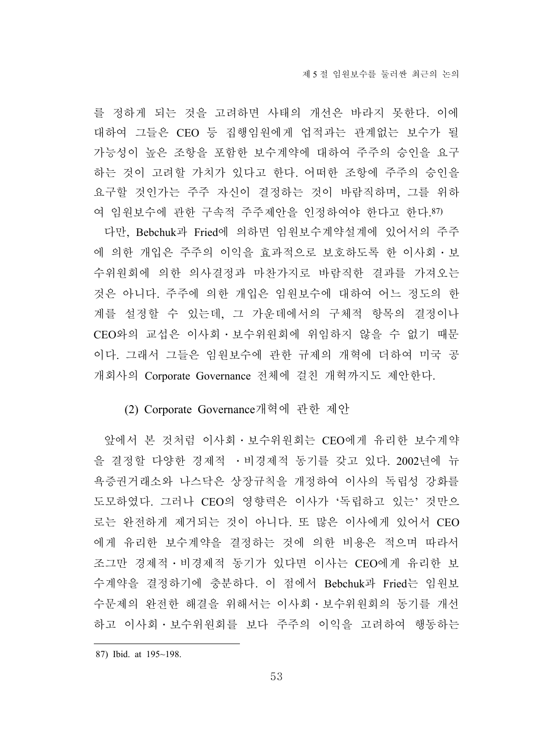를 정하게 되는 것을 고려하면 사태의 개선은 바라지 못한다. 이에 대하여 그들은 CEO 등 집행임원에게 업적과는 관계없는 보수가 될 가능성이 높은 조항을 포함한 보수계약에 대하여 주주의 승인을 요구 하는 것이 고려할 가치가 있다고 한다. 어떠한 조항에 주주의 승인을 요구할 것인가는 주주 자신이 결정하는 것이 바람직하며, 그를 위하 여 임원보수에 관한 구속적 주주제안을 인정하여야 한다고 한다.87)

다만, Bebchuk과 Fried에 의하면 임원보수계약설계에 있어서의 주주 에 의한 개입은 주주의 이익을 효과적으로 보호하도록 한 이사회․보 수위원회에 의한 의사결정과 마찬가지로 바람직한 결과를 가져오는 것은 아니다. 주주에 의한 개입은 임원보수에 대하여 어느 정도의 한 계를 설정할 수 있는데, 그 가운데에서의 구체적 항목의 결정이나 CEO와의 교섭은 이사회․보수위원회에 위임하지 않을 수 없기 때문 이다. 그래서 그들은 임원보수에 관한 규제의 개혁에 더하여 미국 공 개회사의 Corporate Governance 전체에 걸친 개혁까지도 제안한다.

### (2) Corporate Governance개혁에 관한 제안

앞에서 본 것처럼 이사회․보수위원회는 CEO에게 유리한 보수계약 을 결정할 다양한 경제적 ․비경제적 동기를 갖고 있다. 2002년에 뉴 욕증권거래소와 나스닥은 상장규칙을 개정하여 이사의 독립성 강화를 도모하였다. 그러나 CEO의 영향력은 이사가 '독립하고 있는' 것만으 로는 완전하게 제거되는 것이 아니다. 또 많은 이사에게 있어서 CEO 에게 유리한 보수계약을 결정하는 것에 의한 비용은 적으며 따라서 조그만 경제적․비경제적 동기가 있다면 이사는 CEO에게 유리한 보 수계약을 결정하기에 충분하다. 이 점에서 Bebchuk과 Fried는 임원보 수문제의 완전한 해결을 위해서는 이사회․보수위원회의 동기를 개선 하고 이사회·보수위원회를 보다 주주의 이익을 고려하여 행동하는

<sup>87)</sup> Ibid. at 195~198.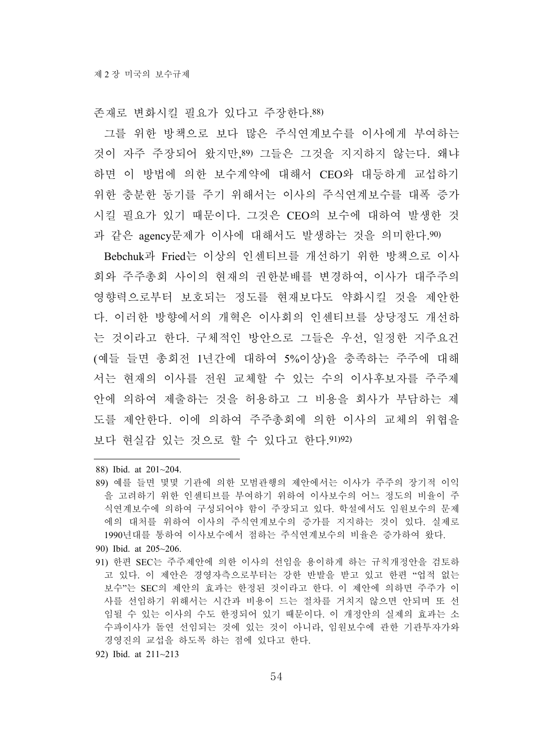존재로 변화시킬 필요가 있다고 주장한다.88)

그를 위한 방책으로 보다 많은 주식연계보수를 이사에게 부여하는 것이 자주 주장되어 왔지만,89) 그들은 그것을 지지하지 않는다. 왜냐 하면 이 방법에 의한 보수계약에 대해서 CEO와 대등하게 교섭하기 위한 충분한 동기를 주기 위해서는 이사의 주식연계보수를 대폭 증가 시킬 필요가 있기 때문이다. 그것은 CEO의 보수에 대하여 발생한 것 과 같은 agency문제가 이사에 대해서도 발생하는 것을 의미한다.90)

Bebchuk과 Fried는 이상의 인센티브를 개선하기 위한 방책으로 이사 회와 주주총회 사이의 현재의 권한분배를 변경하여, 이사가 대주주의 영향력으로부터 보호되는 정도를 현재보다도 약화시킬 것을 제안한 다. 이러한 방향에서의 개혁은 이사회의 인센티브를 상당정도 개선하 는 것이라고 한다. 구체적인 방안으로 그들은 우선, 일정한 지주요건 (예들 들면 총회전 1년간에 대하여 5%이상)을 충족하는 주주에 대해 서는 현재의 이사를 전원 교체할 수 있는 수의 이사후보자를 주주제 안에 의하여 제출하는 것을 허용하고 그 비용을 회사가 부담하는 제 도를 제안한다. 이에 의하여 주주총회에 의한 이사의 교체의 위협을 보다 현실감 있는 것으로 할 수 있다고 한다.91)92)

- 88) Ibid. at 201~204.
- 89) 예를 들면 몇몇 기관에 의한 모범관행의 제안에서는 이사가 주주의 장기적 이익 을 고려하기 위한 인센티브를 부여하기 위하여 이사보수의 어느 정도의 비율이 주 식연계보수에 의하여 구성되어야 함이 주장되고 있다. 학설에서도 임원보수의 문제 에의 대처를 위하여 이사의 주식연계보수의 증가를 지지하는 것이 있다. 실제로 1990년대를 통하여 이사보수에서 점하는 주식연계보수의 비율은 증가하여 왔다.
- 90) Ibid. at 205~206.
- 91) 한편 SEC는 주주제안에 의한 이사의 선임을 용이하게 하는 규칙개정안을 검토하 고 있다. 이 제안은 경영자측으로부터는 강한 반발을 받고 있고 한편 "업적 없는 보수"는 SEC의 제안의 효과는 한정된 것이라고 한다. 이 제안에 의하면 주주가 이 사를 선임하기 위해서는 시간과 비용이 드는 절차를 거치지 않으면 안되며 또 선 임될 수 있는 이사의 수도 한정되어 있기 때문이다. 이 개정안의 실제의 효과는 소 수파이사가 돌연 선임되는 것에 있는 것이 아니라, 임원보수에 관한 기관투자가와 경영진의 교섭을 하도록 하는 점에 있다고 한다.

92) Ibid. at 211~213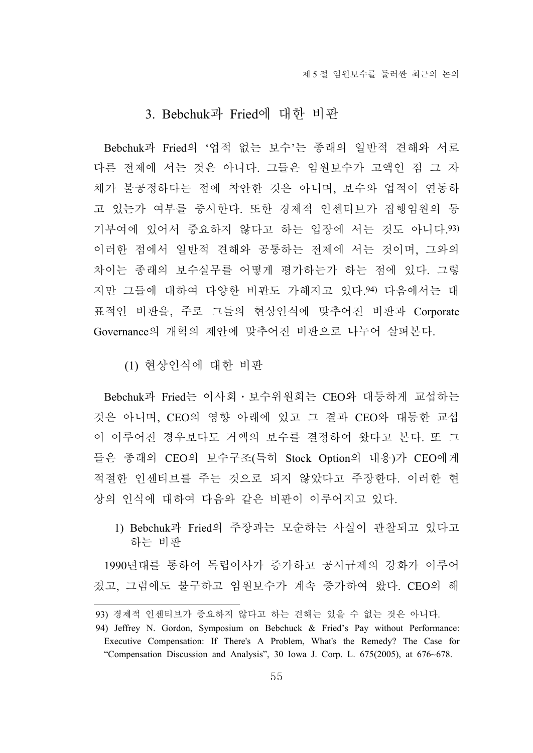# 3. Bebchuk과 Fried에 대한 비판

Bebchuk과 Fried의 '업적 없는 보수'는 종래의 일반적 견해와 서로 다른 전제에 서는 것은 아니다. 그들은 임원보수가 고액인 점 그 자 체가 불공정하다는 점에 착안한 것은 아니며, 보수와 업적이 연동하 고 있는가 여부를 중시한다. 또한 경제적 인센티브가 집행임원의 동 기부여에 있어서 중요하지 않다고 하는 입장에 서는 것도 아니다.93) 이러한 점에서 일반적 견해와 공통하는 전제에 서는 것이며, 그와의 차이는 종래의 보수실무를 어떻게 평가하는가 하는 점에 있다. 그렇 지만 그들에 대하여 다양한 비판도 가해지고 있다.94) 다음에서는 대 표적인 비판을, 주로 그들의 현상인식에 맞추어진 비판과 Corporate Governance의 개혁의 제안에 맞추어진 비판으로 나누어 살펴본다.

(1) 현상인식에 대한 비판

Bebchuk과 Fried는 이사회․보수위원회는 CEO와 대등하게 교섭하는 것은 아니며, CEO의 영향 아래에 있고 그 결과 CEO와 대등한 교섭 이 이루어진 경우보다도 거액의 보수를 결정하여 왔다고 본다. 또 그 들은 종래의 CEO의 보수구조(특히 Stock Option의 내용)가 CEO에게 적절한 인센티브를 주는 것으로 되지 않았다고 주장한다. 이러한 현 상의 인식에 대하여 다음와 같은 비판이 이루어지고 있다.

1) Bebchuk과 Fried의 주장과는 모순하는 사실이 관찰되고 있다고 하는 비판

1990년대를 통하여 독립이사가 증가하고 공시규제의 강화가 이루어 졌고, 그럼에도 불구하고 임원보수가 계속 증가하여 왔다. CEO의 해

<sup>93)</sup> 경제적 인센티브가 중요하지 않다고 하는 견해는 있을 수 없는 것은 아니다.

<sup>94)</sup> Jeffrey N. Gordon, Symposium on Bebchuck & Fried's Pay without Performance: Executive Compensation: If There's A Problem, What's the Remedy? The Case for "Compensation Discussion and Analysis", 30 Iowa J. Corp. L. 675(2005), at 676~678.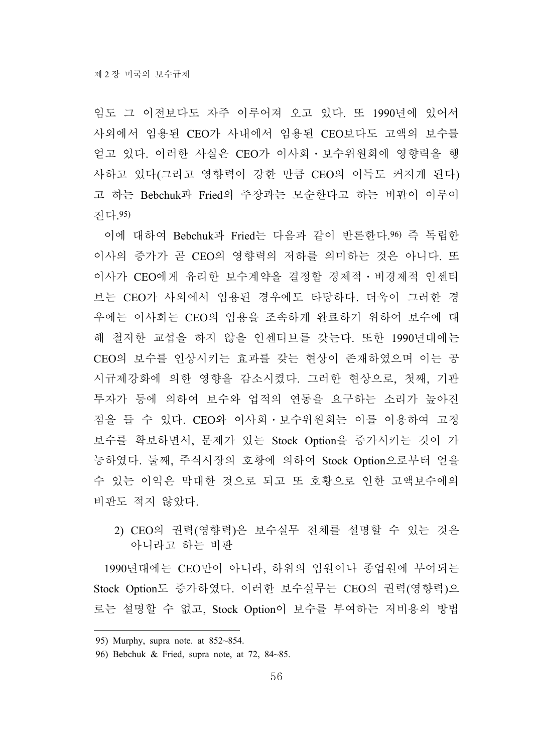임도 그 이전보다도 자주 이루어져 오고 있다. 또 1990년에 있어서 사외에서 임용된 CEO가 사내에서 임용된 CEO보다도 고액의 보수를 얻고 있다. 이러한 사실은 CEO가 이사회․보수위원회에 영향력을 행 사하고 있다(그리고 영향력이 강한 만큼 CEO의 이득도 커지게 된다) 고 하는 Bebchuk과 Fried의 주장과는 모순한다고 하는 비판이 이루어 진다.95)

이에 대하여 Bebchuk과 Fried는 다음과 같이 반론한다.96) 즉 독립한 이사의 증가가 곧 CEO의 영향력의 저하를 의미하는 것은 아니다. 또 이사가 CEO에게 유리한 보수계약을 결정할 경제적․비경제적 인센티 브는 CEO가 사외에서 임용된 경우에도 타당하다. 더욱이 그러한 경 우에는 이사회는 CEO의 임용을 조속하게 완료하기 위하여 보수에 대 해 철저한 교섭을 하지 않을 인센티브를 갖는다. 또한 1990년대에는 CEO의 보수를 인상시키는 효과를 갖는 현상이 존재하였으며 이는 공 시규제강화에 의한 영향을 감소시켰다. 그러한 현상으로, 첫째, 기관 투자가 등에 의하여 보수와 업적의 연동을 요구하는 소리가 높아진 점을 들 수 있다. CEO와 이사회․보수위원회는 이를 이용하여 고정 보수를 확보하면서, 문제가 있는 Stock Option을 증가시키는 것이 가 능하였다. 둘째, 주식시장의 호황에 의하여 Stock Option으로부터 얻을 수 있는 이익은 막대한 것으로 되고 또 호황으로 인한 고액보수에의 비판도 적지 않았다.

2) CEO의 권력(영향력)은 보수실무 전체를 설명할 수 있는 것은 아니라고 하는 비판

1990년대에는 CEO만이 아니라, 하위의 임원이나 종업원에 부여되는 Stock Option도 증가하였다. 이러한 보수실무는 CEO의 권력(영향력)으 로는 설명할 수 없고, Stock Option이 보수를 부여하는 저비용의 방법

<sup>95)</sup> Murphy, supra note. at 852~854.

<sup>96)</sup> Bebchuk & Fried, supra note, at 72, 84~85.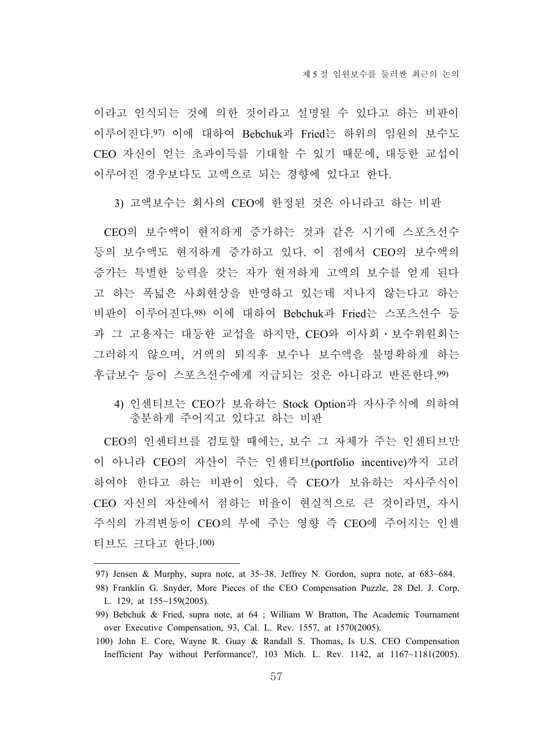이라고 인식되는 것에 의한 것이라고 설명될 수 있다고 하는 비판이 이루어진다.97) 이에 대하여 Bebchuk과 Fried는 하위의 임원의 보수도 CEO 자신이 얻는 초과이득를 기대할 수 있기 때문에, 대등한 교섭이 이루어진 경우보다도 고액으로 되는 경향에 있다고 한다.

3) 고액보수는 회사의 CEO에 한정된 것은 아니라고 하는 비판

CEO의 보수액이 현저하게 증가하는 것과 같은 시기에 스포츠선수 등의 보수액도 현저하게 증가하고 있다. 이 점에서 CEO의 보수액의 증가는 특별한 능력을 갖는 자가 현저하게 고액의 보수를 얻게 된다 고 하는 폭넓은 사회현상을 반영하고 있는데 지나지 않는다고 하는 비판이 이루어진다.98) 이에 대하여 Bebchuk과 Fried는 스포츠선수 등 과 그 고용자는 대등한 교섭을 하지만, CEO와 이사회․보수위원회는 그러하지 않으며, 거액의 퇴직후 보수나 보수액을 불명확하게 하는 후급보수 등이 스포츠선수에게 지급되는 것은 아니라고 반론한다.99)

4) 인센티브는 CEO가 보유하는 Stock Option과 자사주식에 의하여 충분하게 주어지고 있다고 하는 비판

CEO의 인센티브를 검토할 때에는, 보수 그 자체가 주는 인센티브만 이 아니라 CEO의 자산이 주는 인센티브(portfolio incentive)까지 고려 하여야 한다고 하는 비판이 있다. 즉 CEO가 보유하는 자사주식이 CEO 자신의 자산에서 점하는 비율이 현실적으로 큰 것이라면, 자시 주식의 가격변동이 CEO의 부에 주는 영향 즉 CEO에 주어지는 인센 티브도 크다고 한다.100)

<sup>97)</sup> Jensen & Murphy, supra note, at 35~38. Jeffrey N. Gordon, supra note, at 683~684.

<sup>98)</sup> Franklin G. Snyder, More Pieces of the CEO Compensation Puzzle, 28 Del. J. Corp. L. 129, at 155~159(2005).

<sup>99)</sup> Bebchuk & Fried, supra note, at 64 ; William W Bratton, The Academic Tournament over Executive Compensation, 93, Cal. L. Rev. 1557, at 1570(2005).

<sup>100)</sup> John E. Core, Wayne R. Guay & Randall S. Thomas, Is U.S. CEO Compensation Inefficient Pay without Performance?, 103 Mich. L. Rev. 1142, at 1167~1181(2005).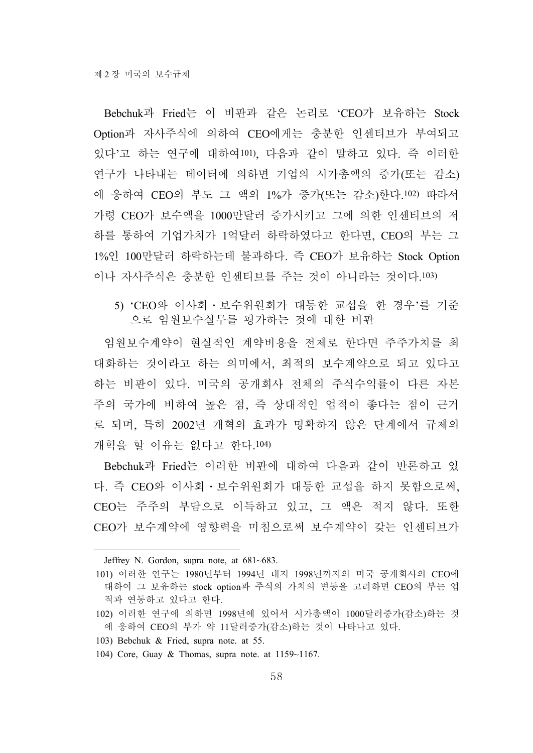Bebchuk과 Fried는 이 비판과 같은 논리로 'CEO가 보유하는 Stock Option과 자사주식에 의하여 CEO에게는 충분한 인센티브가 부여되고 있다'고 하는 연구에 대하여101), 다음과 같이 말하고 있다. 즉 이러한 연구가 나타내는 데이터에 의하면 기업의 시가총액의 증가(또는 감소) 에 응하여 CEO의 부도 그 액의 1%가 증가(또는 감소)한다.102) 따라서 가령 CEO가 보수액을 1000만달러 증가시키고 그에 의한 인센티브의 저 하를 통하여 기업가치가 1억달러 하락하였다고 한다면, CEO의 부는 그 1%인 100만달러 하락하는데 불과하다. 즉 CEO가 보유하는 Stock Option 이나 자사주식은 충분한 인센티브를 주는 것이 아니라는 것이다.103)

5) 'CEO와 이사회․보수위원회가 대등한 교섭을 한 경우'를 기준 으로 임원보수실무를 평가하는 것에 대한 비판

임원보수계약이 현실적인 계약비용을 전제로 한다면 주주가치를 최 대화하는 것이라고 하는 의미에서, 최적의 보수계약으로 되고 있다고 하는 비판이 있다. 미국의 공개회사 전체의 주식수익률이 다른 자본 주의 국가에 비하여 높은 점, 즉 상대적인 업적이 좋다는 점이 근거 로 되며, 특히 2002년 개혁의 효과가 명확하지 않은 단계에서 규제의 개혁을 할 이유는 없다고 한다.104)

Bebchuk과 Fried는 이러한 비판에 대하여 다음과 같이 반론하고 있 다. 즉 CEO와 이사회․보수위원회가 대등한 교섭을 하지 못함으로써, CEO는 주주의 부담으로 이득하고 있고, 그 액은 적지 않다. 또한 CEO가 보수계약에 영향력을 미침으로써 보수계약이 갖는 인센티브가

Jeffrey N. Gordon, supra note, at 681~683.

<sup>101)</sup> 이러한 연구는 1980년부터 1994년 내지 1998년까지의 미국 공개회사의 CEO에 대하여 그 보유하는 stock option과 주식의 가치의 변동을 고려하면 CEO의 부는 업 적과 연동하고 있다고 한다.

<sup>102)</sup> 이러한 연구에 의하면 1998년에 있어서 시가총액이 1000달러증가(감소)하는 것 에 응하여 CEO의 부가 약 11달러증가(감소)하는 것이 나타나고 있다.

<sup>103)</sup> Bebchuk & Fried, supra note. at 55.

<sup>104)</sup> Core, Guay & Thomas, supra note. at 1159~1167.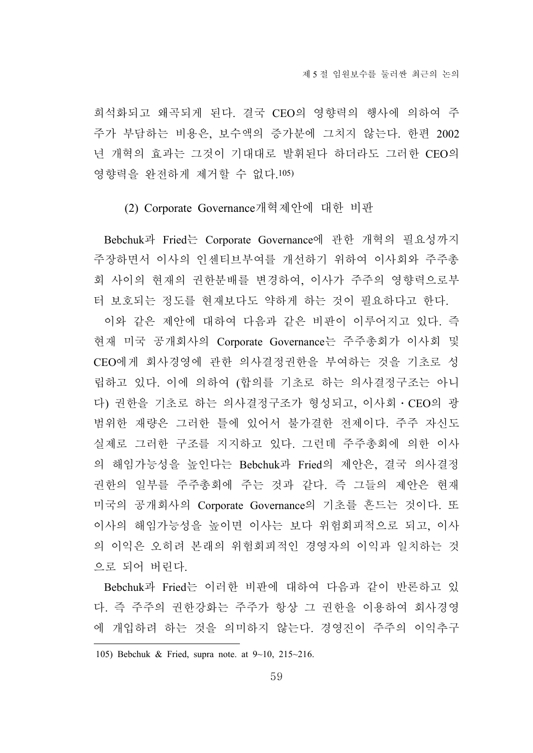희석화되고 왜곡되게 된다. 결국 CEO의 영향력의 행사에 의하여 주 주가 부담하는 비용은, 보수액의 증가분에 그치지 않는다. 한편 2002 년 개혁의 효과는 그것이 기대대로 발휘된다 하더라도 그러한 CEO의 영향력을 완전하게 제거할 수 없다.105)

### (2) Corporate Governance개혁제안에 대한 비판

Bebchuk과 Fried는 Corporate Governance에 관한 개혁의 필요성까지 주장하면서 이사의 인센티브부여를 개선하기 위하여 이사회와 주주총 회 사이의 현재의 권한분배를 변경하여, 이사가 주주의 영향력으로부 터 보호되는 정도를 현재보다도 약하게 하는 것이 필요하다고 한다.

이와 같은 제안에 대하여 다음과 같은 비판이 이루어지고 있다. 즉 현재 미국 공개회사의 Corporate Governance는 주주총회가 이사회 및 CEO에게 회사경영에 관한 의사결정권한을 부여하는 것을 기초로 성 립하고 있다. 이에 의하여 (합의를 기초로 하는 의사결정구조는 아니 다) 권한을 기초로 하는 의사결정구조가 형성되고, 이사회․CEO의 광 범위한 재량은 그러한 틀에 있어서 불가결한 전제이다. 주주 자신도 실제로 그러한 구조를 지지하고 있다. 그런데 주주총회에 의한 이사 의 해임가능성을 높인다는 Bebchuk과 Fried의 제안은, 결국 의사결정 권한의 일부를 주주총회에 주는 것과 같다. 즉 그들의 제안은 현재 미국의 공개회사의 Corporate Governance의 기초를 흔드는 것이다. 또 이사의 해임가능성을 높이면 이사는 보다 위험회피적으로 되고, 이사 의 이익은 오히려 본래의 위험회피적인 경영자의 이익과 일치하는 것 으로 되어 버린다.

Bebchuk과 Fried는 이러한 비판에 대하여 다음과 같이 반론하고 있 다. 즉 주주의 권한강화는 주주가 항상 그 권한을 이용하여 회사경영 에 개입하려 하는 것을 의미하지 않는다. 경영진이 주주의 이익추구

<sup>105)</sup> Bebchuk & Fried, supra note. at 9~10, 215~216.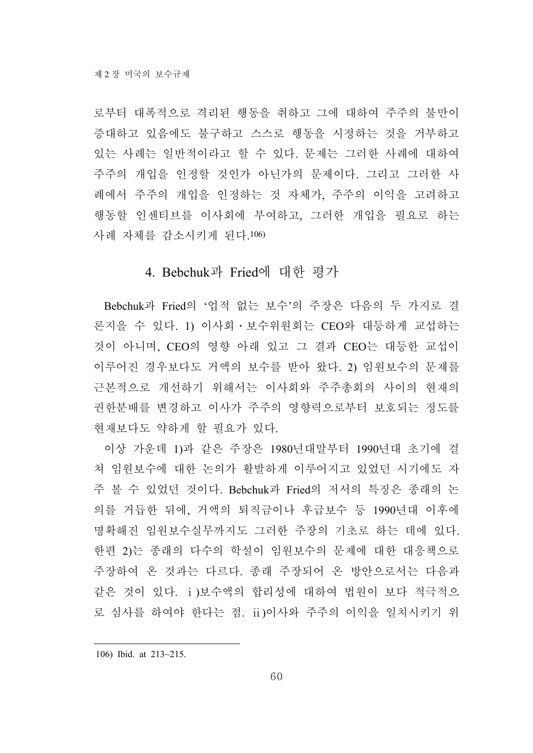로부터 대폭적으로 격리된 행동을 취하고 그에 대하여 주주의 불만이 증대하고 있음에도 불구하고 스스로 행동을 시정하는 것을 거부하고 있는 사례는 일반적이라고 할 수 있다. 문제는 그러한 사례에 대하여 주주의 개입을 인정할 것인가 아닌가의 문제이다. 그리고 그러한 사 례에서 주주의 개입을 인정하는 것 자체가, 주주의 이익을 고려하고 행동할 인센티브를 이사회에 부여하고, 그러한 개입을 필요로 하는 사례 자체를 감소시키게 된다.106)

## 4. Bebchuk과 Fried에 대한 평가

Bebchuk과 Fried의 '업적 없는 보수'의 주장은 다음의 두 가지로 결 론지을 수 있다. 1) 이사회․보수위원회는 CEO와 대등하게 교섭하는 것이 아니며, CEO의 영향 아래 있고 그 결과 CEO는 대등한 교섭이 이루어진 경우보다도 거액의 보수를 받아 왔다. 2) 임원보수의 문제를 근본적으로 개선하기 위해서는 이사회와 주주총회의 사이의 현재의 권한분배를 변경하고 이사가 주주의 영향력으로부터 보호되는 정도를 현재보다도 약하게 할 필요가 있다.

이상 가운데 1)과 같은 주장은 1980년대말부터 1990년대 초기에 걸 쳐 임원보수에 대한 논의가 활발하게 이루어지고 있었던 시기에도 자 주 볼 수 있었던 것이다. Bebchuk과 Fried의 저서의 특징은 종래의 논 의를 거듭한 뒤에, 거액의 퇴직금이나 후급보수 등 1990년대 이후에 명확해진 임원보수실무까지도 그러한 주장의 기초로 하는 데에 있다. 한편 2)는 종래의 다수의 학설이 임원보수의 문제에 대한 대응책으로 주장하여 온 것과는 다르다. 종래 주장되어 온 방안으로서는 다음과 같은 것이 있다. ⅰ)보수액의 합리성에 대하여 법원이 보다 적극적으 로 심사를 하여야 한다는 점. ⅱ)이사와 주주의 이익을 일치시키기 위

106) Ibid. at 213~215.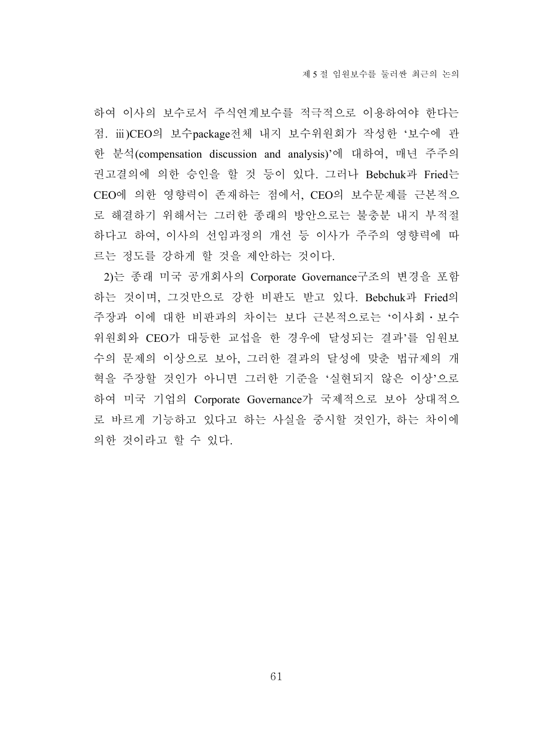하여 이사의 보수로서 주식연계보수를 적극적으로 이용하여야 한다는 점. ⅲ)CEO의 보수package전체 내지 보수위원회가 작성한 '보수에 관 한 분석(compensation discussion and analysis)'에 대하여, 매년 주주의 권고결의에 의한 승인을 할 것 등이 있다. 그러나 Bebchuk과 Fried는 CEO에 의한 영향력이 존재하는 점에서, CEO의 보수문제를 근본적으 로 해결하기 위해서는 그러한 종래의 방안으로는 불충분 내지 부적절 하다고 하여, 이사의 선임과정의 개선 등 이사가 주주의 영향력에 따 르는 정도를 강하게 할 것을 제안하는 것이다.

2)는 종래 미국 공개회사의 Corporate Governance구조의 변경을 포함 하는 것이며, 그것만으로 강한 비판도 받고 있다. Bebchuk과 Fried의 주장과 이에 대한 비판과의 차이는 보다 근본적으로는 '이사회․보수 위원회와 CEO가 대등한 교섭을 한 경우에 달성되는 결과'를 임원보 수의 문제의 이상으로 보아, 그러한 결과의 달성에 맞춘 법규제의 개 혁을 주장할 것인가 아니면 그러한 기준을 '실현되지 않은 이상'으로 하여 미국 기업의 Corporate Governance가 국제적으로 보아 상대적으 로 바르게 기능하고 있다고 하는 사실을 중시할 것인가, 하는 차이에 의한 것이라고 할 수 있다.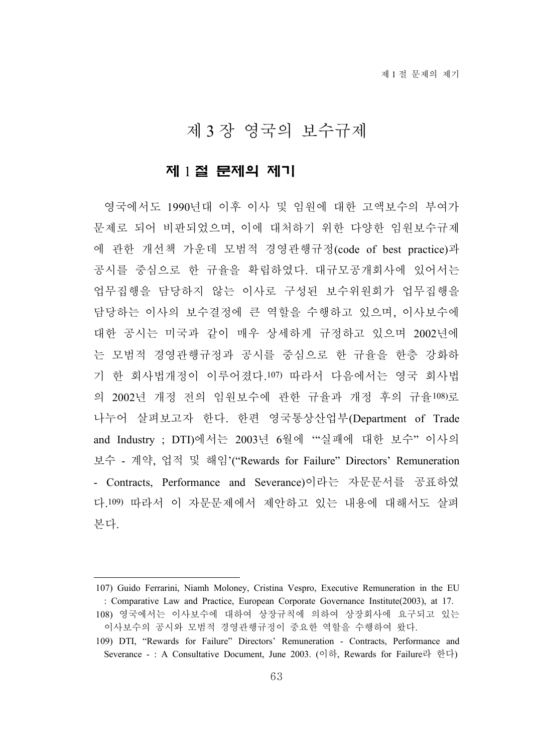# 제 3 장 영국의 보수규제

### 제 1 절 문제의 제기

영국에서도 1990년대 이후 이사 및 임원에 대한 고액보수의 부여가 문제로 되어 비판되었으며, 이에 대처하기 위한 다양한 임원보수규제 에 관한 개선책 가운데 모범적 경영관행규정(code of best practice)과 공시를 중심으로 한 규율을 확립하였다. 대규모공개회사에 있어서는 업무집행을 담당하지 않는 이사로 구성된 보수위원회가 업무집행을 담당하는 이사의 보수결정에 큰 역할을 수행하고 있으며, 이사보수에 대한 공시는 미국과 같이 매우 상세하게 규정하고 있으며 2002년에 는 모범적 경영관행규정과 공시를 중심으로 한 규율을 한층 강화하 기 한 회사법개정이 이루어졌다.107) 따라서 다음에서는 영국 회사법 의 2002년 개정 전의 임원보수에 관한 규율과 개정 후의 규율108)로 나누어 살펴보고자 한다. 한편 영국통상산업부(Department of Trade and Industry ; DTI)에서는 2003년 6월에 '"실패에 대한 보수" 이사의 보수 - 계약, 업적 및 해임'("Rewards for Failure" Directors' Remuneration - Contracts, Performance and Severance)이라는 자문문서를 공표하였 다.109) 따라서 이 자문문제에서 제안하고 있는 내용에 대해서도 살펴 본다.

<sup>107)</sup> Guido Ferrarini, Niamh Moloney, Cristina Vespro, Executive Remuneration in the EU : Comparative Law and Practice, European Corporate Governance Institute(2003), at 17.

<sup>108)</sup> 영국에서는 이사보수에 대하여 상장규칙에 의하여 상장회사에 요구되고 있는 이사보수의 공시와 모범적 경영관행규정이 중요한 역할을 수행하여 왔다.

<sup>109)</sup> DTI, "Rewards for Failure" Directors' Remuneration - Contracts, Performance and Severance - : A Consultative Document, June 2003. (이하, Rewards for Failure라 한다)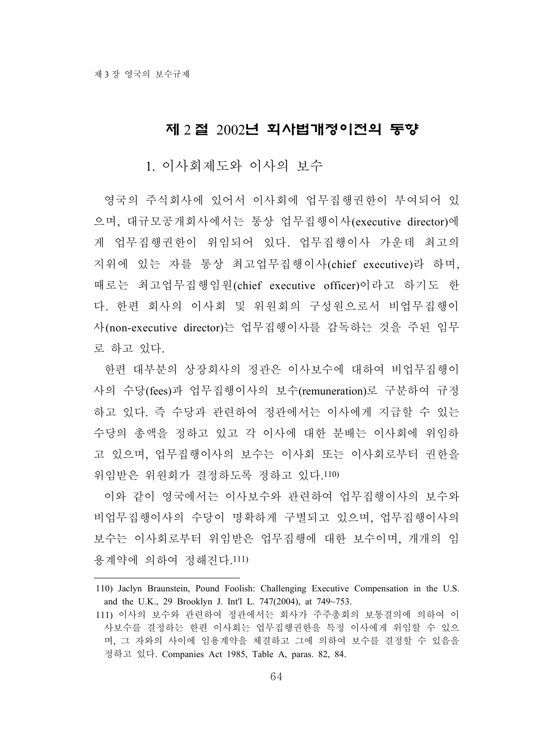## 제 2 절 2002년 회사법개정이전의 동향

1. 이사회제도와 이사의 보수

영국의 주식회사에 있어서 이사회에 업무집행권한이 부여되어 있 으며, 대규모공개회사에서는 통상 업무집행이사(executive director)에 게 업무집행권한이 위임되어 있다. 업무집행이사 가운데 최고의 지위에 있는 자를 통상 최고업무집행이사(chief executive)라 하며, 때로는 최고업무집행임원(chief executive officer)이라고 하기도 한 다. 한편 회사의 이사회 및 위원회의 구성원으로서 비업무집행이 사(non-executive director)는 업무집행이사를 감독하는 것을 주된 임무 로 하고 있다.

한편 대부분의 상장회사의 정관은 이사보수에 대하여 비업무집행이 사의 수당(fees)과 업무집행이사의 보수(remuneration)로 구분하여 규정 하고 있다. 즉 수당과 관련하여 정관에서는 이사에게 지급할 수 있는 수당의 총액을 정하고 있고 각 이사에 대한 분배는 이사회에 위임하 고 있으며, 업무집행이사의 보수는 이사회 또는 이사회로부터 권한을 위임받은 위원회가 결정하도록 정하고 있다.110)

이와 같이 영국에서는 이사보수와 관련하여 업무집행이사의 보수와 비업무집행이사의 수당이 명확하게 구별되고 있으며, 업무집행이사의 보수는 이사회로부터 위임받은 업무집행에 대한 보수이며, 개개의 임 용계약에 의하여 정해진다.111)

<sup>110)</sup> Jaclyn Braunstein, Pound Foolish: Challenging Executive Compensation in the U.S. and the U.K., 29 Brooklyn J. Int'l L. 747(2004), at 749~753.

<sup>111)</sup> 이사의 보수와 관련하여 정관에서는 회사가 주주총회의 보통결의에 의하여 이 사보수를 결정하는 한편 이사회는 업무집행권한을 특정 이사에게 위임할 수 있으 며, 그 자와의 사이에 임용계약을 체결하고 그에 의하여 보수를 결정할 수 있음을 정하고 있다. Companies Act 1985, Table A, paras. 82, 84.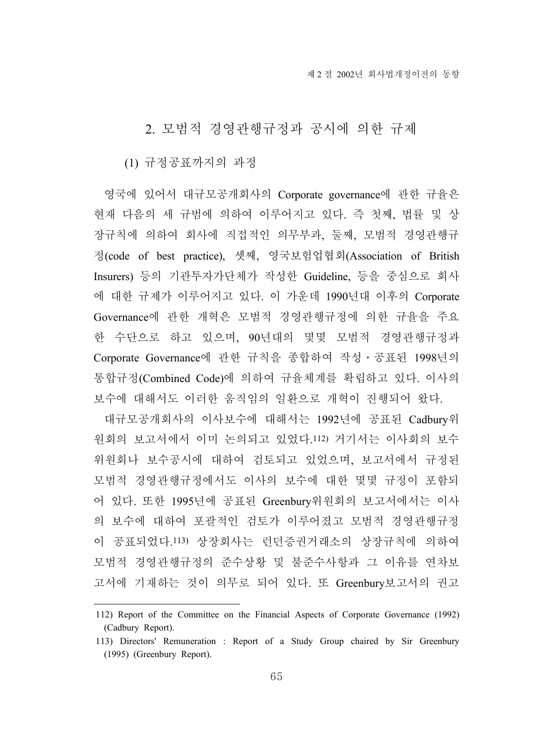# 2. 모범적 경영관행규정과 공시에 의한 규제

(1) 규정공표까지의 과정

영국에 있어서 대규모공개회사의 Corporate governance에 관한 규율은 현재 다음의 세 규범에 의하여 이루어지고 있다. 즉 첫째, 법률 및 상 장규칙에 의하여 회사에 직접적인 의무부과, 둘째, 모범적 경영관행규 정(code of best practice), 셋째, 영국보험업협회(Association of British Insurers) 등의 기관투자가단체가 작성한 Guideline, 등을 중심으로 회사 에 대한 규제가 이루어지고 있다. 이 가운데 1990년대 이후의 Corporate Governance에 관한 개혁은 모범적 경영관행규정에 의한 규율을 주요 한 수단으로 하고 있으며, 90년대의 몇몇 모범적 경영관행규정과 Corporate Governance에 관한 규칙을 종합하여 작성․공표된 1998년의 통합규정(Combined Code)에 의하여 규율체계를 확립하고 있다. 이사의 보수에 대해서도 이러한 움직임의 일환으로 개혁이 진행되어 왔다.

대규모공개회사의 이사보수에 대해서는 1992년에 공표된 Cadbury위 원회의 보고서에서 이미 논의되고 있었다.112) 거기서는 이사회의 보수 위원회나 보수공시에 대하여 검토되고 있었으며, 보고서에서 규정된 모범적 경영관행규정에서도 이사의 보수에 대한 몇몇 규정이 포함되 어 있다. 또한 1995년에 공표된 Greenbury위원회의 보고서에서는 이사 의 보수에 대하여 포괄적인 검토가 이루어졌고 모범적 경영관행규정 이 공표되었다.113) 상장회사는 런던증권거래소의 상장규칙에 의하여 모범적 경영관행규정의 준수상황 및 불준수사항과 그 이유를 연차보 고서에 기재하는 것이 의무로 되어 있다. 또 Greenbury보고서의 권고

<sup>112)</sup> Report of the Committee on the Financial Aspects of Corporate Governance (1992) (Cadbury Report).

<sup>113)</sup> Directors' Remuneration : Report of a Study Group chaired by Sir Greenbury (1995) (Greenbury Report).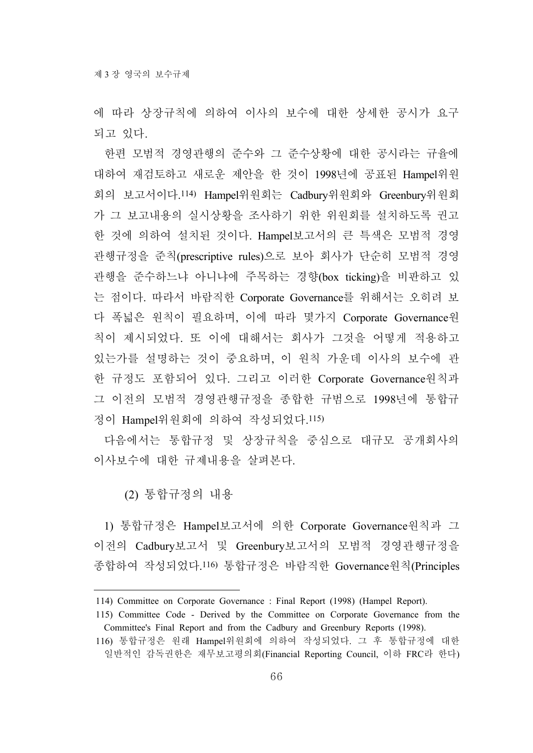에 따라 상장규칙에 의하여 이사의 보수에 대한 상세한 공시가 요구 되고 있다.

한편 모범적 경영관행의 준수와 그 준수상황에 대한 공시라는 규율에 대하여 재검토하고 새로운 제안을 한 것이 1998년에 공표된 Hampel위원 회의 보고서이다.114) Hampel위원회는 Cadbury위원회와 Greenbury위원회 가 그 보고내용의 실시상황을 조사하기 위한 위원회를 설치하도록 권고 한 것에 의하여 설치된 것이다. Hampel보고서의 큰 특색은 모범적 경영 관행규정을 준칙(prescriptive rules)으로 보아 회사가 단순히 모범적 경영 관행을 준수하느냐 아니냐에 주목하는 경향(box ticking)을 비판하고 있 는 점이다. 따라서 바람직한 Corporate Governance를 위해서는 오히려 보 다 폭넓은 원칙이 필요하며, 이에 따라 몇가지 Corporate Governance원 칙이 제시되었다. 또 이에 대해서는 회사가 그것을 어떻게 적용하고 있는가를 설명하는 것이 중요하며, 이 원칙 가운데 이사의 보수에 관 한 규정도 포함되어 있다. 그리고 이러한 Corporate Governance원칙과 그 이전의 모범적 경영관행규정을 종합한 규범으로 1998년에 통합규 정이 Hampel위원회에 의하여 작성되었다.115)

다음에서는 통합규정 및 상장규칙을 중심으로 대규모 공개회사의 이사보수에 대한 규제내용을 살펴본다.

(2) 통합규정의 내용

1) 통합규정은 Hampel보고서에 의한 Corporate Governance원칙과 그 이전의 Cadbury보고서 및 Greenbury보고서의 모범적 경영관행규정을 종합하여 작성되었다.116) 통합규정은 바람직한 Governance원칙(Principles

<sup>114)</sup> Committee on Corporate Governance : Final Report (1998) (Hampel Report).

<sup>115)</sup> Committee Code - Derived by the Committee on Corporate Governance from the Committee's Final Report and from the Cadbury and Greenbury Reports (1998).

<sup>116)</sup> 통합규정은 원래 Hampel위원회에 의하여 작성되었다. 그 후 통합규정에 대한 일반적인 감독권한은 재무보고평의회(Financial Reporting Council, 이하 FRC라 한다)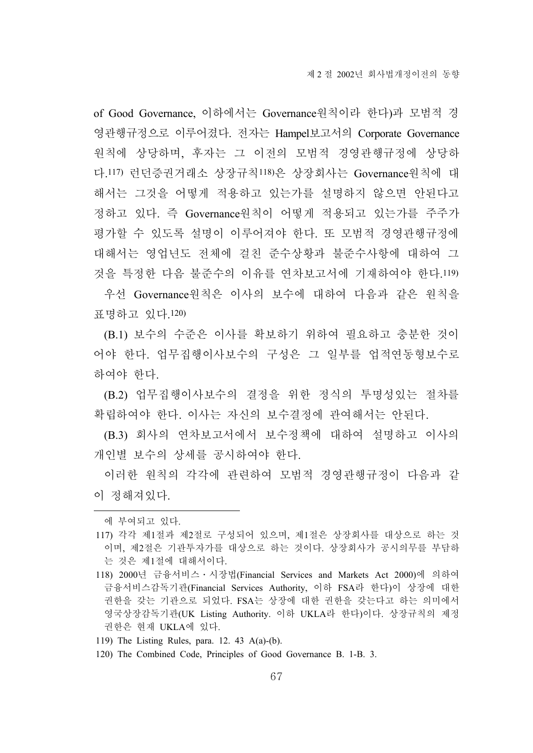of Good Governance, 이하에서는 Governance원칙이라 한다)과 모범적 경 영관행규정으로 이루어졌다. 전자는 Hampel보고서의 Corporate Governance 원칙에 상당하며, 후자는 그 이전의 모범적 경영관행규정에 상당하 다.117) 런던증권거래소 상장규칙118)은 상장회사는 Governance원칙에 대 해서는 그것을 어떻게 적용하고 있는가를 설명하지 않으면 안된다고 정하고 있다. 즉 Governance원칙이 어떻게 적용되고 있는가를 주주가 평가할 수 있도록 설명이 이루어져야 한다. 또 모범적 경영관행규정에 대해서는 영업년도 전체에 걸친 준수상황과 불준수사항에 대하여 그 것을 특정한 다음 불준수의 이유를 연차보고서에 기재하여야 한다.119)

우선 Governance원칙은 이사의 보수에 대하여 다음과 같은 원칙을 표명하고 있다.120)

(B.1) 보수의 수준은 이사를 확보하기 위하여 필요하고 충분한 것이 어야 한다. 업무집행이사보수의 구성은 그 일부를 업적연동형보수로 하여야 한다.

(B.2) 업무집행이사보수의 결정을 위한 정식의 투명성있는 절차를 확립하여야 한다. 이사는 자신의 보수결정에 관여해서는 안된다.

(B.3) 회사의 연차보고서에서 보수정책에 대하여 설명하고 이사의 개인별 보수의 상세를 공시하여야 한다.

이러한 원칙의 각각에 관련하여 모범적 경영관행규정이 다음과 같 이 정해져있다.

에 부여되고 있다.

<sup>117)</sup> 각각 제1절과 제2절로 구성되어 있으며, 제1절은 상장회사를 대상으로 하는 것 이며, 제2절은 기관투자가를 대상으로 하는 것이다. 상장회사가 공시의무를 부담하 는 것은 제1절에 대해서이다.

<sup>118) 2000</sup>년 금융서비스․시장법(Financial Services and Markets Act 2000)에 의하여 금융서비스감독기관(Financial Services Authority, 이하 FSA라 한다)이 상장에 대한 권한을 갖는 기관으로 되었다. FSA는 상장에 대한 권한을 갖는다고 하는 의미에서 영국상장감독기관(UK Listing Authority. 이하 UKLA라 한다)이다. 상장규칙의 제정 권한은 현재 UKLA에 있다.

<sup>119)</sup> The Listing Rules, para. 12. 43 A(a)-(b).

<sup>120)</sup> The Combined Code, Principles of Good Governance B. 1-B. 3.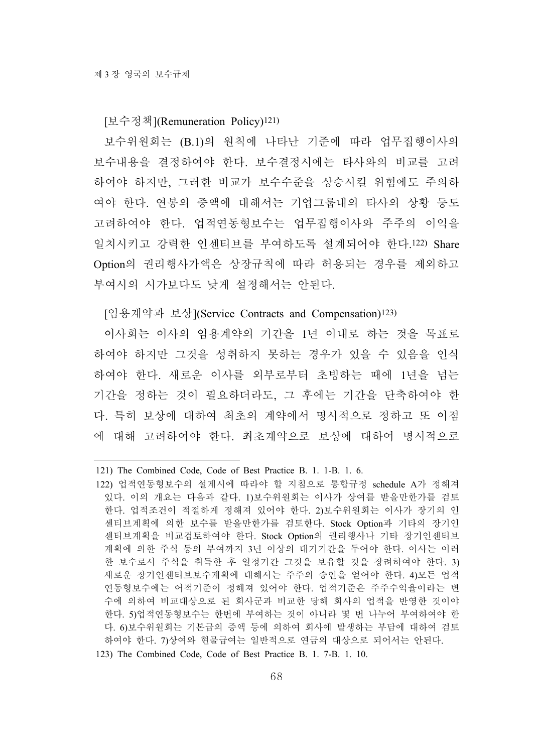#### [보수정책](Remuneration Policy)121)

보수위원회는 (B.1)의 원칙에 나타난 기준에 따라 업무집행이사의 보수내용을 결정하여야 한다. 보수결정시에는 타사와의 비교를 고려 하여야 하지만, 그러한 비교가 보수수준을 상승시킬 위험에도 주의하 여야 한다. 연봉의 증액에 대해서는 기업그룹내의 타사의 상황 등도 고려하여야 한다. 업적연동형보수는 업무집행이사와 주주의 이익을 일치시키고 강력한 인센티브를 부여하도록 설계되어야 한다.122) Share Option의 권리행사가액은 상장규칙에 따라 허용되는 경우를 제외하고 부여시의 시가보다도 낮게 설정해서는 안된다.

[임용계약과 보상](Service Contracts and Compensation)123)

이사회는 이사의 임용계약의 기간을 1년 이내로 하는 것을 목표로 하여야 하지만 그것을 성취하지 못하는 경우가 있을 수 있음을 인식 하여야 한다. 새로운 이사를 외부로부터 초빙하는 때에 1년을 넘는 기간을 정하는 것이 필요하더라도, 그 후에는 기간을 단축하여야 한 다. 특히 보상에 대하여 최초의 계약에서 명시적으로 정하고 또 이점 에 대해 고려하여야 한다. 최초계약으로 보상에 대하여 명시적으로

<sup>121)</sup> The Combined Code, Code of Best Practice B. 1. 1-B. 1. 6.

<sup>122)</sup> 업적연동형보수의 설계시에 따라야 할 지침으로 통합규정 schedule A가 정해져 있다. 이의 개요는 다음과 같다. 1)보수위원회는 이사가 상여를 받을만한가를 검토 한다. 업적조건이 적절하게 정해져 있어야 한다. 2)보수위원회는 이사가 장기의 인 센티브계획에 의한 보수를 받을만한가를 검토한다. Stock Option과 기타의 장기인 센티브계획을 비교검토하여야 한다. Stock Option의 권리행사나 기타 장기인센티브 계획에 의한 주식 등의 부여까지 3년 이상의 대기기간을 두어야 한다. 이사는 이러 한 보수로서 주식을 취득한 후 일정기간 그것을 보유할 것을 장려하여야 한다. 3) 새로운 장기인센티브보수계획에 대해서는 주주의 승인을 얻어야 한다. 4)모든 업적 연동형보수에는 어적기준이 정해져 있어야 한다. 업적기준은 주주수익율이라는 변 수에 의하여 비교대상으로 된 회사군과 비교한 당해 회사의 업적을 반영한 것이야 한다. 5)업적연동형보수는 한번에 부여하는 것이 아니라 몇 번 나누어 부여하여야 한 다. 6)보수위원회는 기본급의 증액 등에 의하여 회사에 발생하는 부담에 대하여 검토 하여야 한다. 7)상여와 현물급여는 일반적으로 연금의 대상으로 되어서는 안된다.

<sup>123)</sup> The Combined Code, Code of Best Practice B. 1. 7-B. 1. 10.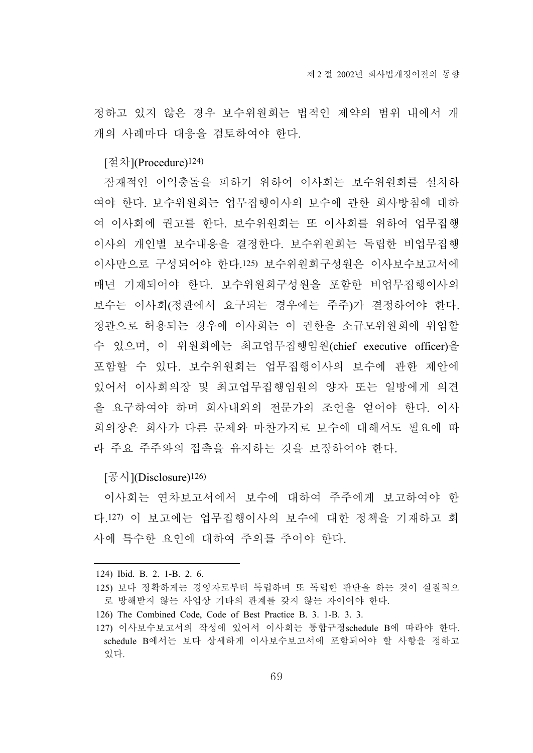정하고 있지 않은 경우 보수위원회는 법적인 제약의 범위 내에서 개 개의 사례마다 대응을 검토하여야 한다.

[절차](Procedure)124)

잠재적인 이익충돌을 피하기 위하여 이사회는 보수위원회를 설치하 여야 한다. 보수위원회는 업무집행이사의 보수에 관한 회사방침에 대하 여 이사회에 권고를 한다. 보수위원회는 또 이사회를 위하여 업무집행 이사의 개인별 보수내용을 결정한다. 보수위원회는 독립한 비업무집행 이사만으로 구성되어야 한다.125) 보수위원회구성원은 이사보수보고서에 매년 기재되어야 한다. 보수위원회구성원을 포함한 비업무집행이사의 보수는 이사회(정관에서 요구되는 경우에는 주주)가 결정하여야 한다. 정관으로 허용되는 경우에 이사회는 이 권한을 소규모위원회에 위임할 수 있으며, 이 위원회에는 최고업무집행임원(chief executive officer)을 포함할 수 있다. 보수위원회는 업무집행이사의 보수에 관한 제안에 있어서 이사회의장 및 최고업무집행임원의 양자 또는 일방에게 의견 을 요구하여야 하며 회사내외의 전문가의 조언을 얻어야 한다. 이사 회의장은 회사가 다른 문제와 마찬가지로 보수에 대해서도 필요에 따 라 주요 주주와의 접촉을 유지하는 것을 보장하여야 한다.

[공시](Disclosure)<sup>126)</sup>

이사회는 연차보고서에서 보수에 대하여 주주에게 보고하여야 한 다.127) 이 보고에는 업무집행이사의 보수에 대한 정책을 기재하고 회 사에 특수한 요인에 대하여 주의를 주어야 한다.

<sup>124)</sup> Ibid. B. 2. 1-B. 2. 6.

<sup>125)</sup> 보다 정확하게는 경영자로부터 독립하며 또 독립한 판단을 하는 것이 실질적으 로 방해받지 않는 사업상 기타의 관계를 갖지 않는 자이어야 한다.

<sup>126)</sup> The Combined Code, Code of Best Practice B. 3. 1-B. 3. 3.

<sup>127)</sup> 이사보수보고서의 작성에 있어서 이사회는 통합규정schedule B에 따라야 한다. schedule B에서는 보다 상세하게 이사보수보고서에 포함되어야 할 사항을 정하고 있다.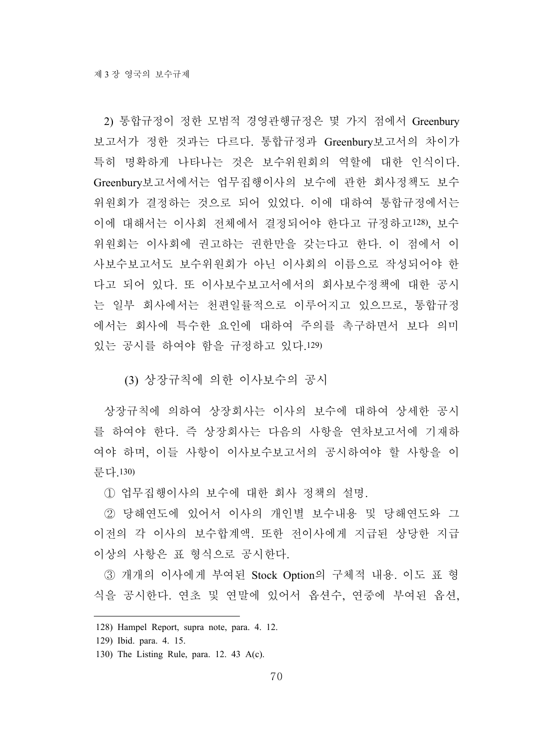2) 통합규정이 정한 모범적 경영관행규정은 몇 가지 점에서 Greenbury 보고서가 정한 것과는 다르다. 통합규정과 Greenbury보고서의 차이가 특히 명확하게 나타나는 것은 보수위원회의 역할에 대한 인식이다. Greenbury보고서에서는 업무집행이사의 보수에 관한 회사정책도 보수 위원회가 결정하는 것으로 되어 있었다. 이에 대하여 통합규정에서는 이에 대해서는 이사회 전체에서 결정되어야 한다고 규정하고128), 보수 위원회는 이사회에 권고하는 권한만을 갖는다고 한다. 이 점에서 이 사보수보고서도 보수위원회가 아닌 이사회의 이름으로 작성되어야 한 다고 되어 있다. 또 이사보수보고서에서의 회사보수정책에 대한 공시 는 일부 회사에서는 천편일률적으로 이루어지고 있으므로, 통합규정 에서는 회사에 특수한 요인에 대하여 주의를 촉구하면서 보다 의미 있는 공시를 하여야 함을 규정하고 있다.129)

(3) 상장규칙에 의한 이사보수의 공시

상장규칙에 의하여 상장회사는 이사의 보수에 대하여 상세한 공시 를 하여야 한다. 즉 상장회사는 다음의 사항을 연차보고서에 기재하 여야 하며, 이들 사항이 이사보수보고서의 공시하여야 할 사항을 이 룬다.130)

① 업무집행이사의 보수에 대한 회사 정책의 설명.

② 당해연도에 있어서 이사의 개인별 보수내용 및 당해연도와 그 이전의 각 이사의 보수합계액. 또한 전이사에게 지급된 상당한 지급 이상의 사항은 표 형식으로 공시한다.

③ 개개의 이사에게 부여된 Stock Option의 구체적 내용. 이도 표 형 식을 공시한다. 연초 및 연말에 있어서 옵션수, 연중에 부여된 옵션,

<sup>128)</sup> Hampel Report, supra note, para. 4. 12.

<sup>129)</sup> Ibid. para. 4. 15.

<sup>130)</sup> The Listing Rule, para. 12. 43 A(c).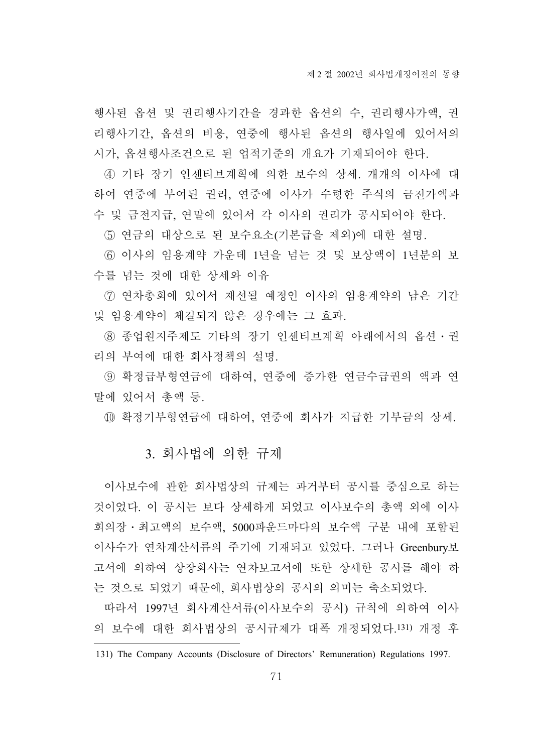행사된 옵션 및 권리행사기간을 경과한 옵션의 수, 권리행사가액, 권 리행사기간, 옵션의 비용, 연중에 행사된 옵션의 행사일에 있어서의

시가, 옵션행사조건으로 된 업적기준의 개요가 기재되어야 한다. ④ 기타 장기 인센티브계획에 의한 보수의 상세. 개개의 이사에 대 하여 연중에 부여된 권리, 연중에 이사가 수령한 주식의 금전가액과 수 및 금전지급, 연말에 있어서 각 이사의 권리가 공시되어야 한다.

⑤ 연금의 대상으로 된 보수요소(기본급을 제외)에 대한 설명.

⑥ 이사의 임용계약 가운데 1년을 넘는 것 및 보상액이 1년분의 보 수를 넘는 것에 대한 상세와 이유

⑦ 연차총회에 있어서 재선될 예정인 이사의 임용계약의 남은 기간 및 임용계약이 체결되지 않은 경우에는 그 효과.

8 종업원지주제도 기타의 장기 인센티브계획 아래에서의 옵션 · 권 리의 부여에 대한 회사정책의 설명.

⑨ 확정급부형연금에 대하여, 연중에 증가한 연금수급권의 액과 연 말에 있어서 총액 등.

⑩ 확정기부형연금에 대하여, 연중에 회사가 지급한 기부금의 상세.

# 3. 회사법에 의한 규제

이사보수에 관한 회사법상의 규제는 과거부터 공시를 중심으로 하는 것이었다. 이 공시는 보다 상세하게 되었고 이사보수의 총액 외에 이사 회의장․최고액의 보수액, 5000파운드마다의 보수액 구분 내에 포함된 이사수가 연차계산서류의 주기에 기재되고 있었다. 그러나 Greenbury보 고서에 의하여 상장회사는 연차보고서에 또한 상세한 공시를 해야 하 는 것으로 되었기 때문에, 회사법상의 공시의 의미는 축소되었다.

따라서 1997년 회사계산서류(이사보수의 공시) 규칙에 의하여 이사 의 보수에 대한 회사법상의 공시규제가 대폭 개정되었다.131) 개정 후

<sup>131)</sup> The Company Accounts (Disclosure of Directors' Remuneration) Regulations 1997.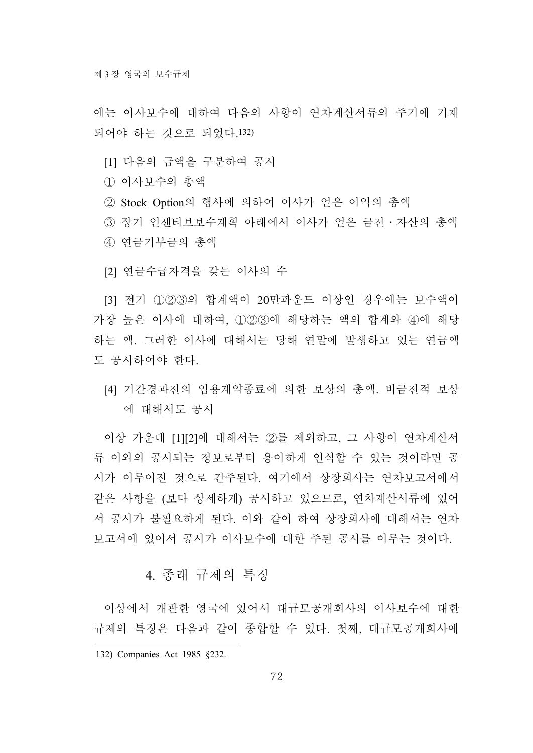에는 이사보수에 대하여 다음의 사항이 연차계산서류의 주기에 기재 되어야 하는 것으로 되었다.132)

- [1] 다음의 금액을 구분하여 공시
- ① 이사보수의 총액
- ② Stock Option의 행사에 의하여 이사가 얻은 이익의 총액

③ 장기 인센티브보수계획 아래에서 이사가 얻은 금전․자산의 총액 ④ 연금기부금의 총액

[2] 연금수급자격을 갖는 이사의 수

[3] 전기 ①②③의 합계액이 20만파운드 이상인 경우에는 보수액이 가장 높은 이사에 대하여, ①②③에 해당하는 액의 합계와 ④에 해당 하는 액. 그러한 이사에 대해서는 당해 연말에 발생하고 있는 연금액 도 공시하여야 한다.

[4] 기간경과전의 임용계약종료에 의한 보상의 총액. 비금전적 보상 에 대해서도 공시

이상 가운데 [1][2]에 대해서는 ②를 제외하고, 그 사항이 연차계산서 류 이외의 공시되는 정보로부터 용이하게 인식할 수 있는 것이라면 공 시가 이루어진 것으로 간주된다. 여기에서 상장회사는 연차보고서에서 같은 사항을 (보다 상세하게) 공시하고 있으므로, 연차계산서류에 있어 서 공시가 불필요하게 된다. 이와 같이 하여 상장회사에 대해서는 연차 보고서에 있어서 공시가 이사보수에 대한 주된 공시를 이루는 것이다.

## 4. 종래 규제의 특징

이상에서 개관한 영국에 있어서 대규모공개회사의 이사보수에 대한 규제의 특징은 다음과 같이 종합할 수 있다. 첫째, 대규모공개회사에

<sup>132)</sup> Companies Act 1985 §232.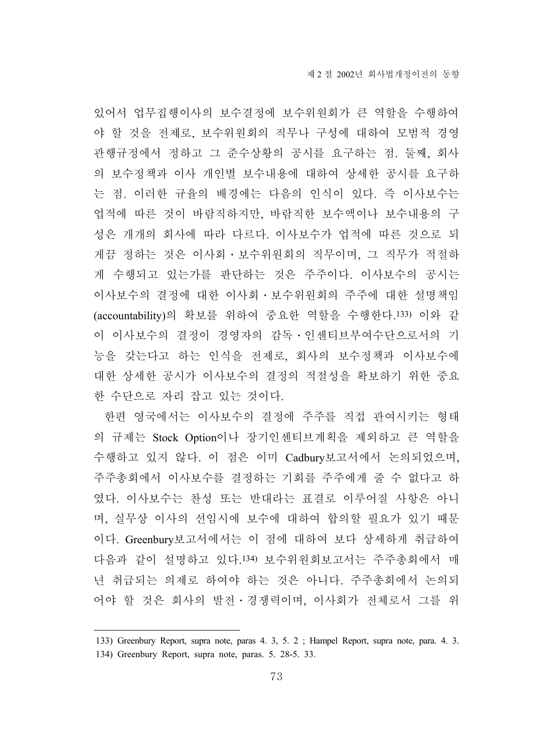있어서 업무집행이사의 보수결정에 보수위원회가 큰 역할을 수행하여 야 할 것을 전제로, 보수위원회의 직무나 구성에 대하여 모범적 경영 관행규정에서 정하고 그 준수상황의 공시를 요구하는 점. 둘째, 회사 의 보수정책과 이사 개인별 보수내용에 대하여 상세한 공시를 요구하 는 점. 이러한 규율의 배경에는 다음의 인식이 있다. 즉 이사보수는 업적에 따른 것이 바람직하지만, 바람직한 보수액이나 보수내용의 구 성은 개개의 회사에 따라 다르다. 이사보수가 업적에 따른 것으로 되 게끔 정하는 것은 이사회․보수위원회의 직무이며, 그 직무가 적절하 게 수행되고 있는가를 판단하는 것은 주주이다. 이사보수의 공시는 이사보수의 결정에 대한 이사회․보수위원회의 주주에 대한 설명책임 (accountability)의 확보를 위하여 중요한 역할을 수행한다.133) 이와 같 이 이사보수의 결정이 경영자의 감독․인센티브부여수단으로서의 기 능을 갖는다고 하는 인식을 전제로, 회사의 보수정책과 이사보수에 대한 상세한 공시가 이사보수의 결정의 적절성을 확보하기 위한 중요 한 수단으로 자리 잡고 있는 것이다.

한편 영국에서는 이사보수의 결정에 주주를 직접 관여시키는 형태 의 규제는 Stock Option이나 장기인센티브계획을 제외하고 큰 역할을 수행하고 있지 않다. 이 점은 이미 Cadbury보고서에서 논의되었으며, 주주총회에서 이사보수를 결정하는 기회를 주주에게 줄 수 없다고 하 였다. 이사보수는 찬성 또는 반대라는 표결로 이루어질 사항은 아니 며, 실무상 이사의 선임시에 보수에 대하여 합의할 필요가 있기 때문 이다. Greenbury보고서에서는 이 점에 대하여 보다 상세하게 취급하여 다음과 같이 설명하고 있다.134) 보수위원회보고서는 주주총회에서 매 년 취급되는 의제로 하여야 하는 것은 아니다. 주주총회에서 논의되 어야 할 것은 회사의 발전․경쟁력이며, 이사회가 전체로서 그를 위

<sup>133)</sup> Greenbury Report, supra note, paras 4. 3, 5. 2 ; Hampel Report, supra note, para. 4. 3.

<sup>134)</sup> Greenbury Report, supra note, paras. 5. 28-5. 33.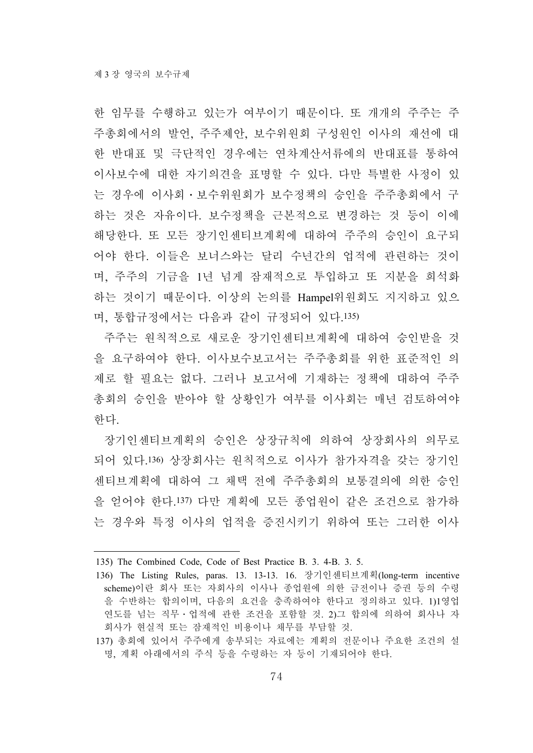한 임무를 수행하고 있는가 여부이기 때문이다. 또 개개의 주주는 주 주총회에서의 발언, 주주제안, 보수위원회 구성원인 이사의 재선에 대 한 반대표 및 극단적인 경우에는 연차계산서류에의 반대표를 통하여 이사보수에 대한 자기의견을 표명할 수 있다. 다만 특별한 사정이 있 는 경우에 이사회․보수위원회가 보수정책의 승인을 주주총회에서 구 하는 것은 자유이다. 보수정책을 근본적으로 변경하는 것 등이 이에 해당한다. 또 모든 장기인센티브계획에 대하여 주주의 승인이 요구되 어야 한다. 이들은 보너스와는 달리 수년간의 업적에 관련하는 것이 며, 주주의 기금을 1년 넘게 잠재적으로 투입하고 또 지분을 희석화 하는 것이기 때문이다. 이상의 논의를 Hampel위원회도 지지하고 있으 며, 통합규정에서는 다음과 같이 규정되어 있다.135)

주주는 원칙적으로 새로운 장기인센티브계획에 대하여 승인받을 것 을 요구하여야 한다. 이사보수보고서는 주주총회를 위한 표준적인 의 제로 할 필요는 없다. 그러나 보고서에 기재하는 정책에 대하여 주주 총회의 승인을 받아야 할 상황인가 여부를 이사회는 매년 검토하여야 한다.

장기인센티브계획의 승인은 상장규칙에 의하여 상장회사의 의무로 되어 있다.136) 상장회사는 원칙적으로 이사가 참가자격을 갖는 장기인 센티브계획에 대하여 그 채택 전에 주주총회의 보통결의에 의한 승인 을 얻어야 한다.137) 다만 계획에 모든 종업원이 같은 조건으로 참가하 는 경우와 특정 이사의 업적을 증진시키기 위하여 또는 그러한 이사

<sup>135)</sup> The Combined Code, Code of Best Practice B. 3. 4-B. 3. 5.

<sup>136)</sup> The Listing Rules, paras. 13. 13-13. 16. 장기인센티브계획(long-term incentive scheme)이란 회사 또는 자회사의 이사나 종업원에 의한 금전이나 증권 등의 수령 을 수반하는 합의이며, 다음의 요건을 충족하여야 한다고 정의하고 있다. 1)1영업 연도를 넘는 직무․업적에 관한 조건을 포함할 것. 2)그 합의에 의하여 회사나 자 회사가 현실적 또는 잠재적인 비용이나 채무를 부담할 것.

<sup>137)</sup> 총회에 있어서 주주에게 송부되는 자료에는 계획의 전문이나 주요한 조건의 설 명, 계획 아래에서의 주식 등을 수령하는 자 등이 기재되어야 한다.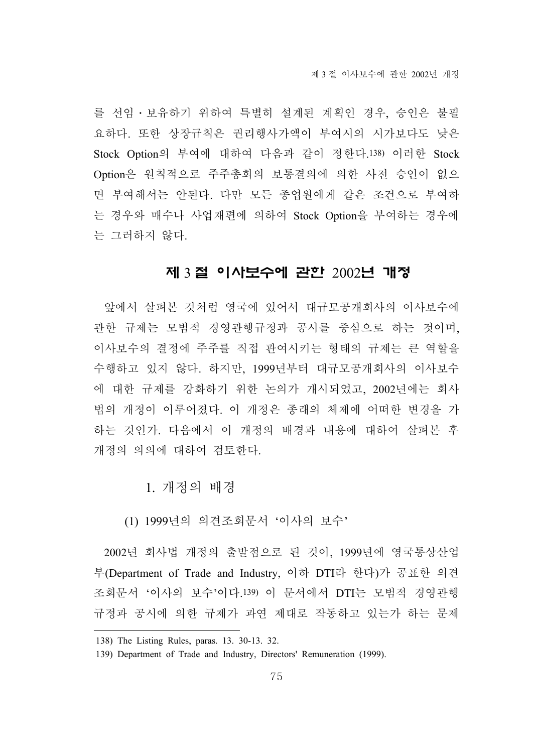를 선임․보유하기 위하여 특별히 설계된 계획인 경우, 승인은 불필 요하다. 또한 상장규칙은 권리행사가액이 부여시의 시가보다도 낮은 Stock Option의 부여에 대하여 다음과 같이 정한다.138) 이러한 Stock Option은 원칙적으로 주주총회의 보통결의에 의한 사전 승인이 없으 면 부여해서는 안된다. 다만 모든 종업원에게 같은 조건으로 부여하 는 경우와 매수나 사업재편에 의하여 Stock Option을 부여하는 경우에 는 그러하지 않다.

# 제 3 절 이사보수에 관한 2002년 개정

앞에서 살펴본 것처럼 영국에 있어서 대규모공개회사의 이사보수에 관한 규제는 모범적 경영관행규정과 공시를 중심으로 하는 것이며, 이사보수의 결정에 주주를 직접 관여시키는 형태의 규제는 큰 역할을 수행하고 있지 않다. 하지만, 1999년부터 대규모공개회사의 이사보수 에 대한 규제를 강화하기 위한 논의가 개시되었고, 2002년에는 회사 법의 개정이 이루어졌다. 이 개정은 종래의 체제에 어떠한 변경을 가 하는 것인가. 다음에서 이 개정의 배경과 내용에 대하여 살펴본 후 개정의 의의에 대하여 검토한다.

1. 개정의 배경

(1) 1999년의 의견조회문서 '이사의 보수'

2002년 회사법 개정의 출발점으로 된 것이, 1999년에 영국통상산업 부(Department of Trade and Industry, 이하 DTI라 한다)가 공표한 의견 조회문서 '이사의 보수'이다.139) 이 문서에서 DTI는 모범적 경영관행 규정과 공시에 의한 규제가 과연 제대로 작동하고 있는가 하는 문제

<sup>138)</sup> The Listing Rules, paras. 13. 30-13. 32.

<sup>139)</sup> Department of Trade and Industry, Directors' Remuneration (1999).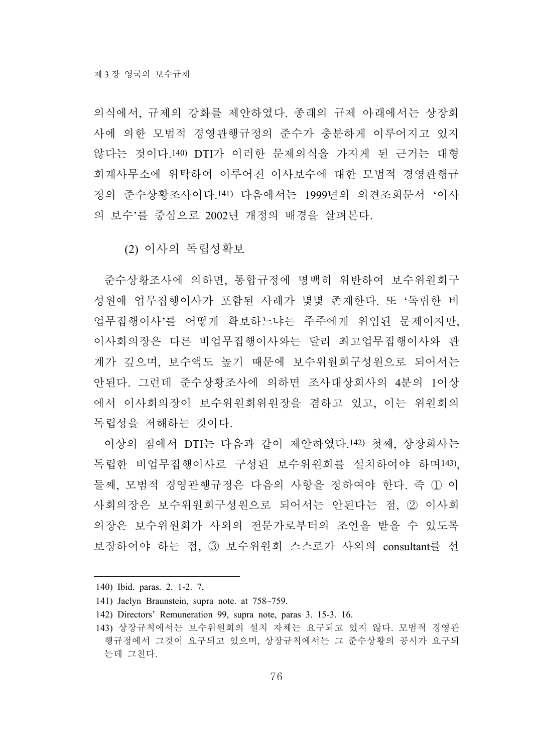의식에서, 규제의 강화를 제안하였다. 종래의 규제 아래에서는 상장회 사에 의한 모범적 경영관행규정의 준수가 충분하게 이루어지고 있지 않다는 것이다.140) DTI가 이러한 문제의식을 가지게 된 근거는 대형 회계사무소에 위탁하여 이루어진 이사보수에 대한 모범적 경영관행규 정의 준수상황조사이다.141) 다음에서는 1999년의 의견조회문서 '이사 의 보수'를 중심으로 2002년 개정의 배경을 살펴본다.

(2) 이사의 독립성확보

준수상황조사에 의하면, 통합규정에 명백히 위반하여 보수위원회구 성원에 업무집행이사가 포함된 사례가 몇몇 존재한다. 또 '독립한 비 업무집행이사'를 어떻게 확보하느냐는 주주에게 위임된 문제이지만, 이사회의장은 다른 비업무집행이사와는 달리 최고업무집행이사와 관 계가 깊으며, 보수액도 높기 때문에 보수위원회구성원으로 되어서는 안된다. 그런데 준수상황조사에 의하면 조사대상회사의 4분의 1이상 에서 이사회의장이 보수위원회위원장을 겸하고 있고, 이는 위원회의 독립성을 저해하는 것이다.

이상의 점에서 DTI는 다음과 같이 제안하였다.142) 첫째, 상장회사는 독립한 비업무집행이사로 구성된 보수위원회를 설치하여야 하며143), 둘째, 모범적 경영관행규정은 다음의 사항을 정하여야 한다. 즉 ① 이 사회의장은 보수위원회구성원으로 되어서는 안된다는 점, ② 이사회 의장은 보수위원회가 사외의 전문가로부터의 조언을 받을 수 있도록 보장하여야 하는 점, ③ 보수위원회 스스로가 사외의 consultant를 선

<sup>140)</sup> Ibid. paras. 2. 1-2. 7,

<sup>141)</sup> Jaclyn Braunstein, supra note. at 758~759.

<sup>142)</sup> Directors' Remuneration 99, supra note, paras 3. 15-3. 16.

<sup>143)</sup> 상장규칙에서는 보수위원회의 설치 자체는 요구되고 있지 않다. 모범적 경영관 행규정에서 그것이 요구되고 있으며, 상장규칙에서는 그 준수상황의 공시가 요구되 는데 그친다.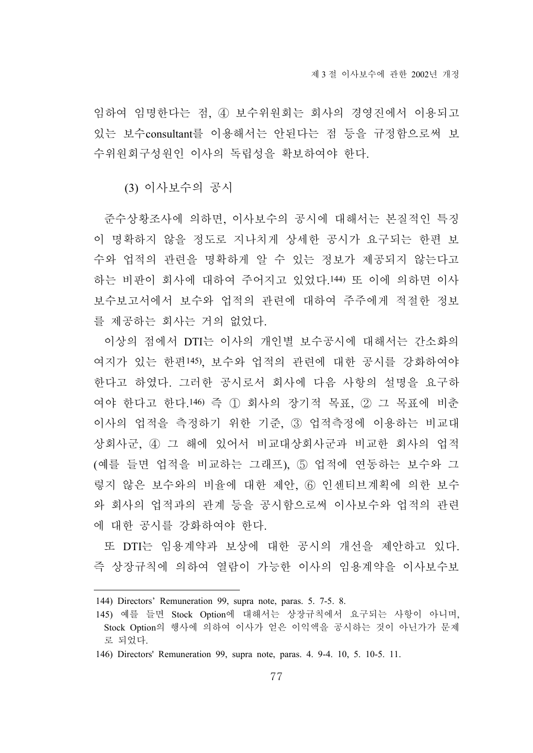임하여 임명한다는 점, ④ 보수위원회는 회사의 경영진에서 이용되고 있는 보수consultant를 이용해서는 안된다는 점 등을 규정함으로써 보 수위원회구성원인 이사의 독립성을 확보하여야 한다.

(3) 이사보수의 공시

준수상황조사에 의하면, 이사보수의 공시에 대해서는 본질적인 특징 이 명확하지 않을 정도로 지나치게 상세한 공시가 요구되는 한편 보 수와 업적의 관련을 명확하게 알 수 있는 정보가 제공되지 않는다고 하는 비판이 회사에 대하여 주어지고 있었다.144) 또 이에 의하면 이사 보수보고서에서 보수와 업적의 관련에 대하여 주주에게 적절한 정보 를 제공하는 회사는 거의 없었다.

이상의 점에서 DTI는 이사의 개인별 보수공시에 대해서는 간소화의 여지가 있는 한편145), 보수와 업적의 관련에 대한 공시를 강화하여야 한다고 하였다. 그러한 공시로서 회사에 다음 사항의 설명을 요구하 여야 한다고 한다.146) 즉 ① 회사의 장기적 목표, ② 그 목표에 비춘 이사의 업적을 측정하기 위한 기준, ③ 업적측정에 이용하는 비교대 상회사군, ④ 그 해에 있어서 비교대상회사군과 비교한 회사의 업적 (예를 들면 업적을 비교하는 그래프), ⑤ 업적에 연동하는 보수와 그 렇지 않은 보수와의 비율에 대한 제안, ⑥ 인센티브계획에 의한 보수 와 회사의 업적과의 관계 등을 공시함으로써 이사보수와 업적의 관련 에 대한 공시를 강화하여야 한다.

또 DTI는 임용계약과 보상에 대한 공시의 개선을 제안하고 있다. 즉 상장규칙에 의하여 열람이 가능한 이사의 임용계약을 이사보수보

<sup>144)</sup> Directors' Remuneration 99, supra note, paras. 5. 7-5. 8.

<sup>145)</sup> 예를 들면 Stock Option에 대해서는 상장규칙에서 요구되는 사항이 아니며, Stock Option의 행사에 의하여 이사가 얻은 이익액을 공시하는 것이 아닌가가 문제 로 되었다.

<sup>146)</sup> Directors' Remuneration 99, supra note, paras. 4. 9-4. 10, 5. 10-5. 11.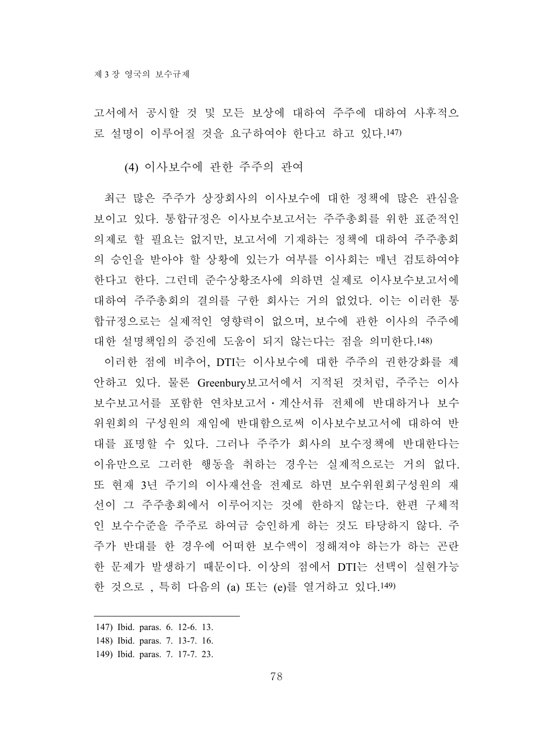고서에서 공시할 것 및 모든 보상에 대하여 주주에 대하여 사후적으 로 설명이 이루어질 것을 요구하여야 한다고 하고 있다.147)

(4) 이사보수에 관한 주주의 관여

최근 많은 주주가 상장회사의 이사보수에 대한 정책에 많은 관심을 보이고 있다. 통합규정은 이사보수보고서는 주주총회를 위한 표준적인 의제로 할 필요는 없지만, 보고서에 기재하는 정책에 대하여 주주총회 의 승인을 받아야 할 상황에 있는가 여부를 이사회는 매년 검토하여야 한다고 한다. 그런데 준수상황조사에 의하면 실제로 이사보수보고서에 대하여 주주총회의 결의를 구한 회사는 거의 없었다. 이는 이러한 통 합규정으로는 실제적인 영향력이 없으며, 보수에 관한 이사의 주주에 대한 설명책임의 증진에 도움이 되지 않는다는 점을 의미한다.148)

이러한 점에 비추어, DTI는 이사보수에 대한 주주의 권한강화를 제 안하고 있다. 물론 Greenbury보고서에서 지적된 것처럼, 주주는 이사 보수보고서를 포함한 연차보고서․계산서류 전체에 반대하거나 보수 위원회의 구성원의 재임에 반대함으로써 이사보수보고서에 대하여 반 대를 표명할 수 있다. 그러나 주주가 회사의 보수정책에 반대한다는 이유만으로 그러한 행동을 취하는 경우는 실제적으로는 거의 없다. 또 현재 3년 주기의 이사재선을 전제로 하면 보수위원회구성원의 재 선이 그 주주총회에서 이루어지는 것에 한하지 않는다. 한편 구체적 인 보수수준을 주주로 하여금 승인하게 하는 것도 타당하지 않다. 주 주가 반대를 한 경우에 어떠한 보수액이 정해져야 하는가 하는 곤란 한 문제가 발생하기 때문이다. 이상의 점에서 DTI는 선택이 실현가능 한 것으로 , 특히 다음의 (a) 또는 (e)를 열거하고 있다.149)

<sup>147)</sup> Ibid. paras. 6. 12-6. 13.

<sup>148)</sup> Ibid. paras. 7. 13-7. 16.

<sup>149)</sup> Ibid. paras. 7. 17-7. 23.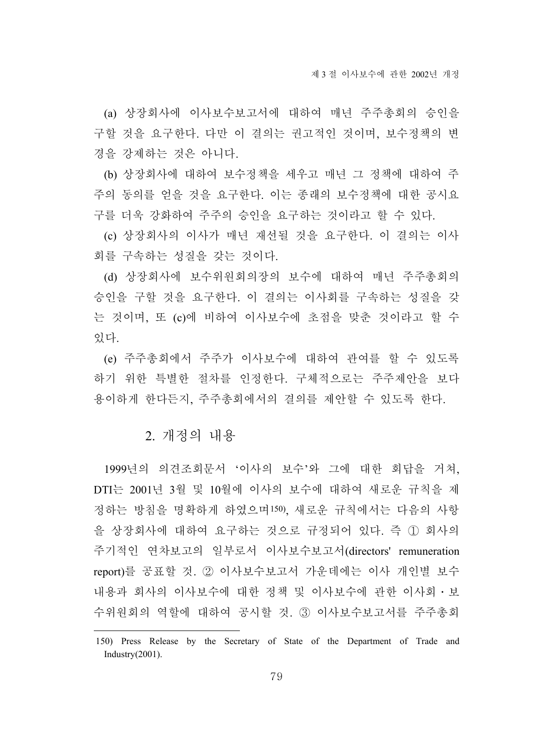(a) 상장회사에 이사보수보고서에 대하여 매년 주주총회의 승인을 구할 것을 요구한다. 다만 이 결의는 권고적인 것이며, 보수정책의 변 경을 강제하는 것은 아니다.

(b) 상장회사에 대하여 보수정책을 세우고 매년 그 정책에 대하여 주 주의 동의를 얻을 것을 요구한다. 이는 종래의 보수정책에 대한 공시요 구를 더욱 강화하여 주주의 승인을 요구하는 것이라고 할 수 있다.

(c) 상장회사의 이사가 매년 재선될 것을 요구한다. 이 결의는 이사 회를 구속하는 성질을 갖는 것이다.

(d) 상장회사에 보수위원회의장의 보수에 대하여 매년 주주총회의 승인을 구할 것을 요구한다. 이 결의는 이사회를 구속하는 성질을 갖 는 것이며, 또 (c)에 비하여 이사보수에 초점을 맞춘 것이라고 할 수 있다.

(e) 주주총회에서 주주가 이사보수에 대하여 관여를 할 수 있도록 하기 위한 특별한 절차를 인정한다. 구체적으로는 주주제안을 보다 용이하게 한다든지, 주주총회에서의 결의를 제안할 수 있도록 한다.

#### 2. 개정의 내용

1999년의 의견조회문서 '이사의 보수'와 그에 대한 회답을 거쳐, DTI는 2001년 3월 및 10월에 이사의 보수에 대하여 새로운 규칙을 제 정하는 방침을 명확하게 하였으며150), 새로운 규칙에서는 다음의 사항 을 상장회사에 대하여 요구하는 것으로 규정되어 있다. 즉 ① 회사의 주기적인 연차보고의 일부로서 이사보수보고서(directors' remuneration report)를 공표할 것. ② 이사보수보고서 가운데에는 이사 개인별 보수 내용과 회사의 이사보수에 대한 정책 및 이사보수에 관한 이사회․보 수위원회의 역할에 대하여 공시할 것. ③ 이사보수보고서를 주주총회

<sup>150)</sup> Press Release by the Secretary of State of the Department of Trade and Industry(2001).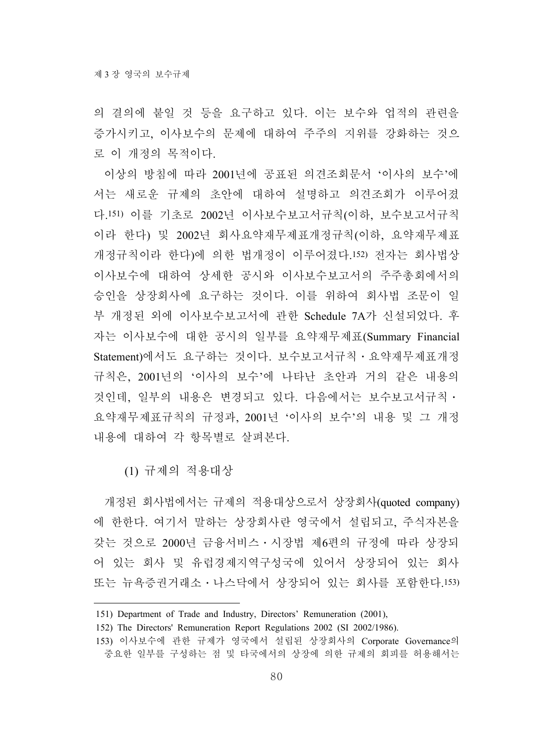의 결의에 붙일 것 등을 요구하고 있다. 이는 보수와 업적의 관련을 증가시키고, 이사보수의 문제에 대하여 주주의 지위를 강화하는 것으 로 이 개정의 목적이다.

이상의 방침에 따라 2001년에 공표된 의견조회문서 '이사의 보수'에 서는 새로운 규제의 초안에 대하여 설명하고 의견조회가 이루어졌 다.151) 이를 기초로 2002년 이사보수보고서규칙(이하, 보수보고서규칙 이라 한다) 및 2002년 회사요약재무제표개정규칙(이하, 요약재무제표 개정규칙이라 한다)에 의한 법개정이 이루어졌다.152) 전자는 회사법상 이사보수에 대하여 상세한 공시와 이사보수보고서의 주주총회에서의 승인을 상장회사에 요구하는 것이다. 이를 위하여 회사법 조문이 일 부 개정된 외에 이사보수보고서에 관한 Schedule 7A가 신설되었다. 후 자는 이사보수에 대한 공시의 일부를 요약재무제표(Summary Financial Statement)에서도 요구하는 것이다. 보수보고서규칙․요약재무제표개정 규칙은, 2001년의 '이사의 보수'에 나타난 초안과 거의 같은 내용의 것인데, 일부의 내용은 변경되고 있다. 다음에서는 보수보고서규칙․ 요약재무제표규칙의 규정과, 2001년 '이사의 보수'의 내용 및 그 개정 내용에 대하여 각 항목별로 살펴본다.

(1) 규제의 적용대상

개정된 회사법에서는 규제의 적용대상으로서 상장회사(quoted company) 에 한한다. 여기서 말하는 상장회사란 영국에서 설립되고, 주식자본을 갖는 것으로 2000년 금융서비스․시장법 제6편의 규정에 따라 상장되 어 있는 회사 및 유럽경제지역구성국에 있어서 상장되어 있는 회사 또는 뉴욕증권거래소․나스닥에서 상장되어 있는 회사를 포함한다.153)

<sup>151)</sup> Department of Trade and Industry, Directors' Remuneration (2001),

<sup>152)</sup> The Directors' Remuneration Report Regulations 2002 (SI 2002/1986).

<sup>153)</sup> 이사보수에 관한 규제가 영국에서 설립된 상장회사의 Corporate Governance의 중요한 일부를 구성하는 점 및 타국에서의 상장에 의한 규제의 회피를 허용해서는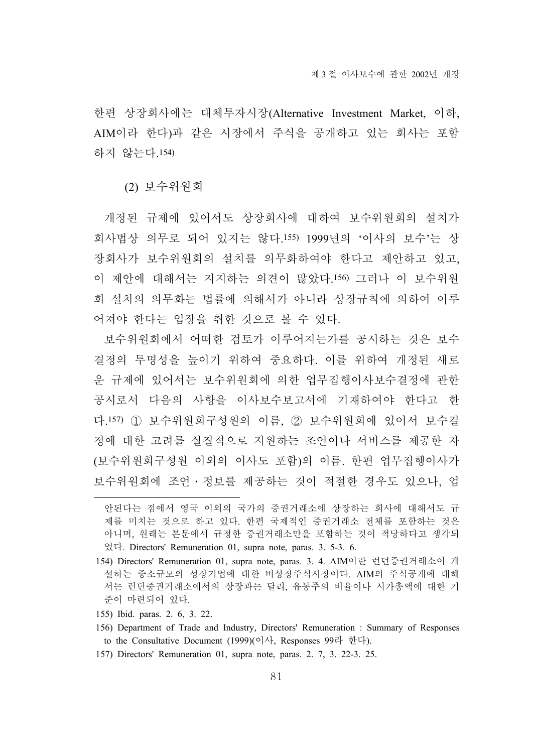한편 상장회사에는 대체투자시장(Alternative Investment Market, 이하, AIM이라 한다)과 같은 시장에서 주식을 공개하고 있는 회사는 포함 하지 않는다.154)

(2) 보수위원회

개정된 규제에 있어서도 상장회사에 대하여 보수위원회의 설치가 회사법상 의무로 되어 있지는 않다.155) 1999년의 '이사의 보수'는 상 장회사가 보수위원회의 설치를 의무화하여야 한다고 제안하고 있고, 이 제안에 대해서는 지지하는 의견이 많았다.156) 그러나 이 보수위원 회 설치의 의무화는 법률에 의해서가 아니라 상장규칙에 의하여 이루 어져야 한다는 입장을 취한 것으로 볼 수 있다.

보수위원회에서 어떠한 검토가 이루어지는가를 공시하는 것은 보수 결정의 투명성을 높이기 위하여 중요하다. 이를 위하여 개정된 새로 운 규제에 있어서는 보수위원회에 의한 업무집행이사보수결정에 관한 공시로서 다음의 사항을 이사보수보고서에 기재하여야 한다고 한 다.157) ① 보수위원회구성원의 이름, ② 보수위원회에 있어서 보수결 정에 대한 고려를 실질적으로 지원하는 조언이나 서비스를 제공한 자 (보수위원회구성원 이외의 이사도 포함)의 이름. 한편 업무집행이사가 보수위원회에 조언․정보를 제공하는 것이 적절한 경우도 있으나, 업

- 155) Ibid. paras. 2. 6, 3. 22.
- 156) Department of Trade and Industry, Directors' Remuneration : Summary of Responses to the Consultative Document (1999)(이사, Responses 99라 한다).
- 157) Directors' Remuneration 01, supra note, paras. 2. 7, 3. 22-3. 25.

안된다는 점에서 영국 이외의 국가의 증권거래소에 상장하는 회사에 대해서도 규 제를 미치는 것으로 하고 있다. 한편 국제적인 증권거래소 전체를 포함하는 것은 아니며, 원래는 본문에서 규정한 증권거래소만을 포함하는 것이 적당하다고 생각되 었다. Directors' Remuneration 01, supra note, paras. 3. 5-3. 6.

<sup>154)</sup> Directors' Remuneration 01, supra note, paras. 3. 4. AIM이란 런던증권거래소이 개 설하는 중소규모의 성장기업에 대한 비상장주식시장이다. AIM의 주식공개에 대해 서는 런던증권거래소에서의 상장과는 달리, 유동주의 비율이나 시가총액에 대한 기 준이 마련되어 있다.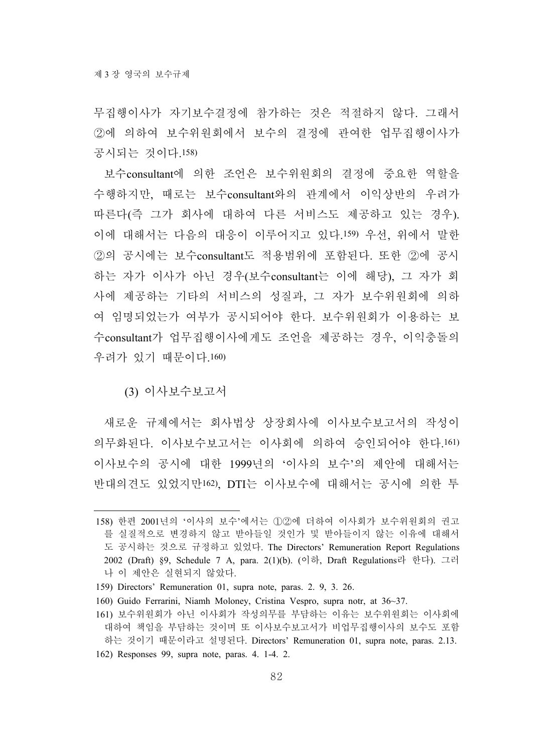무집행이사가 자기보수결정에 참가하는 것은 적절하지 않다. 그래서 ②에 의하여 보수위원회에서 보수의 결정에 관여한 업무집행이사가 공시되는 것이다.158)

보수consultant에 의한 조언은 보수위원회의 결정에 중요한 역할을 수행하지만, 때로는 보수consultant와의 관계에서 이익상반의 우려가 따른다(즉 그가 회사에 대하여 다른 서비스도 제공하고 있는 경우). 이에 대해서는 다음의 대응이 이루어지고 있다.159) 우선, 위에서 말한 ②의 공시에는 보수consultant도 적용범위에 포함된다. 또한 ②에 공시 하는 자가 이사가 아닌 경우(보수consultant는 이에 해당), 그 자가 회 사에 제공하는 기타의 서비스의 성질과, 그 자가 보수위원회에 의하 여 임명되었는가 여부가 공시되어야 한다. 보수위원회가 이용하는 보 수consultant가 업무집행이사에게도 조언을 제공하는 경우, 이익충돌의 우려가 있기 때문이다.160)

(3) 이사보수보고서

새로운 규제에서는 회사법상 상장회사에 이사보수보고서의 작성이 의무화된다. 이사보수보고서는 이사회에 의하여 승인되어야 한다.161) 이사보수의 공시에 대한 1999년의 '이사의 보수'의 제안에 대해서는 반대의견도 있었지만162), DTI는 이사보수에 대해서는 공시에 의한 투

<sup>158)</sup> 한편 2001년의 '이사의 보수'에서는 ①②에 더하여 이사회가 보수위원회의 권고 를 실질적으로 변경하지 않고 받아들일 것인가 및 받아들이지 않는 이유에 대해서 도 공시하는 것으로 규정하고 있었다. The Directors' Remuneration Report Regulations 2002 (Draft) §9, Schedule 7 A, para. 2(1)(b). (이하, Draft Regulations라 한다). 그러 나 이 제안은 실현되지 않았다.

<sup>159)</sup> Directors' Remuneration 01, supra note, paras. 2. 9, 3. 26.

<sup>160)</sup> Guido Ferrarini, Niamh Moloney, Cristina Vespro, supra notr, at 36~37.

<sup>161)</sup> 보수위원회가 아닌 이사회가 작성의무를 부담하는 이유는 보수위원회는 이사회에 대하여 책임을 부담하는 것이며 또 이사보수보고서가 비업무집행이사의 보수도 포함 하는 것이기 때문이라고 설명된다. Directors' Remuneration 01, supra note, paras. 2.13. 162) Responses 99, supra note, paras. 4. 1-4. 2.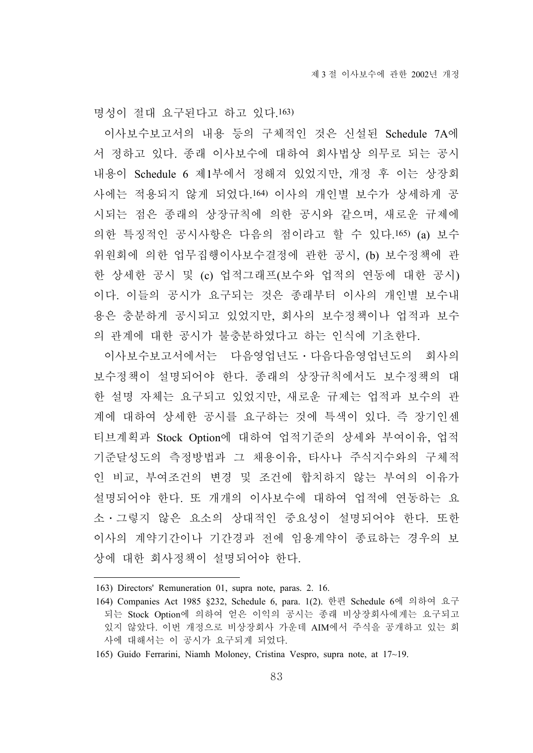명성이 절대 요구된다고 하고 있다.163)

이사보수보고서의 내용 등의 구체적인 것은 신설된 Schedule 7A에 서 정하고 있다. 종래 이사보수에 대하여 회사법상 의무로 되는 공시 내용이 Schedule 6 제1부에서 정해져 있었지만, 개정 후 이는 상장회 사에는 적용되지 않게 되었다.164) 이사의 개인별 보수가 상세하게 공 시되는 점은 종래의 상장규칙에 의한 공시와 같으며, 새로운 규제에 의한 특징적인 공시사항은 다음의 점이라고 할 수 있다.165) (a) 보수 위원회에 의한 업무집행이사보수결정에 관한 공시, (b) 보수정책에 관 한 상세한 공시 및 (c) 업적그래프(보수와 업적의 연동에 대한 공시) 이다. 이들의 공시가 요구되는 것은 종래부터 이사의 개인별 보수내 용은 충분하게 공시되고 있었지만, 회사의 보수정책이나 업적과 보수 의 관계에 대한 공시가 불충분하였다고 하는 인식에 기초한다.

이사보수보고서에서는 다음영업년도․다음다음영업년도의 회사의 보수정책이 설명되어야 한다. 종래의 상장규칙에서도 보수정책의 대 한 설명 자체는 요구되고 있었지만, 새로운 규제는 업적과 보수의 관 계에 대하여 상세한 공시를 요구하는 것에 특색이 있다. 즉 장기인센 티브계획과 Stock Option에 대하여 업적기준의 상세와 부여이유, 업적 기준달성도의 측정방법과 그 채용이유, 타사나 주식지수와의 구체적 인 비교, 부여조건의 변경 및 조건에 합치하지 않는 부여의 이유가 설명되어야 한다. 또 개개의 이사보수에 대하여 업적에 연동하는 요 소․그렇지 않은 요소의 상대적인 중요성이 설명되어야 한다. 또한 이사의 계약기간이나 기간경과 전에 임용계약이 종료하는 경우의 보 상에 대한 회사정책이 설명되어야 한다.

<sup>163)</sup> Directors' Remuneration 01, supra note, paras. 2. 16.

<sup>164)</sup> Companies Act 1985 §232, Schedule 6, para. 1(2). 한편 Schedule 6에 의하여 요구 되는 Stock Option에 의하여 얻은 이익의 공시는 종래 비상장회사에게는 요구되고 있지 않았다. 이번 개정으로 비상장회사 가운데 AIM에서 주식을 공개하고 있는 회 사에 대해서는 이 공시가 요구되게 되었다.

<sup>165)</sup> Guido Ferrarini, Niamh Moloney, Cristina Vespro, supra note, at 17~19.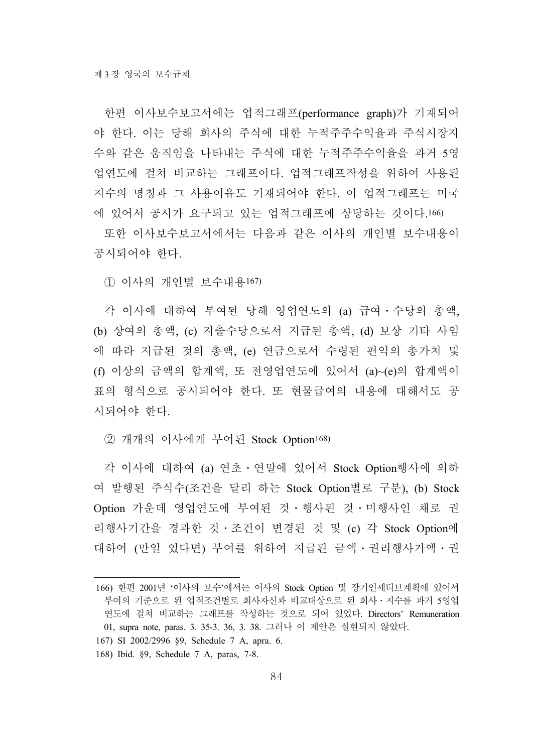한편 이사보수보고서에는 업적그래프(performance graph)가 기재되어 야 한다. 이는 당해 회사의 주식에 대한 누적주주수익율과 주식시장지 수와 같은 움직임을 나타내는 주식에 대한 누적주주수익율을 과거 5영 업연도에 걸쳐 비교하는 그래프이다. 업적그래프작성을 위하여 사용된 지수의 명칭과 그 사용이유도 기재되어야 한다. 이 업적그래프는 미국 에 있어서 공시가 요구되고 있는 업적그래프에 상당하는 것이다.166)

또한 이사보수보고서에서는 다음과 같은 이사의 개인별 보수내용이 공시되어야 한다.

① 이사의 개인별 보수내용167)

각 이사에 대하여 부여된 당해 영업연도의 (a) 급여․수당의 총액, (b) 상여의 총액, (c) 지출수당으로서 지급된 총액, (d) 보상 기타 사임 에 따라 지급된 것의 총액, (e) 연금으로서 수령된 편익의 총가치 및 (f) 이상의 금액의 합계액, 또 전영업연도에 있어서 (a)~(e)의 합계액이 표의 형식으로 공시되어야 한다. 또 현물급여의 내용에 대해서도 공 시되어야 한다.

② 개개의 이사에게 부여된 Stock Option168)

각 이사에 대하여 (a) 연초․연말에 있어서 Stock Option행사에 의하 여 발행된 주식수(조건을 달리 하는 Stock Option별로 구분), (b) Stock Option 가운데 영업연도에 부여된 것 · 행사된 것 · 미행사인 채로 권 리행사기간을 경과한 것․조건이 변경된 것 및 (c) 각 Stock Option에 대하여 (만일 있다면) 부여를 위하여 지급된 금액․권리행사가액․권

- 167) SI 2002/2996 §9, Schedule 7 A, apra. 6.
- 168) Ibid. §9, Schedule 7 A, paras, 7-8.

<sup>166)</sup> 한편 2001년 '이사의 보수'에서는 이사의 Stock Option 및 장기인세티브계획에 있어서 부여의 기준으로 된 업적조건별로 회사자신과 비교대상으로 된 회사․지수를 과거 5영업 연도에 걸쳐 비교하는 그래프를 작성하는 것으로 되어 있었다. Directors' Remuneration 01, supra note, paras. 3. 35-3. 36, 3. 38. 그러나 이 제안은 실현되지 않았다.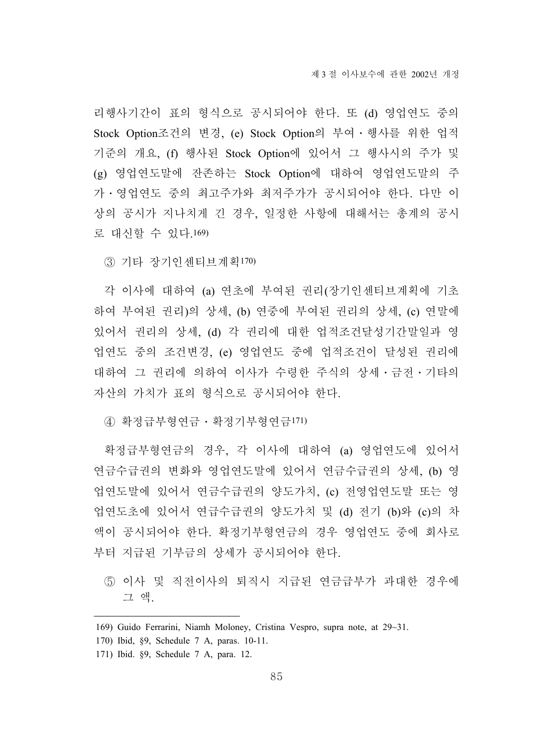리행사기간이 표의 형식으로 공시되어야 한다. 또 (d) 영업연도 중의 Stock Option조건의 변경, (e) Stock Option의 부여․행사를 위한 업적 기준의 개요, (f) 행사된 Stock Option에 있어서 그 행사시의 주가 및 (g) 영업연도말에 잔존하는 Stock Option에 대하여 영업연도말의 주 가․영업연도 중의 최고주가와 최저주가가 공시되어야 한다. 다만 이 상의 공시가 지나치게 긴 경우, 일정한 사항에 대해서는 총계의 공시 로 대신할 수 있다.169)

③ 기타 장기인센티브계획170)

각 이사에 대하여 (a) 연초에 부여된 권리(장기인센티브계획에 기초 하여 부여된 권리)의 상세, (b) 연중에 부여된 권리의 상세, (c) 연말에 있어서 권리의 상세, (d) 각 권리에 대한 업적조건달성기간말일과 영 업연도 중의 조건변경, (e) 영업연도 중에 업적조건이 달성된 권리에 대하여 그 권리에 의하여 이사가 수령한 주식의 상세․금전․기타의 자산의 가치가 표의 형식으로 공시되어야 한다.

④ 확정급부형연금․확정기부형연금171)

확정급부형연금의 경우, 각 이사에 대하여 (a) 영업연도에 있어서 연금수급권의 변화와 영업연도말에 있어서 연금수급권의 상세, (b) 영 업연도말에 있어서 연금수급권의 양도가치, (c) 전영업연도말 또는 영 업연도초에 있어서 연급수급권의 양도가치 및 (d) 전기 (b)와 (c)의 차 액이 공시되어야 한다. 확정기부형연금의 경우 영업연도 중에 회사로 부터 지급된 기부금의 상세가 공시되어야 한다.

⑤ 이사 및 직전이사의 퇴직시 지급된 연금급부가 과대한 경우에 그 액.

<sup>169)</sup> Guido Ferrarini, Niamh Moloney, Cristina Vespro, supra note, at 29~31.

<sup>170)</sup> Ibid, §9, Schedule 7 A, paras. 10-11.

<sup>171)</sup> Ibid. §9, Schedule 7 A, para. 12.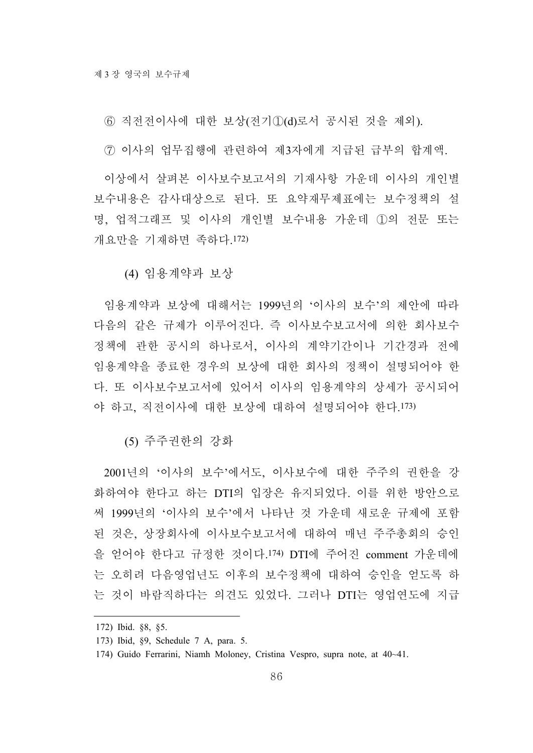⑥ 직전전이사에 대한 보상(전기①(d)로서 공시된 것을 제외).

⑦ 이사의 업무집행에 관련하여 제3자에게 지급된 급부의 합계액.

이상에서 살펴본 이사보수보고서의 기재사항 가운데 이사의 개인별 보수내용은 감사대상으로 된다. 또 요약재무제표에는 보수정책의 설 명, 업적그래프 및 이사의 개인별 보수내용 가운데 ①의 전문 또는 개요만을 기재하면 족하다.172)

(4) 임용계약과 보상

임용계약과 보상에 대해서는 1999년의 '이사의 보수'의 제안에 따라 다음의 같은 규제가 이루어진다. 즉 이사보수보고서에 의한 회사보수 정책에 관한 공시의 하나로서, 이사의 계약기간이나 기간경과 전에 임용계약을 종료한 경우의 보상에 대한 회사의 정책이 설명되어야 한 다. 또 이사보수보고서에 있어서 이사의 임용계약의 상세가 공시되어 야 하고, 직전이사에 대한 보상에 대하여 설명되어야 한다.173)

(5) 주주권한의 강화

2001년의 '이사의 보수'에서도, 이사보수에 대한 주주의 권한을 강 화하여야 한다고 하는 DTI의 입장은 유지되었다. 이를 위한 방안으로 써 1999년의 '이사의 보수'에서 나타난 것 가운데 새로운 규제에 포함 된 것은, 상장회사에 이사보수보고서에 대하여 매년 주주총회의 승인 을 얻어야 한다고 규정한 것이다.174) DTI에 주어진 comment 가운데에 는 오히려 다음영업년도 이후의 보수정책에 대하여 승인을 얻도록 하 는 것이 바람직하다는 의견도 있었다. 그러나 DTI는 영업연도에 지급

<sup>172)</sup> Ibid. §8, §5.

<sup>173)</sup> Ibid, §9, Schedule 7 A, para. 5.

<sup>174)</sup> Guido Ferrarini, Niamh Moloney, Cristina Vespro, supra note, at 40~41.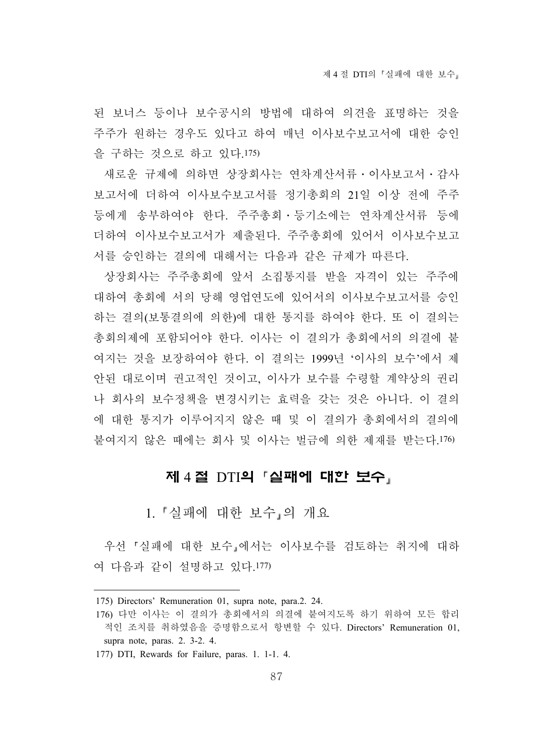된 보너스 등이나 보수공시의 방법에 대하여 의견을 표명하는 것을 주주가 원하는 경우도 있다고 하여 매년 이사보수보고서에 대한 승인 을 구하는 것으로 하고 있다.175)

새로운 규제에 의하면 상장회사는 연차계산서류․이사보고서․감사 보고서에 더하여 이사보수보고서를 정기총회의 21일 이상 전에 주주 등에게 송부하여야 한다. 주주총회․등기소에는 연차계산서류 등에 더하여 이사보수보고서가 제출된다. 주주총회에 있어서 이사보수보고 서를 승인하는 결의에 대해서는 다음과 같은 규제가 따른다.

상장회사는 주주총회에 앞서 소집통지를 받을 자격이 있는 주주에 대하여 총회에 서의 당해 영업연도에 있어서의 이사보수보고서를 승인 하는 결의(보통결의에 의한)에 대한 통지를 하여야 한다. 또 이 결의는 총회의제에 포함되어야 한다. 이사는 이 결의가 총회에서의 의결에 붙 여지는 것을 보장하여야 한다. 이 결의는 1999년 '이사의 보수'에서 제 안된 대로이며 권고적인 것이고, 이사가 보수를 수령할 계약상의 권리 나 회사의 보수정책을 변경시키는 효력을 갖는 것은 아니다. 이 결의 에 대한 통지가 이루어지지 않은 때 및 이 결의가 총회에서의 결의에 붙여지지 않은 때에는 회사 및 이사는 벌금에 의한 제재를 받는다.176)

### 제 4 절 DTI의 「실패에 대한 보수」

1. 실패에 대한 보수 의 개요

우선 실패에 대한 보수 에서는 이사보수를 검토하는 취지에 대하 여 다음과 같이 설명하고 있다.177)

177) DTI, Rewards for Failure, paras. 1. 1-1. 4.

<sup>175)</sup> Directors' Remuneration 01, supra note, para.2. 24.

<sup>176)</sup> 다만 이사는 이 결의가 총회에서의 의결에 붙여지도록 하기 위하여 모든 합리 적인 조치를 취하였음을 증명함으로서 항변할 수 있다. Directors' Remuneration 01, supra note, paras. 2. 3-2. 4.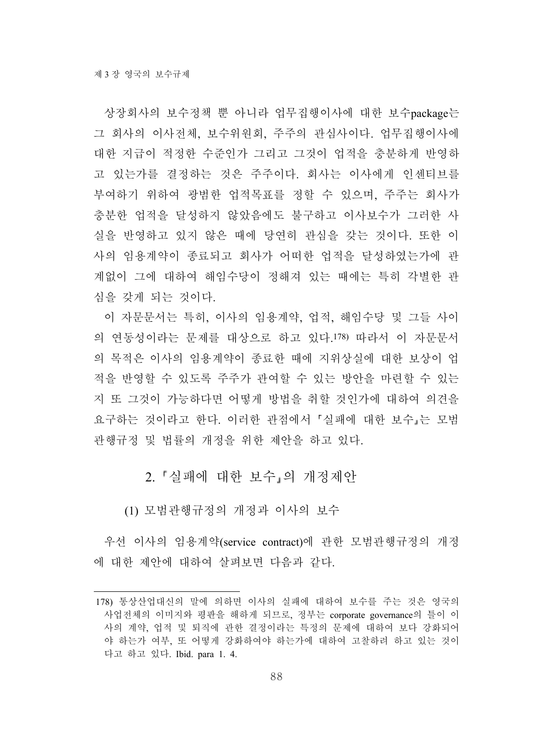상장회사의 보수정책 뿐 아니라 업무집행이사에 대한 보수package는 그 회사의 이사전체, 보수위원회, 주주의 관심사이다. 업무집행이사에 대한 지급이 적정한 수준인가 그리고 그것이 업적을 충분하게 반영하 고 있는가를 결정하는 것은 주주이다. 회사는 이사에게 인센티브를 부여하기 위하여 광범한 업적목표를 정할 수 있으며, 주주는 회사가 충분한 업적을 달성하지 않았음에도 불구하고 이사보수가 그러한 사 실을 반영하고 있지 않은 때에 당연히 관심을 갖는 것이다. 또한 이 사의 임용계약이 종료되고 회사가 어떠한 업적을 달성하였는가에 관 계없이 그에 대하여 해임수당이 정해져 있는 때에는 특히 각별한 관 심을 갖게 되는 것이다.

이 자문문서는 특히, 이사의 임용계약, 업적, 해임수당 및 그들 사이 의 연동성이라는 문제를 대상으로 하고 있다.178) 따라서 이 자문문서 의 목적은 이사의 임용계약이 종료한 때에 지위상실에 대한 보상이 업 적을 반영할 수 있도록 주주가 관여할 수 있는 방안을 마련할 수 있는 지 또 그것이 가능하다면 어떻게 방법을 취할 것인가에 대하여 의견을 요구하는 것이라고 한다. 이러한 관점에서 실패에 대한 보수 는 모범 관행규정 및 법률의 개정을 위한 제안을 하고 있다.

2. 실패에 대한 보수 의 개정제안

(1) 모범관행규정의 개정과 이사의 보수

우선 이사의 임용계약(service contract)에 관한 모범관행규정의 개정 에 대한 제안에 대하여 살펴보면 다음과 같다.

<sup>178)</sup> 통상산업대신의 말에 의하면 이사의 실패에 대하여 보수를 주는 것은 영국의 사업전체의 이미지와 평판을 해하게 되므로, 정부는 corporate governance의 틀이 이 사의 계약, 업적 및 퇴직에 관한 결정이라는 특정의 문제에 대하여 보다 강화되어 야 하는가 여부, 또 어떻게 강화하여야 하는가에 대하여 고찰하려 하고 있는 것이 다고 하고 있다. Ibid. para 1. 4.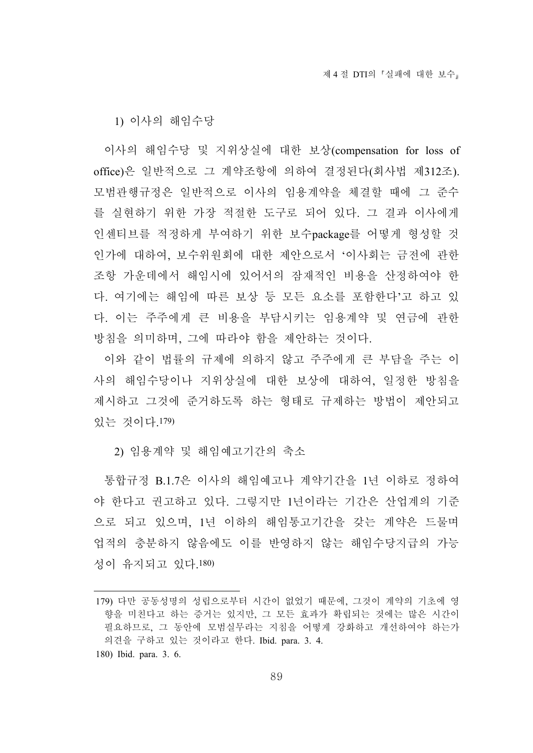1) 이사의 해임수당

이사의 해임수당 및 지위상실에 대한 보상(compensation for loss of office)은 일반적으로 그 계약조항에 의하여 결정된다(회사법 제312조). 모범관행규정은 일반적으로 이사의 임용계약을 체결할 때에 그 준수 를 실현하기 위한 가장 적절한 도구로 되어 있다. 그 결과 이사에게 인센티브를 적정하게 부여하기 위한 보수package를 어떻게 형성할 것 인가에 대하여, 보수위원회에 대한 제안으로서 '이사회는 금전에 관한 조항 가운데에서 해임시에 있어서의 잠재적인 비용을 산정하여야 한 다. 여기에는 해임에 따른 보상 등 모든 요소를 포함한다'고 하고 있 다. 이는 주주에게 큰 비용을 부담시키는 임용계약 및 연금에 관한 방침을 의미하며, 그에 따라야 함을 제안하는 것이다.

이와 같이 법률의 규제에 의하지 않고 주주에게 큰 부담을 주는 이 사의 해임수당이나 지위상실에 대한 보상에 대하여, 일정한 방침을 제시하고 그것에 준거하도록 하는 형태로 규제하는 방법이 제안되고 있는 것이다.179)

2) 임용계약 및 해임예고기간의 축소

통합규정 B.1.7은 이사의 해임예고나 계약기간을 1년 이하로 정하여 야 한다고 권고하고 있다. 그렇지만 1년이라는 기간은 산업계의 기준 으로 되고 있으며, 1년 이하의 해임통고기간을 갖는 계약은 드물며 업적의 충분하지 않음에도 이를 반영하지 않는 해임수당지급의 가능 성이 유지되고 있다.180)

<sup>179)</sup> 다만 공동성명의 성립으로부터 시간이 없었기 때문에, 그것이 계약의 기초에 영 향을 미친다고 하는 증거는 있지만, 그 모든 효과가 확립되는 것에는 많은 시간이 필요하므로, 그 동안에 모범실무라는 지침을 어떻게 강화하고 개선하여야 하는가 의견을 구하고 있는 것이라고 한다. Ibid. para. 3. 4.

<sup>180)</sup> Ibid. para. 3. 6.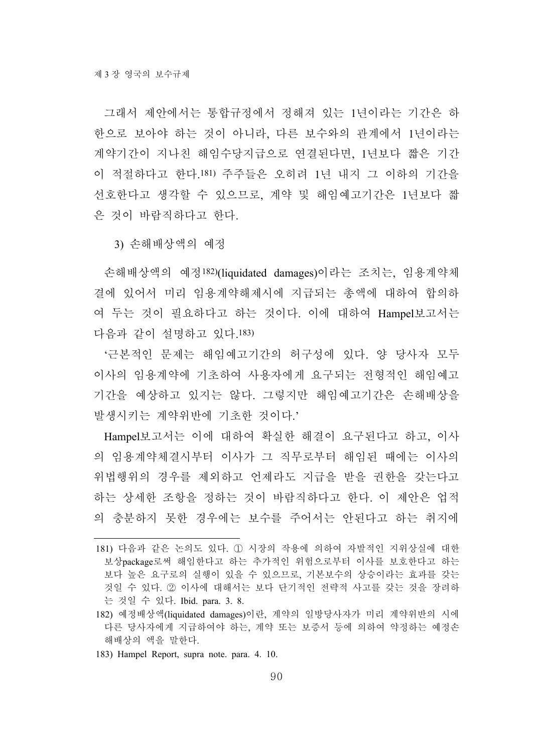그래서 제안에서는 통합규정에서 정해져 있는 1년이라는 기간은 하 한으로 보아야 하는 것이 아니라, 다른 보수와의 관계에서 1년이라는 계약기간이 지나친 해임수당지급으로 연결된다면, 1년보다 짧은 기간 이 적절하다고 한다.181) 주주들은 오히려 1년 내지 그 이하의 기간을 선호한다고 생각할 수 있으므로, 계약 및 해임예고기간은 1년보다 짧 은 것이 바람직하다고 한다.

3) 손해배상액의 예정

손해배상액의 예정182)(liquidated damages)이라는 조치는, 임용계약체 결에 있어서 미리 임용계약해제시에 지급되는 총액에 대하여 합의하 여 두는 것이 필요하다고 하는 것이다. 이에 대하여 Hampel보고서는 다음과 같이 설명하고 있다.183)

'근본적인 문제는 해임예고기간의 허구성에 있다. 양 당사자 모두 이사의 임용계약에 기초하여 사용자에게 요구되는 전형적인 해임예고 기간을 예상하고 있지는 않다. 그렇지만 해임예고기간은 손해배상을 발생시키는 계약위반에 기초한 것이다.'

Hampel보고서는 이에 대하여 확실한 해결이 요구된다고 하고, 이사 의 임용계약체결시부터 이사가 그 직무로부터 해임된 때에는 이사의 위법행위의 경우를 제외하고 언제라도 지급을 받을 권한을 갖는다고 하는 상세한 조항을 정하는 것이 바람직하다고 한다. 이 제안은 업적 의 충분하지 못한 경우에는 보수를 주어서는 안된다고 하는 취지에

183) Hampel Report, supra note. para. 4. 10.

<sup>181)</sup> 다음과 같은 논의도 있다. ① 시장의 작용에 의하여 자발적인 지위상실에 대한 보상package로써 해임한다고 하는 추가적인 위험으로부터 이사를 보호한다고 하는 보다 높은 요구로의 실행이 있을 수 있으므로, 기본보수의 상승이라는 효과를 갖는 것일 수 있다. ② 이사에 대해서는 보다 단기적인 전략적 사고를 갖는 것을 장려하 는 것일 수 있다. Ibid. para. 3. 8.

<sup>182)</sup> 예정배상액(liquidated damages)이란, 계약의 일방당사자가 미리 계약위반의 시에 다른 당사자에게 지급하여야 하는, 계약 또는 보증서 등에 의하여 약정하는 예정손 해배상의 액을 말한다.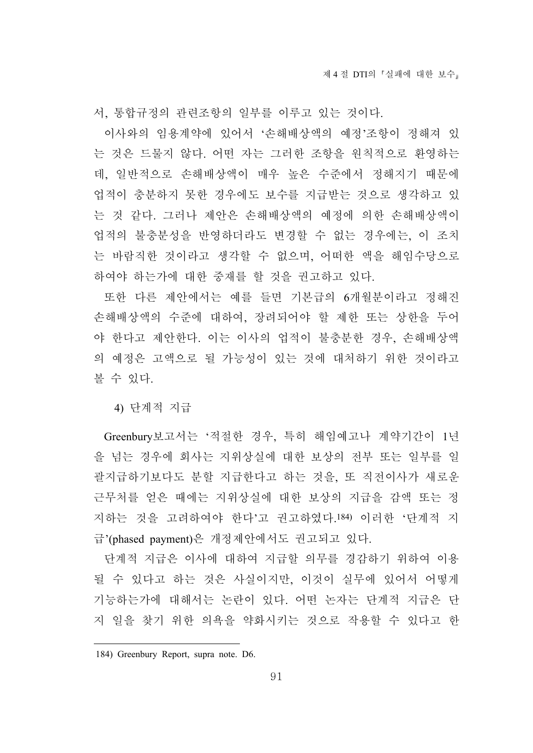서, 통합규정의 관련조항의 일부를 이루고 있는 것이다.

이사와의 임용계약에 있어서 '손해배상액의 예정'조항이 정해져 있 는 것은 드물지 않다. 어떤 자는 그러한 조항을 원칙적으로 환영하는 데, 일반적으로 손해배상액이 매우 높은 수준에서 정해지기 때문에 업적이 충분하지 못한 경우에도 보수를 지급받는 것으로 생각하고 있 는 것 같다. 그러나 제안은 손해배상액의 예정에 의한 손해배상액이 업적의 불충분성을 반영하더라도 변경할 수 없는 경우에는, 이 조치 는 바람직한 것이라고 생각할 수 없으며, 어떠한 액을 해임수당으로 하여야 하는가에 대한 중재를 할 것을 권고하고 있다.

또한 다른 제안에서는 예를 들면 기본급의 6개월분이라고 정해진 손해배상액의 수준에 대하여, 장려되어야 할 제한 또는 상한을 두어 야 한다고 제안한다. 이는 이사의 업적이 불충분한 경우, 손해배상액 의 예정은 고액으로 될 가능성이 있는 것에 대처하기 위한 것이라고 볼 수 있다.

4) 단계적 지급

Greenbury보고서는 '적절한 경우, 특히 해임예고나 계약기간이 1년 을 넘는 경우에 회사는 지위상실에 대한 보상의 전부 또는 일부를 일 괄지급하기보다도 분할 지급한다고 하는 것을, 또 직전이사가 새로운 근무처를 얻은 때에는 지위상실에 대한 보상의 지급을 감액 또는 정 지하는 것을 고려하여야 한다'고 권고하였다.184) 이러한 '단계적 지 급'(phased payment)은 개정제안에서도 권고되고 있다.

단계적 지급은 이사에 대하여 지급할 의무를 경감하기 위하여 이용 될 수 있다고 하는 것은 사실이지만, 이것이 실무에 있어서 어떻게 기능하는가에 대해서는 논란이 있다. 어떤 논자는 단계적 지급은 단 지 일을 찾기 위한 의욕을 약화시키는 것으로 작용할 수 있다고 한

<sup>184)</sup> Greenbury Report, supra note. D6.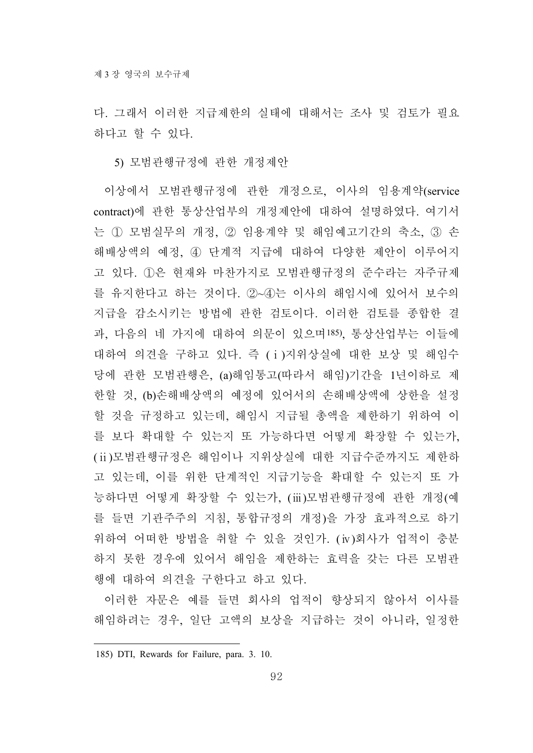다. 그래서 이러한 지급제한의 실태에 대해서는 조사 및 검토가 필요 하다고 할 수 있다.

5) 모범관행규정에 관한 개정제안

이상에서 모범관행규정에 관한 개정으로, 이사의 임용계약(service contract)에 관한 통상산업부의 개정제안에 대하여 설명하였다. 여기서 는 ① 모범실무의 개정, ② 임용계약 및 해임예고기간의 축소, ③ 손 해배상액의 예정, ④ 단계적 지급에 대하여 다양한 제안이 이루어지 고 있다. ①은 현재와 마찬가지로 모범관행규정의 준수라는 자주규제 를 유지한다고 하는 것이다. ②~④는 이사의 해임시에 있어서 보수의 지급을 감소시키는 방법에 관한 검토이다. 이러한 검토를 종합한 결 과, 다음의 네 가지에 대하여 의문이 있으며185), 통상산업부는 이들에 대하여 의견을 구하고 있다. 즉 (ⅰ)지위상실에 대한 보상 및 해임수 당에 관한 모범관행은, (a)해임통고(따라서 해임)기간을 1년이하로 제 한할 것, (b)손해배상액의 예정에 있어서의 손해배상액에 상한을 설정 할 것을 규정하고 있는데, 해임시 지급될 총액을 제한하기 위하여 이 를 보다 확대할 수 있는지 또 가능하다면 어떻게 확장할 수 있는가, (ⅱ)모범관행규정은 해임이나 지위상실에 대한 지급수준까지도 제한하 고 있는데, 이를 위한 단계적인 지급기능을 확대할 수 있는지 또 가 능하다면 어떻게 확장할 수 있는가, (ⅲ)모범관행규정에 관한 개정(예 를 들면 기관주주의 지침, 통합규정의 개정)을 가장 효과적으로 하기 위하여 어떠한 방법을 취할 수 있을 것인가. (ⅳ)회사가 업적이 충분 하지 못한 경우에 있어서 해임을 제한하는 효력을 갖는 다른 모범관 행에 대하여 의견을 구한다고 하고 있다.

이러한 자문은 예를 들면 회사의 업적이 향상되지 않아서 이사를 해임하려는 경우, 일단 고액의 보상을 지급하는 것이 아니라, 일정한

<sup>185)</sup> DTI, Rewards for Failure, para. 3. 10.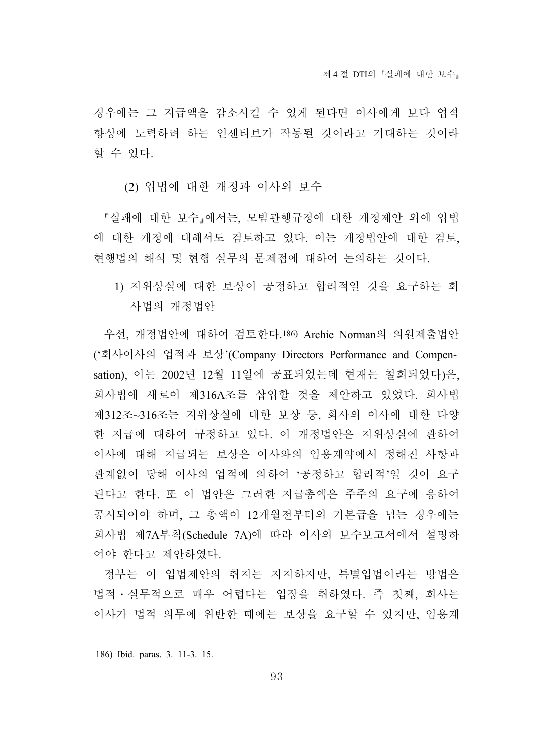경우에는 그 지급액을 감소시킬 수 있게 된다면 이사에게 보다 업적 향상에 노력하려 하는 인센티브가 작동될 것이라고 기대하는 것이라 할 수 있다.

(2) 입법에 대한 개정과 이사의 보수

실패에 대한 보수 에서는, 모범관행규정에 대한 개정제안 외에 입법 에 대한 개정에 대해서도 검토하고 있다. 이는 개정법안에 대한 검토, 현행법의 해석 및 현행 실무의 문제점에 대하여 논의하는 것이다.

1) 지위상실에 대한 보상이 공정하고 합리적일 것을 요구하는 회 사법의 개정법안

우선, 개정법안에 대하여 검토한다.186) Archie Norman의 의원제출법안 ('회사이사의 업적과 보상'(Company Directors Performance and Compensation), 이는 2002년 12월 11일에 공표되었는데 현재는 철회되었다)은, 회사법에 새로이 제316A조를 삽입할 것을 제안하고 있었다. 회사법 제312조~316조는 지위상실에 대한 보상 등, 회사의 이사에 대한 다양 한 지급에 대하여 규정하고 있다. 이 개정법안은 지위상실에 관하여 이사에 대해 지급되는 보상은 이사와의 임용계약에서 정해진 사항과 관계없이 당해 이사의 업적에 의하여 '공정하고 합리적'일 것이 요구 된다고 한다. 또 이 법안은 그러한 지급총액은 주주의 요구에 응하여 공시되어야 하며, 그 총액이 12개월전부터의 기본급을 넘는 경우에는 회사법 제7A부칙(Schedule 7A)에 따라 이사의 보수보고서에서 설명하 여야 한다고 제안하였다.

정부는 이 입법제안의 취지는 지지하지만, 특별입법이라는 방법은 법적․실무적으로 매우 어렵다는 입장을 취하였다. 즉 첫째, 회사는 이사가 법적 의무에 위반한 때에는 보상을 요구할 수 있지만, 임용계

<sup>186)</sup> Ibid. paras. 3. 11-3. 15.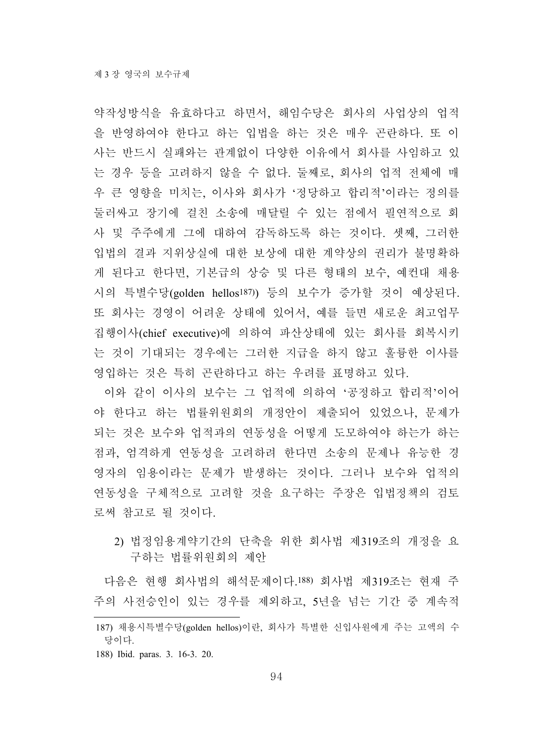약작성방식을 유효하다고 하면서, 해임수당은 회사의 사업상의 업적 을 반영하여야 한다고 하는 입법을 하는 것은 매우 곤란하다. 또 이 사는 반드시 실패와는 관계없이 다양한 이유에서 회사를 사임하고 있 는 경우 등을 고려하지 않을 수 없다. 둘째로, 회사의 업적 전체에 매 우 큰 영향을 미치는, 이사와 회사가 '정당하고 합리적'이라는 정의를 둘러싸고 장기에 걸친 소송에 매달릴 수 있는 점에서 필연적으로 회 사 및 주주에게 그에 대하여 감독하도록 하는 것이다. 셋째, 그러한 입법의 결과 지위상실에 대한 보상에 대한 계약상의 권리가 불명확하 게 된다고 한다면, 기본급의 상승 및 다른 형태의 보수, 예컨대 채용 시의 특별수당(golden hellos187)) 등의 보수가 증가할 것이 예상된다. 또 회사는 경영이 어려운 상태에 있어서, 예를 들면 새로운 최고업무 집행이사(chief executive)에 의하여 파산상태에 있는 회사를 회복시키 는 것이 기대되는 경우에는 그러한 지급을 하지 않고 훌륭한 이사를 영입하는 것은 특히 곤란하다고 하는 우려를 표명하고 있다.

이와 같이 이사의 보수는 그 업적에 의하여 '공정하고 합리적'이어 야 한다고 하는 법률위원회의 개정안이 제출되어 있었으나, 문제가 되는 것은 보수와 업적과의 연동성을 어떻게 도모하여야 하는가 하는 점과, 엄격하게 연동성을 고려하려 한다면 소송의 문제나 유능한 경 영자의 임용이라는 문제가 발생하는 것이다. 그러나 보수와 업적의 연동성을 구체적으로 고려할 것을 요구하는 주장은 입법정책의 검토 로써 참고로 될 것이다.

2) 법정임용계약기간의 단축을 위한 회사법 제319조의 개정을 요 구하는 법률위원회의 제안

다음은 현행 회사법의 해석문제이다.188) 회사법 제319조는 현재 주 주의 사전승인이 있는 경우를 제외하고, 5년을 넘는 기간 중 계속적

<sup>187)</sup> 채용시특별수당(golden hellos)이란, 회사가 특별한 신입사원에게 주는 고액의 수 당이다.

<sup>188)</sup> Ibid. paras. 3. 16-3. 20.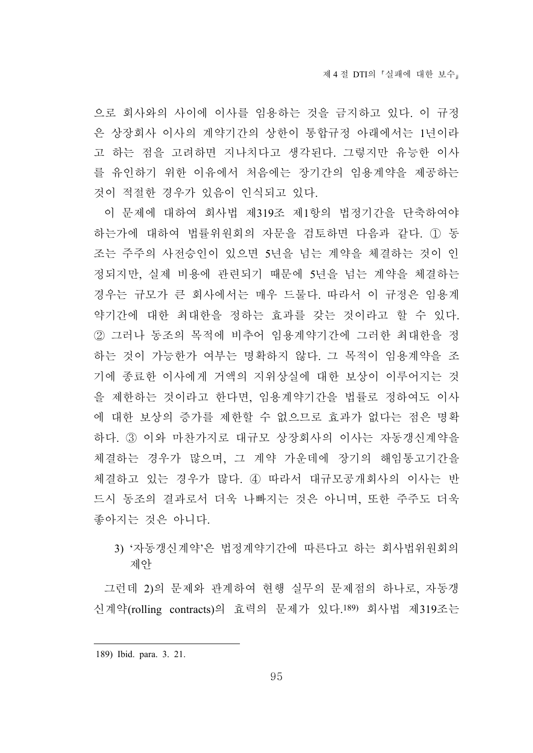으로 회사와의 사이에 이사를 임용하는 것을 금지하고 있다. 이 규정 은 상장회사 이사의 계약기간의 상한이 통합규정 아래에서는 1년이라 고 하는 점을 고려하면 지나치다고 생각된다. 그렇지만 유능한 이사 를 유인하기 위한 이유에서 처음에는 장기간의 임용계약을 제공하는 것이 적절한 경우가 있음이 인식되고 있다.

이 문제에 대하여 회사법 제319조 제1항의 법정기간을 단축하여야 하는가에 대하여 법률위원회의 자문을 검토하면 다음과 같다. ① 동 조는 주주의 사전승인이 있으면 5년을 넘는 계약을 체결하는 것이 인 정되지만, 실제 비용에 관련되기 때문에 5년을 넘는 계약을 체결하는 경우는 규모가 큰 회사에서는 매우 드물다. 따라서 이 규정은 임용계 약기간에 대한 최대한을 정하는 효과를 갖는 것이라고 할 수 있다. ② 그러나 동조의 목적에 비추어 임용계약기간에 그러한 최대한을 정 하는 것이 가능한가 여부는 명확하지 않다. 그 목적이 임용계약을 조 기에 종료한 이사에게 거액의 지위상실에 대한 보상이 이루어지는 것 을 제한하는 것이라고 한다면, 임용계약기간을 법률로 정하여도 이사 에 대한 보상의 증가를 제한할 수 없으므로 효과가 없다는 점은 명확 하다. ③ 이와 마찬가지로 대규모 상장회사의 이사는 자동갱신계약을 체결하는 경우가 많으며, 그 계약 가운데에 장기의 해임통고기간을 체결하고 있는 경우가 많다. ④ 따라서 대규모공개회사의 이사는 반 드시 동조의 결과로서 더욱 나빠지는 것은 아니며, 또한 주주도 더욱 좋아지는 것은 아니다.

3) '자동갱신계약'은 법정계약기간에 따른다고 하는 회사법위원회의 제안

그런데 2)의 문제와 관계하여 현행 실무의 문제점의 하나로, 자동갱 신계약(rolling contracts)의 효력의 문제가 있다.189) 회사법 제319조는

<sup>189)</sup> Ibid. para. 3. 21.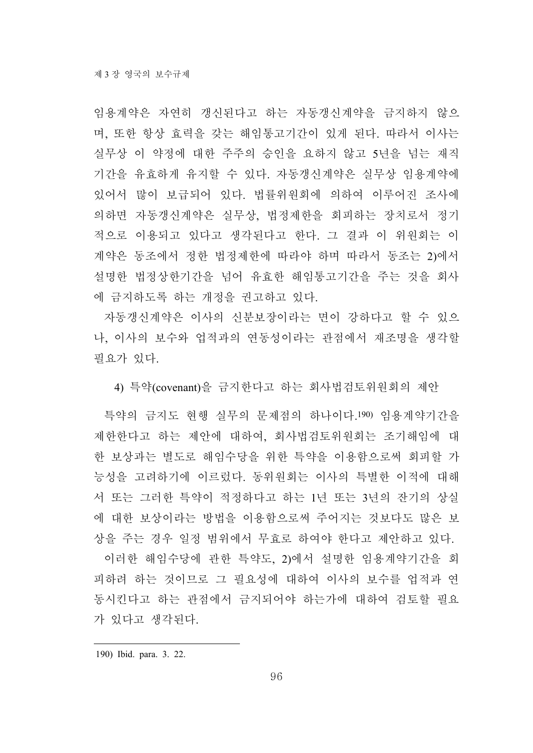임용계약은 자연히 갱신된다고 하는 자동갱신계약을 금지하지 않으 며, 또한 항상 효력을 갖는 해임통고기간이 있게 된다. 따라서 이사는 실무상 이 약정에 대한 주주의 승인을 요하지 않고 5년을 넘는 재직 기간을 유효하게 유지할 수 있다. 자동갱신계약은 실무상 임용계약에 있어서 많이 보급되어 있다. 법률위원회에 의하여 이루어진 조사에 의하면 자동갱신계약은 실무상, 법정제한을 회피하는 장치로서 정기 적으로 이용되고 있다고 생각된다고 한다. 그 결과 이 위원회는 이 계약은 동조에서 정한 법정제한에 따라야 하며 따라서 동조는 2)에서 설명한 법정상한기간을 넘어 유효한 해임통고기간을 주는 것을 회사 에 금지하도록 하는 개정을 권고하고 있다.

자동갱신계약은 이사의 신분보장이라는 면이 강하다고 할 수 있으 나, 이사의 보수와 업적과의 연동성이라는 관점에서 재조명을 생각할 필요가 있다.

4) 특약(covenant)을 금지한다고 하는 회사법검토위원회의 제안

특약의 금지도 현행 실무의 문제점의 하나이다.190) 임용계약기간을 제한한다고 하는 제안에 대하여, 회사법검토위원회는 조기해임에 대 한 보상과는 별도로 해임수당을 위한 특약을 이용함으로써 회피할 가 능성을 고려하기에 이르렀다. 동위원회는 이사의 특별한 이적에 대해 서 또는 그러한 특약이 적정하다고 하는 1년 또는 3년의 잔기의 상실 에 대한 보상이라는 방법을 이용함으로써 주어지는 것보다도 많은 보 상을 주는 경우 일정 범위에서 무효로 하여야 한다고 제안하고 있다.

이러한 해임수당에 관한 특약도, 2)에서 설명한 임용계약기간을 회 피하려 하는 것이므로 그 필요성에 대하여 이사의 보수를 업적과 연 동시킨다고 하는 관점에서 금지되어야 하는가에 대하여 검토할 필요 가 있다고 생각된다.

190) Ibid. para. 3. 22.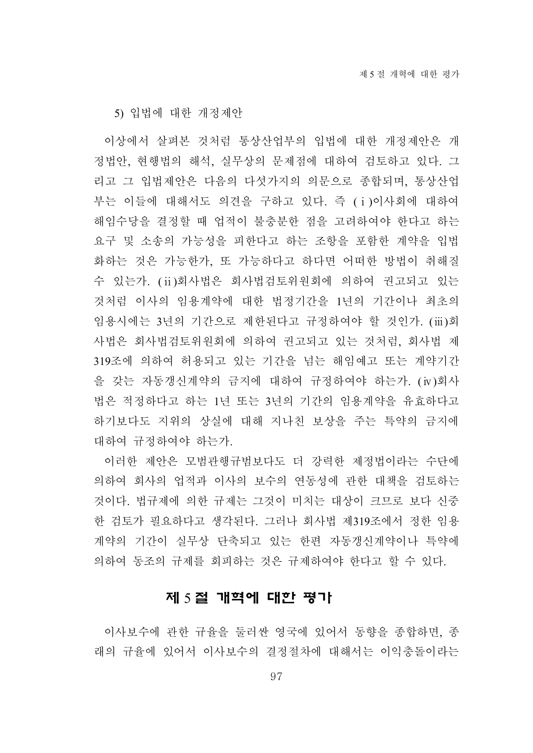5) 입법에 대한 개정제안

이상에서 살펴본 것처럼 통상산업부의 입법에 대한 개정제안은 개 정법안, 현행법의 해석, 실무상의 문제점에 대하여 검토하고 있다. 그 리고 그 입법제안은 다음의 다섯가지의 의문으로 종합되며, 통상산업 부는 이들에 대해서도 의견을 구하고 있다. 즉 (ⅰ)이사회에 대하여 해임수당을 결정할 때 업적이 불충분한 점을 고려하여야 한다고 하는 요구 및 소송의 가능성을 피한다고 하는 조항을 포함한 계약을 입법 화하는 것은 가능한가, 또 가능하다고 하다면 어떠한 방법이 취해질 수 있는가. (ⅱ)회사법은 회사법검토위원회에 의하여 권고되고 있는 것처럼 이사의 임용계약에 대한 법정기간을 1년의 기간이나 최초의 임용시에는 3년의 기간으로 제한된다고 규정하여야 할 것인가. (ⅲ)회 사법은 회사법검토위원회에 의하여 권고되고 있는 것처럼, 회사법 제 319조에 의하여 허용되고 있는 기간을 넘는 해임예고 또는 계약기간 을 갖는 자동갱신계약의 금지에 대하여 규정하여야 하는가. (ⅳ)회사 법은 적정하다고 하는 1년 또는 3년의 기간의 임용계약을 유효하다고 하기보다도 지위의 상실에 대해 지나친 보상을 주는 특약의 금지에 대하여 규정하여야 하는가.

이러한 제안은 모범관행규범보다도 더 강력한 제정법이라는 수단에 의하여 회사의 업적과 이사의 보수의 연동성에 관한 대책을 검토하는 것이다. 법규제에 의한 규제는 그것이 미치는 대상이 크므로 보다 신중 한 검토가 필요하다고 생각된다. 그러나 회사법 제319조에서 정한 임용 계약의 기간이 실무상 단축되고 있는 한편 자동갱신계약이나 특약에 의하여 동조의 규제를 회피하는 것은 규제하여야 한다고 할 수 있다.

#### 제 5 절 개혁에 대한 평가

이사보수에 관한 규율을 둘러싼 영국에 있어서 동향을 종합하면, 종 래의 규율에 있어서 이사보수의 결정절차에 대해서는 이익충돌이라는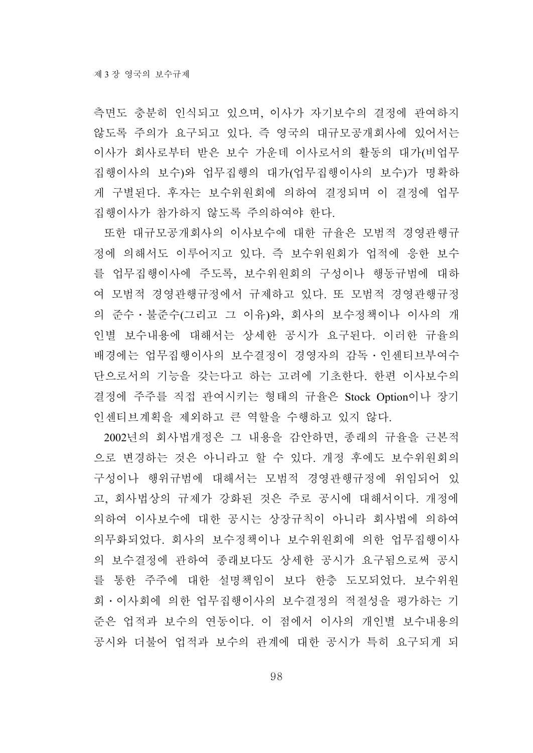측면도 충분히 인식되고 있으며, 이사가 자기보수의 결정에 관여하지 않도록 주의가 요구되고 있다. 즉 영국의 대규모공개회사에 있어서는 이사가 회사로부터 받은 보수 가운데 이사로서의 활동의 대가(비업무 집행이사의 보수)와 업무집행의 대가(업무집행이사의 보수)가 명확하 게 구별된다. 후자는 보수위원회에 의하여 결정되며 이 결정에 업무 집행이사가 참가하지 않도록 주의하여야 한다.

또한 대규모공개회사의 이사보수에 대한 규율은 모범적 경영관행규 정에 의해서도 이루어지고 있다. 즉 보수위원회가 업적에 응한 보수 를 업무집행이사에 주도록, 보수위원회의 구성이나 행동규범에 대하 여 모범적 경영관행규정에서 규제하고 있다. 또 모범적 경영관행규정 의 준수․불준수(그리고 그 이유)와, 회사의 보수정책이나 이사의 개 인별 보수내용에 대해서는 상세한 공시가 요구된다. 이러한 규율의 배경에는 업무집행이사의 보수결정이 경영자의 감독․인센티브부여수 단으로서의 기능을 갖는다고 하는 고려에 기초한다. 한편 이사보수의 결정에 주주를 직접 관여시키는 형태의 규율은 Stock Option이나 장기 인센티브계획을 제외하고 큰 역할을 수행하고 있지 않다.

2002년의 회사법개정은 그 내용을 감안하면, 종래의 규율을 근본적 으로 변경하는 것은 아니라고 할 수 있다. 개정 후에도 보수위원회의 구성이나 행위규범에 대해서는 모범적 경영관행규정에 위임되어 있 고, 회사법상의 규제가 강화된 것은 주로 공시에 대해서이다. 개정에 의하여 이사보수에 대한 공시는 상장규칙이 아니라 회사법에 의하여 의무화되었다. 회사의 보수정책이나 보수위원회에 의한 업무집행이사 의 보수결정에 관하여 종래보다도 상세한 공시가 요구됨으로써 공시 를 통한 주주에 대한 설명책임이 보다 한층 도모되었다. 보수위원 회․이사회에 의한 업무집행이사의 보수결정의 적절성을 평가하는 기 준은 업적과 보수의 연동이다. 이 점에서 이사의 개인별 보수내용의 공시와 더불어 업적과 보수의 관계에 대한 공시가 특히 요구되게 되

98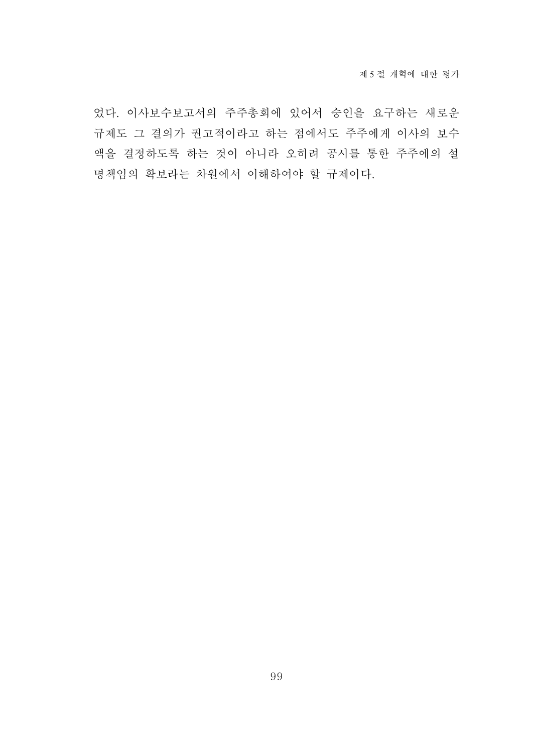었다. 이사보수보고서의 주주총회에 있어서 승인을 요구하는 새로운 규제도 그 결의가 권고적이라고 하는 점에서도 주주에게 이사의 보수 액을 결정하도록 하는 것이 아니라 오히려 공시를 통한 주주에의 설 명책임의 확보라는 차원에서 이해하여야 할 규제이다.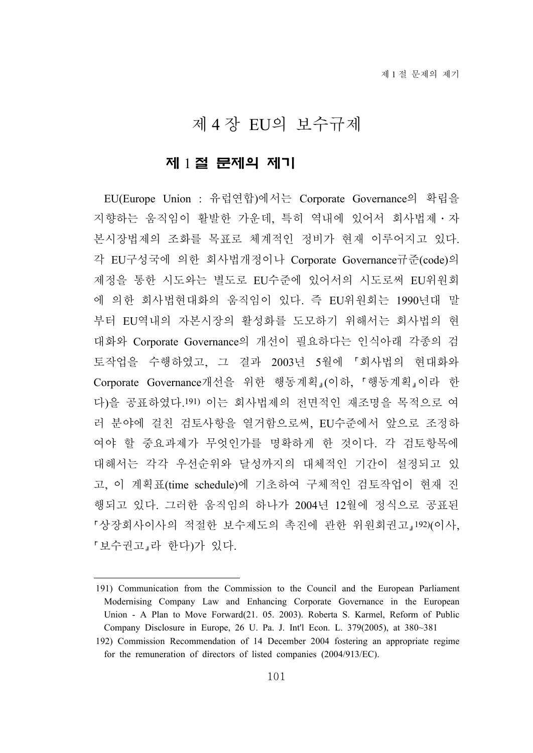# 제 4 장 EU의 보수규제

# 제 1 절 문제의 제기

EU(Europe Union : 유럽연합)에서는 Corporate Governance의 확립을 지향하는 움직임이 활발한 가운데, 특히 역내에 있어서 회사법제․자 본시장법제의 조화를 목표로 체계적인 정비가 현재 이루어지고 있다. 각 EU구성국에 의한 회사법개정이나 Corporate Governance규준(code)의 제정을 통한 시도와는 별도로 EU수준에 있어서의 시도로써 EU위원회 에 의한 회사법현대화의 움직임이 있다. 즉 EU위원회는 1990년대 말 부터 EU역내의 자본시장의 활성화를 도모하기 위해서는 회사법의 현 대화와 Corporate Governance의 개선이 필요하다는 인식아래 각종의 검 토작업을 수행하였고, 그 결과 2003년 5월에 회사법의 현대화와 Corporate Governance개선을 위한 행동계획 이하, 「행동계획 이라 한 다)을 공표하였다.191) 이는 회사법제의 전면적인 재조명을 목적으로 여 러 분야에 걸친 검토사항을 열거함으로써, EU수준에서 앞으로 조정하 여야 할 중요과제가 무엇인가를 명확하게 한 것이다. 각 검토항목에 대해서는 각각 우선순위와 달성까지의 대체적인 기간이 설정되고 있 고, 이 계획표(time schedule)에 기초하여 구체적인 검토작업이 현재 진 행되고 있다. 그러한 움직임의 하나가 2004년 12월에 정식으로 공표된 상장회사이사의 적절한 보수제도의 촉진에 관한 위원회권고 192)(이사, 「보수권고」라 한다)가 있다.

<sup>191)</sup> Communication from the Commission to the Council and the European Parliament Modernising Company Law and Enhancing Corporate Governance in the European Union - A Plan to Move Forward(21. 05. 2003). Roberta S. Karmel, Reform of Public Company Disclosure in Europe, 26 U. Pa. J. Int'l Econ. L. 379(2005), at 380~381

<sup>192)</sup> Commission Recommendation of 14 December 2004 fostering an appropriate regime for the remuneration of directors of listed companies (2004/913/EC).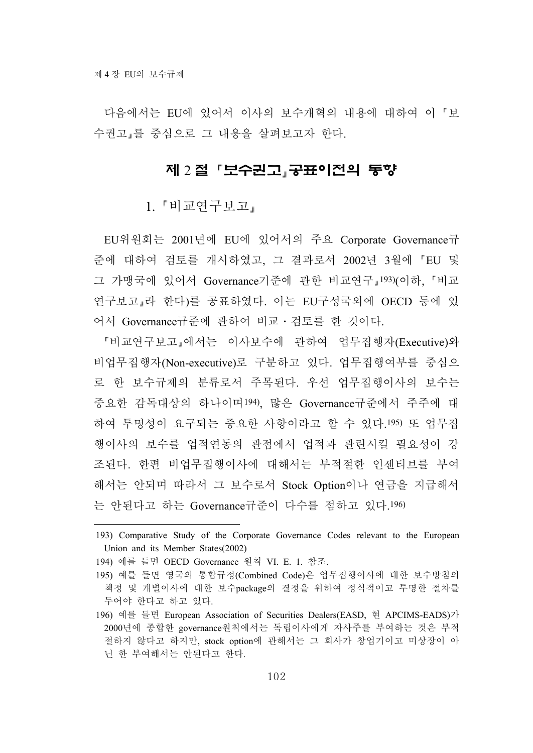다음에서는 EU에 있어서 이사의 보수개혁의 내용에 대하여 이 보 수권고 를 중심으로 그 내용을 살펴보고자 한다.

# 제 2 절 「보수권고」공표이전의 동향

1. 『비교연구보고』

EU위원회는 2001년에 EU에 있어서의 주요 Corporate Governance규 준에 대하여 검토를 개시하였고, 그 결과로서 2002년 3월에 EU 및 그 가맹국에 있어서 Governance기준에 관한 비교연구 193)(이하, 비교 연구보고 라 한다)를 공표하였다. 이는 EU구성국외에 OECD 등에 있 어서 Governance규준에 관하여 비교․검토를 한 것이다.

비교연구보고 에서는 이사보수에 관하여 업무집행자(Executive)와 비업무집행자(Non-executive)로 구분하고 있다. 업무집행여부를 중심으 로 한 보수규제의 분류로서 주목된다. 우선 업무집행이사의 보수는 중요한 감독대상의 하나이며194), 많은 Governance규준에서 주주에 대 하여 투명성이 요구되는 중요한 사항이라고 할 수 있다.195) 또 업무집 행이사의 보수를 업적연동의 관점에서 업적과 관련시킬 필요성이 강 조된다. 한편 비업무집행이사에 대해서는 부적절한 인센티브를 부여 해서는 안되며 따라서 그 보수로서 Stock Option이나 연금을 지급해서 는 안된다고 하는 Governance규준이 다수를 점하고 있다.196)

<sup>193)</sup> Comparative Study of the Corporate Governance Codes relevant to the European Union and its Member States(2002)

<sup>194)</sup> 예를 들면 OECD Governance 원칙 VI. E. 1. 참조.

<sup>195)</sup> 예를 들면 영국의 통합규정(Combined Code)은 업무집행이사에 대한 보수방침의 책정 및 개별이사에 대한 보수package의 결정을 위하여 정식적이고 투명한 절차를 두어야 한다고 하고 있다.

<sup>196)</sup> 예를 들면 European Association of Securities Dealers(EASD, 현 APCIMS-EADS)가 2000년에 종합한 governance원칙에서는 독립이사에게 자사주를 부여하는 것은 부적 절하지 않다고 하지만, stock option에 관해서는 그 회사가 창업기이고 미상장이 아 닌 한 부여해서는 안된다고 한다.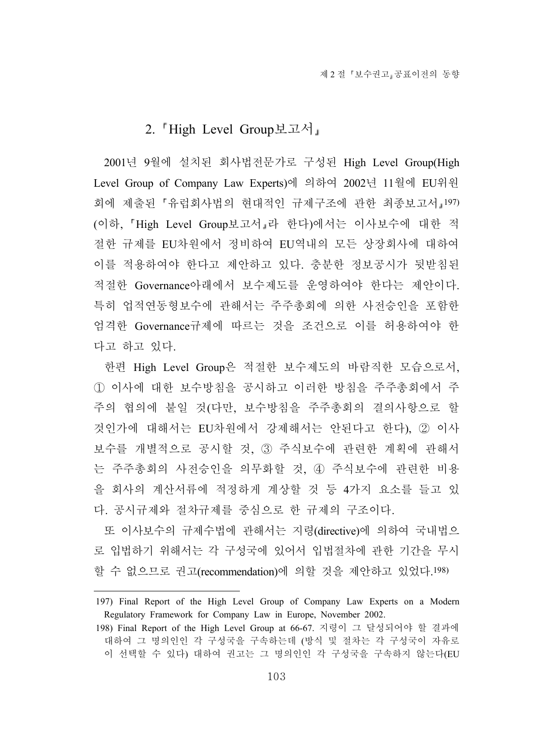# 2. High Level Group보고서

2001년 9월에 설치된 회사법전문가로 구성된 High Level Group(High Level Group of Company Law Experts)에 의하여 2002년 11월에 EU위원 회에 제출된 「유럽회사법의 현대적인 규제구조에 관한 최종보고서 197) (이하, High Level Group보고서 라 한다)에서는 이사보수에 대한 적 절한 규제를 EU차원에서 정비하여 EU역내의 모든 상장회사에 대하여 이를 적용하여야 한다고 제안하고 있다. 충분한 정보공시가 뒷받침된 적절한 Governance아래에서 보수제도를 운영하여야 한다는 제안이다. 특히 업적연동형보수에 관해서는 주주총회에 의한 사전승인을 포함한 엄격한 Governance규제에 따르는 것을 조건으로 이를 허용하여야 한 다고 하고 있다.

한편 High Level Group은 적절한 보수제도의 바람직한 모습으로서, ① 이사에 대한 보수방침을 공시하고 이러한 방침을 주주총회에서 주 주의 협의에 붙일 것(다만, 보수방침을 주주총회의 결의사항으로 할 것인가에 대해서는 EU차원에서 강제해서는 안된다고 한다), ② 이사 보수를 개별적으로 공시할 것, ③ 주식보수에 관련한 계획에 관해서 는 주주총회의 사전승인을 의무화할 것, ④ 주식보수에 관련한 비용 을 회사의 계산서류에 적정하게 계상할 것 등 4가지 요소를 들고 있 다. 공시규제와 절차규제를 중심으로 한 규제의 구조이다.

또 이사보수의 규제수법에 관해서는 지령(directive)에 의하여 국내법으 로 입법하기 위해서는 각 구성국에 있어서 입법절차에 관한 기간을 무시 할 수 없으므로 권고(recommendation)에 의할 것을 제안하고 있었다.198)

<sup>197)</sup> Final Report of the High Level Group of Company Law Experts on a Modern Regulatory Framework for Company Law in Europe, November 2002.

<sup>198)</sup> Final Report of the High Level Group at 66-67. 지령이 그 달성되어야 할 결과에 대하여 그 명의인인 각 구성국을 구속하는데 (방식 및 절차는 각 구성국이 자유로 이 선택할 수 있다) 대하여 권고는 그 명의인인 각 구성국을 구속하지 않는다(EU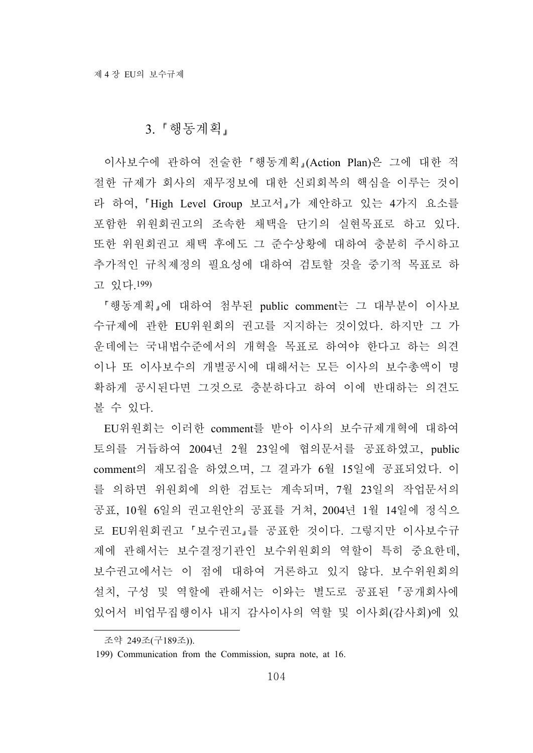#### 3. 행동계획

이사보수에 관하여 전술한 행동계획 (Action Plan)은 그에 대한 적 절한 규제가 회사의 재무정보에 대한 신뢰회복의 핵심을 이루는 것이 라 하여, High Level Group 보고서 가 제안하고 있는 4가지 요소를 포함한 위원회권고의 조속한 채택을 단기의 실현목표로 하고 있다. 또한 위원회권고 채택 후에도 그 준수상황에 대하여 충분히 주시하고 추가적인 규칙제정의 필요성에 대하여 검토할 것을 중기적 목표로 하 고 있다.199)

행동계획 에 대하여 첨부된 public comment는 그 대부분이 이사보 수규제에 관한 EU위원회의 권고를 지지하는 것이었다. 하지만 그 가 운데에는 국내법수준에서의 개혁을 목표로 하여야 한다고 하는 의견 이나 또 이사보수의 개별공시에 대해서는 모든 이사의 보수총액이 명 확하게 공시된다면 그것으로 충분하다고 하여 이에 반대하는 의견도 볼 수 있다.

EU위원회는 이러한 comment를 받아 이사의 보수규제개혁에 대하여 토의를 거듭하여 2004년 2월 23일에 협의문서를 공표하였고, public comment의 재모집을 하였으며, 그 결과가 6월 15일에 공표되었다. 이 를 의하면 위원회에 의한 검토는 계속되며, 7월 23일의 작업문서의 공표, 10월 6일의 권고원안의 공표를 거쳐, 2004년 1월 14일에 정식으 로 EU위원회권고 보수권고 를 공표한 것이다. 그렇지만 이사보수규 제에 관해서는 보수결정기관인 보수위원회의 역할이 특히 중요한데, 보수권고에서는 이 점에 대하여 거론하고 있지 않다. 보수위원회의 설치, 구성 및 역할에 관해서는 이와는 별도로 공표된 '공개회사에 있어서 비업무집행이사 내지 감사이사의 역할 및 이사회(감사회)에 있

조약 249조(구189조)).

<sup>199)</sup> Communication from the Commission, supra note, at 16.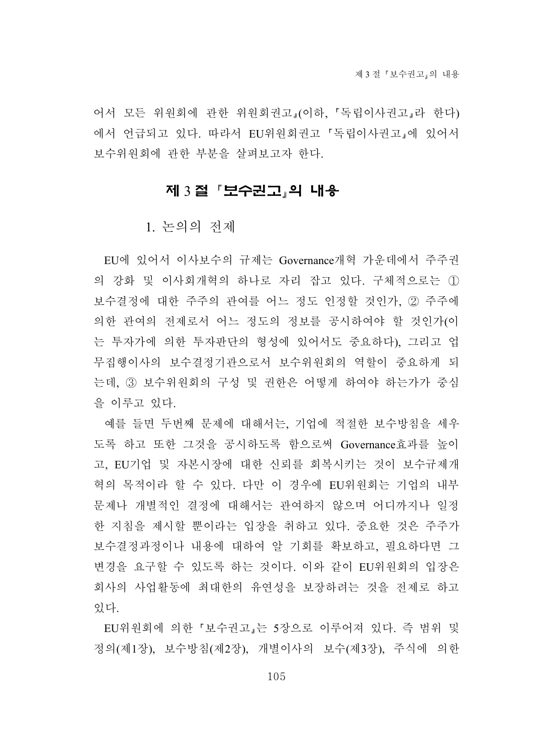어서 모든 위원회에 관한 위원회권고 (이하, '독립이사권고 라 한다) 에서 언급되고 있다. 따라서 EU위원회권고 「독립이사권고」에 있어서 보수위원회에 관한 부분을 살펴보고자 한다.

# 제 3 절 「보수권고」의 내용

1. 논의의 전제

EU에 있어서 이사보수의 규제는 Governance개혁 가운데에서 주주권 의 강화 및 이사회개혁의 하나로 자리 잡고 있다. 구체적으로는 ① 보수결정에 대한 주주의 관여를 어느 정도 인정할 것인가, ② 주주에 의한 관여의 전제로서 어느 정도의 정보를 공시하여야 할 것인가(이 는 투자가에 의한 투자판단의 형성에 있어서도 중요하다), 그리고 업 무집행이사의 보수결정기관으로서 보수위원회의 역할이 중요하게 되 는데, ③ 보수위원회의 구성 및 권한은 어떻게 하여야 하는가가 중심 을 이루고 있다.

예를 들면 두번째 문제에 대해서는, 기업에 적절한 보수방침을 세우 도록 하고 또한 그것을 공시하도록 함으로써 Governance효과를 높이 고, EU기업 및 자본시장에 대한 신뢰를 회복시키는 것이 보수규제개 혁의 목적이라 할 수 있다. 다만 이 경우에 EU위원회는 기업의 내부 문제나 개별적인 결정에 대해서는 관여하지 않으며 어디까지나 일정 한 지침을 제시할 뿐이라는 입장을 취하고 있다. 중요한 것은 주주가 보수결정과정이나 내용에 대하여 알 기회를 확보하고, 필요하다면 그 변경을 요구할 수 있도록 하는 것이다. 이와 같이 EU위원회의 입장은 회사의 사업활동에 최대한의 유연성을 보장하려는 것을 전제로 하고 있다.

EU위원회에 의한 보수권고 는 5장으로 이루어져 있다. 즉 범위 및 정의(제1장), 보수방침(제2장), 개별이사의 보수(제3장), 주식에 의한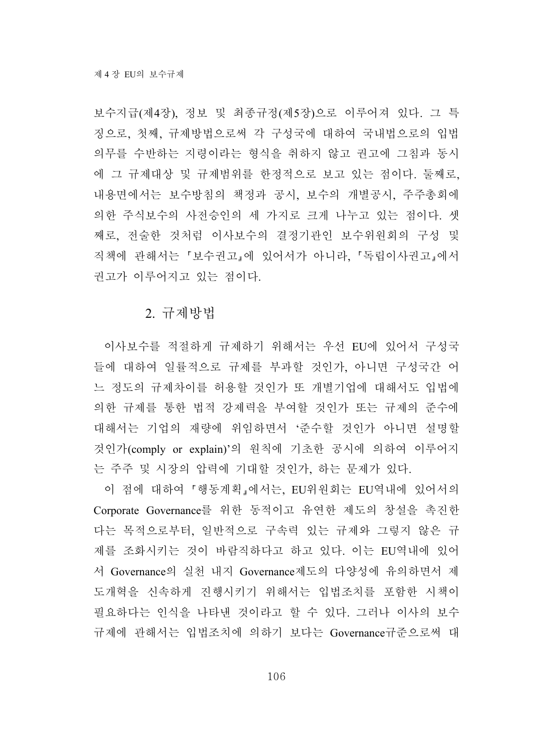보수지급(제4장), 정보 및 최종규정(제5장)으로 이루어져 있다. 그 특 징으로, 첫째, 규제방법으로써 각 구성국에 대하여 국내법으로의 입법 의무를 수반하는 지령이라는 형식을 취하지 않고 권고에 그침과 동시 에 그 규제대상 및 규제범위를 한정적으로 보고 있는 점이다. 둘째로, 내용면에서는 보수방침의 책정과 공시, 보수의 개별공시, 주주총회에 의한 주식보수의 사전승인의 세 가지로 크게 나누고 있는 점이다. 셋 째로, 전술한 것처럼 이사보수의 결정기관인 보수위원회의 구성 및 직책에 관해서는 보수권고 에 있어서가 아니라, 독립이사권고 에서 권고가 이루어지고 있는 점이다.

#### 2. 규제방법

이사보수를 적절하게 규제하기 위해서는 우선 EU에 있어서 구성국 들에 대하여 일률적으로 규제를 부과할 것인가, 아니면 구성국간 어 느 정도의 규제차이를 허용할 것인가 또 개별기업에 대해서도 입법에 의한 규제를 통한 법적 강제력을 부여할 것인가 또는 규제의 준수에 대해서는 기업의 재량에 위임하면서 '준수할 것인가 아니면 설명할 것인가(comply or explain)'의 원칙에 기초한 공시에 의하여 이루어지 는 주주 및 시장의 압력에 기대할 것인가, 하는 문제가 있다.

이 점에 대하여 행동계획 에서는, EU위원회는 EU역내에 있어서의 Corporate Governance를 위한 동적이고 유연한 제도의 창설을 촉진한 다는 목적으로부터, 일반적으로 구속력 있는 규제와 그렇지 않은 규 제를 조화시키는 것이 바람직하다고 하고 있다. 이는 EU역내에 있어 서 Governance의 실천 내지 Governance제도의 다양성에 유의하면서 제 도개혁을 신속하게 진행시키기 위해서는 입법조치를 포함한 시책이 필요하다는 인식을 나타낸 것이라고 할 수 있다. 그러나 이사의 보수 규제에 관해서는 입법조치에 의하기 보다는 Governance규준으로써 대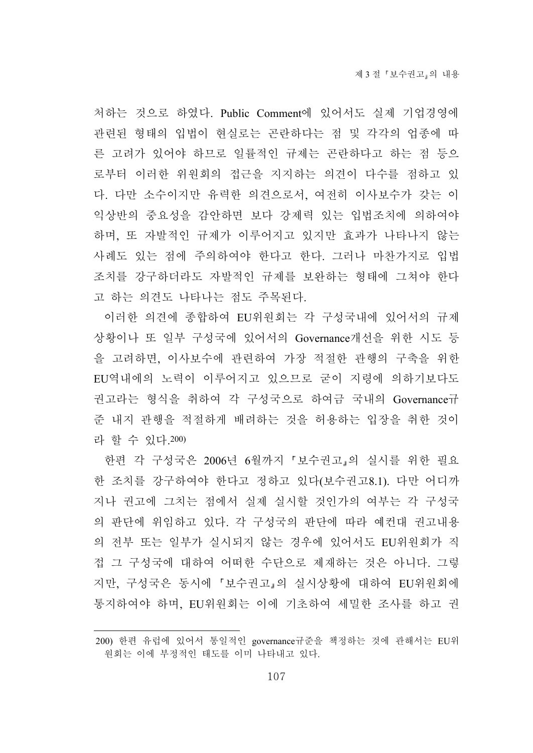처하는 것으로 하였다. Public Comment에 있어서도 실제 기업경영에 관련된 형태의 입법이 현실로는 곤란하다는 점 및 각각의 업종에 따 른 고려가 있어야 하므로 일률적인 규제는 곤란하다고 하는 점 등으 로부터 이러한 위원회의 접근을 지지하는 의견이 다수를 점하고 있 다. 다만 소수이지만 유력한 의견으로서, 여전히 이사보수가 갖는 이 익상반의 중요성을 감안하면 보다 강제력 있는 입법조치에 의하여야 하며, 또 자발적인 규제가 이루어지고 있지만 효과가 나타나지 않는 사례도 있는 점에 주의하여야 한다고 한다. 그러나 마찬가지로 입법 조치를 강구하더라도 자발적인 규제를 보완하는 형태에 그쳐야 한다 고 하는 의견도 나타나는 점도 주목된다.

이러한 의견에 종합하여 EU위원회는 각 구성국내에 있어서의 규제 상황이나 또 일부 구성국에 있어서의 Governance개선을 위한 시도 등 을 고려하면, 이사보수에 관련하여 가장 적절한 관행의 구축을 위한 EU역내에의 노력이 이루어지고 있으므로 굳이 지령에 의하기보다도 권고라는 형식을 취하여 각 구성국으로 하여금 국내의 Governance규 준 내지 관행을 적절하게 배려하는 것을 허용하는 입장을 취한 것이 라 할 수 있다.200)

한편 각 구성국은 2006년 6월까지 「보수권고」의 실시를 위한 필요 한 조치를 강구하여야 한다고 정하고 있다(보수권고8.1). 다만 어디까 지나 권고에 그치는 점에서 실제 실시할 것인가의 여부는 각 구성국 의 판단에 위임하고 있다. 각 구성국의 판단에 따라 예컨대 권고내용 의 전부 또는 일부가 실시되지 않는 경우에 있어서도 EU위원회가 직 접 그 구성국에 대하여 어떠한 수단으로 제재하는 것은 아니다. 그렇 지만, 구성국은 동시에 보수권고 의 실시상황에 대하여 EU위원회에 통지하여야 하며, EU위원회는 이에 기초하여 세밀한 조사를 하고 권

<sup>200)</sup> 한편 유럽에 있어서 통일적인 governance규준을 책정하는 것에 관해서는 EU위 원회는 이에 부정적인 태도를 이미 나타내고 있다.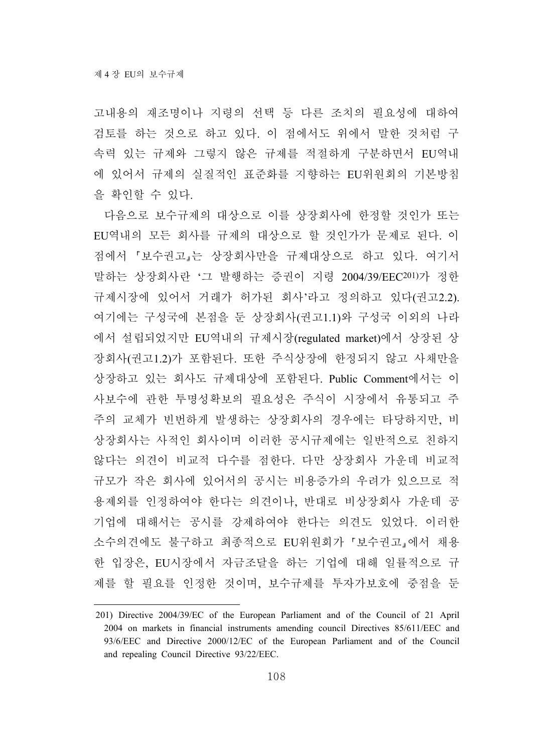고내용의 재조명이나 지령의 선택 등 다른 조치의 필요성에 대하여 검토를 하는 것으로 하고 있다. 이 점에서도 위에서 말한 것처럼 구 속력 있는 규제와 그렇지 않은 규제를 적절하게 구분하면서 EU역내 에 있어서 규제의 실질적인 표준화를 지향하는 EU위원회의 기본방침 을 확인할 수 있다.

다음으로 보수규제의 대상으로 이를 상장회사에 한정할 것인가 또는 EU역내의 모든 회사를 규제의 대상으로 할 것인가가 문제로 된다. 이 점에서 보수권고 는 상장회사만을 규제대상으로 하고 있다. 여기서 말하는 상장회사란 '그 발행하는 증권이 지령 2004/39/EEC201)가 정한 규제시장에 있어서 거래가 허가된 회사'라고 정의하고 있다(권고2.2). 여기에는 구성국에 본점을 둔 상장회사(권고1.1)와 구성국 이외의 나라 에서 설립되었지만 EU역내의 규제시장(regulated market)에서 상장된 상 장회사(권고1.2)가 포함된다. 또한 주식상장에 한정되지 않고 사채만을 상장하고 있는 회사도 규제대상에 포함된다. Public Comment에서는 이 사보수에 관한 투명성확보의 필요성은 주식이 시장에서 유통되고 주 주의 교체가 빈번하게 발생하는 상장회사의 경우에는 타당하지만, 비 상장회사는 사적인 회사이며 이러한 공시규제에는 일반적으로 친하지 않다는 의견이 비교적 다수를 점한다. 다만 상장회사 가운데 비교적 규모가 작은 회사에 있어서의 공시는 비용증가의 우려가 있으므로 적 용제외를 인정하여야 한다는 의견이나, 반대로 비상장회사 가운데 공 기업에 대해서는 공시를 강제하여야 한다는 의견도 있었다. 이러한 소수의견에도 불구하고 최종적으로 EU위원회가 '보수권고 에서 채용 한 입장은, EU시장에서 자금조달을 하는 기업에 대해 일률적으로 규 제를 할 필요를 인정한 것이며, 보수규제를 투자가보호에 중점을 둔

<sup>201)</sup> Directive 2004/39/EC of the European Parliament and of the Council of 21 April 2004 on markets in financial instruments amending council Directives 85/611/EEC and 93/6/EEC and Directive 2000/12/EC of the European Parliament and of the Council and repealing Council Directive 93/22/EEC.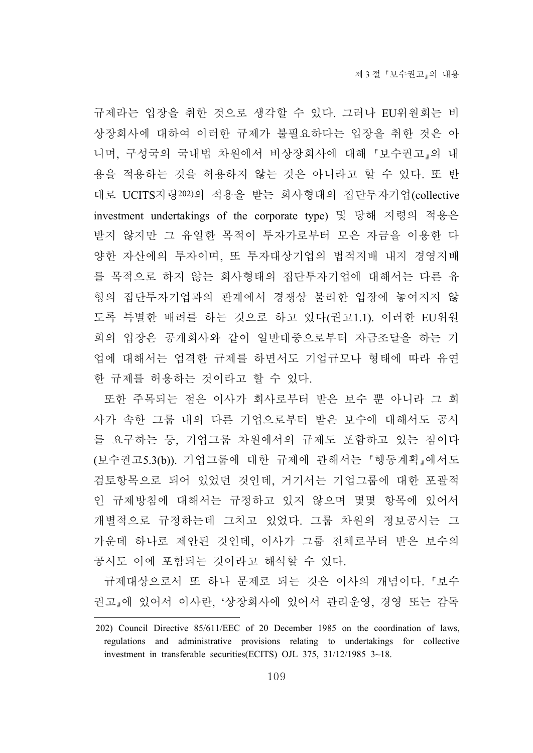규제라는 입장을 취한 것으로 생각할 수 있다. 그러나 EU위원회는 비 상장회사에 대하여 이러한 규제가 불필요하다는 입장을 취한 것은 아 니며, 구성국의 국내법 차원에서 비상장회사에 대해 보수권고 의 내 용을 적용하는 것을 허용하지 않는 것은 아니라고 할 수 있다. 또 반 대로 UCITS지령202)의 적용을 받는 회사형태의 집단투자기업(collective investment undertakings of the corporate type) 및 당해 지령의 적용은 받지 않지만 그 유일한 목적이 투자가로부터 모은 자금을 이용한 다 양한 자산에의 투자이며, 또 투자대상기업의 법적지배 내지 경영지배 를 목적으로 하지 않는 회사형태의 집단투자기업에 대해서는 다른 유 형의 집단투자기업과의 관계에서 경쟁상 불리한 입장에 놓여지지 않 도록 특별한 배려를 하는 것으로 하고 있다(권고1.1). 이러한 EU위원 회의 입장은 공개회사와 같이 일반대중으로부터 자금조달을 하는 기 업에 대해서는 엄격한 규제를 하면서도 기업규모나 형태에 따라 유연 한 규제를 허용하는 것이라고 할 수 있다.

또한 주목되는 점은 이사가 회사로부터 받은 보수 뿐 아니라 그 회 사가 속한 그룹 내의 다른 기업으로부터 받은 보수에 대해서도 공시 를 요구하는 등, 기업그룹 차원에서의 규제도 포함하고 있는 점이다 (보수권고5.3(b)). 기업그룹에 대한 규제에 관해서는 행동계획 에서도 검토항목으로 되어 있었던 것인데, 거기서는 기업그룹에 대한 포괄적 인 규제방침에 대해서는 규정하고 있지 않으며 몇몇 항목에 있어서 개별적으로 규정하는데 그치고 있었다. 그룹 차원의 정보공시는 그 가운데 하나로 제안된 것인데, 이사가 그룹 전체로부터 받은 보수의 공시도 이에 포함되는 것이라고 해석할 수 있다.

규제대상으로서 또 하나 문제로 되는 것은 이사의 개념이다. 보수 권고 에 있어서 이사란, '상장회사에 있어서 관리운영, 경영 또는 감독

<sup>202)</sup> Council Directive 85/611/EEC of 20 December 1985 on the coordination of laws, regulations and administrative provisions relating to undertakings for collective investment in transferable securities(ECITS) OJL 375, 31/12/1985 3~18.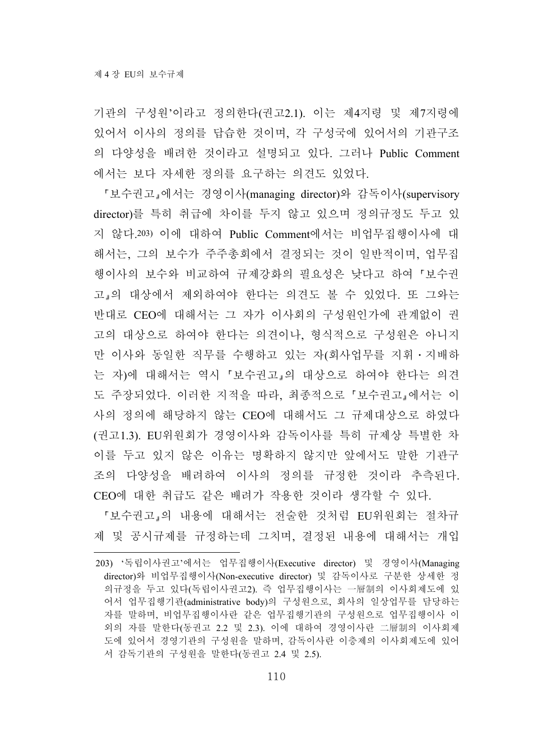기관의 구성원'이라고 정의한다(권고2.1). 이는 제4지령 및 제7지령에 있어서 이사의 정의를 답습한 것이며, 각 구성국에 있어서의 기관구조 의 다양성을 배려한 것이라고 설명되고 있다. 그러나 Public Comment 에서는 보다 자세한 정의를 요구하는 의견도 있었다.

보수권고 에서는 경영이사(managing director)와 감독이사(supervisory director)를 특히 취급에 차이를 두지 않고 있으며 정의규정도 두고 있 지 않다.203) 이에 대하여 Public Comment에서는 비업무집행이사에 대 해서는, 그의 보수가 주주총회에서 결정되는 것이 일반적이며, 업무집 행이사의 보수와 비교하여 규제강화의 필요성은 낮다고 하여 보수권 고 의 대상에서 제외하여야 한다는 의견도 볼 수 있었다. 또 그와는 반대로 CEO에 대해서는 그 자가 이사회의 구성원인가에 관계없이 권 고의 대상으로 하여야 한다는 의견이나, 형식적으로 구성원은 아니지 만 이사와 동일한 직무를 수행하고 있는 자(회사업무를 지휘․지배하 는 자)에 대해서는 역시 보수권고 의 대상으로 하여야 한다는 의견 도 주장되었다. 이러한 지적을 따라, 최종적으로 보수권고 에서는 이 사의 정의에 해당하지 않는 CEO에 대해서도 그 규제대상으로 하였다 (권고1.3). EU위원회가 경영이사와 감독이사를 특히 규제상 특별한 차 이를 두고 있지 않은 이유는 명확하지 않지만 앞에서도 말한 기관구 조의 다양성을 배려하여 이사의 정의를 규정한 것이라 추측된다. CEO에 대한 취급도 같은 배려가 작용한 것이라 생각할 수 있다.

「보수권고」의 내용에 대해서는 전술한 것처럼 EU위원회는 절차규 제 및 공시규제를 규정하는데 그치며, 결정된 내용에 대해서는 개입

<sup>203) &#</sup>x27;독립이사권고'에서는 업무집행이사(Executive director) 및 경영이사(Managing director)와 비업무집행이사(Non-executive director) 및 감독이사로 구분한 상세한 정 의규정을 두고 있다(독립이사권고2). 즉 업무집행이사는 一層制의 이사회제도에 있 어서 업무집행기관(administrative body)의 구성원으로, 회사의 일상업무를 담당하는 자를 말하며, 비업무집행이사란 같은 업무집행기관의 구성원으로 업무집행이사 이 외의 자를 말한다(동권고 2.2 및 2.3). 이에 대하여 경영이사란 二層制의 이사회제 도에 있어서 경영기관의 구성원을 말하며, 감독이사란 이층제의 이사회제도에 있어 서 감독기관의 구성원을 말한다(동권고 2.4 및 2.5).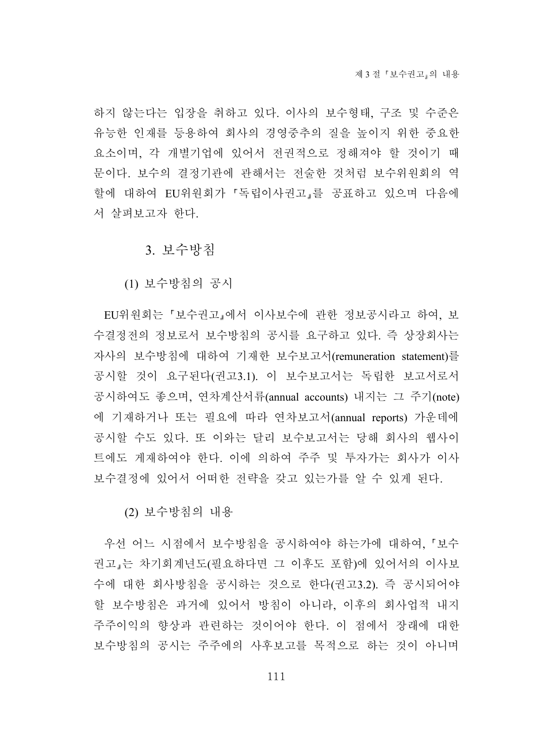하지 않는다는 입장을 취하고 있다. 이사의 보수형태, 구조 및 수준은 유능한 인재를 등용하여 회사의 경영중추의 질을 높이지 위한 중요한 요소이며, 각 개별기업에 있어서 전권적으로 정해져야 할 것이기 때 문이다. 보수의 결정기관에 관해서는 전술한 것처럼 보수위원회의 역 할에 대하여 EU위원회가 '독립이사권고 를 공표하고 있으며 다음에 서 살펴보고자 한다.

#### 3. 보수방침

(1) 보수방침의 공시

EU위원회는 '보수권고 에서 이사보수에 관한 정보공시라고 하여, 보 수결정전의 정보로서 보수방침의 공시를 요구하고 있다. 즉 상장회사는 자사의 보수방침에 대하여 기재한 보수보고서(remuneration statement)를 공시할 것이 요구된다(권고3.1). 이 보수보고서는 독립한 보고서로서 공시하여도 좋으며, 연차계산서류(annual accounts) 내지는 그 주기(note) 에 기재하거나 또는 필요에 따라 연차보고서(annual reports) 가운데에 공시할 수도 있다. 또 이와는 달리 보수보고서는 당해 회사의 웹사이 트에도 게재하여야 한다. 이에 의하여 주주 및 투자가는 회사가 이사 보수결정에 있어서 어떠한 전략을 갖고 있는가를 알 수 있게 된다.

(2) 보수방침의 내용

우선 어느 시점에서 보수방침을 공시하여야 하는가에 대하여, 보수 권고 는 차기회계년도(필요하다면 그 이후도 포함)에 있어서의 이사보 수에 대한 회사방침을 공시하는 것으로 한다(권고3.2). 즉 공시되어야 할 보수방침은 과거에 있어서 방침이 아니라, 이후의 회사업적 내지 주주이익의 향상과 관련하는 것이어야 한다. 이 점에서 장래에 대한 보수방침의 공시는 주주에의 사후보고를 목적으로 하는 것이 아니며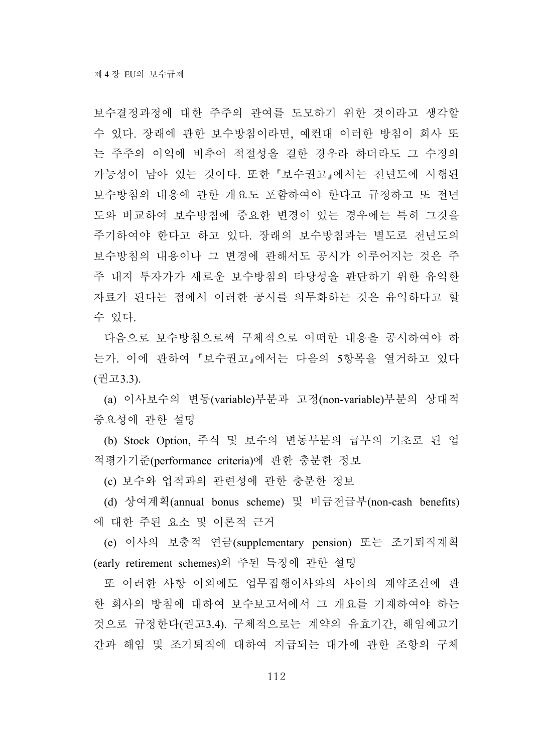보수결정과정에 대한 주주의 관여를 도모하기 위한 것이라고 생각할 수 있다. 장래에 관한 보수방침이라면, 예컨대 이러한 방침이 회사 또 는 주주의 이익에 비추어 적절성을 결한 경우라 하더라도 그 수정의 가능성이 남아 있는 것이다. 또한 보수권고 에서는 전년도에 시행된 보수방침의 내용에 관한 개요도 포함하여야 한다고 규정하고 또 전년 도와 비교하여 보수방침에 중요한 변경이 있는 경우에는 특히 그것을 주기하여야 한다고 하고 있다. 장래의 보수방침과는 별도로 전년도의 보수방침의 내용이나 그 변경에 관해서도 공시가 이루어지는 것은 주 주 내지 투자가가 새로운 보수방침의 타당성을 판단하기 위한 유익한 자료가 된다는 점에서 이러한 공시를 의무화하는 것은 유익하다고 할 수 있다.

다음으로 보수방침으로써 구체적으로 어떠한 내용을 공시하여야 하 는가. 이에 관하여 보수권고 에서는 다음의 5항목을 열거하고 있다 (권고3.3).

(a) 이사보수의 변동(variable)부분과 고정(non-variable)부분의 상대적 중요성에 관한 설명

(b) Stock Option, 주식 및 보수의 변동부분의 급부의 기초로 된 업 적평가기준(performance criteria)에 관한 충분한 정보

(c) 보수와 업적과의 관련성에 관한 충분한 정보

(d) 상여계획(annual bonus scheme) 및 비금전급부(non-cash benefits) 에 대한 주된 요소 및 이론적 근거

(e) 이사의 보충적 연금(supplementary pension) 또는 조기퇴직계획 (early retirement schemes)의 주된 특징에 관한 설명

또 이러한 사항 이외에도 업무집행이사와의 사이의 계약조건에 관 한 회사의 방침에 대하여 보수보고서에서 그 개요를 기재하여야 하는 것으로 규정한다(권고3.4). 구체적으로는 계약의 유효기간, 해임예고기 간과 해임 및 조기퇴직에 대하여 지급되는 대가에 관한 조항의 구체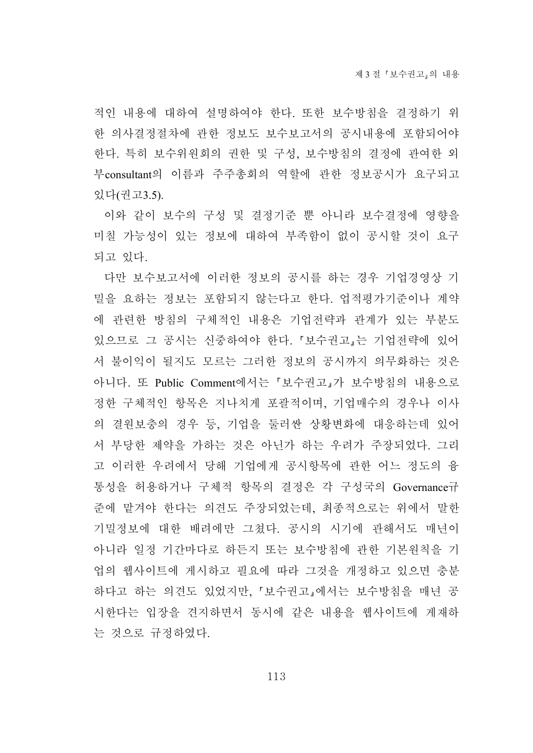적인 내용에 대하여 설명하여야 한다. 또한 보수방침을 결정하기 위 한 의사결정절차에 관한 정보도 보수보고서의 공시내용에 포함되어야 한다. 특히 보수위원회의 권한 및 구성, 보수방침의 결정에 관여한 외 부consultant의 이름과 주주총회의 역할에 관한 정보공시가 요구되고 있다(권고3.5).

이와 같이 보수의 구성 및 결정기준 뿐 아니라 보수결정에 영향을 미칠 가능성이 있는 정보에 대하여 부족함이 없이 공시할 것이 요구 되고 있다.

다만 보수보고서에 이러한 정보의 공시를 하는 경우 기업경영상 기 밀을 요하는 정보는 포함되지 않는다고 한다. 업적평가기준이나 계약 에 관련한 방침의 구체적인 내용은 기업전략과 관계가 있는 부분도 있으므로 그 공시는 신중하여야 한다. 보수권고 는 기업전략에 있어 서 불이익이 될지도 모르는 그러한 정보의 공시까지 의무화하는 것은 아니다. 또 Public Comment에서는 보수권고 가 보수방침의 내용으로 정한 구체적인 항목은 지나치게 포괄적이며, 기업매수의 경우나 이사 의 결원보충의 경우 등, 기업을 둘러싼 상황변화에 대응하는데 있어 서 부당한 제약을 가하는 것은 아닌가 하는 우려가 주장되었다. 그리 고 이러한 우려에서 당해 기업에게 공시항목에 관한 어느 정도의 융 통성을 허용하거나 구체적 항목의 결정은 각 구성국의 Governance규 준에 맡겨야 한다는 의견도 주장되었는데, 최종적으로는 위에서 말한 기밀정보에 대한 배려에만 그쳤다. 공시의 시기에 관해서도 매년이 아니라 일정 기간마다로 하든지 또는 보수방침에 관한 기본원칙을 기 업의 웹사이트에 게시하고 필요에 따라 그것을 개정하고 있으면 충분 하다고 하는 의견도 있었지만, 보수권고 에서는 보수방침을 매년 공 시한다는 입장을 견지하면서 동시에 같은 내용을 웹사이트에 게재하 는 것으로 규정하였다.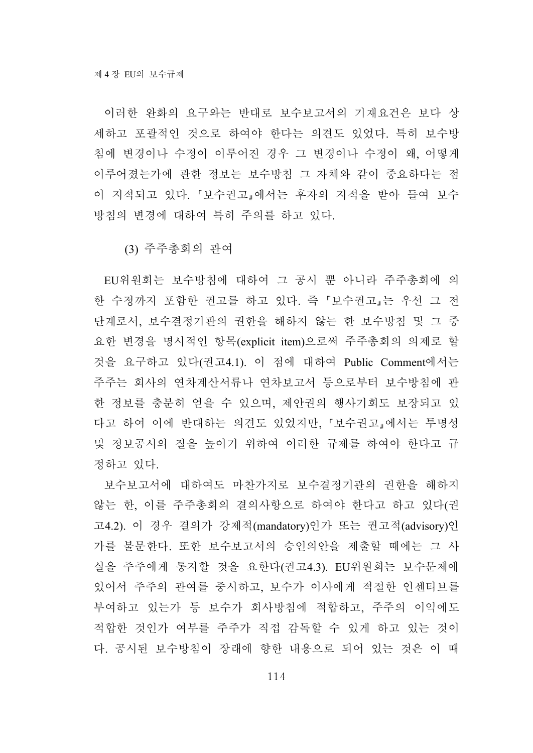이러한 완화의 요구와는 반대로 보수보고서의 기재요건은 보다 상 세하고 포괄적인 것으로 하여야 한다는 의견도 있었다. 특히 보수방 침에 변경이나 수정이 이루어진 경우 그 변경이나 수정이 왜, 어떻게 이루어졌는가에 관한 정보는 보수방침 그 자체와 같이 중요하다는 점 이 지적되고 있다. 보수권고 에서는 후자의 지적을 받아 들여 보수 방침의 변경에 대하여 특히 주의를 하고 있다.

(3) 주주총회의 관여

EU위원회는 보수방침에 대하여 그 공시 뿐 아니라 주주총회에 의 한 수정까지 포함한 권고를 하고 있다. 즉 보수권고 는 우선 그 전 단계로서, 보수결정기관의 권한을 해하지 않는 한 보수방침 및 그 중 요한 변경을 명시적인 항목(explicit item)으로써 주주총회의 의제로 할 것을 요구하고 있다(권고4.1). 이 점에 대하여 Public Comment에서는 주주는 회사의 연차계산서류나 연차보고서 등으로부터 보수방침에 관 한 정보를 충분히 얻을 수 있으며, 제안권의 행사기회도 보장되고 있 다고 하여 이에 반대하는 의견도 있었지만, 보수권고 에서는 투명성 및 정보공시의 질을 높이기 위하여 이러한 규제를 하여야 한다고 규 정하고 있다.

보수보고서에 대하여도 마찬가지로 보수결정기관의 권한을 해하지 않는 한, 이를 주주총회의 결의사항으로 하여야 한다고 하고 있다(권 고4.2). 이 경우 결의가 강제적(mandatory)인가 또는 권고적(advisory)인 가를 불문한다. 또한 보수보고서의 승인의안을 제출할 때에는 그 사 실을 주주에게 통지할 것을 요한다(권고4.3). EU위원회는 보수문제에 있어서 주주의 관여를 중시하고, 보수가 이사에게 적절한 인센티브를 부여하고 있는가 등 보수가 회사방침에 적합하고, 주주의 이익에도 적합한 것인가 여부를 주주가 직접 감독할 수 있게 하고 있는 것이 다. 공시된 보수방침이 장래에 향한 내용으로 되어 있는 것은 이 때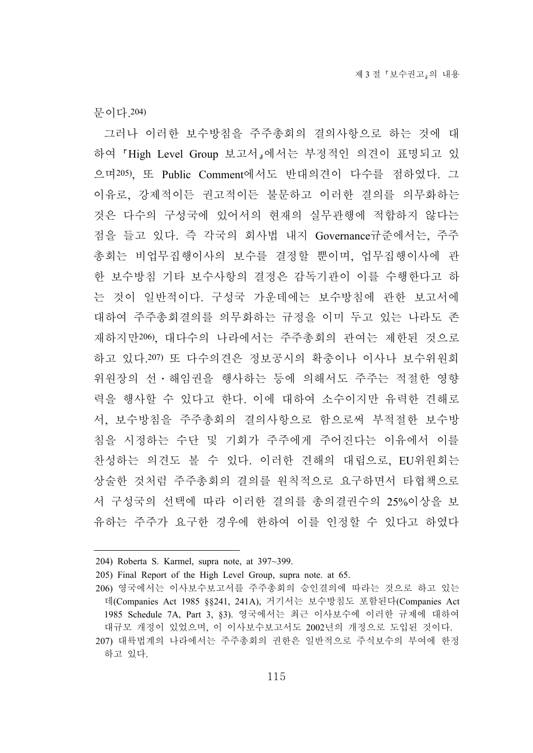문이다.204)

그러나 이러한 보수방침을 주주총회의 결의사항으로 하는 것에 대 하여 High Level Group 보고서 에서는 부정적인 의견이 표명되고 있 으며205), 또 Public Comment에서도 반대의견이 다수를 점하였다. 그 이유로, 강제적이든 권고적이든 불문하고 이러한 결의를 의무화하는 것은 다수의 구성국에 있어서의 현재의 실무관행에 적합하지 않다는 점을 들고 있다. 즉 각국의 회사법 내지 Governance규준에서는, 주주 총회는 비업무집행이사의 보수를 결정할 뿐이며, 업무집행이사에 관 한 보수방침 기타 보수사항의 결정은 감독기관이 이를 수행한다고 하 는 것이 일반적이다. 구성국 가운데에는 보수방침에 관한 보고서에 대하여 주주총회결의를 의무화하는 규정을 이미 두고 있는 나라도 존 재하지만206), 대다수의 나라에서는 주주총회의 관여는 제한된 것으로 하고 있다.207) 또 다수의견은 정보공시의 확충이나 이사나 보수위원회 위원장의 선․해임권을 행사하는 등에 의해서도 주주는 적절한 영향 력을 행사할 수 있다고 한다. 이에 대하여 소수이지만 유력한 견해로 서, 보수방침을 주주총회의 결의사항으로 함으로써 부적절한 보수방 침을 시정하는 수단 및 기회가 주주에게 주어진다는 이유에서 이를 찬성하는 의견도 볼 수 있다. 이러한 견해의 대립으로, EU위원회는 상술한 것처럼 주주총회의 결의를 원칙적으로 요구하면서 타협책으로 서 구성국의 선택에 따라 이러한 결의를 총의결권수의 25%이상을 보 유하는 주주가 요구한 경우에 한하여 이를 인정할 수 있다고 하였다

<sup>204)</sup> Roberta S. Karmel, supra note, at 397~399.

<sup>205)</sup> Final Report of the High Level Group, supra note. at 65.

<sup>206)</sup> 영국에서는 이사보수보고서를 주주총회의 승인결의에 따라는 것으로 하고 있는 데(Companies Act 1985 §§241, 241A), 거기서는 보수방침도 포함된다(Companies Act 1985 Schedule 7A, Part 3, §3). 영국에서는 최근 이사보수에 이러한 규제에 대하여 대규모 개정이 있었으며, 이 이사보수보고서도 2002년의 개정으로 도입된 것이다.

<sup>207)</sup> 대륙법계의 나라에서는 주주총회의 권한은 일반적으로 주식보수의 부여에 한정 하고 있다.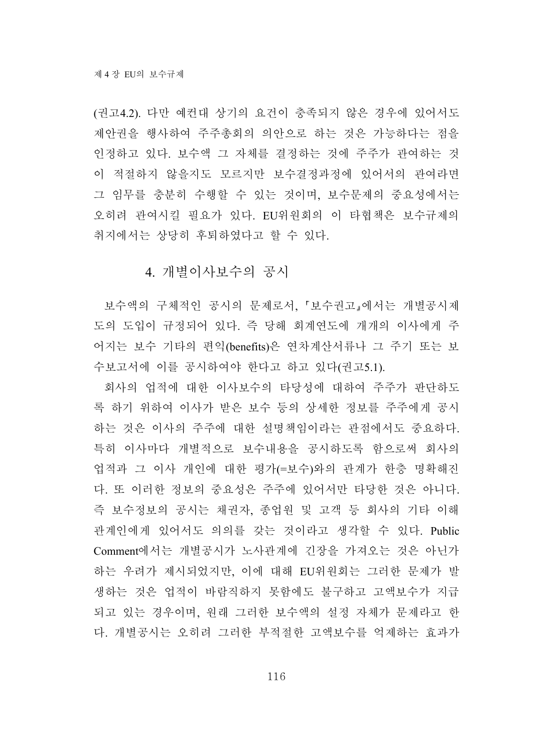(권고4.2). 다만 예컨대 상기의 요건이 충족되지 않은 경우에 있어서도 제안권을 행사하여 주주총회의 의안으로 하는 것은 가능하다는 점을 인정하고 있다. 보수액 그 자체를 결정하는 것에 주주가 관여하는 것 이 적절하지 않을지도 모르지만 보수결정과정에 있어서의 관여라면 그 임무를 충분히 수행할 수 있는 것이며, 보수문제의 중요성에서는 오히려 관여시킬 필요가 있다. EU위원회의 이 타협책은 보수규제의 취지에서는 상당히 후퇴하였다고 할 수 있다.

### 4. 개별이사보수의 공시

보수액의 구체적인 공시의 문제로서, 보수권고 에서는 개별공시제 도의 도입이 규정되어 있다. 즉 당해 회계연도에 개개의 이사에게 주 어지는 보수 기타의 편익(benefits)은 연차계산서류나 그 주기 또는 보 수보고서에 이를 공시하여야 한다고 하고 있다(권고5.1).

회사의 업적에 대한 이사보수의 타당성에 대하여 주주가 판단하도 록 하기 위하여 이사가 받은 보수 등의 상세한 정보를 주주에게 공시 하는 것은 이사의 주주에 대한 설명책임이라는 관점에서도 중요하다. 특히 이사마다 개별적으로 보수내용을 공시하도록 함으로써 회사의 업적과 그 이사 개인에 대한 평가(=보수)와의 관계가 한층 명확해진 다. 또 이러한 정보의 중요성은 주주에 있어서만 타당한 것은 아니다. 즉 보수정보의 공시는 채권자, 종업원 및 고객 등 회사의 기타 이해 관계인에게 있어서도 의의를 갖는 것이라고 생각할 수 있다. Public Comment에서는 개별공시가 노사관계에 긴장을 가져오는 것은 아닌가 하는 우려가 제시되었지만, 이에 대해 EU위원회는 그러한 문제가 발 생하는 것은 업적이 바람직하지 못함에도 불구하고 고액보수가 지급 되고 있는 경우이며, 원래 그러한 보수액의 설정 자체가 문제라고 한 다. 개별공시는 오히려 그러한 부적절한 고액보수를 억제하는 효과가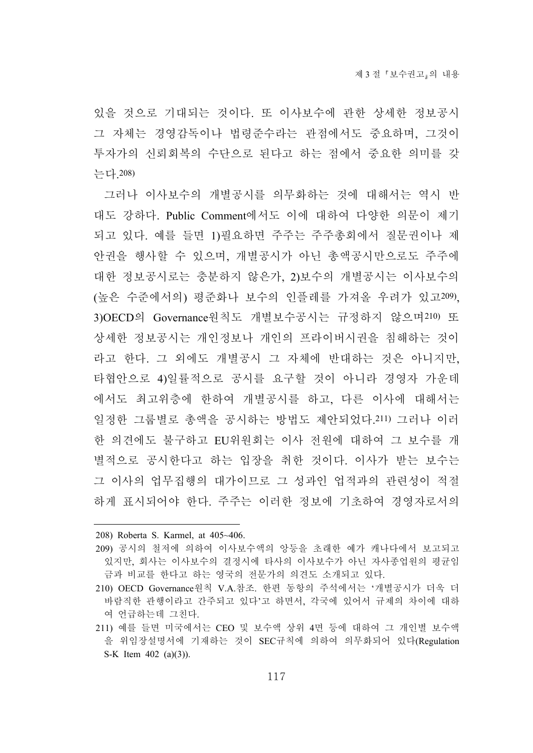있을 것으로 기대되는 것이다. 또 이사보수에 관한 상세한 정보공시 그 자체는 경영감독이나 법령준수라는 관점에서도 중요하며, 그것이 투자가의 신뢰회복의 수단으로 된다고 하는 점에서 중요한 의미를 갖 는다.208)

그러나 이사보수의 개별공시를 의무화하는 것에 대해서는 역시 반 대도 강하다. Public Comment에서도 이에 대하여 다양한 의문이 제기 되고 있다. 예를 들면 1)필요하면 주주는 주주총회에서 질문권이나 제 안권을 행사할 수 있으며, 개별공시가 아닌 총액공시만으로도 주주에 대한 정보공시로는 충분하지 않은가, 2)보수의 개별공시는 이사보수의 (높은 수준에서의) 평준화나 보수의 인플레를 가져올 우려가 있고209), 3)OECD의 Governance원칙도 개별보수공시는 규정하지 않으며210) 또 상세한 정보공시는 개인정보나 개인의 프라이버시권을 침해하는 것이 라고 한다. 그 외에도 개별공시 그 자체에 반대하는 것은 아니지만, 타협안으로 4)일률적으로 공시를 요구할 것이 아니라 경영자 가운데 에서도 최고위층에 한하여 개별공시를 하고, 다른 이사에 대해서는 일정한 그룹별로 총액을 공시하는 방법도 제안되었다.211) 그러나 이러 한 의견에도 불구하고 EU위원회는 이사 전원에 대하여 그 보수를 개 별적으로 공시한다고 하는 입장을 취한 것이다. 이사가 받는 보수는 그 이사의 업무집행의 대가이므로 그 성과인 업적과의 관련성이 적절 하게 표시되어야 한다. 주주는 이러한 정보에 기초하여 경영자로서의

<sup>208)</sup> Roberta S. Karmel, at 405~406.

<sup>209)</sup> 공시의 철저에 의하여 이사보수액의 앙등을 초래한 예가 캐나다에서 보고되고 있지만, 회사는 이사보수의 결정시에 타사의 이사보수가 아닌 자사종업원의 평균임 금과 비교를 한다고 하는 영국의 전문가의 의견도 소개되고 있다.

<sup>210)</sup> OECD Governance원칙 V.A.참조. 한편 동항의 주석에서는 '개별공시가 더욱 더 바람직한 관행이라고 간주되고 있다'고 하면서, 각국에 있어서 규제의 차이에 대하 여 언급하는데 그친다.

<sup>211)</sup> 예를 들면 미국에서는 CEO 및 보수액 상위 4면 등에 대하여 그 개인별 보수액 을 위임장설명서에 기재하는 것이 SEC규칙에 의하여 의무화되어 있다(Regulation S-K Item 402 (a)(3)).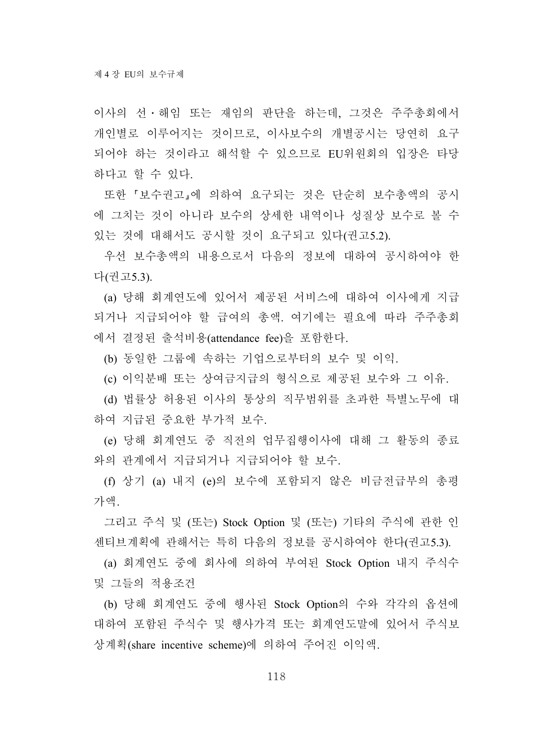이사의 선․해임 또는 재임의 판단을 하는데, 그것은 주주총회에서 개인별로 이루어지는 것이므로, 이사보수의 개별공시는 당연히 요구 되어야 하는 것이라고 해석할 수 있으므로 EU위원회의 입장은 타당 하다고 할 수 있다.

또한 보수권고 에 의하여 요구되는 것은 단순히 보수총액의 공시 에 그치는 것이 아니라 보수의 상세한 내역이나 성질상 보수로 볼 수 있는 것에 대해서도 공시할 것이 요구되고 있다(권고5.2).

우선 보수총액의 내용으로서 다음의 정보에 대하여 공시하여야 한 다(권고5.3).

(a) 당해 회계연도에 있어서 제공된 서비스에 대하여 이사에게 지급 되거나 지급되어야 할 급여의 총액. 여기에는 필요에 따라 주주총회 에서 결정된 출석비용(attendance fee)을 포함한다.

(b) 동일한 그룹에 속하는 기업으로부터의 보수 및 이익.

(c) 이익분배 또는 상여금지급의 형식으로 제공된 보수와 그 이유.

(d) 법률상 허용된 이사의 통상의 직무범위를 초과한 특별노무에 대 하여 지급된 중요한 부가적 보수.

(e) 당해 회계연도 중 직전의 업무집행이사에 대해 그 활동의 종료 와의 관계에서 지급되거나 지급되어야 할 보수.

(f) 상기 (a) 내지 (e)의 보수에 포함되지 않은 비금전급부의 총평 가액.

그리고 주식 및 (또는) Stock Option 및 (또는) 기타의 주식에 관한 인 센티브계획에 관해서는 특히 다음의 정보를 공시하여야 한다(권고5.3).

(a) 회계연도 중에 회사에 의하여 부여된 Stock Option 내지 주식수 및 그들의 적용조건

(b) 당해 회계연도 중에 행사된 Stock Option의 수와 각각의 옵션에 대하여 포함된 주식수 및 행사가격 또는 회계연도말에 있어서 주식보 상계획(share incentive scheme)에 의하여 주어진 이익액.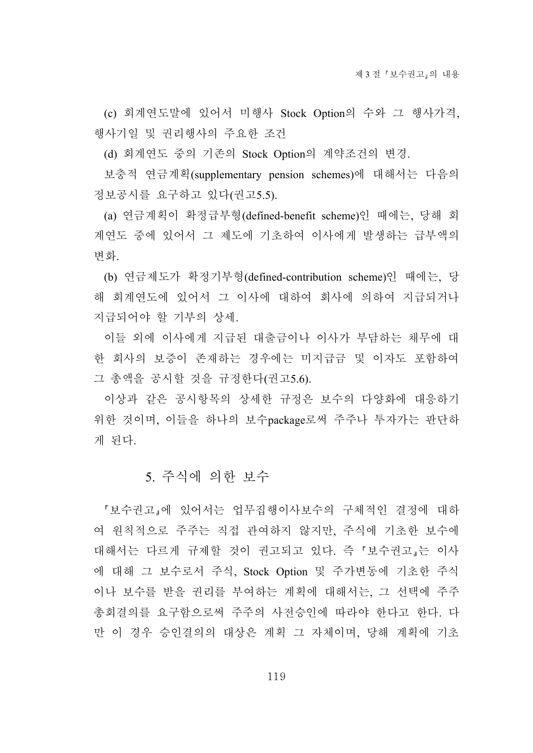(c) 회계연도말에 있어서 미행사 Stock Option의 수와 그 행사가격, 행사기일 및 권리행사의 주요한 조건

(d) 회계연도 중의 기존의 Stock Option의 계약조건의 변경.

보충적 연금계획(supplementary pension schemes)에 대해서는 다음의 정보공시를 요구하고 있다(권고5.5).

(a) 연금계획이 확정급부형(defined-benefit scheme)인 때에는, 당해 회 계연도 중에 있어서 그 제도에 기초하여 이사에게 발생하는 급부액의 변화.

(b) 연금제도가 확정기부형(defined-contribution scheme)인 때에는, 당 해 회계연도에 있어서 그 이사에 대하여 회사에 의하여 지급되거나 지급되어야 할 기부의 상세.

이들 외에 이사에게 지급된 대출금이나 이사가 부담하는 채무에 대 한 회사의 보증이 존재하는 경우에는 미지급금 및 이자도 포함하여 그 총액을 공시할 것을 규정한다(권고5.6).

이상과 같은 공시항목의 상세한 규정은 보수의 다양화에 대응하기 위한 것이며, 이들을 하나의 보수package로써 주주나 투자가는 판단하 게 된다.

## 5. 주식에 의한 보수

보수권고 에 있어서는 업무집행이사보수의 구체적인 결정에 대하 여 원칙적으로 주주는 직접 관여하지 않지만, 주식에 기초한 보수에 대해서는 다르게 규제할 것이 권고되고 있다. 즉 보수권고 는 이사 에 대해 그 보수로서 주식, Stock Option 및 주가변동에 기초한 주식 이나 보수를 받을 권리를 부여하는 계획에 대해서는, 그 선택에 주주 총회결의를 요구함으로써 주주의 사전승인에 따라야 한다고 한다. 다 만 이 경우 승인결의의 대상은 계획 그 자체이며, 당해 계획에 기초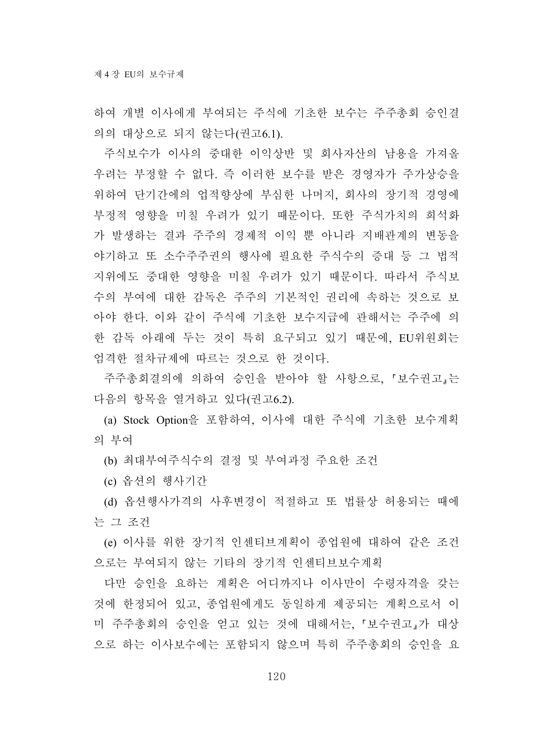하여 개별 이사에게 부여되는 주식에 기초한 보수는 주주총회 승인결 의의 대상으로 되지 않는다(권고6.1).

주식보수가 이사의 중대한 이익상반 및 회사자산의 남용을 가져올 우려는 부정할 수 없다. 즉 이러한 보수를 받은 경영자가 주가상승을 위하여 단기간에의 업적향상에 부심한 나머지, 회사의 장기적 경영에 부정적 영향을 미칠 우려가 있기 때문이다. 또한 주식가치의 희석화 가 발생하는 결과 주주의 경제적 이익 뿐 아니라 지배관계의 변동을 야기하고 또 소수주주권의 행사에 필요한 주식수의 증대 등 그 법적 지위에도 중대한 영향을 미칠 우려가 있기 때문이다. 따라서 주식보 수의 부여에 대한 감독은 주주의 기본적인 권리에 속하는 것으로 보 아야 한다. 이와 같이 주식에 기초한 보수지급에 관해서는 주주에 의 한 감독 아래에 두는 것이 특히 요구되고 있기 때문에, EU위원회는 엄격한 절차규제에 따르는 것으로 한 것이다.

주주총회결의에 의하여 승인을 받아야 할 사항으로, 보수권고 는 다음의 항목을 열거하고 있다(권고6.2).

(a) Stock Option을 포함하여, 이사에 대한 주식에 기초한 보수계획 의 부여

(b) 최대부여주식수의 결정 및 부여과정 주요한 조건

(c) 옵션의 행사기간

(d) 옵션행사가격의 사후변경이 적절하고 또 법률상 허용되는 때에 는 그 조건

(e) 이사를 위한 장기적 인센티브계획이 종업원에 대하여 같은 조건 으로는 부여되지 않는 기타의 장기적 인센티브보수계획

다만 승인을 요하는 계획은 어디까지나 이사만이 수령자격을 갖는 것에 한정되어 있고, 종업원에게도 동일하게 제공되는 계획으로서 이 미 주주총회의 승인을 얻고 있는 것에 대해서는, '보수권고,가 대상 으로 하는 이사보수에는 포함되지 않으며 특히 주주총회의 승인을 요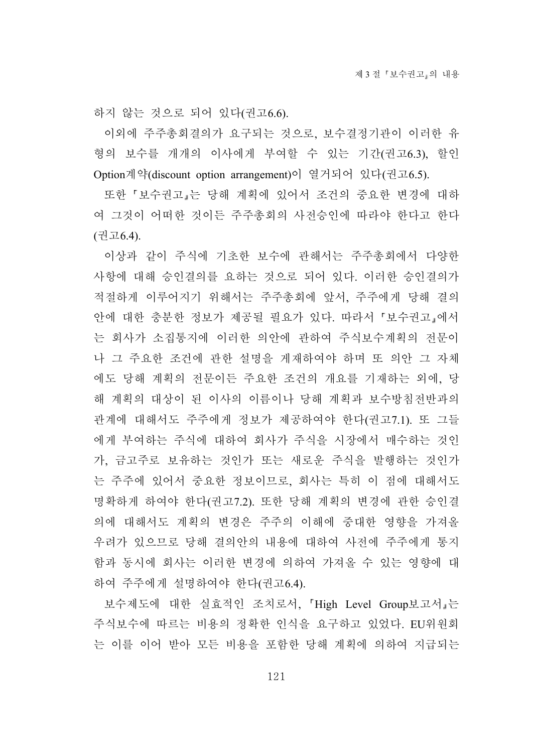하지 않는 것으로 되어 있다(권고6.6).

이외에 주주총회결의가 요구되는 것으로, 보수결정기관이 이러한 유 형의 보수를 개개의 이사에게 부여할 수 있는 기간(권고6.3), 할인 Option계약(discount option arrangement)이 열거되어 있다(권고6.5).

또한 보수권고 는 당해 계획에 있어서 조건의 중요한 변경에 대하 여 그것이 어떠한 것이든 주주총회의 사전승인에 따라야 한다고 한다 (권고6.4).

이상과 같이 주식에 기초한 보수에 관해서는 주주총회에서 다양한 사항에 대해 승인결의를 요하는 것으로 되어 있다. 이러한 승인결의가 적절하게 이루어지기 위해서는 주주총회에 앞서, 주주에게 당해 결의 안에 대한 충분한 정보가 제공될 필요가 있다. 따라서 보수권고 에서 는 회사가 소집통지에 이러한 의안에 관하여 주식보수계획의 전문이 나 그 주요한 조건에 관한 설명을 게재하여야 하며 또 의안 그 자체 에도 당해 계획의 전문이든 주요한 조건의 개요를 기재하는 외에, 당 해 계획의 대상이 된 이사의 이름이나 당해 계획과 보수방침전반과의 관계에 대해서도 주주에게 정보가 제공하여야 한다(권고7.1). 또 그들 에게 부여하는 주식에 대하여 회사가 주식을 시장에서 매수하는 것인 가, 금고주로 보유하는 것인가 또는 새로운 주식을 발행하는 것인가 는 주주에 있어서 중요한 정보이므로, 회사는 특히 이 점에 대해서도 명확하게 하여야 한다(권고7.2). 또한 당해 계획의 변경에 관한 승인결 의에 대해서도 계획의 변경은 주주의 이해에 중대한 영향을 가져올 우려가 있으므로 당해 결의안의 내용에 대하여 사전에 주주에게 통지 함과 동시에 회사는 이러한 변경에 의하여 가져올 수 있는 영향에 대 하여 주주에게 설명하여야 한다(권고6.4).

보수제도에 대한 실효적인 조치로서, High Level Group보고서 는 주식보수에 따르는 비용의 정확한 인식을 요구하고 있었다. EU위원회 는 이를 이어 받아 모든 비용을 포함한 당해 계획에 의하여 지급되는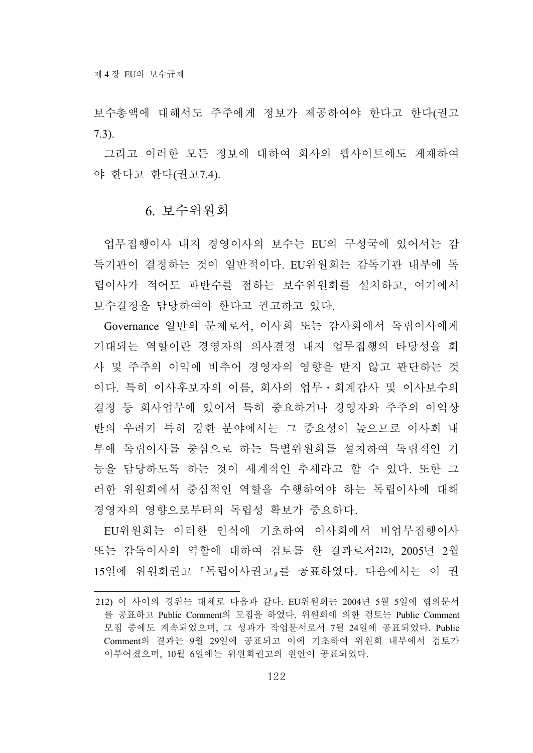보수총액에 대해서도 주주에게 정보가 제공하여야 한다고 한다(권고 7.3).

그리고 이러한 모든 정보에 대하여 회사의 웹사이트에도 게재하여 야 한다고 한다(권고7.4).

#### 6. 보수위원회

업무집행이사 내지 경영이사의 보수는 EU의 구성국에 있어서는 감 독기관이 결정하는 것이 일반적이다. EU위원회는 감독기관 내부에 독 립이사가 적어도 과반수를 점하는 보수위원회를 설치하고, 여기에서 보수결정을 담당하여야 한다고 권고하고 있다.

Governance 일반의 문제로서, 이사회 또는 감사회에서 독립이사에게 기대되는 역할이란 경영자의 의사결정 내지 업무집행의 타당성을 회 사 및 주주의 이익에 비추어 경영자의 영향을 받지 않고 판단하는 것 이다. 특히 이사후보자의 이름, 회사의 업무․회계감사 및 이사보수의 결정 등 회사업무에 있어서 특히 중요하거나 경영자와 주주의 이익상 반의 우려가 특히 강한 분야에서는 그 중요성이 높으므로 이사회 내 부에 독립이사를 중심으로 하는 특별위원회를 설치하여 독립적인 기 능을 담당하도록 하는 것이 세계적인 추세라고 할 수 있다. 또한 그 러한 위원회에서 중심적인 역할을 수행하여야 하는 독립이사에 대해 경영자의 영향으로부터의 독립성 확보가 중요하다.

EU위원회는 이러한 인식에 기초하여 이사회에서 비업무집행이사 또는 감독이사의 역할에 대하여 검토를 한 결과로서212), 2005년 2월 15일에 위원회권고 독립이사권고 를 공표하였다. 다음에서는 이 권

<sup>212)</sup> 이 사이의 경위는 대체로 다음과 같다. EU위원회는 2004년 5월 5일에 협의문서 를 공표하고 Public Comment의 모집을 하였다. 위원회에 의한 검토는 Public Comment 모집 중에도 계속되었으며, 그 성과가 작업문서로서 7월 24일에 공표되었다. Public Comment의 결과는 9월 29일에 공표되고 이에 기초하여 위원회 내부에서 검토가 이루어졌으며, 10월 6일에는 위원회권고의 원안이 공표되었다.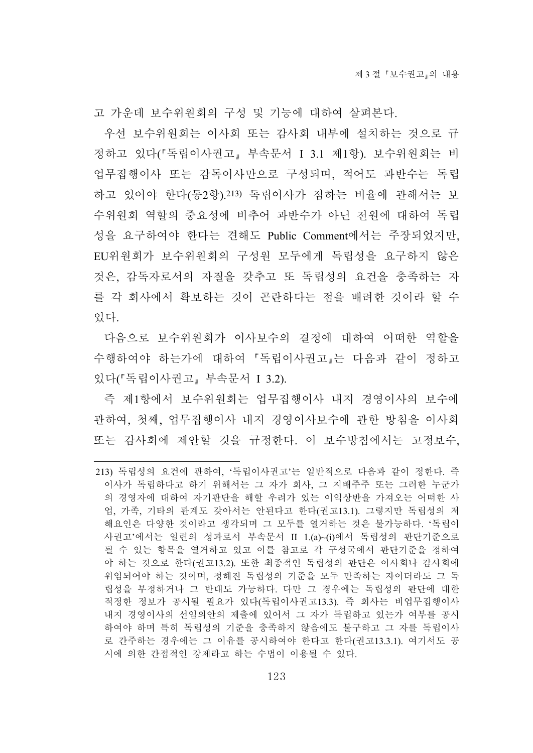고 가운데 보수위원회의 구성 및 기능에 대하여 살펴본다.

우선 보수위원회는 이사회 또는 감사회 내부에 설치하는 것으로 규 정하고 있다( 독립이사권고 부속문서 I 3.1 제1항). 보수위원회는 비 업무집행이사 또는 감독이사만으로 구성되며, 적어도 과반수는 독립 하고 있어야 한다(동2항).213) 독립이사가 점하는 비율에 관해서는 보 수위원회 역할의 중요성에 비추어 과반수가 아닌 전원에 대하여 독립 성을 요구하여야 한다는 견해도 Public Comment에서는 주장되었지만, EU위원회가 보수위원회의 구성원 모두에게 독립성을 요구하지 않은 것은, 감독자로서의 자질을 갖추고 또 독립성의 요건을 충족하는 자 를 각 회사에서 확보하는 것이 곤란하다는 점을 배려한 것이라 할 수 있다.

다음으로 보수위원회가 이사보수의 결정에 대하여 어떠한 역할을 수행하여야 하는가에 대하여 독립이사권고 는 다음과 같이 정하고 있다('독립이사권고, 부속문서 I 3.2).

즉 제1항에서 보수위원회는 업무집행이사 내지 경영이사의 보수에 관하여, 첫째, 업무집행이사 내지 경영이사보수에 관한 방침을 이사회 또는 감사회에 제안할 것을 규정한다. 이 보수방침에서는 고정보수,

<sup>213)</sup> 독립성의 요건에 관하여, '독립이사권고'는 일반적으로 다음과 같이 정한다. 즉 이사가 독립하다고 하기 위해서는 그 자가 회사, 그 지배주주 또는 그러한 누군가 의 경영자에 대하여 자기판단을 해할 우려가 있는 이익상반을 가져오는 어떠한 사 업, 가족, 기타의 관계도 갖아서는 안된다고 한다(권고13.1). 그렇지만 독립성의 저 해요인은 다양한 것이라고 생각되며 그 모두를 열거하는 것은 불가능하다. '독립이 사권고'에서는 일련의 성과로서 부속문서 II 1.(a)~(i)에서 독립성의 판단기준으로 될 수 있는 항목을 열거하고 있고 이를 참고로 각 구성국에서 판단기준을 정하여 야 하는 것으로 한다(권고13.2). 또한 최종적인 독립성의 판단은 이사회나 감사회에 위임되어야 하는 것이며, 정해진 독립성의 기준을 모두 만족하는 자이더라도 그 독 립성을 부정하거나 그 반대도 가능하다. 다만 그 경우에는 독립성의 판단에 대한 적정한 정보가 공시될 필요가 있다(독립이사권고13.3). 즉 회사는 비업무집행이사 내지 경영이사의 선임의안의 제출에 있어서 그 자가 독립하고 있는가 여부를 공시 하여야 하며 특히 독립성의 기준을 충족하지 않음에도 불구하고 그 자를 독립이사 로 간주하는 경우에는 그 이유를 공시하여야 한다고 한다(권고13.3.1). 여기서도 공 시에 의한 간접적인 강제라고 하는 수법이 이용될 수 있다.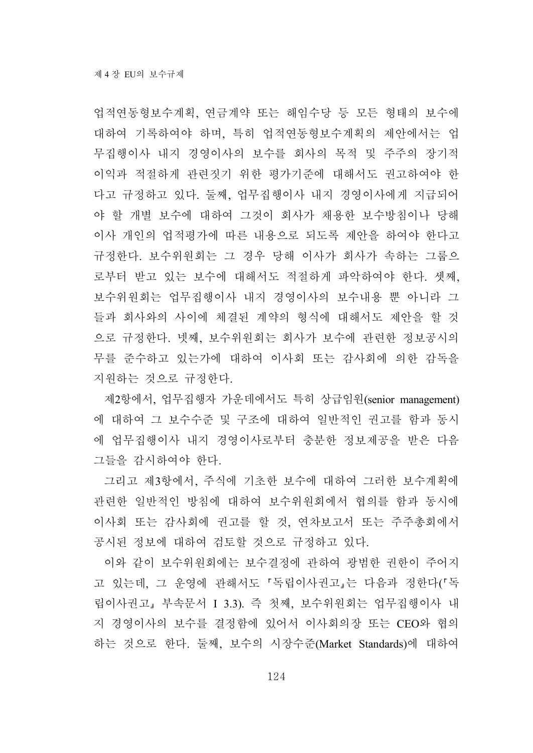업적연동형보수계획, 연금계약 또는 해임수당 등 모든 형태의 보수에 대하여 기록하여야 하며, 특히 업적연동형보수계획의 제안에서는 업 무집행이사 내지 경영이사의 보수를 회사의 목적 및 주주의 장기적 이익과 적절하게 관련짓기 위한 평가기준에 대해서도 권고하여야 한 다고 규정하고 있다. 둘째, 업무집행이사 내지 경영이사에게 지급되어 야 할 개별 보수에 대하여 그것이 회사가 채용한 보수방침이나 당해 이사 개인의 업적평가에 따른 내용으로 되도록 제안을 하여야 한다고 규정한다. 보수위원회는 그 경우 당해 이사가 회사가 속하는 그룹으 로부터 받고 있는 보수에 대해서도 적절하게 파악하여야 한다. 셋째, 보수위원회는 업무집행이사 내지 경영이사의 보수내용 뿐 아니라 그 들과 회사와의 사이에 체결된 계약의 형식에 대해서도 제안을 할 것 으로 규정한다. 넷째, 보수위원회는 회사가 보수에 관련한 정보공시의 무를 준수하고 있는가에 대하여 이사회 또는 감사회에 의한 감독을 지원하는 것으로 규정한다.

제2항에서, 업무집행자 가운데에서도 특히 상급임원(senior management) 에 대하여 그 보수수준 및 구조에 대하여 일반적인 권고를 함과 동시 에 업무집행이사 내지 경영이사로부터 충분한 정보제공을 받은 다음 그들을 감시하여야 한다.

그리고 제3항에서, 주식에 기초한 보수에 대하여 그러한 보수계획에 관련한 일반적인 방침에 대하여 보수위원회에서 협의를 함과 동시에 이사회 또는 감사회에 권고를 할 것, 연차보고서 또는 주주총회에서 공시된 정보에 대하여 검토할 것으로 규정하고 있다.

이와 같이 보수위원회에는 보수결정에 관하여 광범한 권한이 주어지 고 있는데, 그 운영에 관해서도 「독립이사권고」는 다음과 정한다(「독 립이사권고 부속문서 I 3.3). 즉 첫째, 보수위원회는 업무집행이사 내 지 경영이사의 보수를 결정함에 있어서 이사회의장 또는 CEO와 협의 하는 것으로 한다. 둘째, 보수의 시장수준(Market Standards)에 대하여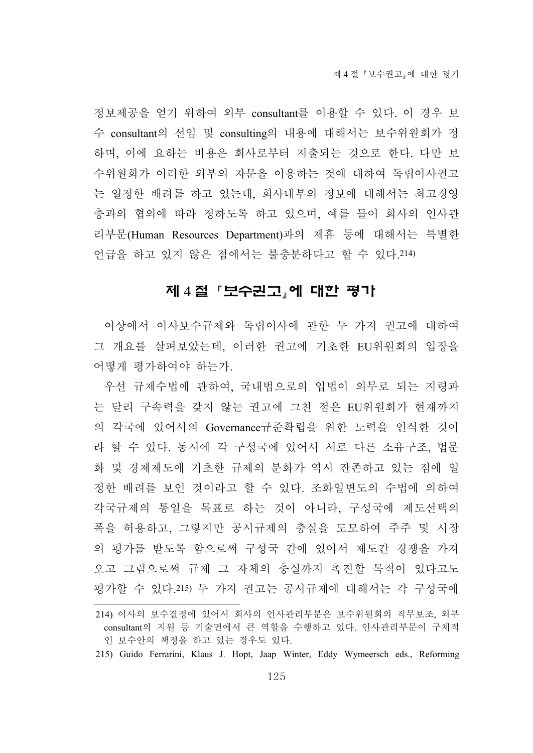정보제공을 얻기 위하여 외부 consultant를 이용할 수 있다. 이 경우 보 수 consultant의 선임 및 consulting의 내용에 대해서는 보수위원회가 정 하며, 이에 요하는 비용은 회사로부터 지출되는 것으로 한다. 다만 보 수위원회가 이러한 외부의 자문을 이용하는 것에 대하여 독립이사권고 는 일정한 배려를 하고 있는데, 회사내부의 정보에 대해서는 최고경영 층과의 협의에 따라 정하도록 하고 있으며, 예를 들어 회사의 인사관 리부문(Human Resources Department)과의 제휴 등에 대해서는 특별한 언급을 하고 있지 않은 점에서는 불충분하다고 할 수 있다.214)

## 제 4 절 「보수권고」에 대한 평가

이상에서 이사보수규제와 독립이사에 관한 두 가지 권고에 대하여 그 개요를 살펴보았는데, 이러한 권고에 기초한 EU위원회의 입장을 어떻게 평가하여야 하는가.

우선 규제수법에 관하여, 국내법으로의 입법이 의무로 되는 지령과 는 달리 구속력을 갖지 않는 권고에 그친 점은 EU위원회가 현재까지 의 각국에 있어서의 Governance규준확립을 위한 노력을 인식한 것이 라 할 수 있다. 동시에 각 구성국에 있어서 서로 다른 소유구조, 법문 화 및 경제제도에 기초한 규제의 분화가 역시 잔존하고 있는 점에 일 정한 배려를 보인 것이라고 할 수 있다. 조화일변도의 수법에 의하여 각국규제의 통일을 목표로 하는 것이 아니라, 구성국에 제도선택의 폭을 허용하고, 그렇지만 공시규제의 충실을 도모하여 주주 및 시장 의 평가를 받도록 함으로써 구성국 간에 있어서 제도간 경쟁을 가져 오고 그럼으로써 규제 그 자체의 충실까지 촉진할 목적이 있다고도 평가할 수 있다.215) 두 가지 권고는 공시규제에 대해서는 각 구성국에

215) Guido Ferrarini, Klaus J. Hopt, Jaap Winter, Eddy Wymeersch eds., Reforming

<sup>214)</sup> 이사의 보수결정에 있어서 회사의 인사관리부분은 보수위원회의 직무보조, 외부 consultant의 지원 등 기술면에서 큰 역할을 수행하고 있다. 인사관리부문이 구체적 인 보수안의 책정을 하고 있는 경우도 있다.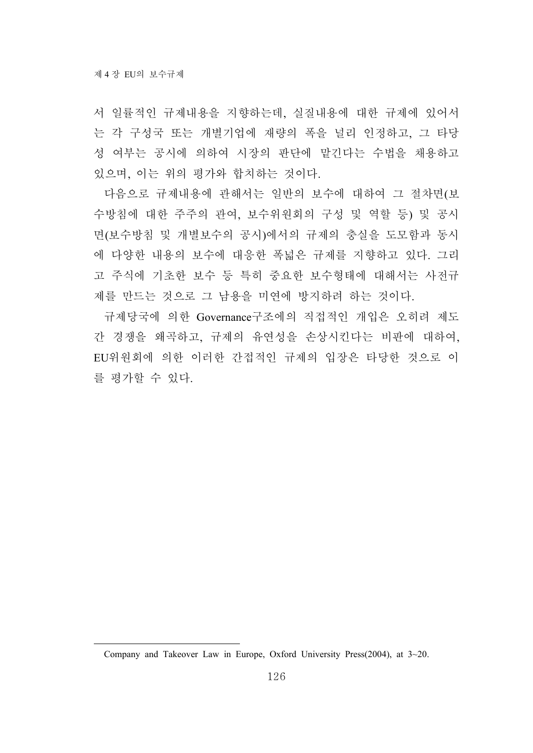서 일률적인 규제내용을 지향하는데, 실질내용에 대한 규제에 있어서 는 각 구성국 또는 개별기업에 재량의 폭을 널리 인정하고, 그 타당 성 여부는 공시에 의하여 시장의 판단에 맡긴다는 수법을 채용하고 있으며, 이는 위의 평가와 합치하는 것이다.

다음으로 규제내용에 관해서는 일반의 보수에 대하여 그 절차면(보 수방침에 대한 주주의 관여, 보수위원회의 구성 및 역할 등) 및 공시 면(보수방침 및 개별보수의 공시)에서의 규제의 충실을 도모함과 동시 에 다양한 내용의 보수에 대응한 폭넓은 규제를 지향하고 있다. 그리 고 주식에 기초한 보수 등 특히 중요한 보수형태에 대해서는 사전규 제를 만드는 것으로 그 남용을 미연에 방지하려 하는 것이다.

규제당국에 의한 Governance구조에의 직접적인 개입은 오히려 제도 간 경쟁을 왜곡하고, 규제의 유연성을 손상시킨다는 비판에 대하여, EU위원회에 의한 이러한 간접적인 규제의 입장은 타당한 것으로 이 를 평가할 수 있다.

Company and Takeover Law in Europe, Oxford University Press(2004), at 3~20.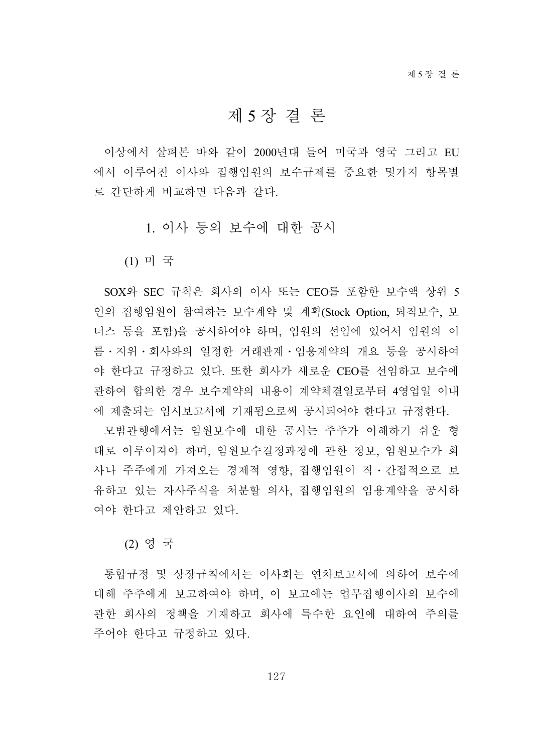# 제 5 장 결 론

이상에서 살펴본 바와 같이 2000년대 들어 미국과 영국 그리고 EU 에서 이루어진 이사와 집행임원의 보수규제를 중요한 몇가지 항목별 로 간단하게 비교하면 다음과 같다.

1. 이사 등의 보수에 대한 공시

(1) 미 국

SOX와 SEC 규칙은 회사의 이사 또는 CEO를 포함한 보수액 상위 5 인의 집행임원이 참여하는 보수계약 및 계획(Stock Option, 퇴직보수, 보 너스 등을 포함)을 공시하여야 하며, 임원의 선임에 있어서 임원의 이 름․지위․회사와의 일정한 거래관계․임용계약의 개요 등을 공시하여 야 한다고 규정하고 있다. 또한 회사가 새로운 CEO를 선임하고 보수에 관하여 합의한 경우 보수계약의 내용이 계약체결일로부터 4영업일 이내 에 제출되는 임시보고서에 기재됨으로써 공시되어야 한다고 규정한다.

모범관행에서는 임원보수에 대한 공시는 주주가 이해하기 쉬운 형 태로 이루어져야 하며, 임원보수결정과정에 관한 정보, 임원보수가 회 사나 주주에게 가져오는 경제적 영향, 집행임원이 직․간접적으로 보 유하고 있는 자사주식을 처분할 의사, 집행임원의 임용계약을 공시하 여야 한다고 제안하고 있다.

(2) 영 국

통합규정 및 상장규칙에서는 이사회는 연차보고서에 의하여 보수에 대해 주주에게 보고하여야 하며, 이 보고에는 업무집행이사의 보수에 관한 회사의 정책을 기재하고 회사에 특수한 요인에 대하여 주의를 주어야 한다고 규정하고 있다.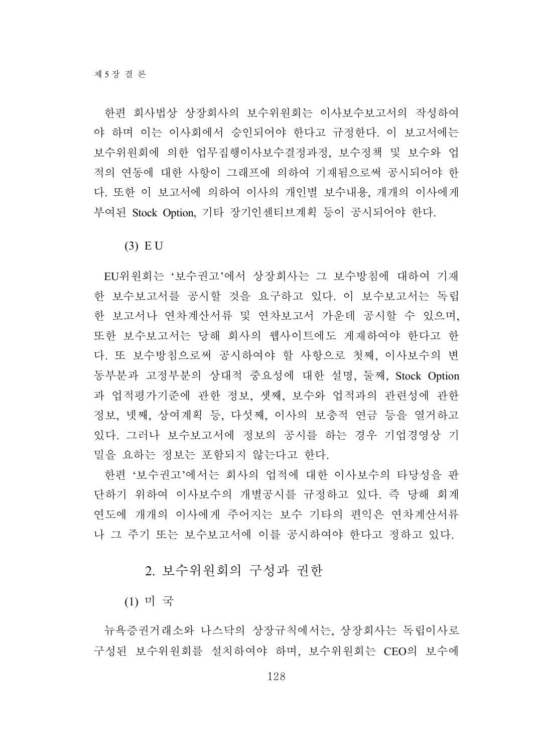한편 회사법상 상장회사의 보수위원회는 이사보수보고서의 작성하여 야 하며 이는 이사회에서 승인되어야 한다고 규정한다. 이 보고서에는 보수위원회에 의한 업무집행이사보수결정과정, 보수정책 및 보수와 업 적의 연동에 대한 사항이 그래프에 의하여 기재됨으로써 공시되어야 한 다. 또한 이 보고서에 의하여 이사의 개인별 보수내용, 개개의 이사에게 부여된 Stock Option, 기타 장기인센티브계획 등이 공시되어야 한다.

(3) E U

EU위원회는 '보수권고'에서 상장회사는 그 보수방침에 대하여 기재 한 보수보고서를 공시할 것을 요구하고 있다. 이 보수보고서는 독립 한 보고서나 연차계산서류 및 연차보고서 가운데 공시할 수 있으며, 또한 보수보고서는 당해 회사의 웹사이트에도 게재하여야 한다고 한 다. 또 보수방침으로써 공시하여야 할 사항으로 첫째, 이사보수의 변 동부분과 고정부분의 상대적 중요성에 대한 설명, 둘째, Stock Option 과 업적평가기준에 관한 정보, 셋째, 보수와 업적과의 관련성에 관한 정보, 넷째, 상여계획 등, 다섯째, 이사의 보충적 연금 등을 열거하고 있다. 그러나 보수보고서에 정보의 공시를 하는 경우 기업경영상 기 밀을 요하는 정보는 포함되지 않는다고 한다.

한편 '보수권고'에서는 회사의 업적에 대한 이사보수의 타당성을 판 단하기 위하여 이사보수의 개별공시를 규정하고 있다. 즉 당해 회계 연도에 개개의 이사에게 주어지는 보수 기타의 편익은 연차계산서류 나 그 주기 또는 보수보고서에 이를 공시하여야 한다고 정하고 있다.

2. 보수위원회의 구성과 권한

(1) 미 국

뉴욕증권거래소와 나스닥의 상장규칙에서는, 상장회사는 독립이사로 구성된 보수위원회를 설치하여야 하며, 보수위원회는 CEO의 보수에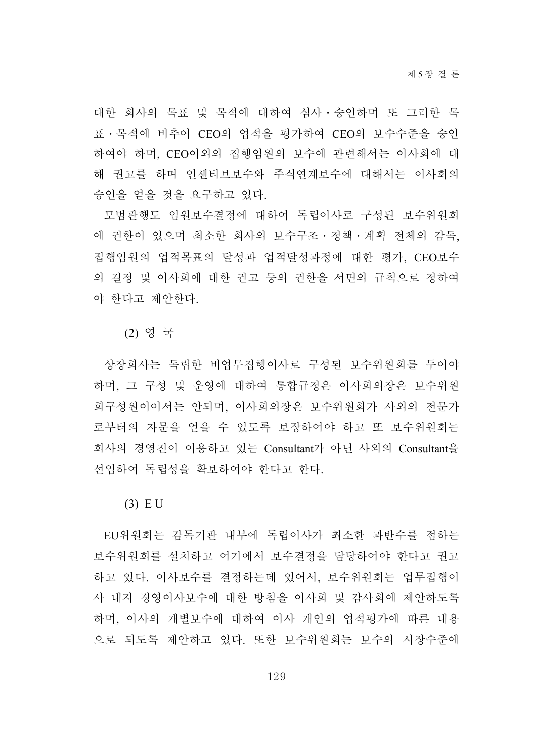대한 회사의 목표 및 목적에 대하여 심사․승인하며 또 그러한 목 표․목적에 비추어 CEO의 업적을 평가하여 CEO의 보수수준을 승인 하여야 하며, CEO이외의 집행임원의 보수에 관련해서는 이사회에 대 해 권고를 하며 인센티브보수와 주식연계보수에 대해서는 이사회의 승인을 얻을 것을 요구하고 있다.

모범관행도 임원보수결정에 대하여 독립이사로 구성된 보수위원회 에 권한이 있으며 최소한 회사의 보수구조․정책․계획 전체의 감독, 집행임원의 업적목표의 달성과 업적달성과정에 대한 평가, CEO보수 의 결정 및 이사회에 대한 권고 등의 권한을 서면의 규칙으로 정하여 야 한다고 제안한다.

(2) 영 국

상장회사는 독립한 비업무집행이사로 구성된 보수위원회를 두어야 하며, 그 구성 및 운영에 대하여 통합규정은 이사회의장은 보수위원 회구성원이어서는 안되며, 이사회의장은 보수위원회가 사외의 전문가 로부터의 자문을 얻을 수 있도록 보장하여야 하고 또 보수위원회는 회사의 경영진이 이용하고 있는 Consultant가 아닌 사외의 Consultant을 선임하여 독립성을 확보하여야 한다고 한다.

(3) E U

EU위원회는 감독기관 내부에 독립이사가 최소한 과반수를 점하는 보수위원회를 설치하고 여기에서 보수결정을 담당하여야 한다고 권고 하고 있다. 이사보수를 결정하는데 있어서, 보수위원회는 업무집행이 사 내지 경영이사보수에 대한 방침을 이사회 및 감사회에 제안하도록 하며, 이사의 개별보수에 대하여 이사 개인의 업적평가에 따른 내용 으로 되도록 제안하고 있다. 또한 보수위원회는 보수의 시장수준에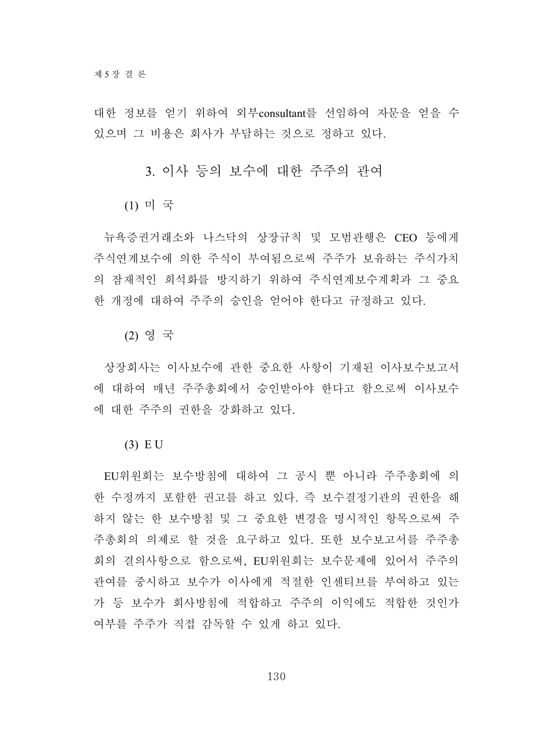대한 정보를 얻기 위하여 외부consultant를 선임하여 자문을 얻을 수 있으며 그 비용은 회사가 부담하는 것으로 정하고 있다.

3. 이사 등의 보수에 대한 주주의 관여

(1) 미 국

뉴욕증권거래소와 나스닥의 상장규칙 및 모범관행은 CEO 등에게 주식연계보수에 의한 주식이 부여됨으로써 주주가 보유하는 주식가치 의 잠재적인 희석화를 방지하기 위하여 주식연계보수계획과 그 중요 한 개정에 대하여 주주의 승인을 얻어야 한다고 규정하고 있다.

(2) 영 국

상장회사는 이사보수에 관한 중요한 사항이 기재된 이사보수보고서 에 대하여 매년 주주총회에서 승인받아야 한다고 함으로써 이사보수 에 대한 주주의 권한을 강화하고 있다.

(3) E U

EU위원회는 보수방침에 대하여 그 공시 뿐 아니라 주주총회에 의 한 수정까지 포함한 권고를 하고 있다. 즉 보수결정기관의 권한을 해 하지 않는 한 보수방침 및 그 중요한 변경을 명시적인 항목으로써 주 주총회의 의제로 할 것을 요구하고 있다. 또한 보수보고서를 주주총 회의 결의사항으로 함으로써, EU위원회는 보수문제에 있어서 주주의 관여를 중시하고 보수가 이사에게 적절한 인센티브를 부여하고 있는 가 등 보수가 회사방침에 적합하고 주주의 이익에도 적합한 것인가 여부를 주주가 직접 감독할 수 있게 하고 있다.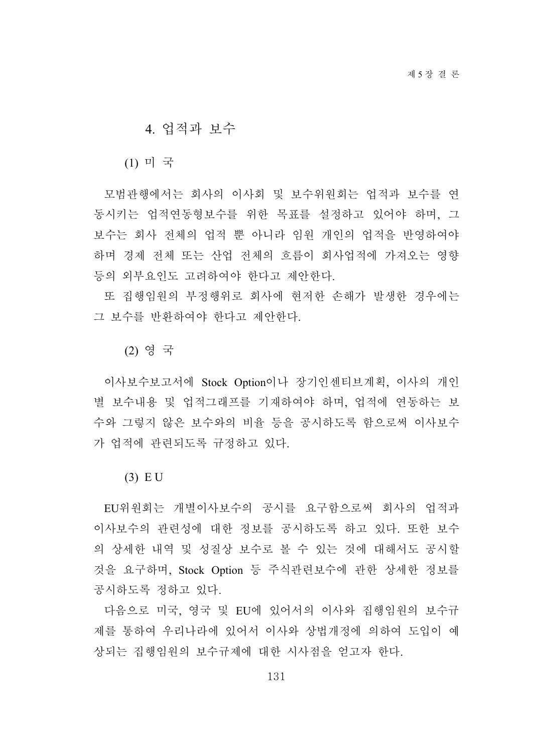#### 4. 업적과 보수

(1) 미 국

모범관행에서는 회사의 이사회 및 보수위원회는 업적과 보수를 연 동시키는 업적연동형보수를 위한 목표를 설정하고 있어야 하며, 그 보수는 회사 전체의 업적 뿐 아니라 임원 개인의 업적을 반영하여야 하며 경제 전체 또는 산업 전체의 흐름이 회사업적에 가져오는 영향 등의 외부요인도 고려하여야 한다고 제안한다.

또 집행임원의 부정행위로 회사에 현저한 손해가 발생한 경우에는 그 보수를 반환하여야 한다고 제안한다.

(2) 영 국

이사보수보고서에 Stock Option이나 장기인센티브계획, 이사의 개인 별 보수내용 및 업적그래프를 기재하여야 하며, 업적에 연동하는 보 수와 그렇지 않은 보수와의 비율 등을 공시하도록 함으로써 이사보수 가 업적에 관련되도록 규정하고 있다.

(3) E U

EU위원회는 개별이사보수의 공시를 요구함으로써 회사의 업적과 이사보수의 관련성에 대한 정보를 공시하도록 하고 있다. 또한 보수 의 상세한 내역 및 성질상 보수로 볼 수 있는 것에 대해서도 공시할 것을 요구하며, Stock Option 등 주식관련보수에 관한 상세한 정보를 공시하도록 정하고 있다.

다음으로 미국, 영국 및 EU에 있어서의 이사와 집행임원의 보수규 제를 통하여 우리나라에 있어서 이사와 상법개정에 의하여 도입이 예 상되는 집행임원의 보수규제에 대한 시사점을 얻고자 한다.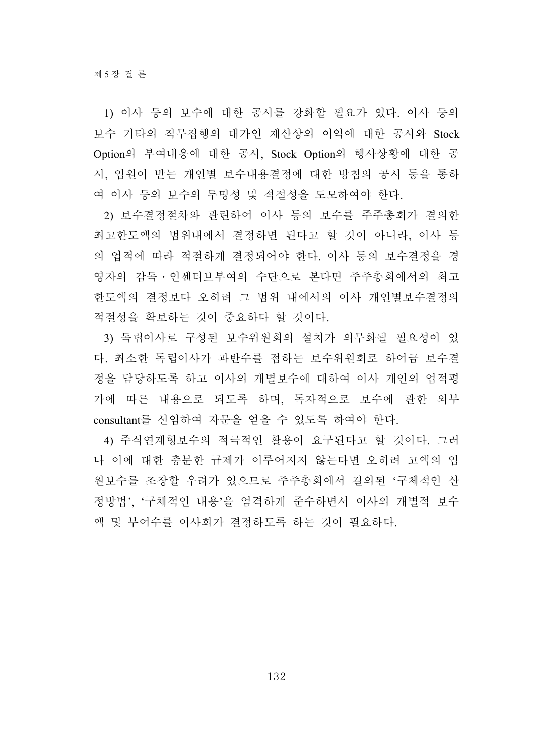1) 이사 등의 보수에 대한 공시를 강화할 필요가 있다. 이사 등의 보수 기타의 직무집행의 대가인 재산상의 이익에 대한 공시와 Stock Option의 부여내용에 대한 공시, Stock Option의 행사상황에 대한 공 시, 임원이 받는 개인별 보수내용결정에 대한 방침의 공시 등을 통하 여 이사 등의 보수의 투명성 및 적절성을 도모하여야 한다.

2) 보수결정절차와 관련하여 이사 등의 보수를 주주총회가 결의한 최고한도액의 범위내에서 결정하면 된다고 할 것이 아니라, 이사 등 의 업적에 따라 적절하게 결정되어야 한다. 이사 등의 보수결정을 경 영자의 감독․인센티브부여의 수단으로 본다면 주주총회에서의 최고 한도액의 결정보다 오히려 그 범위 내에서의 이사 개인별보수결정의 적절성을 확보하는 것이 중요하다 할 것이다.

3) 독립이사로 구성된 보수위원회의 설치가 의무화될 필요성이 있 다. 최소한 독립이사가 과반수를 점하는 보수위원회로 하여금 보수결 정을 담당하도록 하고 이사의 개별보수에 대하여 이사 개인의 업적평 가에 따른 내용으로 되도록 하며, 독자적으로 보수에 관한 외부 consultant를 선임하여 자문을 얻을 수 있도록 하여야 한다.

4) 주식연계형보수의 적극적인 활용이 요구된다고 할 것이다. 그러 나 이에 대한 충분한 규제가 이루어지지 않는다면 오히려 고액의 임 원보수를 조장할 우려가 있으므로 주주총회에서 결의된 '구체적인 산 정방법', '구체적인 내용'을 엄격하게 준수하면서 이사의 개별적 보수 액 및 부여수를 이사회가 결정하도록 하는 것이 필요하다.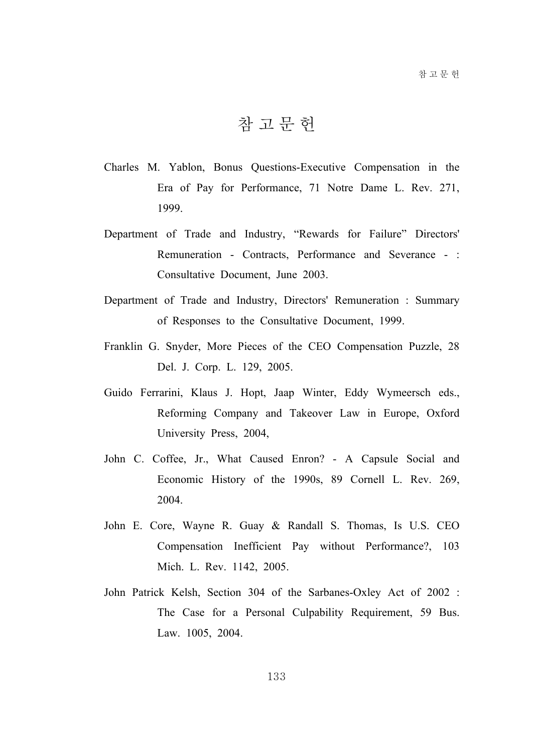참고문헌

- Charles M. Yablon, Bonus Questions-Executive Compensation in the Era of Pay for Performance, 71 Notre Dame L. Rev. 271, 1999.
- Department of Trade and Industry, "Rewards for Failure" Directors' Remuneration - Contracts, Performance and Severance - : Consultative Document, June 2003.
- Department of Trade and Industry, Directors' Remuneration : Summary of Responses to the Consultative Document, 1999.
- Franklin G. Snyder, More Pieces of the CEO Compensation Puzzle, 28 Del. J. Corp. L. 129, 2005.
- Guido Ferrarini, Klaus J. Hopt, Jaap Winter, Eddy Wymeersch eds., Reforming Company and Takeover Law in Europe, Oxford University Press, 2004,
- John C. Coffee, Jr., What Caused Enron? A Capsule Social and Economic History of the 1990s, 89 Cornell L. Rev. 269, 2004.
- John E. Core, Wayne R. Guay & Randall S. Thomas, Is U.S. CEO Compensation Inefficient Pay without Performance?, 103 Mich. L. Rev. 1142, 2005.
- John Patrick Kelsh, Section 304 of the Sarbanes-Oxley Act of 2002 : The Case for a Personal Culpability Requirement, 59 Bus. Law. 1005, 2004.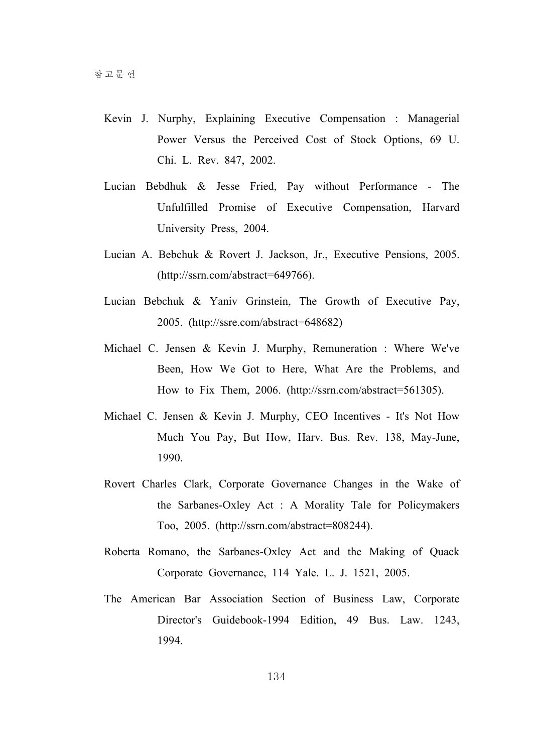- Kevin J. Nurphy, Explaining Executive Compensation : Managerial Power Versus the Perceived Cost of Stock Options, 69 U. Chi. L. Rev. 847, 2002.
- Lucian Bebdhuk & Jesse Fried, Pay without Performance The Unfulfilled Promise of Executive Compensation, Harvard University Press, 2004.
- Lucian A. Bebchuk & Rovert J. Jackson, Jr., Executive Pensions, 2005. (http://ssrn.com/abstract=649766).
- Lucian Bebchuk & Yaniv Grinstein, The Growth of Executive Pay, 2005. (http://ssre.com/abstract=648682)
- Michael C. Jensen & Kevin J. Murphy, Remuneration : Where We've Been, How We Got to Here, What Are the Problems, and How to Fix Them, 2006. (http://ssrn.com/abstract=561305).
- Michael C. Jensen & Kevin J. Murphy, CEO Incentives It's Not How Much You Pay, But How, Harv. Bus. Rev. 138, May-June, 1990.
- Rovert Charles Clark, Corporate Governance Changes in the Wake of the Sarbanes-Oxley Act : A Morality Tale for Policymakers Too, 2005. (http://ssrn.com/abstract=808244).
- Roberta Romano, the Sarbanes-Oxley Act and the Making of Quack Corporate Governance, 114 Yale. L. J. 1521, 2005.
- The American Bar Association Section of Business Law, Corporate Director's Guidebook-1994 Edition, 49 Bus. Law. 1243, 1994.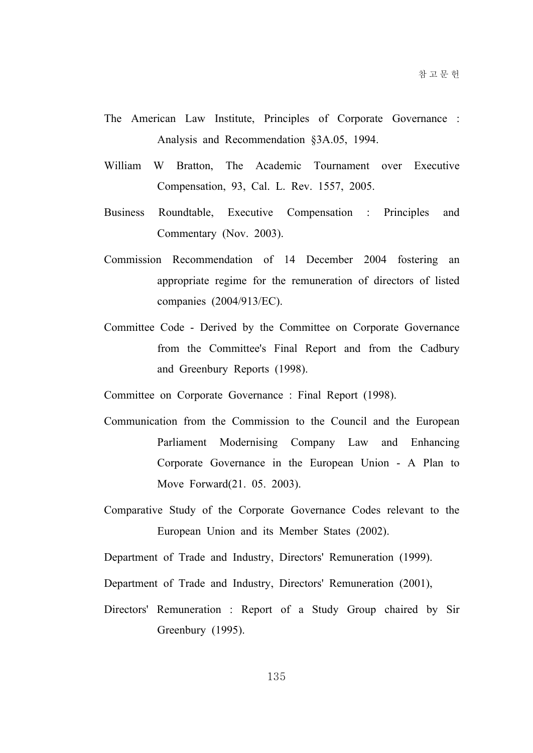- The American Law Institute, Principles of Corporate Governance : Analysis and Recommendation §3A.05, 1994.
- William W Bratton, The Academic Tournament over Executive Compensation, 93, Cal. L. Rev. 1557, 2005.
- Business Roundtable, Executive Compensation : Principles and Commentary (Nov. 2003).
- Commission Recommendation of 14 December 2004 fostering an appropriate regime for the remuneration of directors of listed companies (2004/913/EC).
- Committee Code Derived by the Committee on Corporate Governance from the Committee's Final Report and from the Cadbury and Greenbury Reports (1998).

Committee on Corporate Governance : Final Report (1998).

- Communication from the Commission to the Council and the European Parliament Modernising Company Law and Enhancing Corporate Governance in the European Union - A Plan to Move Forward(21. 05. 2003).
- Comparative Study of the Corporate Governance Codes relevant to the European Union and its Member States (2002).

Department of Trade and Industry, Directors' Remuneration (1999).

Department of Trade and Industry, Directors' Remuneration (2001),

Directors' Remuneration : Report of a Study Group chaired by Sir Greenbury (1995).